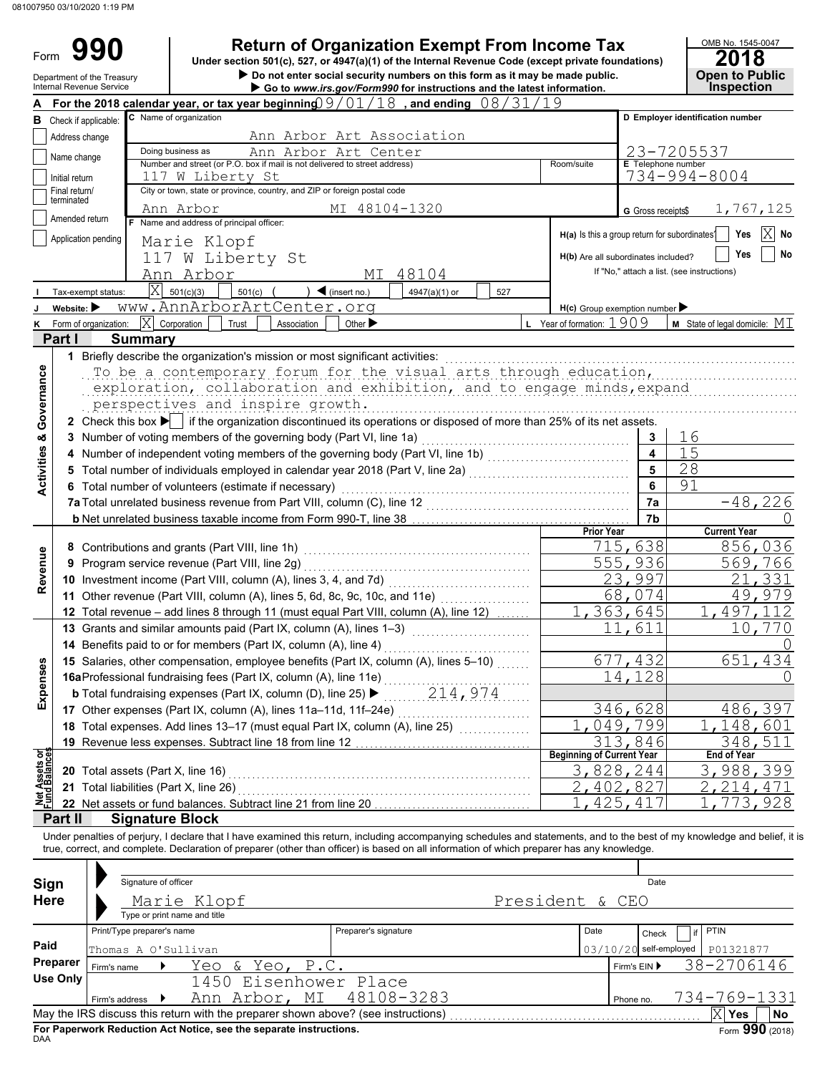Form

Department of the Treasury

▶ Do not enter social security numbers on this form as it may be made public. **Open to Public 990** Return of Organization Exempt From Income Tax <br>
Under section 501(c), 527, or 4947(a)(1) of the Internal Revenue Code (except private foundations) 2018 **Under section 501(c), 527, or 4947(a)(1) of the Internal Revenue Code (except private foundations)**



|                                        | Internal Revenue Service       | Go to www.irs.gov/Form990 for instructions and the latest information.                                                                                                    |                                     |                          | <b>Inspection</b>                                                             |
|----------------------------------------|--------------------------------|---------------------------------------------------------------------------------------------------------------------------------------------------------------------------|-------------------------------------|--------------------------|-------------------------------------------------------------------------------|
|                                        |                                | For the 2018 calendar year, or tax year beginning $9/01/18$ , and ending<br>08/31/19                                                                                      |                                     |                          |                                                                               |
|                                        | <b>B</b> Check if applicable:  | C Name of organization                                                                                                                                                    |                                     |                          | D Employer identification number                                              |
|                                        | Address change                 | Ann Arbor Art Association                                                                                                                                                 |                                     |                          |                                                                               |
|                                        |                                | Doing business as<br>Ann Arbor Art Center                                                                                                                                 |                                     |                          | 23-7205537                                                                    |
|                                        | Name change                    | Number and street (or P.O. box if mail is not delivered to street address)                                                                                                | Room/suite                          | E Telephone number       |                                                                               |
|                                        | Initial return                 | 117 W Liberty St                                                                                                                                                          |                                     |                          | 734-994-8004                                                                  |
|                                        | Final return/<br>terminated    | City or town, state or province, country, and ZIP or foreign postal code                                                                                                  |                                     |                          |                                                                               |
|                                        |                                | MI 48104-1320<br>Ann Arbor                                                                                                                                                |                                     | G Gross receipts\$       | 1,767,125                                                                     |
|                                        | Amended return                 | F Name and address of principal officer:                                                                                                                                  |                                     |                          |                                                                               |
|                                        | Application pending            | Marie Klopf                                                                                                                                                               |                                     |                          | ΙXΙ<br>No<br>H(a) Is this a group return for subordinates <sup>1</sup><br>Yes |
|                                        |                                | 117 W Liberty St                                                                                                                                                          | H(b) Are all subordinates included? |                          | Yes<br>No                                                                     |
|                                        |                                | Ann Arbor<br>48104<br>MI                                                                                                                                                  |                                     |                          | If "No," attach a list. (see instructions)                                    |
|                                        |                                | X 501(c)(3)                                                                                                                                                               |                                     |                          |                                                                               |
|                                        | Tax-exempt status:             | 501(c)<br>$\bigcup$ (insert no.)<br>4947(a)(1) or<br>527                                                                                                                  |                                     |                          |                                                                               |
| J                                      | Website: $\blacktriangleright$ | www.AnnArborArtCenter.org                                                                                                                                                 | H(c) Group exemption number         |                          |                                                                               |
| ĸ                                      | Form of organization:          | $ X $ Corporation<br>Other $\blacktriangleright$<br>Trust<br>Association                                                                                                  | <b>L</b> Year of formation: $1909$  |                          | <b>M</b> State of legal domicile: $MI$                                        |
|                                        | Part I                         | <b>Summary</b>                                                                                                                                                            |                                     |                          |                                                                               |
|                                        |                                | 1 Briefly describe the organization's mission or most significant activities:                                                                                             |                                     |                          |                                                                               |
|                                        |                                | To be a contemporary forum for the visual arts through education,                                                                                                         |                                     |                          |                                                                               |
|                                        |                                | exploration, collaboration and exhibition, and to engage minds, expand                                                                                                    |                                     |                          |                                                                               |
| Governance                             |                                | perspectives and inspire growth.                                                                                                                                          |                                     |                          |                                                                               |
|                                        |                                | 2 Check this box $\blacktriangleright$ if the organization discontinued its operations or disposed of more than 25% of its net assets.                                    |                                     |                          |                                                                               |
| න්                                     |                                | 3 Number of voting members of the governing body (Part VI, line 1a)                                                                                                       |                                     | 3                        | 16                                                                            |
|                                        |                                |                                                                                                                                                                           |                                     | $\overline{\mathbf{4}}$  | 15                                                                            |
|                                        |                                | 4 Number of independent voting members of the governing body (Part VI, line 1b) [11] [11] Number of independent voting                                                    |                                     |                          |                                                                               |
| Activities                             | 5                              | Total number of individuals employed in calendar year 2018 (Part V, line 2a) [[[[[[[[[[[[[[[[[[[[[[[[[[[[[[[[                                                             |                                     | 5                        | 28                                                                            |
|                                        |                                | 6 Total number of volunteers (estimate if necessary)                                                                                                                      |                                     | 6                        | 91                                                                            |
|                                        |                                |                                                                                                                                                                           |                                     | 7a                       | $-48,226$                                                                     |
|                                        |                                |                                                                                                                                                                           |                                     | 7b                       |                                                                               |
|                                        |                                |                                                                                                                                                                           | <b>Prior Year</b>                   |                          | <b>Current Year</b>                                                           |
|                                        |                                | 8 Contributions and grants (Part VIII, line 1h)                                                                                                                           |                                     | 715,638                  | 856,036                                                                       |
| Revenue                                | 9                              | Program service revenue (Part VIII, line 2g)                                                                                                                              |                                     | $\overline{555, 936}$    | 569,766                                                                       |
|                                        |                                | 10 Investment income (Part VIII, column (A), lines 3, 4, and 7d)                                                                                                          |                                     | 23,997                   | 21,331                                                                        |
|                                        |                                | 11 Other revenue (Part VIII, column (A), lines 5, 6d, 8c, 9c, 10c, and 11e)                                                                                               |                                     | 68,074                   | 49,979                                                                        |
|                                        |                                | 12 Total revenue - add lines 8 through 11 (must equal Part VIII, column (A), line 12)                                                                                     |                                     | 1,363,645                | , 497, 112                                                                    |
|                                        |                                | 13 Grants and similar amounts paid (Part IX, column (A), lines 1-3)                                                                                                       |                                     | 11,611                   | 10,770                                                                        |
|                                        |                                | 14 Benefits paid to or for members (Part IX, column (A), line 4)                                                                                                          |                                     |                          |                                                                               |
|                                        |                                | 15 Salaries, other compensation, employee benefits (Part IX, column (A), lines 5-10)                                                                                      |                                     | 677,432                  | 651,434                                                                       |
| enses                                  |                                |                                                                                                                                                                           |                                     | 14,128                   |                                                                               |
|                                        |                                |                                                                                                                                                                           |                                     |                          |                                                                               |
| Εx                                     |                                |                                                                                                                                                                           |                                     |                          |                                                                               |
|                                        |                                | 17 Other expenses (Part IX, column (A), lines 11a-11d, 11f-24e)                                                                                                           |                                     | 346,628                  | 486,397                                                                       |
|                                        |                                | 18 Total expenses. Add lines 13-17 (must equal Part IX, column (A), line 25)                                                                                              |                                     | 1,049,799                | 1,148,601                                                                     |
|                                        |                                | 19 Revenue less expenses. Subtract line 18 from line 12                                                                                                                   |                                     | 313,846                  | 348,511                                                                       |
| <b>Net Assets or<br/>Fund Balances</b> |                                |                                                                                                                                                                           | <b>Beginning of Current Year</b>    |                          | <b>End of Year</b>                                                            |
|                                        |                                | 20 Total assets (Part X, line 16)                                                                                                                                         |                                     | 3,828,244                | 3,988,399                                                                     |
|                                        |                                | 21 Total liabilities (Part X, line 26)                                                                                                                                    |                                     | 2,402,827                | 2,214,471                                                                     |
|                                        |                                | 22 Net assets or fund balances. Subtract line 21 from line 20                                                                                                             |                                     | 425, 417                 | 773,928                                                                       |
|                                        | Part II                        | <b>Signature Block</b>                                                                                                                                                    |                                     |                          |                                                                               |
|                                        |                                | Under penalties of perjury, I declare that I have examined this return, including accompanying schedules and statements, and to the best of my knowledge and belief, it i |                                     |                          |                                                                               |
|                                        |                                | true, correct, and complete. Declaration of preparer (other than officer) is based on all information of which preparer has any knowledge.                                |                                     |                          |                                                                               |
|                                        |                                |                                                                                                                                                                           |                                     |                          |                                                                               |
|                                        | Sign                           | Signature of officer                                                                                                                                                      |                                     | Date                     |                                                                               |
|                                        | <b>Here</b>                    | Marie Klopf                                                                                                                                                               | President & CEO                     |                          |                                                                               |
|                                        |                                | Type or print name and title                                                                                                                                              |                                     |                          |                                                                               |
|                                        |                                |                                                                                                                                                                           |                                     |                          |                                                                               |
|                                        |                                | Print/Type preparer's name<br>Preparer's signature                                                                                                                        | Date                                | Check                    | PTIN<br>if                                                                    |
| Paid                                   |                                | Thomas A O'Sullivan                                                                                                                                                       |                                     | $03/10/20$ self-employed | P01321877                                                                     |
|                                        | Preparer<br>Firm's name        | & Yeo, P.C.<br>Yeo<br>▶                                                                                                                                                   |                                     | Firm's EIN ▶             | 38-2706146                                                                    |
|                                        | <b>Use Only</b>                | 1450 Eisenhower Place                                                                                                                                                     |                                     |                          |                                                                               |
|                                        | Firm's address                 | Ann Arbor, MI<br>48108-3283                                                                                                                                               |                                     | Phone no.                | 734-769-1331                                                                  |
|                                        |                                | May the IRS discuss this return with the preparer shown above? (see instructions)                                                                                         |                                     |                          | $X$ Yes<br>No                                                                 |

| Sign        |                                                                                       | Signature of officer |                                                                                   | Date                 |                 |      |                          |  |              |     |  |  |
|-------------|---------------------------------------------------------------------------------------|----------------------|-----------------------------------------------------------------------------------|----------------------|-----------------|------|--------------------------|--|--------------|-----|--|--|
| <b>Here</b> |                                                                                       |                      | Marie Klopf<br>Type or print name and title                                       |                      | President & CEO |      |                          |  |              |     |  |  |
|             | Print/Type preparer's name                                                            |                      |                                                                                   | Preparer's signature |                 | Date | Check                    |  | <b>PTIN</b>  |     |  |  |
| Paid        | Thomas A O'Sullivan                                                                   |                      |                                                                                   |                      |                 |      | $03/10/20$ self-employed |  | P01321877    |     |  |  |
| Preparer    | Firm's name                                                                           |                      | Yeo & Yeo, P.C.                                                                   |                      |                 |      | Firm's $EIN$             |  | 38-2706146   |     |  |  |
| Use Only    |                                                                                       |                      | 1450 Eisenhower Place                                                             |                      |                 |      |                          |  |              |     |  |  |
|             | Firm's address $\blacktriangleright$                                                  |                      | Ann Arbor, MI 48108-3283                                                          |                      |                 |      | Phone no.                |  | 734-769-1331 |     |  |  |
|             |                                                                                       |                      | May the IRS discuss this return with the preparer shown above? (see instructions) |                      |                 |      |                          |  | Yes          | ∣No |  |  |
| <b>DAA</b>  | Form 990 (2018)<br>For Paperwork Reduction Act Notice, see the separate instructions. |                      |                                                                                   |                      |                 |      |                          |  |              |     |  |  |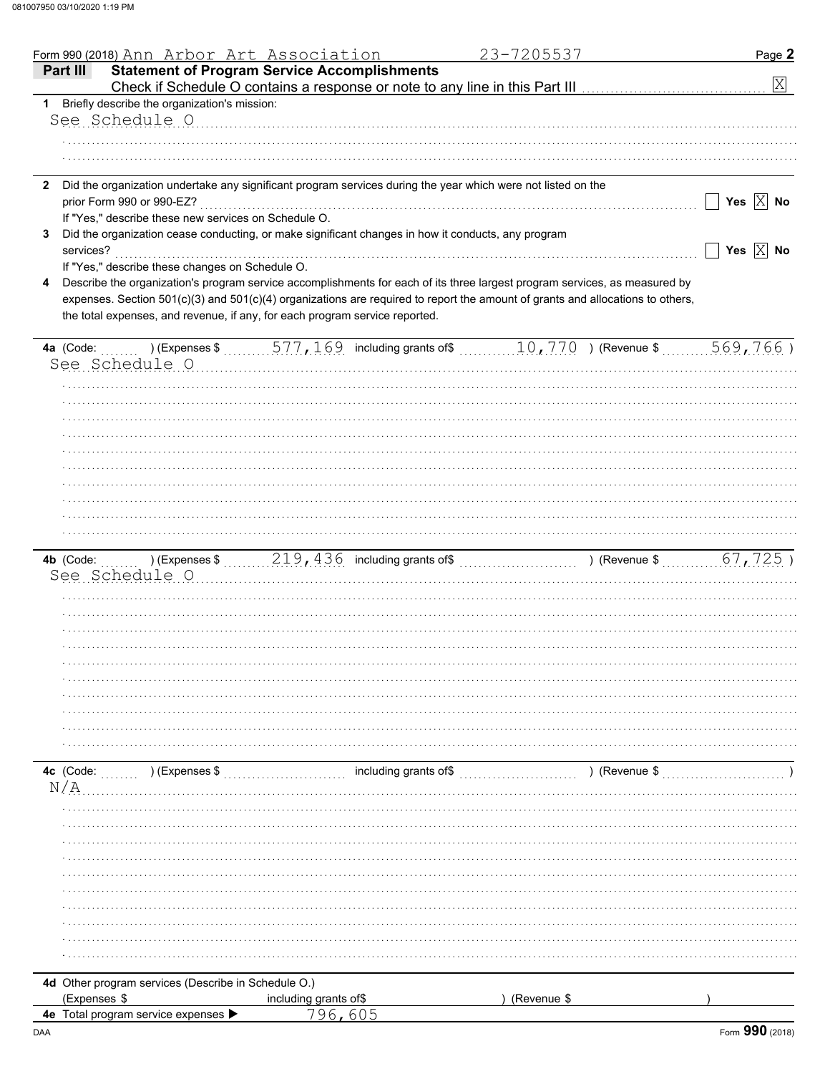|   |              | Form 990 (2018) Ann Arbor Art Association                                                                      |                       |                       | 23-7205537                                                                                                                     | Page 2                |
|---|--------------|----------------------------------------------------------------------------------------------------------------|-----------------------|-----------------------|--------------------------------------------------------------------------------------------------------------------------------|-----------------------|
|   | Part III     | <b>Statement of Program Service Accomplishments</b>                                                            |                       |                       |                                                                                                                                |                       |
|   |              |                                                                                                                |                       |                       |                                                                                                                                | $\mathbf{X}$          |
|   |              | 1 Briefly describe the organization's mission:                                                                 |                       |                       |                                                                                                                                |                       |
|   |              | See Schedule O                                                                                                 |                       |                       |                                                                                                                                |                       |
|   |              |                                                                                                                |                       |                       |                                                                                                                                |                       |
|   |              |                                                                                                                |                       |                       |                                                                                                                                |                       |
|   |              |                                                                                                                |                       |                       |                                                                                                                                |                       |
|   |              | 2 Did the organization undertake any significant program services during the year which were not listed on the |                       |                       |                                                                                                                                |                       |
|   |              | prior Form 990 or 990-EZ?<br>If "Yes," describe these new services on Schedule O.                              |                       |                       |                                                                                                                                | Yes $X$ No            |
|   |              | Did the organization cease conducting, or make significant changes in how it conducts, any program             |                       |                       |                                                                                                                                |                       |
| 3 | services?    |                                                                                                                |                       |                       |                                                                                                                                | Yes $\overline{X}$ No |
|   |              | If "Yes," describe these changes on Schedule O.                                                                |                       |                       |                                                                                                                                |                       |
| 4 |              |                                                                                                                |                       |                       | Describe the organization's program service accomplishments for each of its three largest program services, as measured by     |                       |
|   |              |                                                                                                                |                       |                       | expenses. Section 501(c)(3) and 501(c)(4) organizations are required to report the amount of grants and allocations to others, |                       |
|   |              | the total expenses, and revenue, if any, for each program service reported.                                    |                       |                       |                                                                                                                                |                       |
|   |              |                                                                                                                |                       |                       |                                                                                                                                |                       |
|   | 4a (Code:    |                                                                                                                |                       |                       | ) (Expenses \$ 577, $169$ including grants of \$ 10, 770 ) (Revenue \$                                                         | 569,766)              |
|   |              | See Schedule O                                                                                                 |                       |                       |                                                                                                                                |                       |
|   |              |                                                                                                                |                       |                       |                                                                                                                                |                       |
|   |              |                                                                                                                |                       |                       |                                                                                                                                |                       |
|   |              |                                                                                                                |                       |                       |                                                                                                                                |                       |
|   |              |                                                                                                                |                       |                       |                                                                                                                                |                       |
|   |              |                                                                                                                |                       |                       |                                                                                                                                |                       |
|   |              |                                                                                                                |                       |                       |                                                                                                                                |                       |
|   |              |                                                                                                                |                       |                       |                                                                                                                                |                       |
|   |              |                                                                                                                |                       |                       |                                                                                                                                |                       |
|   |              |                                                                                                                |                       |                       |                                                                                                                                |                       |
|   |              |                                                                                                                |                       |                       |                                                                                                                                |                       |
|   |              |                                                                                                                |                       |                       |                                                                                                                                |                       |
|   | 4b (Code:    |                                                                                                                |                       |                       | ) (Expenses \$ 219, 436 including grants of \$ (Revenue \$ $(57, 725)$ )                                                       |                       |
|   |              | See Schedule O                                                                                                 |                       |                       |                                                                                                                                |                       |
|   |              |                                                                                                                |                       |                       |                                                                                                                                |                       |
|   |              |                                                                                                                |                       |                       |                                                                                                                                |                       |
|   |              |                                                                                                                |                       |                       |                                                                                                                                |                       |
|   |              |                                                                                                                |                       |                       |                                                                                                                                |                       |
|   |              |                                                                                                                |                       |                       |                                                                                                                                |                       |
|   |              |                                                                                                                |                       |                       |                                                                                                                                |                       |
|   |              |                                                                                                                |                       |                       |                                                                                                                                |                       |
|   |              |                                                                                                                |                       |                       |                                                                                                                                |                       |
|   |              |                                                                                                                |                       |                       |                                                                                                                                |                       |
|   |              |                                                                                                                |                       |                       |                                                                                                                                |                       |
|   |              |                                                                                                                |                       |                       |                                                                                                                                |                       |
|   | 4c (Code:    | $\ldots$ ) (Expenses \$                                                                                        |                       | including grants of\$ | ) (Revenue \$                                                                                                                  |                       |
|   | N/A          |                                                                                                                |                       |                       |                                                                                                                                |                       |
|   |              |                                                                                                                |                       |                       |                                                                                                                                |                       |
|   |              |                                                                                                                |                       |                       |                                                                                                                                |                       |
|   |              |                                                                                                                |                       |                       |                                                                                                                                |                       |
|   |              |                                                                                                                |                       |                       |                                                                                                                                |                       |
|   |              |                                                                                                                |                       |                       |                                                                                                                                |                       |
|   |              |                                                                                                                |                       |                       |                                                                                                                                |                       |
|   |              |                                                                                                                |                       |                       |                                                                                                                                |                       |
|   |              |                                                                                                                |                       |                       |                                                                                                                                |                       |
|   |              |                                                                                                                |                       |                       |                                                                                                                                |                       |
|   |              |                                                                                                                |                       |                       |                                                                                                                                |                       |
|   |              |                                                                                                                |                       |                       |                                                                                                                                |                       |
|   |              | 4d Other program services (Describe in Schedule O.)                                                            |                       |                       |                                                                                                                                |                       |
|   | (Expenses \$ |                                                                                                                | including grants of\$ |                       | ) (Revenue \$                                                                                                                  |                       |
|   |              | 4e Total program service expenses                                                                              | 796,605               |                       |                                                                                                                                |                       |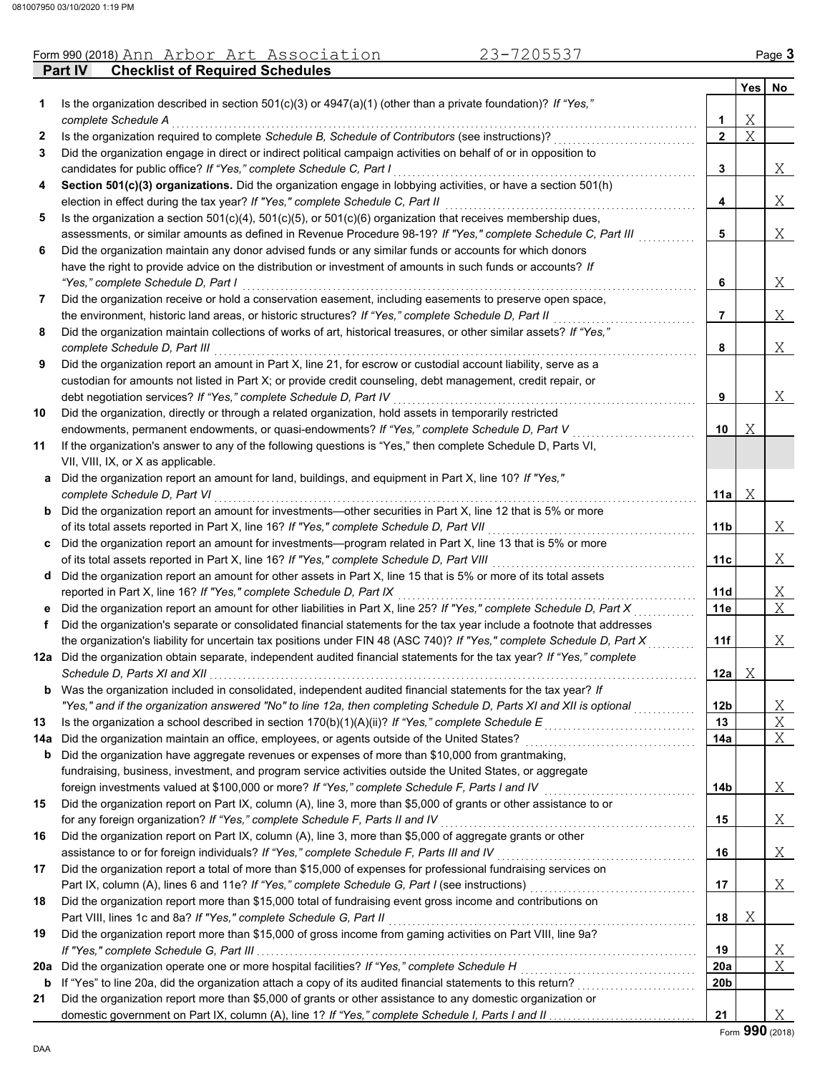|                                                | Form 990 (2018) Ann Arbor Art Association | 23-7205537 | Page $\bm{3}$ |
|------------------------------------------------|-------------------------------------------|------------|---------------|
| <b>Part IV Checklist of Required Schedules</b> |                                           |            |               |

|          |                                                                                                                                                                                                                                        |                       | Yes | No.    |
|----------|----------------------------------------------------------------------------------------------------------------------------------------------------------------------------------------------------------------------------------------|-----------------------|-----|--------|
| 1        | Is the organization described in section $501(c)(3)$ or $4947(a)(1)$ (other than a private foundation)? If "Yes,"                                                                                                                      |                       |     |        |
|          | complete Schedule A                                                                                                                                                                                                                    | 1                     | Χ   |        |
| 2        | Is the organization required to complete Schedule B, Schedule of Contributors (see instructions)?                                                                                                                                      | $\mathbf{2}$          | Χ   |        |
| 3        | Did the organization engage in direct or indirect political campaign activities on behalf of or in opposition to                                                                                                                       |                       |     |        |
|          | candidates for public office? If "Yes," complete Schedule C, Part I                                                                                                                                                                    | 3                     |     | Χ      |
| 4        | Section 501(c)(3) organizations. Did the organization engage in lobbying activities, or have a section 501(h)                                                                                                                          |                       |     |        |
|          | election in effect during the tax year? If "Yes," complete Schedule C, Part II                                                                                                                                                         | 4                     |     | Χ      |
| 5        | Is the organization a section $501(c)(4)$ , $501(c)(5)$ , or $501(c)(6)$ organization that receives membership dues,<br>assessments, or similar amounts as defined in Revenue Procedure 98-19? If "Yes," complete Schedule C, Part III | 5                     |     | Χ      |
| 6        | Did the organization maintain any donor advised funds or any similar funds or accounts for which donors                                                                                                                                |                       |     |        |
|          | have the right to provide advice on the distribution or investment of amounts in such funds or accounts? If                                                                                                                            |                       |     |        |
|          | "Yes," complete Schedule D, Part I                                                                                                                                                                                                     | 6                     |     | Χ      |
| 7        | Did the organization receive or hold a conservation easement, including easements to preserve open space,                                                                                                                              |                       |     |        |
|          | the environment, historic land areas, or historic structures? If "Yes," complete Schedule D, Part II                                                                                                                                   | $\overline{7}$        |     | Χ      |
| 8        | Did the organization maintain collections of works of art, historical treasures, or other similar assets? If "Yes,"                                                                                                                    |                       |     |        |
|          | complete Schedule D, Part III                                                                                                                                                                                                          | 8                     |     | Χ      |
| 9        | Did the organization report an amount in Part X, line 21, for escrow or custodial account liability, serve as a                                                                                                                        |                       |     |        |
|          | custodian for amounts not listed in Part X; or provide credit counseling, debt management, credit repair, or                                                                                                                           |                       |     |        |
|          | debt negotiation services? If "Yes," complete Schedule D, Part IV                                                                                                                                                                      | 9                     |     | Χ      |
| 10       | Did the organization, directly or through a related organization, hold assets in temporarily restricted                                                                                                                                |                       |     |        |
|          | endowments, permanent endowments, or quasi-endowments? If "Yes," complete Schedule D, Part V                                                                                                                                           | 10                    | Χ   |        |
| 11       | If the organization's answer to any of the following questions is "Yes," then complete Schedule D, Parts VI,                                                                                                                           |                       |     |        |
|          | VII, VIII, IX, or X as applicable.                                                                                                                                                                                                     |                       |     |        |
| а        | Did the organization report an amount for land, buildings, and equipment in Part X, line 10? If "Yes,"                                                                                                                                 |                       |     |        |
|          | complete Schedule D, Part VI                                                                                                                                                                                                           | 11a                   | Χ   |        |
| b        | Did the organization report an amount for investments—other securities in Part X, line 12 that is 5% or more                                                                                                                           |                       |     |        |
|          | of its total assets reported in Part X, line 16? If "Yes," complete Schedule D, Part VII                                                                                                                                               | 11b                   |     | Χ      |
| c        | Did the organization report an amount for investments—program related in Part X, line 13 that is 5% or more                                                                                                                            |                       |     |        |
|          | of its total assets reported in Part X, line 16? If "Yes," complete Schedule D, Part VIII                                                                                                                                              | 11c                   |     | Χ      |
| d        | Did the organization report an amount for other assets in Part X, line 15 that is 5% or more of its total assets                                                                                                                       |                       |     |        |
|          | reported in Part X, line 16? If "Yes," complete Schedule D, Part IX                                                                                                                                                                    | 11d                   |     | Χ      |
|          | Did the organization report an amount for other liabilities in Part X, line 25? If "Yes," complete Schedule D, Part X                                                                                                                  | 11e                   |     | X      |
| f        | Did the organization's separate or consolidated financial statements for the tax year include a footnote that addresses                                                                                                                |                       |     |        |
|          | the organization's liability for uncertain tax positions under FIN 48 (ASC 740)? If "Yes," complete Schedule D, Part X                                                                                                                 | 11f                   |     | Χ      |
|          | 12a Did the organization obtain separate, independent audited financial statements for the tax year? If "Yes," complete                                                                                                                |                       |     |        |
|          | Schedule D, Parts XI and XII                                                                                                                                                                                                           | 12a                   | Χ   |        |
|          | <b>b</b> Was the organization included in consolidated, independent audited financial statements for the tax year? If                                                                                                                  |                       |     |        |
|          | "Yes," and if the organization answered "No" to line 12a, then completing Schedule D, Parts XI and XII is optional<br>Is the organization a school described in section 170(b)(1)(A)(ii)? If "Yes," complete Schedule $E$              | 12 <sub>b</sub><br>13 |     | Χ<br>Χ |
| 13       |                                                                                                                                                                                                                                        | 14a                   |     | Χ      |
| 14a<br>b | Did the organization maintain an office, employees, or agents outside of the United States?<br>Did the organization have aggregate revenues or expenses of more than \$10,000 from grantmaking,                                        |                       |     |        |
|          | fundraising, business, investment, and program service activities outside the United States, or aggregate                                                                                                                              |                       |     |        |
|          | foreign investments valued at \$100,000 or more? If "Yes," complete Schedule F, Parts I and IV [[[[[[[[[[[[[[[[                                                                                                                        | 14 <sub>b</sub>       |     | X      |
| 15       | Did the organization report on Part IX, column (A), line 3, more than \$5,000 of grants or other assistance to or                                                                                                                      |                       |     |        |
|          | for any foreign organization? If "Yes," complete Schedule F, Parts II and IV                                                                                                                                                           | 15                    |     | Χ      |
| 16       | Did the organization report on Part IX, column (A), line 3, more than \$5,000 of aggregate grants or other                                                                                                                             |                       |     |        |
|          | assistance to or for foreign individuals? If "Yes," complete Schedule F, Parts III and IV                                                                                                                                              | 16                    |     | Χ      |
| 17       | Did the organization report a total of more than \$15,000 of expenses for professional fundraising services on                                                                                                                         |                       |     |        |
|          |                                                                                                                                                                                                                                        | 17                    |     | Χ      |
| 18       | Did the organization report more than \$15,000 total of fundraising event gross income and contributions on                                                                                                                            |                       |     |        |
|          | Part VIII, lines 1c and 8a? If "Yes," complete Schedule G, Part II                                                                                                                                                                     | 18                    | Χ   |        |
| 19       | Did the organization report more than \$15,000 of gross income from gaming activities on Part VIII, line 9a?                                                                                                                           |                       |     |        |
|          |                                                                                                                                                                                                                                        | 19                    |     | Χ      |
| 20a      | Did the organization operate one or more hospital facilities? If "Yes," complete Schedule H                                                                                                                                            | <b>20a</b>            |     | Χ      |
| b        |                                                                                                                                                                                                                                        | 20b                   |     |        |
| 21       | Did the organization report more than \$5,000 of grants or other assistance to any domestic organization or                                                                                                                            |                       |     |        |
|          |                                                                                                                                                                                                                                        | 21                    |     | X      |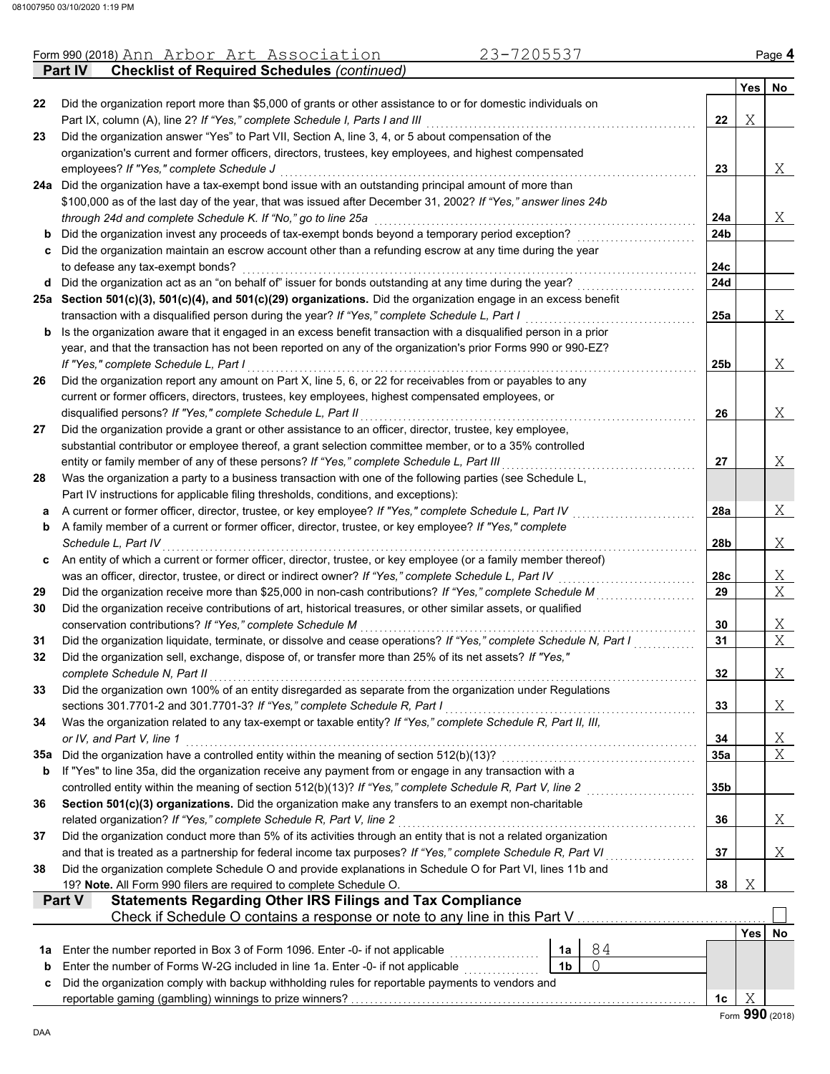|     | Form 990 (2018) Ann Arbor Art Association                                                                                                                                                                                  | 23-7205537     |    |     |            | Page 4                     |
|-----|----------------------------------------------------------------------------------------------------------------------------------------------------------------------------------------------------------------------------|----------------|----|-----|------------|----------------------------|
|     | <b>Checklist of Required Schedules (continued)</b><br><b>Part IV</b>                                                                                                                                                       |                |    |     |            |                            |
|     |                                                                                                                                                                                                                            |                |    |     | <b>Yes</b> | No                         |
| 22  | Did the organization report more than \$5,000 of grants or other assistance to or for domestic individuals on                                                                                                              |                |    |     |            |                            |
|     | Part IX, column (A), line 2? If "Yes," complete Schedule I, Parts I and III<br>Did the organization answer "Yes" to Part VII, Section A, line 3, 4, or 5 about compensation of the                                         |                |    | 22  | Χ          |                            |
| 23  | organization's current and former officers, directors, trustees, key employees, and highest compensated                                                                                                                    |                |    |     |            |                            |
|     | employees? If "Yes," complete Schedule J                                                                                                                                                                                   |                |    | 23  |            | Χ                          |
|     | 24a Did the organization have a tax-exempt bond issue with an outstanding principal amount of more than                                                                                                                    |                |    |     |            |                            |
|     | \$100,000 as of the last day of the year, that was issued after December 31, 2002? If "Yes," answer lines 24b                                                                                                              |                |    |     |            |                            |
|     | through 24d and complete Schedule K. If "No," go to line 25a                                                                                                                                                               |                |    | 24a |            | Χ                          |
|     | Did the organization invest any proceeds of tax-exempt bonds beyond a temporary period exception?                                                                                                                          |                |    | 24b |            |                            |
| c   | Did the organization maintain an escrow account other than a refunding escrow at any time during the year                                                                                                                  |                |    |     |            |                            |
|     | to defease any tax-exempt bonds?                                                                                                                                                                                           |                |    | 24c |            |                            |
|     | d Did the organization act as an "on behalf of" issuer for bonds outstanding at any time during the year?                                                                                                                  |                |    | 24d |            |                            |
|     | 25a Section 501(c)(3), 501(c)(4), and 501(c)(29) organizations. Did the organization engage in an excess benefit                                                                                                           |                |    |     |            |                            |
|     | transaction with a disqualified person during the year? If "Yes," complete Schedule L, Part I                                                                                                                              |                |    | 25a |            | X                          |
| b   | Is the organization aware that it engaged in an excess benefit transaction with a disqualified person in a prior                                                                                                           |                |    |     |            |                            |
|     | year, and that the transaction has not been reported on any of the organization's prior Forms 990 or 990-EZ?                                                                                                               |                |    |     |            |                            |
|     | If "Yes," complete Schedule L, Part I                                                                                                                                                                                      |                |    | 25b |            | Χ                          |
| 26  | Did the organization report any amount on Part X, line 5, 6, or 22 for receivables from or payables to any                                                                                                                 |                |    |     |            |                            |
|     | current or former officers, directors, trustees, key employees, highest compensated employees, or                                                                                                                          |                |    |     |            |                            |
|     | disqualified persons? If "Yes," complete Schedule L, Part II                                                                                                                                                               |                |    | 26  |            | X                          |
| 27  | Did the organization provide a grant or other assistance to an officer, director, trustee, key employee,                                                                                                                   |                |    |     |            |                            |
|     | substantial contributor or employee thereof, a grant selection committee member, or to a 35% controlled                                                                                                                    |                |    |     |            |                            |
|     | entity or family member of any of these persons? If "Yes," complete Schedule L, Part III                                                                                                                                   |                |    | 27  |            | Χ                          |
| 28  | Was the organization a party to a business transaction with one of the following parties (see Schedule L,                                                                                                                  |                |    |     |            |                            |
|     | Part IV instructions for applicable filing thresholds, conditions, and exceptions):                                                                                                                                        |                |    |     |            |                            |
| а   | A current or former officer, director, trustee, or key employee? If "Yes," complete Schedule L, Part IV                                                                                                                    |                |    | 28a |            | Χ                          |
| b   | A family member of a current or former officer, director, trustee, or key employee? If "Yes," complete                                                                                                                     |                |    |     |            |                            |
|     | Schedule L, Part IV                                                                                                                                                                                                        |                |    | 28b |            | Χ                          |
| c   | An entity of which a current or former officer, director, trustee, or key employee (or a family member thereof)                                                                                                            |                |    |     |            |                            |
|     | was an officer, director, trustee, or direct or indirect owner? If "Yes," complete Schedule L, Part IV                                                                                                                     |                |    | 28c |            | <u>X</u><br>$\overline{X}$ |
| 29  | Did the organization receive more than \$25,000 in non-cash contributions? If "Yes," complete Schedule M<br>Did the organization receive contributions of art, historical treasures, or other similar assets, or qualified |                |    | 29  |            |                            |
| 30  | conservation contributions? If "Yes," complete Schedule M                                                                                                                                                                  |                |    | 30  |            |                            |
| 31  | Did the organization liquidate, terminate, or dissolve and cease operations? If "Yes," complete Schedule N, Part I                                                                                                         |                |    | 31  |            | <u>X</u><br>$\overline{X}$ |
|     | Did the organization sell, exchange, dispose of, or transfer more than 25% of its net assets? If "Yes,"                                                                                                                    |                |    |     |            |                            |
|     | complete Schedule N, Part II                                                                                                                                                                                               |                |    | 32  |            | Χ                          |
| 33  | Did the organization own 100% of an entity disregarded as separate from the organization under Regulations                                                                                                                 |                |    |     |            |                            |
|     | sections 301.7701-2 and 301.7701-3? If "Yes," complete Schedule R, Part I                                                                                                                                                  |                |    | 33  |            | Χ                          |
| 34  | Was the organization related to any tax-exempt or taxable entity? If "Yes," complete Schedule R, Part II, III,                                                                                                             |                |    |     |            |                            |
|     | or IV, and Part V, line 1                                                                                                                                                                                                  |                |    | 34  |            | <u>X</u>                   |
| 35а | Did the organization have a controlled entity within the meaning of section 512(b)(13)?                                                                                                                                    |                |    | 35a |            | $\overline{X}$             |
| b   | If "Yes" to line 35a, did the organization receive any payment from or engage in any transaction with a                                                                                                                    |                |    |     |            |                            |
|     | controlled entity within the meaning of section 512(b)(13)? If "Yes," complete Schedule R, Part V, line 2                                                                                                                  |                |    | 35b |            |                            |
| 36  | Section 501(c)(3) organizations. Did the organization make any transfers to an exempt non-charitable                                                                                                                       |                |    |     |            |                            |
|     | related organization? If "Yes," complete Schedule R, Part V, line 2                                                                                                                                                        |                |    | 36  |            | Χ                          |
| 37  | Did the organization conduct more than 5% of its activities through an entity that is not a related organization                                                                                                           |                |    |     |            |                            |
|     | and that is treated as a partnership for federal income tax purposes? If "Yes," complete Schedule R, Part VI                                                                                                               |                |    | 37  |            | Χ                          |
| 38  | Did the organization complete Schedule O and provide explanations in Schedule O for Part VI, lines 11b and                                                                                                                 |                |    |     |            |                            |
|     | 19? Note. All Form 990 filers are required to complete Schedule O.                                                                                                                                                         |                |    | 38  | Χ          |                            |
|     | Part V<br><b>Statements Regarding Other IRS Filings and Tax Compliance</b>                                                                                                                                                 |                |    |     |            |                            |
|     | Check if Schedule O contains a response or note to any line in this Part V                                                                                                                                                 |                |    |     |            |                            |
|     |                                                                                                                                                                                                                            |                |    |     | Yes        | No                         |
| 1a  | Enter the number reported in Box 3 of Form 1096. Enter -0- if not applicable                                                                                                                                               | 1a             | 84 |     |            |                            |
| b   | Enter the number of Forms W-2G included in line 1a. Enter -0- if not applicable                                                                                                                                            | 1 <sub>b</sub> | 0  |     |            |                            |
| c   | Did the organization comply with backup withholding rules for reportable payments to vendors and                                                                                                                           |                |    |     |            |                            |
|     |                                                                                                                                                                                                                            |                |    | 1c  | X          |                            |
|     |                                                                                                                                                                                                                            |                |    |     |            | Form 990 (2018)            |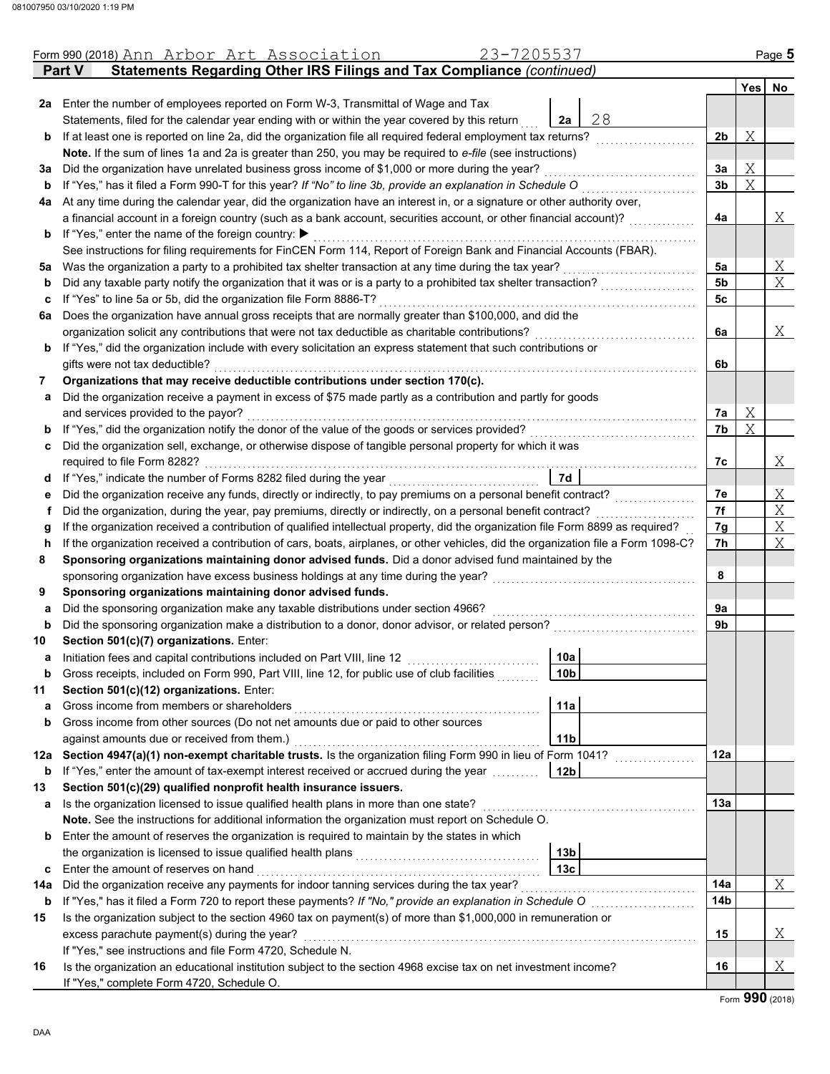|     | Form 990 (2018) Ann Arbor Art Association<br>23-7205537                                                                                                                              |                 |                |   | Page 5              |  |  |  |  |  |  |
|-----|--------------------------------------------------------------------------------------------------------------------------------------------------------------------------------------|-----------------|----------------|---|---------------------|--|--|--|--|--|--|
|     | <b>Statements Regarding Other IRS Filings and Tax Compliance (continued)</b><br><b>Part V</b>                                                                                        |                 |                |   |                     |  |  |  |  |  |  |
|     |                                                                                                                                                                                      |                 |                |   | Yes No              |  |  |  |  |  |  |
|     | 2a Enter the number of employees reported on Form W-3, Transmittal of Wage and Tax                                                                                                   |                 |                |   |                     |  |  |  |  |  |  |
|     | Statements, filed for the calendar year ending with or within the year covered by this return                                                                                        | 28<br>2a        |                |   |                     |  |  |  |  |  |  |
| b   | If at least one is reported on line 2a, did the organization file all required federal employment tax returns?                                                                       |                 | 2 <sub>b</sub> | Χ |                     |  |  |  |  |  |  |
|     | Note. If the sum of lines 1a and 2a is greater than 250, you may be required to e-file (see instructions)                                                                            |                 |                |   |                     |  |  |  |  |  |  |
| За  | Did the organization have unrelated business gross income of \$1,000 or more during the year?                                                                                        |                 | За             | Χ |                     |  |  |  |  |  |  |
| b   | If "Yes," has it filed a Form 990-T for this year? If "No" to line 3b, provide an explanation in Schedule O                                                                          |                 | 3 <sub>b</sub> | X |                     |  |  |  |  |  |  |
| 4a  | At any time during the calendar year, did the organization have an interest in, or a signature or other authority over,                                                              |                 |                |   |                     |  |  |  |  |  |  |
|     | a financial account in a foreign country (such as a bank account, securities account, or other financial account)?                                                                   |                 | 4a             |   | Χ                   |  |  |  |  |  |  |
| b   | If "Yes," enter the name of the foreign country: ▶                                                                                                                                   |                 |                |   |                     |  |  |  |  |  |  |
|     | See instructions for filing requirements for FinCEN Form 114, Report of Foreign Bank and Financial Accounts (FBAR).                                                                  |                 | 5a             |   | X                   |  |  |  |  |  |  |
| 5a  | Was the organization a party to a prohibited tax shelter transaction at any time during the tax year?                                                                                |                 |                |   |                     |  |  |  |  |  |  |
| b   | Did any taxable party notify the organization that it was or is a party to a prohibited tax shelter transaction?                                                                     |                 |                |   |                     |  |  |  |  |  |  |
| c   | If "Yes" to line 5a or 5b, did the organization file Form 8886-T?                                                                                                                    |                 | 5c             |   |                     |  |  |  |  |  |  |
| 6a  | Does the organization have annual gross receipts that are normally greater than \$100,000, and did the                                                                               |                 |                |   |                     |  |  |  |  |  |  |
|     | organization solicit any contributions that were not tax deductible as charitable contributions?                                                                                     |                 | 6a             |   | Χ                   |  |  |  |  |  |  |
| b   | If "Yes," did the organization include with every solicitation an express statement that such contributions or                                                                       |                 |                |   |                     |  |  |  |  |  |  |
|     | gifts were not tax deductible?                                                                                                                                                       |                 | 6b             |   |                     |  |  |  |  |  |  |
| 7   | Organizations that may receive deductible contributions under section 170(c).                                                                                                        |                 |                |   |                     |  |  |  |  |  |  |
| а   | Did the organization receive a payment in excess of \$75 made partly as a contribution and partly for goods<br>and services provided to the payor?                                   |                 |                | Χ |                     |  |  |  |  |  |  |
|     | If "Yes," did the organization notify the donor of the value of the goods or services provided?                                                                                      |                 | 7a<br>7b       | X |                     |  |  |  |  |  |  |
| b   | Did the organization sell, exchange, or otherwise dispose of tangible personal property for which it was                                                                             |                 |                |   |                     |  |  |  |  |  |  |
| c   | required to file Form 8282?                                                                                                                                                          |                 | 7c             |   | Χ                   |  |  |  |  |  |  |
| a   |                                                                                                                                                                                      | 7d              |                |   |                     |  |  |  |  |  |  |
| е   | If "Yes," indicate the number of Forms 8282 filed during the year<br>Did the organization receive any funds, directly or indirectly, to pay premiums on a personal benefit contract? |                 |                |   |                     |  |  |  |  |  |  |
| f   | Did the organization, during the year, pay premiums, directly or indirectly, on a personal benefit contract?                                                                         |                 | 7е<br>7f       |   | X<br>$\overline{X}$ |  |  |  |  |  |  |
| g   | If the organization received a contribution of qualified intellectual property, did the organization file Form 8899 as required?                                                     |                 | 7g             |   | X                   |  |  |  |  |  |  |
| h   | If the organization received a contribution of cars, boats, airplanes, or other vehicles, did the organization file a Form 1098-C?                                                   |                 | 7h             |   | X                   |  |  |  |  |  |  |
| 8   | Sponsoring organizations maintaining donor advised funds. Did a donor advised fund maintained by the                                                                                 |                 |                |   |                     |  |  |  |  |  |  |
|     | sponsoring organization have excess business holdings at any time during the year?                                                                                                   |                 | 8              |   |                     |  |  |  |  |  |  |
| 9   | Sponsoring organizations maintaining donor advised funds.                                                                                                                            |                 |                |   |                     |  |  |  |  |  |  |
| а   | Did the sponsoring organization make any taxable distributions under section 4966?                                                                                                   |                 | 9а             |   |                     |  |  |  |  |  |  |
| b   | Did the sponsoring organization make a distribution to a donor, donor advisor, or related person?                                                                                    |                 | 9b             |   |                     |  |  |  |  |  |  |
| 10  | Section 501(c)(7) organizations. Enter:                                                                                                                                              |                 |                |   |                     |  |  |  |  |  |  |
|     | Initiation fees and capital contributions included on Part VIII, line 12                                                                                                             | 10a             |                |   |                     |  |  |  |  |  |  |
| b   | Gross receipts, included on Form 990, Part VIII, line 12, for public use of club facilities                                                                                          | 10 <sub>b</sub> |                |   |                     |  |  |  |  |  |  |
| 11  | Section 501(c)(12) organizations. Enter:                                                                                                                                             |                 |                |   |                     |  |  |  |  |  |  |
| a   | Gross income from members or shareholders                                                                                                                                            | 11a             |                |   |                     |  |  |  |  |  |  |
| b   | Gross income from other sources (Do not net amounts due or paid to other sources                                                                                                     |                 |                |   |                     |  |  |  |  |  |  |
|     | against amounts due or received from them.)                                                                                                                                          | 11 <sub>b</sub> |                |   |                     |  |  |  |  |  |  |
| 12a | Section 4947(a)(1) non-exempt charitable trusts. Is the organization filing Form 990 in lieu of Form 1041?                                                                           |                 | 12a            |   |                     |  |  |  |  |  |  |
| b   | If "Yes," enter the amount of tax-exempt interest received or accrued during the year                                                                                                | 12b             |                |   |                     |  |  |  |  |  |  |
| 13  | Section 501(c)(29) qualified nonprofit health insurance issuers.                                                                                                                     |                 |                |   |                     |  |  |  |  |  |  |
| а   | Is the organization licensed to issue qualified health plans in more than one state?                                                                                                 |                 | 13а            |   |                     |  |  |  |  |  |  |
|     | Note. See the instructions for additional information the organization must report on Schedule O.                                                                                    |                 |                |   |                     |  |  |  |  |  |  |
| b   | Enter the amount of reserves the organization is required to maintain by the states in which                                                                                         |                 |                |   |                     |  |  |  |  |  |  |
|     | the organization is licensed to issue qualified health plans                                                                                                                         | 13b             |                |   |                     |  |  |  |  |  |  |
| c   | Enter the amount of reserves on hand                                                                                                                                                 | 13 <sub>c</sub> |                |   |                     |  |  |  |  |  |  |
| 14a | Did the organization receive any payments for indoor tanning services during the tax year?                                                                                           |                 | 14a            |   | Χ                   |  |  |  |  |  |  |
| b   | If "Yes," has it filed a Form 720 to report these payments? If "No," provide an explanation in Schedule O                                                                            |                 | 14b            |   |                     |  |  |  |  |  |  |
| 15  | Is the organization subject to the section 4960 tax on payment(s) of more than \$1,000,000 in remuneration or                                                                        |                 |                |   |                     |  |  |  |  |  |  |
|     | excess parachute payment(s) during the year?                                                                                                                                         |                 | 15             |   | Χ                   |  |  |  |  |  |  |
|     | If "Yes," see instructions and file Form 4720, Schedule N.                                                                                                                           |                 |                |   |                     |  |  |  |  |  |  |
| 16  | Is the organization an educational institution subject to the section 4968 excise tax on net investment income?                                                                      |                 | 16             |   | Χ                   |  |  |  |  |  |  |
|     | If "Yes," complete Form 4720, Schedule O.                                                                                                                                            |                 |                |   |                     |  |  |  |  |  |  |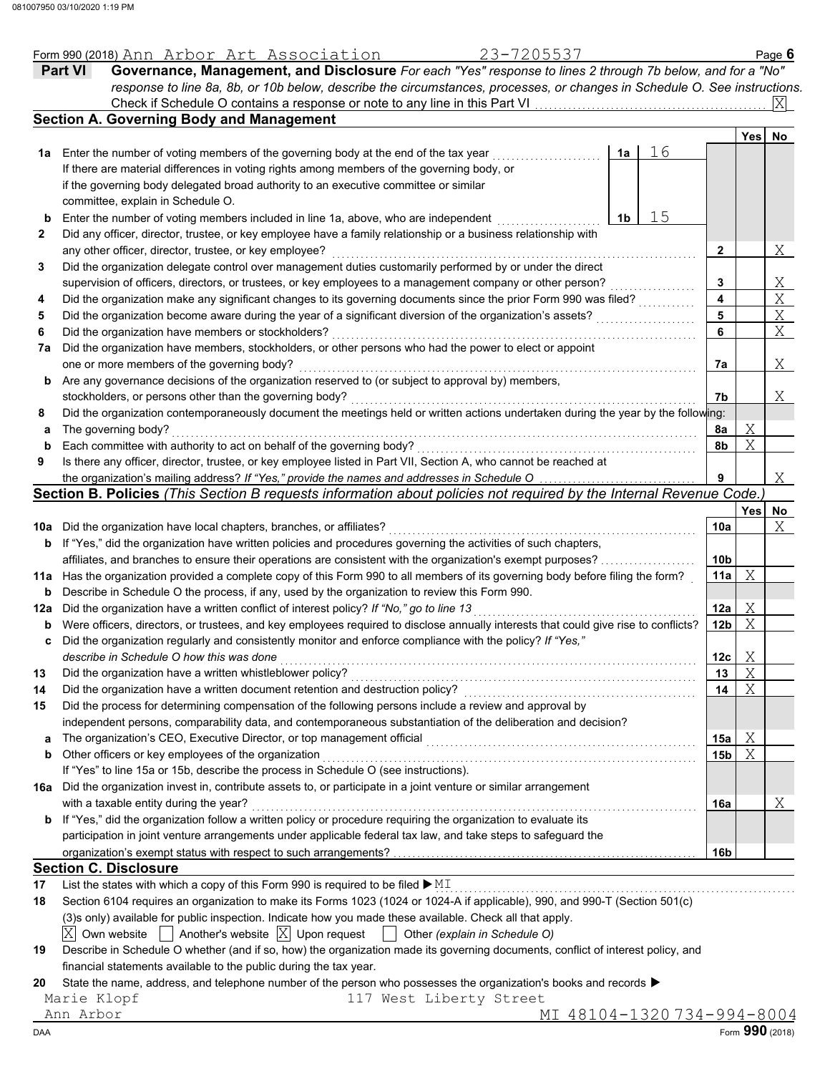|        | 23-7205537<br>Form 990 (2018) Ann Arbor Art Association                                                                                                                                      |                |    |                 |                           | Page $6$       |  |  |  |  |  |  |
|--------|----------------------------------------------------------------------------------------------------------------------------------------------------------------------------------------------|----------------|----|-----------------|---------------------------|----------------|--|--|--|--|--|--|
|        | Governance, Management, and Disclosure For each "Yes" response to lines 2 through 7b below, and for a "No"<br><b>Part VI</b>                                                                 |                |    |                 |                           |                |  |  |  |  |  |  |
|        | response to line 8a, 8b, or 10b below, describe the circumstances, processes, or changes in Schedule O. See instructions.                                                                    |                |    |                 |                           |                |  |  |  |  |  |  |
|        | Check if Schedule O contains a response or note to any line in this Part VI.                                                                                                                 |                |    |                 |                           | X              |  |  |  |  |  |  |
|        | <b>Section A. Governing Body and Management</b>                                                                                                                                              |                |    |                 |                           |                |  |  |  |  |  |  |
|        |                                                                                                                                                                                              |                |    |                 | <b>Yes</b>                | No             |  |  |  |  |  |  |
| 1а     | Enter the number of voting members of the governing body at the end of the tax year                                                                                                          | 1a             | 16 |                 |                           |                |  |  |  |  |  |  |
|        | If there are material differences in voting rights among members of the governing body, or                                                                                                   |                |    |                 |                           |                |  |  |  |  |  |  |
|        | if the governing body delegated broad authority to an executive committee or similar                                                                                                         |                |    |                 |                           |                |  |  |  |  |  |  |
|        | committee, explain in Schedule O.                                                                                                                                                            |                |    |                 |                           |                |  |  |  |  |  |  |
| b      | Enter the number of voting members included in line 1a, above, who are independent                                                                                                           | 1 <sub>b</sub> | 15 |                 |                           |                |  |  |  |  |  |  |
| 2      | Did any officer, director, trustee, or key employee have a family relationship or a business relationship with                                                                               |                |    |                 |                           |                |  |  |  |  |  |  |
|        | any other officer, director, trustee, or key employee?                                                                                                                                       |                |    | 2               |                           | Χ              |  |  |  |  |  |  |
|        | Did the organization delegate control over management duties customarily performed by or under the direct<br>3                                                                               |                |    |                 |                           |                |  |  |  |  |  |  |
|        | supervision of officers, directors, or trustees, or key employees to a management company or other person?                                                                                   |                |    | 3               |                           | $\frac{X}{X}$  |  |  |  |  |  |  |
| 4      | Did the organization make any significant changes to its governing documents since the prior Form 990 was filed?                                                                             |                |    | 4               |                           | $\overline{X}$ |  |  |  |  |  |  |
| 5      | Did the organization become aware during the year of a significant diversion of the organization's assets?                                                                                   |                |    | 5<br>6          |                           | $\overline{X}$ |  |  |  |  |  |  |
| 6      | Did the organization have members or stockholders?                                                                                                                                           |                |    |                 |                           |                |  |  |  |  |  |  |
| 7a     | Did the organization have members, stockholders, or other persons who had the power to elect or appoint                                                                                      |                |    | 7a              |                           | Χ              |  |  |  |  |  |  |
|        | one or more members of the governing body?                                                                                                                                                   |                |    |                 |                           |                |  |  |  |  |  |  |
| b      | Are any governance decisions of the organization reserved to (or subject to approval by) members,                                                                                            |                |    | 7b              |                           | Χ              |  |  |  |  |  |  |
|        | stockholders, or persons other than the governing body?<br>Did the organization contemporaneously document the meetings held or written actions undertaken during the year by the following: |                |    |                 |                           |                |  |  |  |  |  |  |
| 8      | The governing body?                                                                                                                                                                          |                |    |                 | Χ                         |                |  |  |  |  |  |  |
| а<br>b | Each committee with authority to act on behalf of the governing body?                                                                                                                        |                |    | 8a<br>8b        | X                         |                |  |  |  |  |  |  |
| 9      | Is there any officer, director, trustee, or key employee listed in Part VII, Section A, who cannot be reached at                                                                             |                |    |                 |                           |                |  |  |  |  |  |  |
|        | the organization's mailing address? If "Yes," provide the names and addresses in Schedule O                                                                                                  |                |    | 9               |                           | Χ              |  |  |  |  |  |  |
|        | Section B. Policies (This Section B requests information about policies not required by the Internal Revenue Code.)                                                                          |                |    |                 |                           |                |  |  |  |  |  |  |
|        |                                                                                                                                                                                              |                |    |                 | Yes                       | No             |  |  |  |  |  |  |
| 10a    | Did the organization have local chapters, branches, or affiliates?                                                                                                                           |                |    | 10a             |                           | Χ              |  |  |  |  |  |  |
| b      | If "Yes," did the organization have written policies and procedures governing the activities of such chapters,                                                                               |                |    |                 |                           |                |  |  |  |  |  |  |
|        | affiliates, and branches to ensure their operations are consistent with the organization's exempt purposes?                                                                                  |                |    |                 |                           |                |  |  |  |  |  |  |
|        | 11a Has the organization provided a complete copy of this Form 990 to all members of its governing body before filing the form?                                                              |                |    |                 |                           |                |  |  |  |  |  |  |
| b      | Describe in Schedule O the process, if any, used by the organization to review this Form 990.                                                                                                |                |    | 11a             | $\boldsymbol{\mathrm{X}}$ |                |  |  |  |  |  |  |
| 12a    | Did the organization have a written conflict of interest policy? If "No," go to line 13                                                                                                      |                |    | 12a             | Χ                         |                |  |  |  |  |  |  |
| b      | Were officers, directors, or trustees, and key employees required to disclose annually interests that could give rise to conflicts?                                                          |                |    | 12 <sub>b</sub> | $\boldsymbol{\mathrm{X}}$ |                |  |  |  |  |  |  |
| c      | Did the organization regularly and consistently monitor and enforce compliance with the policy? If "Yes,"                                                                                    |                |    |                 |                           |                |  |  |  |  |  |  |
|        | describe in Schedule O how this was done                                                                                                                                                     |                |    | 12 <sub>c</sub> | X                         |                |  |  |  |  |  |  |
| 13     | Did the organization have a written whistleblower policy?                                                                                                                                    |                |    | 13              | Χ                         |                |  |  |  |  |  |  |
| 14     | Did the organization have a written document retention and destruction policy?                                                                                                               |                |    | 14              | X                         |                |  |  |  |  |  |  |
| 15     | Did the process for determining compensation of the following persons include a review and approval by                                                                                       |                |    |                 |                           |                |  |  |  |  |  |  |
|        | independent persons, comparability data, and contemporaneous substantiation of the deliberation and decision?                                                                                |                |    |                 |                           |                |  |  |  |  |  |  |
| a      | The organization's CEO, Executive Director, or top management official                                                                                                                       |                |    | 15а             | Χ                         |                |  |  |  |  |  |  |
| b      | Other officers or key employees of the organization                                                                                                                                          |                |    | 15 <sub>b</sub> | X                         |                |  |  |  |  |  |  |
|        | If "Yes" to line 15a or 15b, describe the process in Schedule O (see instructions).                                                                                                          |                |    |                 |                           |                |  |  |  |  |  |  |
| 16а    | Did the organization invest in, contribute assets to, or participate in a joint venture or similar arrangement                                                                               |                |    |                 |                           |                |  |  |  |  |  |  |
|        | with a taxable entity during the year?                                                                                                                                                       |                |    | 16a             |                           | Χ              |  |  |  |  |  |  |
| b      | If "Yes," did the organization follow a written policy or procedure requiring the organization to evaluate its                                                                               |                |    |                 |                           |                |  |  |  |  |  |  |
|        | participation in joint venture arrangements under applicable federal tax law, and take steps to safeguard the                                                                                |                |    |                 |                           |                |  |  |  |  |  |  |
|        |                                                                                                                                                                                              |                |    | 16 <sub>b</sub> |                           |                |  |  |  |  |  |  |
|        | <b>Section C. Disclosure</b>                                                                                                                                                                 |                |    |                 |                           |                |  |  |  |  |  |  |
| 17     | List the states with which a copy of this Form 990 is required to be filed $\blacktriangleright$ MI                                                                                          |                |    |                 |                           |                |  |  |  |  |  |  |
| 18     | Section 6104 requires an organization to make its Forms 1023 (1024 or 1024-A if applicable), 990, and 990-T (Section 501(c)                                                                  |                |    |                 |                           |                |  |  |  |  |  |  |
|        | (3)s only) available for public inspection. Indicate how you made these available. Check all that apply.                                                                                     |                |    |                 |                           |                |  |  |  |  |  |  |
|        | $ X $ Own website $ $ Another's website $ X $ Upon request $ $ Other (explain in Schedule O)                                                                                                 |                |    |                 |                           |                |  |  |  |  |  |  |
| 19     | Describe in Schedule O whether (and if so, how) the organization made its governing documents, conflict of interest policy, and                                                              |                |    |                 |                           |                |  |  |  |  |  |  |
|        | financial statements available to the public during the tax year.                                                                                                                            |                |    |                 |                           |                |  |  |  |  |  |  |
| 20     | State the name, address, and telephone number of the person who possesses the organization's books and records $\blacktriangleright$                                                         |                |    |                 |                           |                |  |  |  |  |  |  |
|        | 117 West Liberty Street<br>Marie Klopf                                                                                                                                                       |                |    |                 |                           |                |  |  |  |  |  |  |
|        | <u>MI 48104-1320734-994-8004</u><br>Ann Arbor                                                                                                                                                |                |    |                 |                           |                |  |  |  |  |  |  |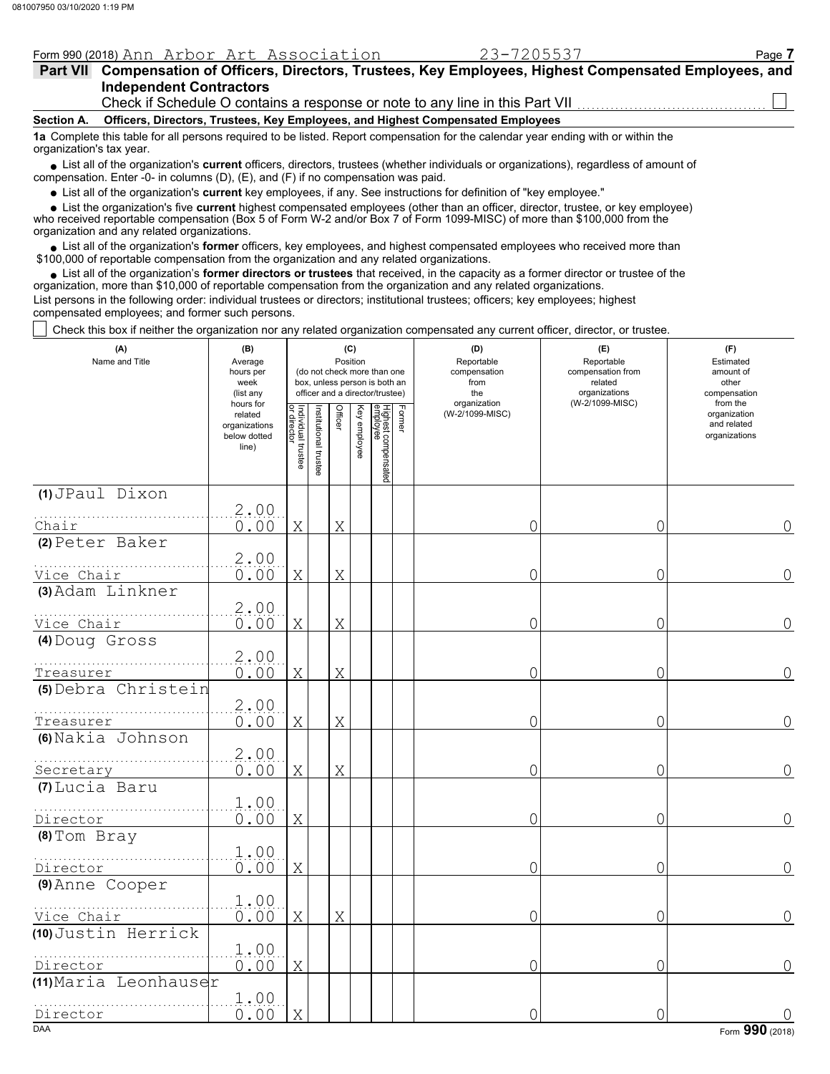|                                                                                                                                                               |                                |  |  | Form 990 (2018) Ann Arbor Art Association | 23-7205537                                                                                                | Page 7 |  |  |  |  |
|---------------------------------------------------------------------------------------------------------------------------------------------------------------|--------------------------------|--|--|-------------------------------------------|-----------------------------------------------------------------------------------------------------------|--------|--|--|--|--|
|                                                                                                                                                               |                                |  |  |                                           | Part VII Compensation of Officers, Directors, Trustees, Key Employees, Highest Compensated Employees, and |        |  |  |  |  |
|                                                                                                                                                               | <b>Independent Contractors</b> |  |  |                                           |                                                                                                           |        |  |  |  |  |
|                                                                                                                                                               |                                |  |  |                                           | Check if Schedule O contains a response or note to any line in this Part VII                              |        |  |  |  |  |
| <b>Section A.</b>                                                                                                                                             |                                |  |  |                                           | Officers, Directors, Trustees, Key Employees, and Highest Compensated Employees                           |        |  |  |  |  |
| 1a Complete this table for all persons required to be listed. Report compensation for the calendar year ending with or within the<br>organization's tax year. |                                |  |  |                                           |                                                                                                           |        |  |  |  |  |

■ List all of the organization's **current** officers, directors, trustees (whether individuals or organizations), regardless of amount of compensation. Enter -0- in columns (D), (E), and (F) if no compensation was paid.

List all of the organization's **current** key employees, if any. See instructions for definition of "key employee."

■ List all of the organization's **current** key employees, if any. See instructions for definition of "key employee."<br>■ List the organization's five **current** highest compensated employees (other than an officer, director,

who received reportable compensation (Box 5 of Form W-2 and/or Box 7 of Form 1099-MISC) of more than \$100,000 from the organization and any related organizations.

• List all of the organization's **former** officers, key employees, and highest compensated employees who received more than<br>00,000 of reportable compensation from the organization and any related erganizations. \$100,000 of reportable compensation from the organization and any related organizations.

• List all of the organization's **former directors or trustees** that received, in the capacity as a former director or trustee of the organization, more than \$10,000 of reportable compensation from the organization and any related organizations. List persons in the following order: individual trustees or directors; institutional trustees; officers; key employees; highest compensated employees; and former such persons.

Check this box if neither the organization nor any related organization compensated any current officer, director, or trustee.

| (A)<br>Name and Title            | (B)<br>Average<br>hours per<br>week<br>(list any               |                                   |                      |         | (C)<br>Position | (do not check more than one<br>box, unless person is both an<br>officer and a director/trustee) |        | (D)<br>Reportable<br>compensation<br>from<br>the | (E)<br>Reportable<br>compensation from<br>related<br>organizations | (F)<br>Estimated<br>amount of<br>other<br>compensation   |
|----------------------------------|----------------------------------------------------------------|-----------------------------------|----------------------|---------|-----------------|-------------------------------------------------------------------------------------------------|--------|--------------------------------------------------|--------------------------------------------------------------------|----------------------------------------------------------|
|                                  | hours for<br>related<br>organizations<br>below dotted<br>line) | Individual trustee<br>or director | nstitutional trustee | Officer | Key employee    | Highest compensated<br>employee                                                                 | Former | organization<br>(W-2/1099-MISC)                  | (W-2/1099-MISC)                                                    | from the<br>organization<br>and related<br>organizations |
| (1) JPaul Dixon<br>Chair         | 2.00                                                           | X                                 |                      | X       |                 |                                                                                                 |        |                                                  |                                                                    |                                                          |
| (2) Peter Baker                  | 0.00                                                           |                                   |                      |         |                 |                                                                                                 |        | 0                                                | 0                                                                  | 0                                                        |
| Vice Chair                       | 2.00<br>0.00                                                   | Χ                                 |                      | Χ       |                 |                                                                                                 |        | 0                                                | 0                                                                  | 0                                                        |
| (3) Adam Linkner                 |                                                                |                                   |                      |         |                 |                                                                                                 |        |                                                  |                                                                    |                                                          |
| Vice Chair                       | 2.00<br>0.00                                                   | Χ                                 |                      | X       |                 |                                                                                                 |        | 0                                                | $\Omega$                                                           | 0                                                        |
| (4) Doug Gross                   |                                                                |                                   |                      |         |                 |                                                                                                 |        |                                                  |                                                                    |                                                          |
| Treasurer                        | 2.00<br>0.00                                                   | X                                 |                      | X       |                 |                                                                                                 |        | 0                                                | 0                                                                  | 0                                                        |
| (5) Debra Christein<br>Treasurer | 2.00<br>0.00                                                   | Χ                                 |                      | Χ       |                 |                                                                                                 |        | 0                                                | 0                                                                  | 0                                                        |
| (6) Nakia Johnson                |                                                                |                                   |                      |         |                 |                                                                                                 |        |                                                  |                                                                    |                                                          |
| Secretary                        | 2.00<br>0.00                                                   | Χ                                 |                      | X       |                 |                                                                                                 |        | 0                                                | 0                                                                  | 0                                                        |
| (7) Lucia Baru                   |                                                                |                                   |                      |         |                 |                                                                                                 |        |                                                  |                                                                    |                                                          |
| Director                         | 1.00<br>0.00                                                   | X                                 |                      |         |                 |                                                                                                 |        | 0                                                | 0                                                                  | 0                                                        |
| (8) Tom Bray                     | 1.00                                                           |                                   |                      |         |                 |                                                                                                 |        |                                                  |                                                                    |                                                          |
| Director<br>(9) Anne Cooper      | 0.00                                                           | $\mathbf X$                       |                      |         |                 |                                                                                                 |        | 0                                                | 0                                                                  | 0                                                        |
| Vice Chair                       | 1.00<br>0.00                                                   | X                                 |                      | X       |                 |                                                                                                 |        | 0                                                | 0                                                                  | 0                                                        |
| (10) Justin Herrick              | 1.00                                                           |                                   |                      |         |                 |                                                                                                 |        |                                                  |                                                                    |                                                          |
| Director                         | 0.00                                                           | X                                 |                      |         |                 |                                                                                                 |        | 0                                                | 0                                                                  | 0                                                        |
| (11) Maria Leonhauser            | 1.00                                                           |                                   |                      |         |                 |                                                                                                 |        |                                                  |                                                                    |                                                          |
| Director                         | 0.00                                                           | X                                 |                      |         |                 |                                                                                                 |        | 0                                                | 0                                                                  |                                                          |
| DAA                              |                                                                |                                   |                      |         |                 |                                                                                                 |        |                                                  |                                                                    | Form 990 (2018)                                          |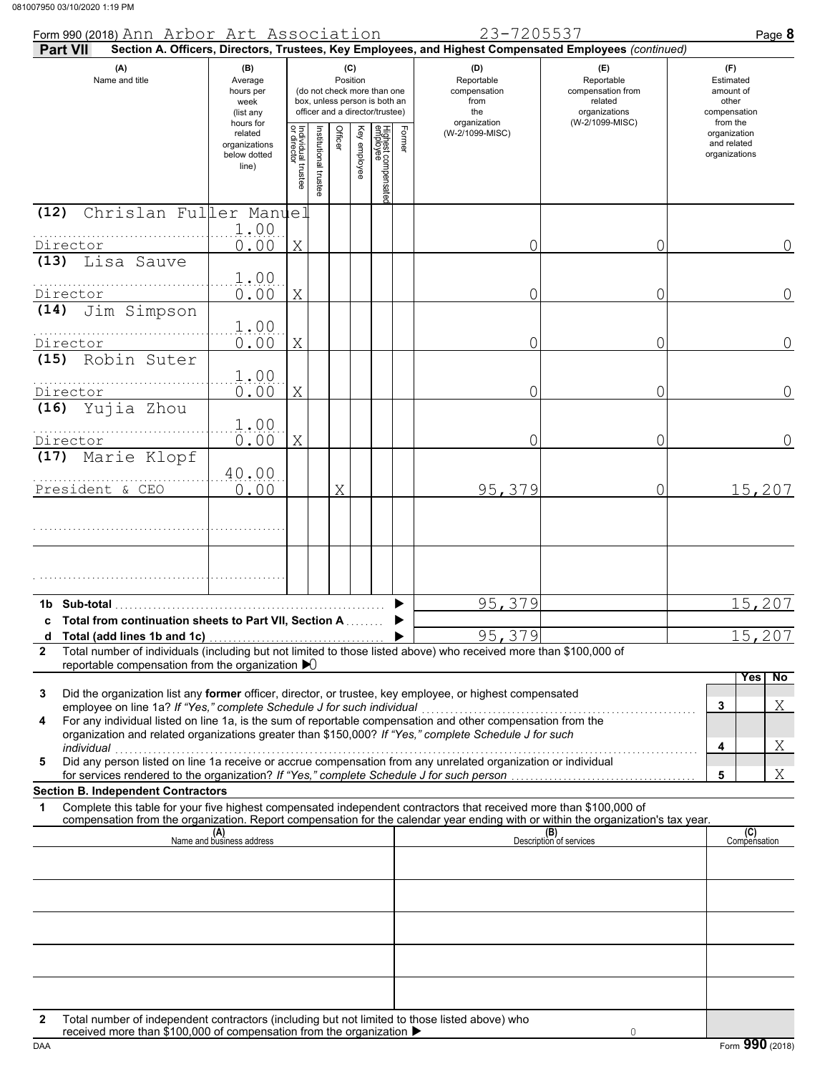| Section A. Officers, Directors, Trustees, Key Employees, and Highest Compensated Employees (continued)<br>(A)<br>(B)<br>(D)<br>(E)<br>(F)<br>(C)<br>Name and title<br>Position<br>Reportable<br>Average<br>Reportable<br>Estimated<br>compensation from<br>hours per<br>(do not check more than one<br>compensation<br>amount of<br>box, unless person is both an<br>related<br>other<br>from<br>week<br>officer and a director/trustee)<br>the<br>organizations<br>(list any<br>compensation<br>organization<br>(W-2/1099-MISC)<br>from the<br>hours for<br>Highest compensatec<br>employee<br>Individual trustee<br>or director<br>Key employee<br>Former<br>Officer<br>Institutional truste<br>(W-2/1099-MISC)<br>organization<br>related<br>and related<br>organizations<br>organizations<br>below dotted<br>line)<br>(12)<br>Chrislan Fuller Manuel<br>1.00<br>0.00<br>Χ<br>0<br>Director<br>Ω<br>0<br>(13) Lisa Sauve<br>1.00<br>0.00<br>X<br>0<br>$\overline{0}$<br>∩<br>Director<br>Jim Simpson<br>(14)<br>1.00<br>0.00<br>X<br>0<br>$\overline{0}$<br>∩<br>(15) Robin Suter<br>1.00<br>0.00<br>X<br>0<br>0<br>∩<br>(16) Yujia Zhou<br>1.00<br>0.00<br>X<br>0<br>0<br>∩<br>(17) Marie Klopf<br>40.00<br>15,207<br>0.00<br>95,379<br>$\overline{0}$<br>President & CEO<br>Χ<br>95,379<br>15,207<br>1b Sub-total<br>c Total from continuation sheets to Part VII, Section A<br>95,379<br>15,207<br>Total number of individuals (including but not limited to those listed above) who received more than \$100,000 of<br>$\mathbf{2}$<br>reportable compensation from the organization $\blacktriangleright$<br>Yes<br>$\overline{N}$<br>Did the organization list any former officer, director, or trustee, key employee, or highest compensated<br>3<br>Χ<br>3<br>employee on line 1a? If "Yes," complete Schedule J for such individual<br>Copyright of this case in the set complete Scribute J for such individual compensation and other compensation from the For any individual listed on line 1a, is the sum of reportable compensation and other compensation from<br>4<br>organization and related organizations greater than \$150,000? If "Yes," complete Schedule J for such<br>Χ<br>4<br>individual<br>Did any person listed on line 1a receive or accrue compensation from any unrelated organization or individual<br>5<br>Χ<br>5<br><b>Section B. Independent Contractors</b><br>Complete this table for your five highest compensated independent contractors that received more than \$100,000 of<br>1<br>compensation from the organization. Report compensation for the calendar year ending with or within the organization's tax year.<br>(B)<br>Description of services<br>(C)<br>Compensation<br>(A)<br>Name and business address<br>Total number of independent contractors (including but not limited to those listed above) who<br>2<br>received more than \$100,000 of compensation from the organization ▶<br>$\mathbf{0}$ | Form 990 (2018) Ann Arbor Art Association |  |  |  | 23-7205537 | Page 8 |
|----------------------------------------------------------------------------------------------------------------------------------------------------------------------------------------------------------------------------------------------------------------------------------------------------------------------------------------------------------------------------------------------------------------------------------------------------------------------------------------------------------------------------------------------------------------------------------------------------------------------------------------------------------------------------------------------------------------------------------------------------------------------------------------------------------------------------------------------------------------------------------------------------------------------------------------------------------------------------------------------------------------------------------------------------------------------------------------------------------------------------------------------------------------------------------------------------------------------------------------------------------------------------------------------------------------------------------------------------------------------------------------------------------------------------------------------------------------------------------------------------------------------------------------------------------------------------------------------------------------------------------------------------------------------------------------------------------------------------------------------------------------------------------------------------------------------------------------------------------------------------------------------------------------------------------------------------------------------------------------------------------------------------------------------------------------------------------------------------------------------------------------------------------------------------------------------------------------------------------------------------------------------------------------------------------------------------------------------------------------------------------------------------------------------------------------------------------------------------------------------------------------------------------------------------------------------------------------------------------------------------------------------------------------------------------------------------------------------------------------------------------------------------------------------------------------------------------------------------------------------------------------------------------------------------------------------------------------|-------------------------------------------|--|--|--|------------|--------|
|                                                                                                                                                                                                                                                                                                                                                                                                                                                                                                                                                                                                                                                                                                                                                                                                                                                                                                                                                                                                                                                                                                                                                                                                                                                                                                                                                                                                                                                                                                                                                                                                                                                                                                                                                                                                                                                                                                                                                                                                                                                                                                                                                                                                                                                                                                                                                                                                                                                                                                                                                                                                                                                                                                                                                                                                                                                                                                                                                                | <b>Part VII</b>                           |  |  |  |            |        |
|                                                                                                                                                                                                                                                                                                                                                                                                                                                                                                                                                                                                                                                                                                                                                                                                                                                                                                                                                                                                                                                                                                                                                                                                                                                                                                                                                                                                                                                                                                                                                                                                                                                                                                                                                                                                                                                                                                                                                                                                                                                                                                                                                                                                                                                                                                                                                                                                                                                                                                                                                                                                                                                                                                                                                                                                                                                                                                                                                                |                                           |  |  |  |            |        |
|                                                                                                                                                                                                                                                                                                                                                                                                                                                                                                                                                                                                                                                                                                                                                                                                                                                                                                                                                                                                                                                                                                                                                                                                                                                                                                                                                                                                                                                                                                                                                                                                                                                                                                                                                                                                                                                                                                                                                                                                                                                                                                                                                                                                                                                                                                                                                                                                                                                                                                                                                                                                                                                                                                                                                                                                                                                                                                                                                                |                                           |  |  |  |            |        |
|                                                                                                                                                                                                                                                                                                                                                                                                                                                                                                                                                                                                                                                                                                                                                                                                                                                                                                                                                                                                                                                                                                                                                                                                                                                                                                                                                                                                                                                                                                                                                                                                                                                                                                                                                                                                                                                                                                                                                                                                                                                                                                                                                                                                                                                                                                                                                                                                                                                                                                                                                                                                                                                                                                                                                                                                                                                                                                                                                                |                                           |  |  |  |            |        |
|                                                                                                                                                                                                                                                                                                                                                                                                                                                                                                                                                                                                                                                                                                                                                                                                                                                                                                                                                                                                                                                                                                                                                                                                                                                                                                                                                                                                                                                                                                                                                                                                                                                                                                                                                                                                                                                                                                                                                                                                                                                                                                                                                                                                                                                                                                                                                                                                                                                                                                                                                                                                                                                                                                                                                                                                                                                                                                                                                                |                                           |  |  |  |            |        |
|                                                                                                                                                                                                                                                                                                                                                                                                                                                                                                                                                                                                                                                                                                                                                                                                                                                                                                                                                                                                                                                                                                                                                                                                                                                                                                                                                                                                                                                                                                                                                                                                                                                                                                                                                                                                                                                                                                                                                                                                                                                                                                                                                                                                                                                                                                                                                                                                                                                                                                                                                                                                                                                                                                                                                                                                                                                                                                                                                                |                                           |  |  |  |            |        |
|                                                                                                                                                                                                                                                                                                                                                                                                                                                                                                                                                                                                                                                                                                                                                                                                                                                                                                                                                                                                                                                                                                                                                                                                                                                                                                                                                                                                                                                                                                                                                                                                                                                                                                                                                                                                                                                                                                                                                                                                                                                                                                                                                                                                                                                                                                                                                                                                                                                                                                                                                                                                                                                                                                                                                                                                                                                                                                                                                                |                                           |  |  |  |            |        |
|                                                                                                                                                                                                                                                                                                                                                                                                                                                                                                                                                                                                                                                                                                                                                                                                                                                                                                                                                                                                                                                                                                                                                                                                                                                                                                                                                                                                                                                                                                                                                                                                                                                                                                                                                                                                                                                                                                                                                                                                                                                                                                                                                                                                                                                                                                                                                                                                                                                                                                                                                                                                                                                                                                                                                                                                                                                                                                                                                                |                                           |  |  |  |            |        |
|                                                                                                                                                                                                                                                                                                                                                                                                                                                                                                                                                                                                                                                                                                                                                                                                                                                                                                                                                                                                                                                                                                                                                                                                                                                                                                                                                                                                                                                                                                                                                                                                                                                                                                                                                                                                                                                                                                                                                                                                                                                                                                                                                                                                                                                                                                                                                                                                                                                                                                                                                                                                                                                                                                                                                                                                                                                                                                                                                                |                                           |  |  |  |            |        |
|                                                                                                                                                                                                                                                                                                                                                                                                                                                                                                                                                                                                                                                                                                                                                                                                                                                                                                                                                                                                                                                                                                                                                                                                                                                                                                                                                                                                                                                                                                                                                                                                                                                                                                                                                                                                                                                                                                                                                                                                                                                                                                                                                                                                                                                                                                                                                                                                                                                                                                                                                                                                                                                                                                                                                                                                                                                                                                                                                                | Director                                  |  |  |  |            |        |
|                                                                                                                                                                                                                                                                                                                                                                                                                                                                                                                                                                                                                                                                                                                                                                                                                                                                                                                                                                                                                                                                                                                                                                                                                                                                                                                                                                                                                                                                                                                                                                                                                                                                                                                                                                                                                                                                                                                                                                                                                                                                                                                                                                                                                                                                                                                                                                                                                                                                                                                                                                                                                                                                                                                                                                                                                                                                                                                                                                |                                           |  |  |  |            |        |
|                                                                                                                                                                                                                                                                                                                                                                                                                                                                                                                                                                                                                                                                                                                                                                                                                                                                                                                                                                                                                                                                                                                                                                                                                                                                                                                                                                                                                                                                                                                                                                                                                                                                                                                                                                                                                                                                                                                                                                                                                                                                                                                                                                                                                                                                                                                                                                                                                                                                                                                                                                                                                                                                                                                                                                                                                                                                                                                                                                | Director                                  |  |  |  |            |        |
|                                                                                                                                                                                                                                                                                                                                                                                                                                                                                                                                                                                                                                                                                                                                                                                                                                                                                                                                                                                                                                                                                                                                                                                                                                                                                                                                                                                                                                                                                                                                                                                                                                                                                                                                                                                                                                                                                                                                                                                                                                                                                                                                                                                                                                                                                                                                                                                                                                                                                                                                                                                                                                                                                                                                                                                                                                                                                                                                                                |                                           |  |  |  |            |        |
|                                                                                                                                                                                                                                                                                                                                                                                                                                                                                                                                                                                                                                                                                                                                                                                                                                                                                                                                                                                                                                                                                                                                                                                                                                                                                                                                                                                                                                                                                                                                                                                                                                                                                                                                                                                                                                                                                                                                                                                                                                                                                                                                                                                                                                                                                                                                                                                                                                                                                                                                                                                                                                                                                                                                                                                                                                                                                                                                                                | Director                                  |  |  |  |            |        |
|                                                                                                                                                                                                                                                                                                                                                                                                                                                                                                                                                                                                                                                                                                                                                                                                                                                                                                                                                                                                                                                                                                                                                                                                                                                                                                                                                                                                                                                                                                                                                                                                                                                                                                                                                                                                                                                                                                                                                                                                                                                                                                                                                                                                                                                                                                                                                                                                                                                                                                                                                                                                                                                                                                                                                                                                                                                                                                                                                                |                                           |  |  |  |            |        |
|                                                                                                                                                                                                                                                                                                                                                                                                                                                                                                                                                                                                                                                                                                                                                                                                                                                                                                                                                                                                                                                                                                                                                                                                                                                                                                                                                                                                                                                                                                                                                                                                                                                                                                                                                                                                                                                                                                                                                                                                                                                                                                                                                                                                                                                                                                                                                                                                                                                                                                                                                                                                                                                                                                                                                                                                                                                                                                                                                                |                                           |  |  |  |            |        |
|                                                                                                                                                                                                                                                                                                                                                                                                                                                                                                                                                                                                                                                                                                                                                                                                                                                                                                                                                                                                                                                                                                                                                                                                                                                                                                                                                                                                                                                                                                                                                                                                                                                                                                                                                                                                                                                                                                                                                                                                                                                                                                                                                                                                                                                                                                                                                                                                                                                                                                                                                                                                                                                                                                                                                                                                                                                                                                                                                                |                                           |  |  |  |            |        |
|                                                                                                                                                                                                                                                                                                                                                                                                                                                                                                                                                                                                                                                                                                                                                                                                                                                                                                                                                                                                                                                                                                                                                                                                                                                                                                                                                                                                                                                                                                                                                                                                                                                                                                                                                                                                                                                                                                                                                                                                                                                                                                                                                                                                                                                                                                                                                                                                                                                                                                                                                                                                                                                                                                                                                                                                                                                                                                                                                                |                                           |  |  |  |            |        |
|                                                                                                                                                                                                                                                                                                                                                                                                                                                                                                                                                                                                                                                                                                                                                                                                                                                                                                                                                                                                                                                                                                                                                                                                                                                                                                                                                                                                                                                                                                                                                                                                                                                                                                                                                                                                                                                                                                                                                                                                                                                                                                                                                                                                                                                                                                                                                                                                                                                                                                                                                                                                                                                                                                                                                                                                                                                                                                                                                                |                                           |  |  |  |            |        |
|                                                                                                                                                                                                                                                                                                                                                                                                                                                                                                                                                                                                                                                                                                                                                                                                                                                                                                                                                                                                                                                                                                                                                                                                                                                                                                                                                                                                                                                                                                                                                                                                                                                                                                                                                                                                                                                                                                                                                                                                                                                                                                                                                                                                                                                                                                                                                                                                                                                                                                                                                                                                                                                                                                                                                                                                                                                                                                                                                                |                                           |  |  |  |            |        |
|                                                                                                                                                                                                                                                                                                                                                                                                                                                                                                                                                                                                                                                                                                                                                                                                                                                                                                                                                                                                                                                                                                                                                                                                                                                                                                                                                                                                                                                                                                                                                                                                                                                                                                                                                                                                                                                                                                                                                                                                                                                                                                                                                                                                                                                                                                                                                                                                                                                                                                                                                                                                                                                                                                                                                                                                                                                                                                                                                                |                                           |  |  |  |            |        |
|                                                                                                                                                                                                                                                                                                                                                                                                                                                                                                                                                                                                                                                                                                                                                                                                                                                                                                                                                                                                                                                                                                                                                                                                                                                                                                                                                                                                                                                                                                                                                                                                                                                                                                                                                                                                                                                                                                                                                                                                                                                                                                                                                                                                                                                                                                                                                                                                                                                                                                                                                                                                                                                                                                                                                                                                                                                                                                                                                                |                                           |  |  |  |            |        |
|                                                                                                                                                                                                                                                                                                                                                                                                                                                                                                                                                                                                                                                                                                                                                                                                                                                                                                                                                                                                                                                                                                                                                                                                                                                                                                                                                                                                                                                                                                                                                                                                                                                                                                                                                                                                                                                                                                                                                                                                                                                                                                                                                                                                                                                                                                                                                                                                                                                                                                                                                                                                                                                                                                                                                                                                                                                                                                                                                                |                                           |  |  |  |            |        |
|                                                                                                                                                                                                                                                                                                                                                                                                                                                                                                                                                                                                                                                                                                                                                                                                                                                                                                                                                                                                                                                                                                                                                                                                                                                                                                                                                                                                                                                                                                                                                                                                                                                                                                                                                                                                                                                                                                                                                                                                                                                                                                                                                                                                                                                                                                                                                                                                                                                                                                                                                                                                                                                                                                                                                                                                                                                                                                                                                                |                                           |  |  |  |            |        |
|                                                                                                                                                                                                                                                                                                                                                                                                                                                                                                                                                                                                                                                                                                                                                                                                                                                                                                                                                                                                                                                                                                                                                                                                                                                                                                                                                                                                                                                                                                                                                                                                                                                                                                                                                                                                                                                                                                                                                                                                                                                                                                                                                                                                                                                                                                                                                                                                                                                                                                                                                                                                                                                                                                                                                                                                                                                                                                                                                                |                                           |  |  |  |            |        |
|                                                                                                                                                                                                                                                                                                                                                                                                                                                                                                                                                                                                                                                                                                                                                                                                                                                                                                                                                                                                                                                                                                                                                                                                                                                                                                                                                                                                                                                                                                                                                                                                                                                                                                                                                                                                                                                                                                                                                                                                                                                                                                                                                                                                                                                                                                                                                                                                                                                                                                                                                                                                                                                                                                                                                                                                                                                                                                                                                                |                                           |  |  |  |            |        |
|                                                                                                                                                                                                                                                                                                                                                                                                                                                                                                                                                                                                                                                                                                                                                                                                                                                                                                                                                                                                                                                                                                                                                                                                                                                                                                                                                                                                                                                                                                                                                                                                                                                                                                                                                                                                                                                                                                                                                                                                                                                                                                                                                                                                                                                                                                                                                                                                                                                                                                                                                                                                                                                                                                                                                                                                                                                                                                                                                                |                                           |  |  |  |            |        |
|                                                                                                                                                                                                                                                                                                                                                                                                                                                                                                                                                                                                                                                                                                                                                                                                                                                                                                                                                                                                                                                                                                                                                                                                                                                                                                                                                                                                                                                                                                                                                                                                                                                                                                                                                                                                                                                                                                                                                                                                                                                                                                                                                                                                                                                                                                                                                                                                                                                                                                                                                                                                                                                                                                                                                                                                                                                                                                                                                                |                                           |  |  |  |            |        |
|                                                                                                                                                                                                                                                                                                                                                                                                                                                                                                                                                                                                                                                                                                                                                                                                                                                                                                                                                                                                                                                                                                                                                                                                                                                                                                                                                                                                                                                                                                                                                                                                                                                                                                                                                                                                                                                                                                                                                                                                                                                                                                                                                                                                                                                                                                                                                                                                                                                                                                                                                                                                                                                                                                                                                                                                                                                                                                                                                                |                                           |  |  |  |            |        |
|                                                                                                                                                                                                                                                                                                                                                                                                                                                                                                                                                                                                                                                                                                                                                                                                                                                                                                                                                                                                                                                                                                                                                                                                                                                                                                                                                                                                                                                                                                                                                                                                                                                                                                                                                                                                                                                                                                                                                                                                                                                                                                                                                                                                                                                                                                                                                                                                                                                                                                                                                                                                                                                                                                                                                                                                                                                                                                                                                                |                                           |  |  |  |            |        |
|                                                                                                                                                                                                                                                                                                                                                                                                                                                                                                                                                                                                                                                                                                                                                                                                                                                                                                                                                                                                                                                                                                                                                                                                                                                                                                                                                                                                                                                                                                                                                                                                                                                                                                                                                                                                                                                                                                                                                                                                                                                                                                                                                                                                                                                                                                                                                                                                                                                                                                                                                                                                                                                                                                                                                                                                                                                                                                                                                                |                                           |  |  |  |            |        |
|                                                                                                                                                                                                                                                                                                                                                                                                                                                                                                                                                                                                                                                                                                                                                                                                                                                                                                                                                                                                                                                                                                                                                                                                                                                                                                                                                                                                                                                                                                                                                                                                                                                                                                                                                                                                                                                                                                                                                                                                                                                                                                                                                                                                                                                                                                                                                                                                                                                                                                                                                                                                                                                                                                                                                                                                                                                                                                                                                                |                                           |  |  |  |            |        |
|                                                                                                                                                                                                                                                                                                                                                                                                                                                                                                                                                                                                                                                                                                                                                                                                                                                                                                                                                                                                                                                                                                                                                                                                                                                                                                                                                                                                                                                                                                                                                                                                                                                                                                                                                                                                                                                                                                                                                                                                                                                                                                                                                                                                                                                                                                                                                                                                                                                                                                                                                                                                                                                                                                                                                                                                                                                                                                                                                                |                                           |  |  |  |            |        |
|                                                                                                                                                                                                                                                                                                                                                                                                                                                                                                                                                                                                                                                                                                                                                                                                                                                                                                                                                                                                                                                                                                                                                                                                                                                                                                                                                                                                                                                                                                                                                                                                                                                                                                                                                                                                                                                                                                                                                                                                                                                                                                                                                                                                                                                                                                                                                                                                                                                                                                                                                                                                                                                                                                                                                                                                                                                                                                                                                                |                                           |  |  |  |            |        |
|                                                                                                                                                                                                                                                                                                                                                                                                                                                                                                                                                                                                                                                                                                                                                                                                                                                                                                                                                                                                                                                                                                                                                                                                                                                                                                                                                                                                                                                                                                                                                                                                                                                                                                                                                                                                                                                                                                                                                                                                                                                                                                                                                                                                                                                                                                                                                                                                                                                                                                                                                                                                                                                                                                                                                                                                                                                                                                                                                                |                                           |  |  |  |            |        |
|                                                                                                                                                                                                                                                                                                                                                                                                                                                                                                                                                                                                                                                                                                                                                                                                                                                                                                                                                                                                                                                                                                                                                                                                                                                                                                                                                                                                                                                                                                                                                                                                                                                                                                                                                                                                                                                                                                                                                                                                                                                                                                                                                                                                                                                                                                                                                                                                                                                                                                                                                                                                                                                                                                                                                                                                                                                                                                                                                                |                                           |  |  |  |            |        |
|                                                                                                                                                                                                                                                                                                                                                                                                                                                                                                                                                                                                                                                                                                                                                                                                                                                                                                                                                                                                                                                                                                                                                                                                                                                                                                                                                                                                                                                                                                                                                                                                                                                                                                                                                                                                                                                                                                                                                                                                                                                                                                                                                                                                                                                                                                                                                                                                                                                                                                                                                                                                                                                                                                                                                                                                                                                                                                                                                                |                                           |  |  |  |            |        |
|                                                                                                                                                                                                                                                                                                                                                                                                                                                                                                                                                                                                                                                                                                                                                                                                                                                                                                                                                                                                                                                                                                                                                                                                                                                                                                                                                                                                                                                                                                                                                                                                                                                                                                                                                                                                                                                                                                                                                                                                                                                                                                                                                                                                                                                                                                                                                                                                                                                                                                                                                                                                                                                                                                                                                                                                                                                                                                                                                                |                                           |  |  |  |            |        |
|                                                                                                                                                                                                                                                                                                                                                                                                                                                                                                                                                                                                                                                                                                                                                                                                                                                                                                                                                                                                                                                                                                                                                                                                                                                                                                                                                                                                                                                                                                                                                                                                                                                                                                                                                                                                                                                                                                                                                                                                                                                                                                                                                                                                                                                                                                                                                                                                                                                                                                                                                                                                                                                                                                                                                                                                                                                                                                                                                                |                                           |  |  |  |            |        |
|                                                                                                                                                                                                                                                                                                                                                                                                                                                                                                                                                                                                                                                                                                                                                                                                                                                                                                                                                                                                                                                                                                                                                                                                                                                                                                                                                                                                                                                                                                                                                                                                                                                                                                                                                                                                                                                                                                                                                                                                                                                                                                                                                                                                                                                                                                                                                                                                                                                                                                                                                                                                                                                                                                                                                                                                                                                                                                                                                                |                                           |  |  |  |            |        |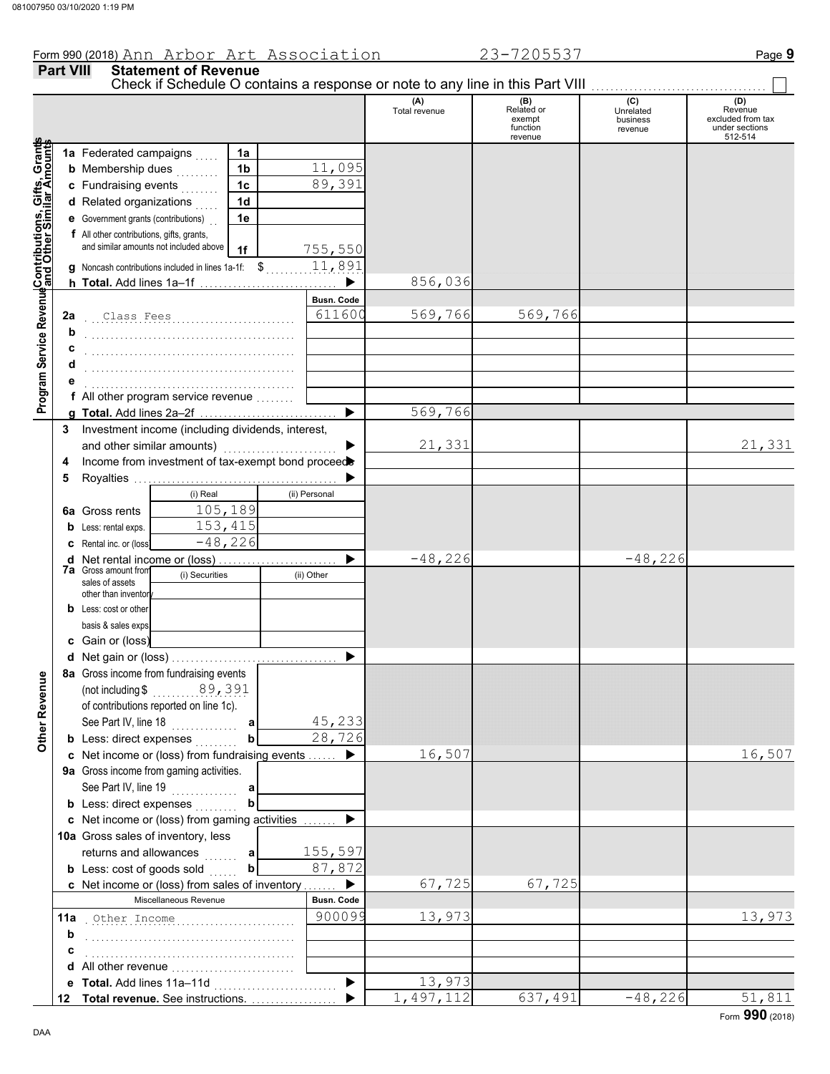### **Part VIII Statement of Revenue** Check if Schedule O contains a response or note to any line in this Part VIII. (A) (B) (C) (O) (D)<br>Total revenue Related or Unrelated Reven Total revenue Related or Unrelated Revenue excluded from tax exempt business function revenue under sections 512-514 revenue **Contributions, Gifts, Grants and Other Similar Amounts** Grants **1a 1a** Federated campaigns . . . . . Gifts, Gra<br>illar Amou 11,095 **1b b** Membership dues  $\begin{bmatrix} 1 & 1 & 1 \\ 1 & 1 & 1 \\ 1 & 1 & 1 \\ 1 & 1 & 1 \\ 1 & 1 & 1 \\ 1 & 1 & 1 \\ 1 & 1 & 1 \\ 1 & 1 & 1 \\ 1 & 1 & 1 \\ 1 & 1 & 1 \\ 1 & 1 & 1 \\ 1 & 1 & 1 \\ 1 & 1 & 1 \\ 1 & 1 & 1 \\ 1 & 1 & 1 & 1 \\ 1 & 1 & 1 & 1 \\ 1 & 1 & 1 & 1 \\ 1 & 1 & 1 & 1 \\ 1 & 1 & 1 & 1 \\ 1 & 1 & 1$ 89,391 **1c c** Fundraising events . . . . . . . . **1d d** Related organizations . . . . . Program Service RevenueContributions,<br>Program Service Revenue<br>and Other Sim **e** Government grants (contributions) . . **1e f** All other contributions, gifts, grants, and similar amounts not included above **1f** 755,550 11,891 **g** Noncash contributions included in lines 1a-1f:  $\mathsf{\$}$  . . . . . . . .  $\blacktriangleright$ 856,036 **h Total.** Add lines 1a–1f . . . . . . . . . . . . . . . . . . . . . . . . . . . . . **Program Service Revenue Busn. Code** . . . . . . . . . . . . . . . . . . . . . . . . . . . . . . . . . . . . . . . . . . . . Class Fees 611600 569,766 569,766 **2a b** . . . . . . . . . . . . . . . . . . . . . . . . . . . . . . . . . . . . . . . . . . . . **c d** . . . . . . . . . . . . . . . . . . . . . . . . . . . . . . . . . . . . . . . . . . . . **e** . . . . . . . . . . . . . . . . . . . . . . . . . . . . . . . . . . . . . . . . . . . . **f** All other program service revenue . . . . . . . . 569,766 **g Total.** Add lines 2a–2f . . . . . . . . . . . . . . . . . . . . . . . . . . . . . **3** Investment income (including dividends, interest, 21,331 21,331 and other similar amounts)  $\blacksquare$ **4** Income from investment of tax-exempt bond proceed **5** Royalties . . . . . . . . . . . . . . . . . . . . . . . . . . . . . . . . . . . . . . . . . . . ь (i) Real (ii) Personal 105,189 **6a** Gross rents 153,415 **b** Less: rental exps. -48,226 **c** Rental inc. or (loss) ь  $-48,226$   $-48,226$ **d** Net rental income or (loss) . . . . . . . . . . . . . . . . . . . . . . . . . **7a** Gross amount from (i) Securities (ii) Other sales of assets other than inventor **b** Less: cost or other basis & sales exps. **c** Gain or (loss) **d** Net gain or (loss) . . . . . . . . . . . . . . . . . . . . . . . . . . . . . . . . . . . **8a** Gross income from fundraising events **Other Revenue Other Revenue** (not including \$ . . . . . . . . . . . . . . . . . . . . 89,391 of contributions reported on line 1c). See Part IV, line 18 45,233 **a b** 28,726 **b** Less: direct expenses <sub>.</sub> . . . . . . . 16,507 **16,507** 16,507 **c** Net income or (loss) from fundraising events . . . . . . ▶ **9a** Gross income from gaming activities. See Part IV, line 19 . . . . . . . . . . . . . . **a b b** Less: direct expenses  $\ldots$ ▶ Net income or (loss) from gaming activities . . . . . . . **c** 10a Gross sales of inventory, less returns and allowances 155,597 **a b** 87,872 **b** Less:  $\cosh$  of goods  $\sinh$ ь 67,725 67,725 Net income or (loss) from sales of inventory . . . . . . . **c** Miscellaneous Revenue **Busn. Code 11a** . . . . . . . . . . . . . . . . . . . . . . . . . . . . . . . . . . . . . . . . . . . . Other Income 900099 13,973 13,973 **b** . . . . . . . . . . . . . . . . . . . . . . . . . . . . . . . . . . . . . . . . . . . . **c** . . . . . . . . . . . . . . . . . . . . . . . . . . . . . . . . . . . . . . . . . . . . **d** All other revenue . . . . . . . . . . . . . . . . . . . . . . . . . .  $\blacktriangleright$ 13,973 **e Total.** Add lines 11a–11d . . . . . . . . . . . . . . . . . . . . . . . . . . 1,497,112 637,491 -48,226 51,811 **Total revenue.** See instructions. . . . . . . . . . . . . . . . . . . **12** ▶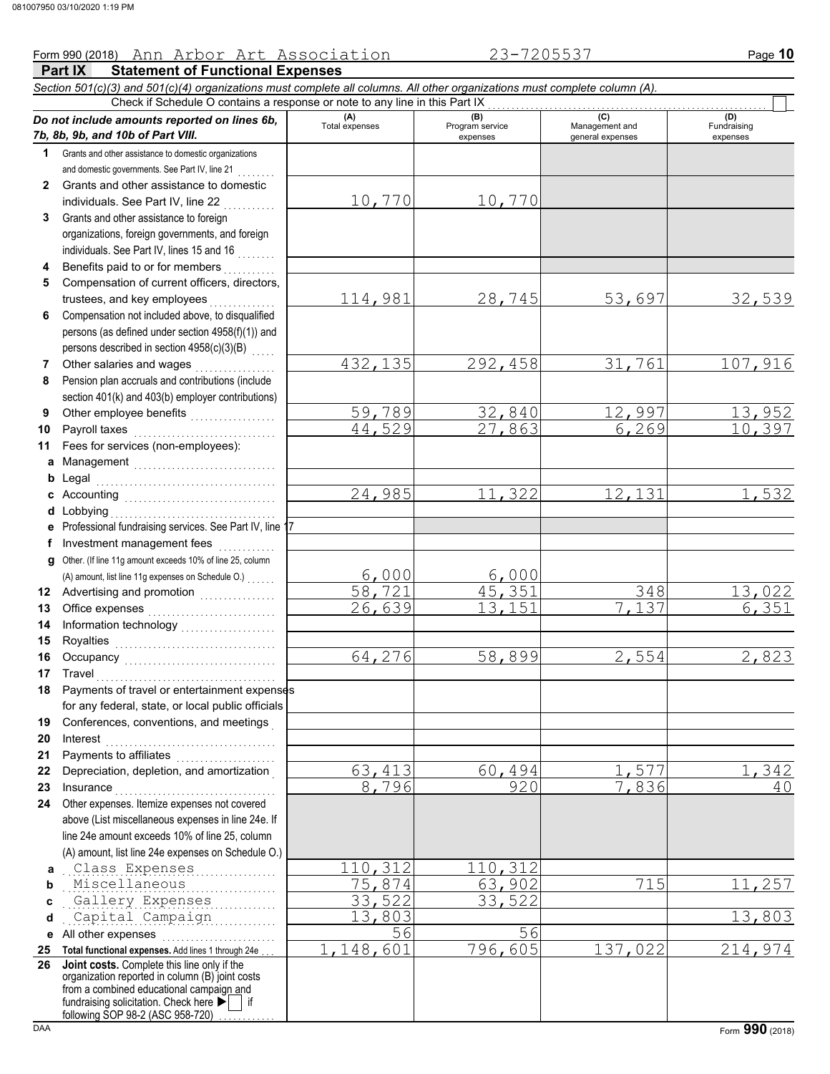## Form 990 (2018) Page **10** Ann Arbor Art Association 23-7205537

|          | Part IX<br><b>Statement of Functional Expenses</b>                                                                                                                                                        |                                 |                             |                                    |                         |
|----------|-----------------------------------------------------------------------------------------------------------------------------------------------------------------------------------------------------------|---------------------------------|-----------------------------|------------------------------------|-------------------------|
|          | Section 501(c)(3) and 501(c)(4) organizations must complete all columns. All other organizations must complete column (A).<br>Check if Schedule O contains a response or note to any line in this Part IX |                                 |                             |                                    |                         |
|          | Do not include amounts reported on lines 6b,                                                                                                                                                              | (A)                             | (B)                         | (C)                                | (D)                     |
|          | 7b, 8b, 9b, and 10b of Part VIII.                                                                                                                                                                         | Total expenses                  | Program service<br>expenses | Management and<br>general expenses | Fundraising<br>expenses |
|          | 1 Grants and other assistance to domestic organizations                                                                                                                                                   |                                 |                             |                                    |                         |
|          | and domestic governments. See Part IV, line 21                                                                                                                                                            |                                 |                             |                                    |                         |
|          | 2 Grants and other assistance to domestic                                                                                                                                                                 |                                 |                             |                                    |                         |
|          | individuals. See Part IV, line 22                                                                                                                                                                         | 10,770                          | 10,770                      |                                    |                         |
| 3        | Grants and other assistance to foreign                                                                                                                                                                    |                                 |                             |                                    |                         |
|          | organizations, foreign governments, and foreign                                                                                                                                                           |                                 |                             |                                    |                         |
|          | individuals. See Part IV, lines 15 and 16                                                                                                                                                                 |                                 |                             |                                    |                         |
| 4        | Benefits paid to or for members                                                                                                                                                                           |                                 |                             |                                    |                         |
| 5        | Compensation of current officers, directors,                                                                                                                                                              |                                 | 28,745                      |                                    |                         |
| 6        | trustees, and key employees<br>Compensation not included above, to disqualified                                                                                                                           | 114,981                         |                             | 53,697                             | 32,539                  |
|          | persons (as defined under section 4958(f)(1)) and                                                                                                                                                         |                                 |                             |                                    |                         |
|          | persons described in section 4958(c)(3)(B)                                                                                                                                                                |                                 |                             |                                    |                         |
| 7        | Other salaries and wages                                                                                                                                                                                  | 432,135                         | 292,458                     | 761<br>31                          | 107,916                 |
| 8        | Pension plan accruals and contributions (include                                                                                                                                                          |                                 |                             |                                    |                         |
|          | section 401(k) and 403(b) employer contributions)                                                                                                                                                         |                                 |                             |                                    |                         |
| 9        |                                                                                                                                                                                                           | 59,789                          | 32,840                      | 12,997                             |                         |
| 10       | Payroll taxes                                                                                                                                                                                             | 44,529                          | 27,863                      | 6, 269                             | 13,952<br>10,397        |
| 11       | Fees for services (non-employees):                                                                                                                                                                        |                                 |                             |                                    |                         |
| a        | Management                                                                                                                                                                                                |                                 |                             |                                    |                         |
| b        | Legal                                                                                                                                                                                                     |                                 |                             |                                    |                         |
| C        |                                                                                                                                                                                                           | 24,985                          | 11,322                      | 12,131                             | 1,532                   |
| d        | Lobbying                                                                                                                                                                                                  |                                 |                             |                                    |                         |
| e        | Professional fundraising services. See Part IV, line 17                                                                                                                                                   |                                 |                             |                                    |                         |
| f        | Investment management fees                                                                                                                                                                                |                                 |                             |                                    |                         |
| g        | Other. (If line 11g amount exceeds 10% of line 25, column                                                                                                                                                 |                                 |                             |                                    |                         |
|          | (A) amount, list line 11g expenses on Schedule O.)                                                                                                                                                        | 6,000                           | 6,000                       |                                    |                         |
| 12       | Advertising and promotion [11] [11] Advertising and promotion                                                                                                                                             | 58,721<br>$\overline{26}$ , 639 | 45,351<br>13,151            | 348<br>7,137                       | 13,022<br>6.351         |
| 13       |                                                                                                                                                                                                           |                                 |                             |                                    |                         |
| 14<br>15 |                                                                                                                                                                                                           |                                 |                             |                                    |                         |
| 16       |                                                                                                                                                                                                           | 64,276                          | 58,899                      | 2,554                              | 2,82 $\overline{3}$     |
|          | 17 Travel                                                                                                                                                                                                 |                                 |                             |                                    |                         |
| 18       | Payments of travel or entertainment expenses                                                                                                                                                              |                                 |                             |                                    |                         |
|          | for any federal, state, or local public officials                                                                                                                                                         |                                 |                             |                                    |                         |
| 19       | Conferences, conventions, and meetings                                                                                                                                                                    |                                 |                             |                                    |                         |
| 20       | Interest                                                                                                                                                                                                  |                                 |                             |                                    |                         |
| 21       |                                                                                                                                                                                                           |                                 |                             |                                    |                         |
| 22       | Depreciation, depletion, and amortization                                                                                                                                                                 | 63,413                          | 60,494                      | $57\overline{7}$                   | 1,342                   |
| 23       | Insurance                                                                                                                                                                                                 | 8,796                           | 920                         | 7,836                              | 40                      |
| 24       | Other expenses. Itemize expenses not covered                                                                                                                                                              |                                 |                             |                                    |                         |
|          | above (List miscellaneous expenses in line 24e. If                                                                                                                                                        |                                 |                             |                                    |                         |
|          | line 24e amount exceeds 10% of line 25, column                                                                                                                                                            |                                 |                             |                                    |                         |
|          | (A) amount, list line 24e expenses on Schedule O.)                                                                                                                                                        |                                 |                             |                                    |                         |
| a        | Class Expenses                                                                                                                                                                                            | 110,312                         | 110,312                     |                                    |                         |
| b<br>C   | Miscellaneous<br>Gallery Expenses                                                                                                                                                                         | 75,874<br>33,522                | 63,902<br>33,522            | 715                                | 11,257                  |
| d        | Capital Campaign                                                                                                                                                                                          | 13,803                          |                             |                                    | 13,803                  |
| е        | All other expenses                                                                                                                                                                                        | 56                              | 56                          |                                    |                         |
| 25       | Total functional expenses. Add lines 1 through 24e                                                                                                                                                        | 148,601                         | 796,605                     | 137,022                            | 214,974                 |
| 26       | Joint costs. Complete this line only if the                                                                                                                                                               |                                 |                             |                                    |                         |
|          | organization reported in column (B) joint costs                                                                                                                                                           |                                 |                             |                                    |                         |
|          | from a combined educational campaign and<br>fundraising solicitation. Check here $\blacktriangleright$   if                                                                                               |                                 |                             |                                    |                         |
|          | following SOP 98-2 (ASC 958-720)                                                                                                                                                                          |                                 |                             |                                    |                         |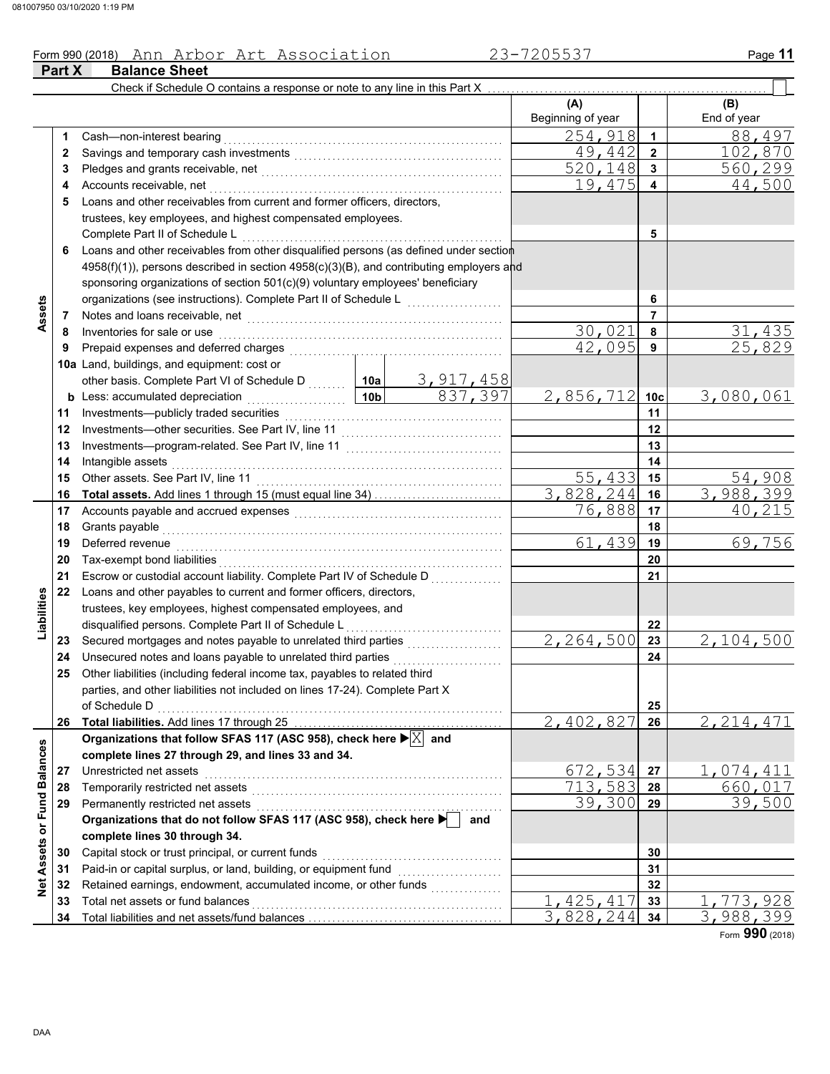### Form 990 (2018) Page **11** Ann Arbor Art Association 23-7205537

|                         | Part X | <b>Balance Sheet</b>                                                                                |                 |                             |                           |                         |                    |
|-------------------------|--------|-----------------------------------------------------------------------------------------------------|-----------------|-----------------------------|---------------------------|-------------------------|--------------------|
|                         |        | Check if Schedule O contains a response or note to any line in this Part X                          |                 |                             |                           |                         |                    |
|                         |        |                                                                                                     |                 |                             | (A)<br>Beginning of year  |                         | (B)<br>End of year |
|                         | 1      | Cash-non-interest bearing                                                                           |                 |                             | 254,918                   | $\overline{1}$          | 88,497             |
|                         | 2      |                                                                                                     |                 |                             | 49,442                    | $\overline{2}$          | 102,870            |
|                         | 3      |                                                                                                     |                 |                             | $\overline{520, 148}$     | $\overline{\mathbf{3}}$ | 560,299            |
|                         | 4      | Accounts receivable, net                                                                            |                 |                             | 19,475                    | 4                       | 44,500             |
|                         | 5      | Loans and other receivables from current and former officers, directors,                            |                 |                             |                           |                         |                    |
|                         |        | trustees, key employees, and highest compensated employees.                                         |                 |                             |                           |                         |                    |
|                         |        | Complete Part II of Schedule L                                                                      |                 |                             |                           | 5                       |                    |
|                         | 6      | Loans and other receivables from other disqualified persons (as defined under section               |                 |                             |                           |                         |                    |
|                         |        | $4958(f)(1)$ ), persons described in section $4958(c)(3)(B)$ , and contributing employers and       |                 |                             |                           |                         |                    |
|                         |        | sponsoring organizations of section 501(c)(9) voluntary employees' beneficiary                      |                 |                             |                           |                         |                    |
|                         |        | organizations (see instructions). Complete Part II of Schedule L                                    |                 |                             |                           | 6                       |                    |
| Assets                  | 7      |                                                                                                     |                 |                             |                           | $\overline{7}$          |                    |
|                         | 8      | Inventories for sale or use                                                                         |                 |                             | 30,021                    | 8                       | 31,435             |
|                         | 9      | Prepaid expenses and deferred charges                                                               |                 |                             | 42,095                    | 9                       | 25,829             |
|                         |        | 10a Land, buildings, and equipment: cost or                                                         |                 |                             |                           |                         |                    |
|                         |        | other basis. Complete Part VI of Schedule D  10a                                                    |                 |                             |                           |                         |                    |
|                         |        | <b>b</b> Less: accumulated depreciation<br>.                                                        | 10 <sub>b</sub> | $\frac{3,917,458}{837,397}$ | 2,856,712                 | 10 <sub>c</sub>         | 3,080,061          |
|                         | 11     | Investments-publicly traded securities                                                              |                 |                             |                           | 11                      |                    |
|                         | 12     |                                                                                                     |                 |                             |                           | 12                      |                    |
|                         | 13     |                                                                                                     |                 |                             |                           | 13                      |                    |
|                         | 14     | Intangible assets                                                                                   |                 |                             |                           | 14                      |                    |
|                         | 15     | Other assets. See Part IV, line 11                                                                  |                 |                             | 55,433                    | 15                      | 54,908             |
|                         | 16     |                                                                                                     |                 |                             | 3,828,244                 | 16                      | 3,988,399          |
|                         | 17     |                                                                                                     |                 |                             | 76,888                    | 17                      | 40,215             |
|                         | 18     | Grants payable                                                                                      |                 |                             |                           | 18                      |                    |
|                         | 19     | Deferred revenue                                                                                    |                 |                             | 61,439                    | 19                      | 69,756             |
|                         | 20     | Tax-exempt bond liabilities                                                                         |                 |                             |                           | 20                      |                    |
|                         | 21     | Escrow or custodial account liability. Complete Part IV of Schedule D                               |                 |                             |                           | 21                      |                    |
|                         | 22     | Loans and other payables to current and former officers, directors,                                 |                 |                             |                           |                         |                    |
| Liabilities             |        | trustees, key employees, highest compensated employees, and                                         |                 |                             |                           |                         |                    |
|                         |        | disqualified persons. Complete Part II of Schedule L                                                |                 |                             |                           | 22                      |                    |
|                         | 23     |                                                                                                     |                 |                             | 2,264,500                 | 23                      | 2,104,500          |
|                         | 24     | Unsecured notes and loans payable to unrelated third parties                                        |                 |                             |                           | 24                      |                    |
|                         | 25     | Other liabilities (including federal income tax, payables to related third                          |                 |                             |                           |                         |                    |
|                         |        | parties, and other liabilities not included on lines 17-24). Complete Part X                        |                 |                             |                           |                         |                    |
|                         |        | of Schedule D                                                                                       |                 | 25                          |                           |                         |                    |
|                         | 26     |                                                                                                     |                 |                             | 2,402,827                 | 26                      | 2, 214, 471        |
|                         |        | Organizations that follow SFAS 117 (ASC 958), check here $\blacktriangleright \boxed{\text{X}}$ and |                 |                             |                           |                         |                    |
|                         |        | complete lines 27 through 29, and lines 33 and 34.                                                  |                 |                             |                           |                         |                    |
|                         | 27     | Unrestricted net assets                                                                             |                 | 672,534                     | 27                        | <u>1,074,411</u>        |                    |
|                         | 28     | Temporarily restricted net assets                                                                   |                 | 713,583                     | 28                        | 660,017                 |                    |
|                         | 29     | Permanently restricted net assets                                                                   |                 |                             | 39,300                    | 29                      | 39,500             |
|                         |        | Organizations that do not follow SFAS 117 (ASC 958), check here $\blacktriangleright$               |                 | and                         |                           |                         |                    |
| Assets or Fund Balances |        | complete lines 30 through 34.                                                                       |                 |                             |                           |                         |                    |
|                         | 30     | Capital stock or trust principal, or current funds                                                  |                 |                             |                           | 30                      |                    |
|                         | 31     | Paid-in or capital surplus, or land, building, or equipment fund                                    |                 |                             |                           | 31                      |                    |
| $\frac{1}{2}$           | 32     | Retained earnings, endowment, accumulated income, or other funds                                    |                 |                             |                           | 32                      |                    |
|                         | 33     | Total net assets or fund balances                                                                   |                 |                             | $\overline{1}$ , 425, 417 | 33                      | ,773,928           |
|                         | 34     |                                                                                                     |                 |                             | 3,828,244                 | 34                      | 3,988,399          |

Form **990** (2018)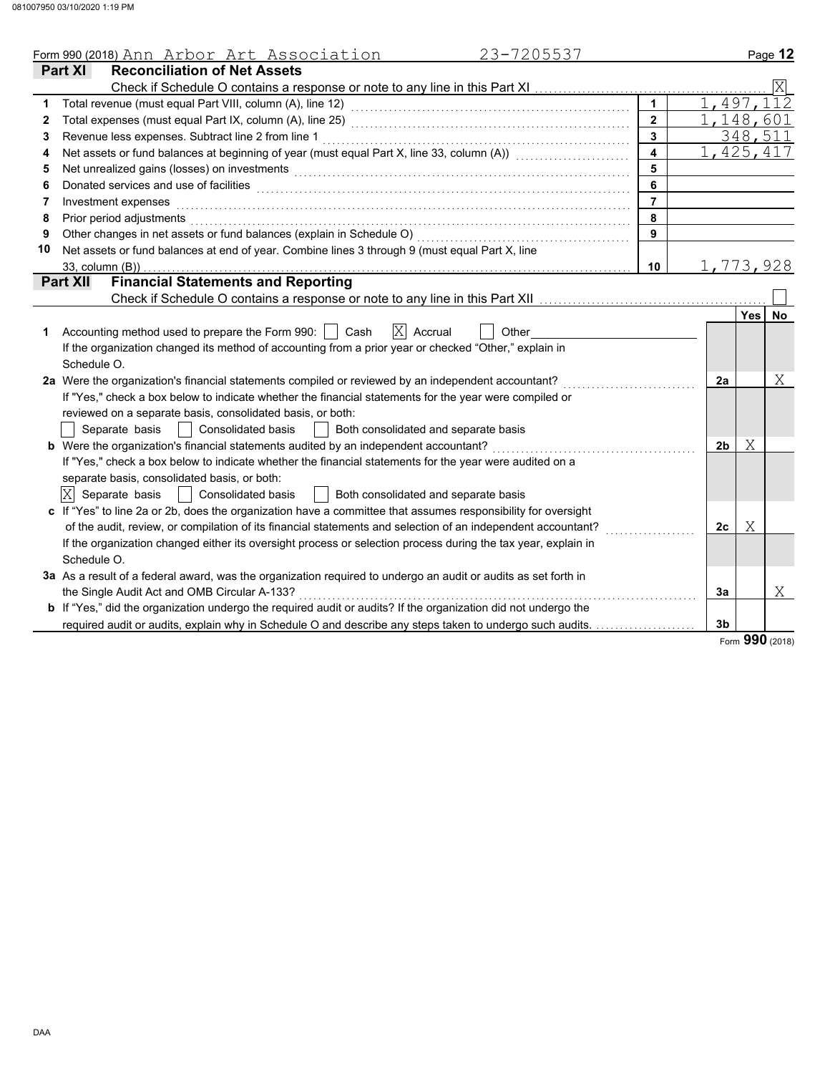| <b>Reconciliation of Net Assets</b><br><b>Part XI</b><br>1,497,112<br>1<br>1,148,601<br>$\overline{2}$<br>2<br>Revenue less expenses. Subtract line 2 from line 1<br>3<br>1,425,417<br>Net assets or fund balances at beginning of year (must equal Part X, line 33, column (A)) [[[[[[[[[[[[[[[[[[[<br>$\overline{\mathbf{4}}$<br>4<br>Net unrealized gains (losses) on investments [11] with the content of the content of the content of the content of the content of the content of the content of the content of the content of the content of the content of th<br>5 |     |           |
|-----------------------------------------------------------------------------------------------------------------------------------------------------------------------------------------------------------------------------------------------------------------------------------------------------------------------------------------------------------------------------------------------------------------------------------------------------------------------------------------------------------------------------------------------------------------------------|-----|-----------|
|                                                                                                                                                                                                                                                                                                                                                                                                                                                                                                                                                                             |     |           |
|                                                                                                                                                                                                                                                                                                                                                                                                                                                                                                                                                                             |     |           |
|                                                                                                                                                                                                                                                                                                                                                                                                                                                                                                                                                                             |     |           |
|                                                                                                                                                                                                                                                                                                                                                                                                                                                                                                                                                                             |     |           |
|                                                                                                                                                                                                                                                                                                                                                                                                                                                                                                                                                                             |     | 348,511   |
|                                                                                                                                                                                                                                                                                                                                                                                                                                                                                                                                                                             |     |           |
|                                                                                                                                                                                                                                                                                                                                                                                                                                                                                                                                                                             |     |           |
| 6<br>6                                                                                                                                                                                                                                                                                                                                                                                                                                                                                                                                                                      |     |           |
| $\overline{7}$<br>Investment expenses<br>7                                                                                                                                                                                                                                                                                                                                                                                                                                                                                                                                  |     |           |
| 8<br>Prior period adjustments<br>8                                                                                                                                                                                                                                                                                                                                                                                                                                                                                                                                          |     |           |
| Other changes in net assets or fund balances (explain in Schedule O)<br>9<br>9                                                                                                                                                                                                                                                                                                                                                                                                                                                                                              |     |           |
| Net assets or fund balances at end of year. Combine lines 3 through 9 (must equal Part X, line<br>10                                                                                                                                                                                                                                                                                                                                                                                                                                                                        |     |           |
| 1,773,928<br>10<br>33, column (B))                                                                                                                                                                                                                                                                                                                                                                                                                                                                                                                                          |     |           |
| <b>Financial Statements and Reporting</b><br><b>Part XII</b>                                                                                                                                                                                                                                                                                                                                                                                                                                                                                                                |     |           |
|                                                                                                                                                                                                                                                                                                                                                                                                                                                                                                                                                                             |     |           |
|                                                                                                                                                                                                                                                                                                                                                                                                                                                                                                                                                                             | Yes | <b>No</b> |
| $ X $ Accrual<br>Accounting method used to prepare the Form 990:     Cash<br>Other<br>1.                                                                                                                                                                                                                                                                                                                                                                                                                                                                                    |     |           |
| If the organization changed its method of accounting from a prior year or checked "Other," explain in                                                                                                                                                                                                                                                                                                                                                                                                                                                                       |     |           |
| Schedule O.                                                                                                                                                                                                                                                                                                                                                                                                                                                                                                                                                                 |     |           |
| 2a Were the organization's financial statements compiled or reviewed by an independent accountant?<br>2a                                                                                                                                                                                                                                                                                                                                                                                                                                                                    |     | Χ         |
| If "Yes," check a box below to indicate whether the financial statements for the year were compiled or                                                                                                                                                                                                                                                                                                                                                                                                                                                                      |     |           |
| reviewed on a separate basis, consolidated basis, or both:                                                                                                                                                                                                                                                                                                                                                                                                                                                                                                                  |     |           |
| Separate basis<br><b>Consolidated basis</b><br>Both consolidated and separate basis<br>$\mathbb{R}^n$                                                                                                                                                                                                                                                                                                                                                                                                                                                                       |     |           |
| <b>b</b> Were the organization's financial statements audited by an independent accountant?<br>2b                                                                                                                                                                                                                                                                                                                                                                                                                                                                           | Χ   |           |
| If "Yes," check a box below to indicate whether the financial statements for the year were audited on a                                                                                                                                                                                                                                                                                                                                                                                                                                                                     |     |           |
| separate basis, consolidated basis, or both:                                                                                                                                                                                                                                                                                                                                                                                                                                                                                                                                |     |           |
| $ X $ Separate basis<br><b>Consolidated basis</b><br>Both consolidated and separate basis                                                                                                                                                                                                                                                                                                                                                                                                                                                                                   |     |           |
| c If "Yes" to line 2a or 2b, does the organization have a committee that assumes responsibility for oversight                                                                                                                                                                                                                                                                                                                                                                                                                                                               |     |           |
| of the audit, review, or compilation of its financial statements and selection of an independent accountant?<br>2c                                                                                                                                                                                                                                                                                                                                                                                                                                                          | Χ   |           |
| If the organization changed either its oversight process or selection process during the tax year, explain in                                                                                                                                                                                                                                                                                                                                                                                                                                                               |     |           |
| Schedule O.                                                                                                                                                                                                                                                                                                                                                                                                                                                                                                                                                                 |     |           |
| 3a As a result of a federal award, was the organization required to undergo an audit or audits as set forth in                                                                                                                                                                                                                                                                                                                                                                                                                                                              |     |           |
| the Single Audit Act and OMB Circular A-133?<br>3a                                                                                                                                                                                                                                                                                                                                                                                                                                                                                                                          |     | Χ         |
| <b>b</b> If "Yes," did the organization undergo the required audit or audits? If the organization did not undergo the                                                                                                                                                                                                                                                                                                                                                                                                                                                       |     |           |
| required audit or audits, explain why in Schedule O and describe any steps taken to undergo such audits.<br>3 <sub>b</sub>                                                                                                                                                                                                                                                                                                                                                                                                                                                  |     |           |

Form **990** (2018)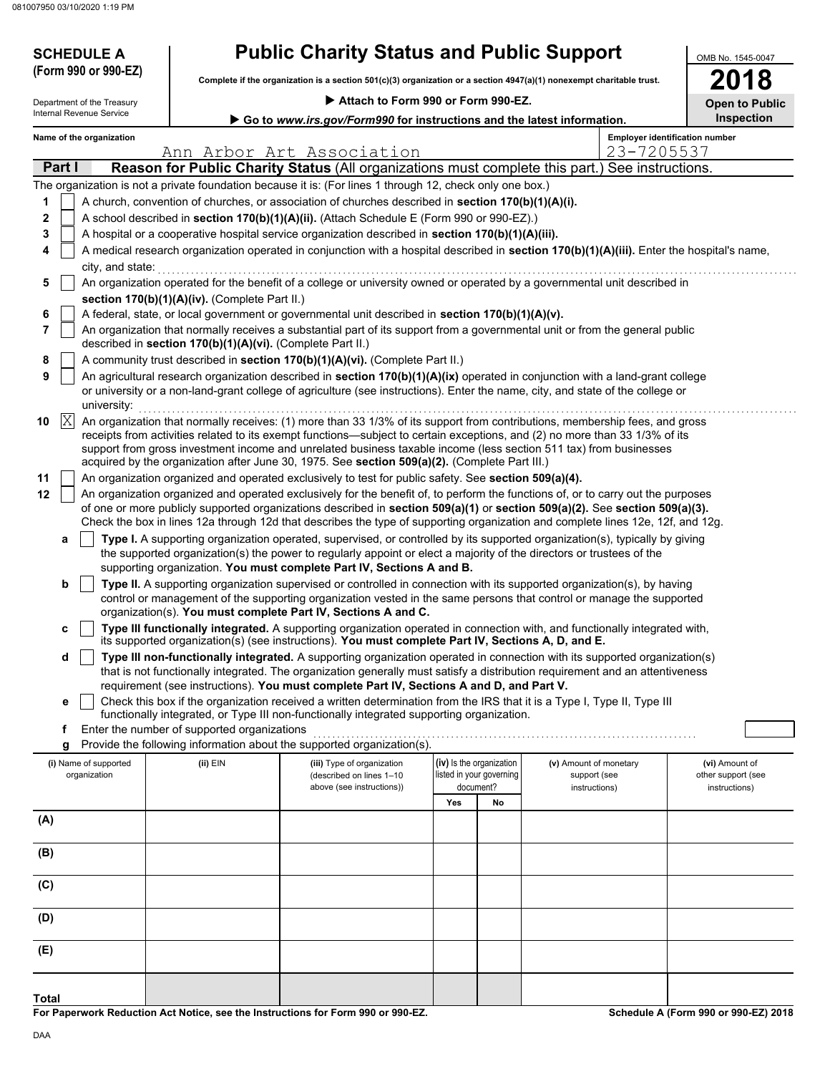# **SCHEDULE A Public Charity Status and Public Support**

**Complete if the organization is a section 501(c)(3) organization or a section 4947(a)(1) nonexempt charitable trust. (Form 990 or 990-EZ)**

|  | Attach to Form 990 or Form 990-EZ. |  |  |
|--|------------------------------------|--|--|

| OMB No. 1545-0047     |
|-----------------------|
|                       |
| 2018                  |
|                       |
| <b>Open to Public</b> |

|       |                                                                                                    | Department of the Treasury            |                                                            | $\blacktriangleright$ Attach to Form 990 or Form 990-EZ.                                                                                                                                                                         |     |                                                      |                               |            | <b>Open to Public</b>               |
|-------|----------------------------------------------------------------------------------------------------|---------------------------------------|------------------------------------------------------------|----------------------------------------------------------------------------------------------------------------------------------------------------------------------------------------------------------------------------------|-----|------------------------------------------------------|-------------------------------|------------|-------------------------------------|
|       | Internal Revenue Service<br>Go to www.irs.gov/Form990 for instructions and the latest information. |                                       |                                                            |                                                                                                                                                                                                                                  |     |                                                      |                               | Inspection |                                     |
|       | <b>Employer identification number</b><br>Name of the organization                                  |                                       |                                                            |                                                                                                                                                                                                                                  |     |                                                      |                               |            |                                     |
|       |                                                                                                    |                                       |                                                            | Ann Arbor Art Association                                                                                                                                                                                                        |     |                                                      |                               | 23-7205537 |                                     |
|       | Part I                                                                                             |                                       |                                                            | Reason for Public Charity Status (All organizations must complete this part.) See instructions.                                                                                                                                  |     |                                                      |                               |            |                                     |
|       |                                                                                                    |                                       |                                                            | The organization is not a private foundation because it is: (For lines 1 through 12, check only one box.)                                                                                                                        |     |                                                      |                               |            |                                     |
| 1     |                                                                                                    |                                       |                                                            | A church, convention of churches, or association of churches described in section 170(b)(1)(A)(i).                                                                                                                               |     |                                                      |                               |            |                                     |
| 2     |                                                                                                    |                                       |                                                            | A school described in section 170(b)(1)(A)(ii). (Attach Schedule E (Form 990 or 990-EZ).)                                                                                                                                        |     |                                                      |                               |            |                                     |
| 3     |                                                                                                    |                                       |                                                            | A hospital or a cooperative hospital service organization described in section 170(b)(1)(A)(iii).                                                                                                                                |     |                                                      |                               |            |                                     |
| 4     |                                                                                                    |                                       |                                                            | A medical research organization operated in conjunction with a hospital described in section 170(b)(1)(A)(iii). Enter the hospital's name,                                                                                       |     |                                                      |                               |            |                                     |
|       |                                                                                                    | city, and state:                      |                                                            |                                                                                                                                                                                                                                  |     |                                                      |                               |            |                                     |
| 5     |                                                                                                    |                                       |                                                            | An organization operated for the benefit of a college or university owned or operated by a governmental unit described in                                                                                                        |     |                                                      |                               |            |                                     |
|       |                                                                                                    |                                       | section 170(b)(1)(A)(iv). (Complete Part II.)              |                                                                                                                                                                                                                                  |     |                                                      |                               |            |                                     |
| 6     |                                                                                                    |                                       |                                                            | A federal, state, or local government or governmental unit described in section $170(b)(1)(A)(v)$ .                                                                                                                              |     |                                                      |                               |            |                                     |
| 7     |                                                                                                    |                                       |                                                            | An organization that normally receives a substantial part of its support from a governmental unit or from the general public                                                                                                     |     |                                                      |                               |            |                                     |
|       |                                                                                                    |                                       | described in section 170(b)(1)(A)(vi). (Complete Part II.) |                                                                                                                                                                                                                                  |     |                                                      |                               |            |                                     |
| 8     |                                                                                                    |                                       |                                                            | A community trust described in section 170(b)(1)(A)(vi). (Complete Part II.)                                                                                                                                                     |     |                                                      |                               |            |                                     |
| 9     |                                                                                                    |                                       |                                                            | An agricultural research organization described in section 170(b)(1)(A)(ix) operated in conjunction with a land-grant college                                                                                                    |     |                                                      |                               |            |                                     |
|       |                                                                                                    |                                       |                                                            | or university or a non-land-grant college of agriculture (see instructions). Enter the name, city, and state of the college or                                                                                                   |     |                                                      |                               |            |                                     |
|       |                                                                                                    | university:                           |                                                            |                                                                                                                                                                                                                                  |     |                                                      |                               |            |                                     |
| 10    | X                                                                                                  |                                       |                                                            | An organization that normally receives: (1) more than 33 1/3% of its support from contributions, membership fees, and gross                                                                                                      |     |                                                      |                               |            |                                     |
|       |                                                                                                    |                                       |                                                            | receipts from activities related to its exempt functions—subject to certain exceptions, and (2) no more than 33 1/3% of its                                                                                                      |     |                                                      |                               |            |                                     |
|       |                                                                                                    |                                       |                                                            | support from gross investment income and unrelated business taxable income (less section 511 tax) from businesses<br>acquired by the organization after June 30, 1975. See section 509(a)(2). (Complete Part III.)               |     |                                                      |                               |            |                                     |
| 11    |                                                                                                    |                                       |                                                            | An organization organized and operated exclusively to test for public safety. See section 509(a)(4).                                                                                                                             |     |                                                      |                               |            |                                     |
| 12    |                                                                                                    |                                       |                                                            | An organization organized and operated exclusively for the benefit of, to perform the functions of, or to carry out the purposes                                                                                                 |     |                                                      |                               |            |                                     |
|       |                                                                                                    |                                       |                                                            | of one or more publicly supported organizations described in section $509(a)(1)$ or section $509(a)(2)$ . See section $509(a)(3)$ .                                                                                              |     |                                                      |                               |            |                                     |
|       |                                                                                                    |                                       |                                                            | Check the box in lines 12a through 12d that describes the type of supporting organization and complete lines 12e, 12f, and 12g.                                                                                                  |     |                                                      |                               |            |                                     |
|       | а                                                                                                  |                                       |                                                            | Type I. A supporting organization operated, supervised, or controlled by its supported organization(s), typically by giving                                                                                                      |     |                                                      |                               |            |                                     |
|       |                                                                                                    |                                       |                                                            | the supported organization(s) the power to regularly appoint or elect a majority of the directors or trustees of the                                                                                                             |     |                                                      |                               |            |                                     |
|       |                                                                                                    |                                       |                                                            | supporting organization. You must complete Part IV, Sections A and B.                                                                                                                                                            |     |                                                      |                               |            |                                     |
|       | b                                                                                                  |                                       |                                                            | Type II. A supporting organization supervised or controlled in connection with its supported organization(s), by having                                                                                                          |     |                                                      |                               |            |                                     |
|       |                                                                                                    |                                       |                                                            | control or management of the supporting organization vested in the same persons that control or manage the supported                                                                                                             |     |                                                      |                               |            |                                     |
|       |                                                                                                    |                                       |                                                            | organization(s). You must complete Part IV, Sections A and C.                                                                                                                                                                    |     |                                                      |                               |            |                                     |
|       | c                                                                                                  |                                       |                                                            | Type III functionally integrated. A supporting organization operated in connection with, and functionally integrated with,<br>its supported organization(s) (see instructions). You must complete Part IV, Sections A, D, and E. |     |                                                      |                               |            |                                     |
|       | d                                                                                                  |                                       |                                                            | Type III non-functionally integrated. A supporting organization operated in connection with its supported organization(s)                                                                                                        |     |                                                      |                               |            |                                     |
|       |                                                                                                    |                                       |                                                            | that is not functionally integrated. The organization generally must satisfy a distribution requirement and an attentiveness                                                                                                     |     |                                                      |                               |            |                                     |
|       |                                                                                                    |                                       |                                                            | requirement (see instructions). You must complete Part IV, Sections A and D, and Part V.                                                                                                                                         |     |                                                      |                               |            |                                     |
|       | е                                                                                                  |                                       |                                                            | Check this box if the organization received a written determination from the IRS that it is a Type I, Type II, Type III                                                                                                          |     |                                                      |                               |            |                                     |
|       |                                                                                                    |                                       |                                                            | functionally integrated, or Type III non-functionally integrated supporting organization.                                                                                                                                        |     |                                                      |                               |            |                                     |
|       |                                                                                                    |                                       | Enter the number of supported organizations                |                                                                                                                                                                                                                                  |     |                                                      |                               |            |                                     |
|       | g                                                                                                  |                                       |                                                            | Provide the following information about the supported organization(s).                                                                                                                                                           |     |                                                      |                               |            |                                     |
|       |                                                                                                    | (i) Name of supported<br>organization | $(ii)$ EIN                                                 | (iii) Type of organization<br>(described on lines 1-10                                                                                                                                                                           |     | (iv) Is the organization<br>listed in your governing | (v) Amount of monetary        |            | (vi) Amount of                      |
|       |                                                                                                    |                                       |                                                            | above (see instructions))                                                                                                                                                                                                        |     | document?                                            | support (see<br>instructions) |            | other support (see<br>instructions) |
|       |                                                                                                    |                                       |                                                            |                                                                                                                                                                                                                                  | Yes | No                                                   |                               |            |                                     |
| (A)   |                                                                                                    |                                       |                                                            |                                                                                                                                                                                                                                  |     |                                                      |                               |            |                                     |
|       |                                                                                                    |                                       |                                                            |                                                                                                                                                                                                                                  |     |                                                      |                               |            |                                     |
| (B)   |                                                                                                    |                                       |                                                            |                                                                                                                                                                                                                                  |     |                                                      |                               |            |                                     |
|       |                                                                                                    |                                       |                                                            |                                                                                                                                                                                                                                  |     |                                                      |                               |            |                                     |
| (C)   |                                                                                                    |                                       |                                                            |                                                                                                                                                                                                                                  |     |                                                      |                               |            |                                     |
|       |                                                                                                    |                                       |                                                            |                                                                                                                                                                                                                                  |     |                                                      |                               |            |                                     |
| (D)   |                                                                                                    |                                       |                                                            |                                                                                                                                                                                                                                  |     |                                                      |                               |            |                                     |
|       |                                                                                                    |                                       |                                                            |                                                                                                                                                                                                                                  |     |                                                      |                               |            |                                     |
| (E)   |                                                                                                    |                                       |                                                            |                                                                                                                                                                                                                                  |     |                                                      |                               |            |                                     |
|       |                                                                                                    |                                       |                                                            |                                                                                                                                                                                                                                  |     |                                                      |                               |            |                                     |
|       |                                                                                                    |                                       |                                                            |                                                                                                                                                                                                                                  |     |                                                      |                               |            |                                     |
| Total |                                                                                                    |                                       |                                                            |                                                                                                                                                                                                                                  |     |                                                      |                               |            |                                     |

**For Paperwork Reduction Act Notice, see the Instructions for Form 990 or 990-EZ.**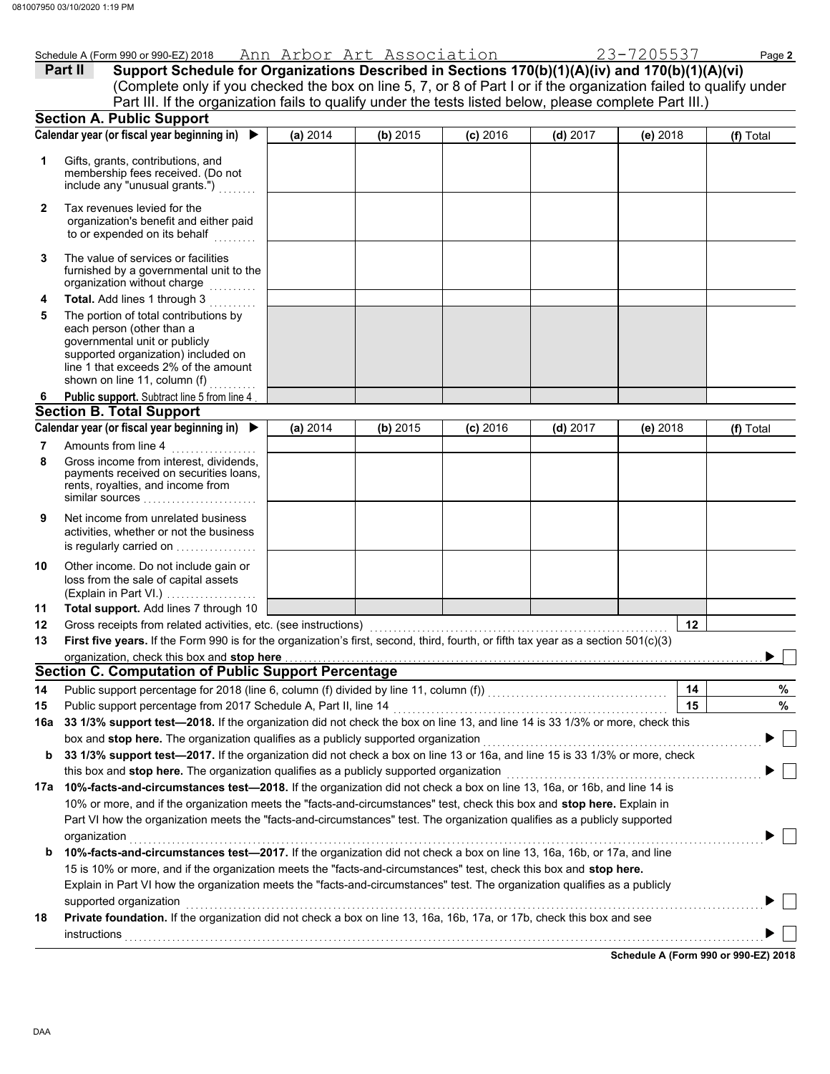|              | m 990 or 990-EZ) 2018 Ann Arbor Art Association 23-7205537<br>Support Schedule for Organizations Described in Sections 170(b)(1)(A)(iv) and 170(b)(1)(A)(vi)<br>Schedule A (Form 990 or 990-EZ) 2018<br>Part II    |          |          |            |            |          | Page 2    |
|--------------|--------------------------------------------------------------------------------------------------------------------------------------------------------------------------------------------------------------------|----------|----------|------------|------------|----------|-----------|
|              | (Complete only if you checked the box on line 5, 7, or 8 of Part I or if the organization failed to qualify under                                                                                                  |          |          |            |            |          |           |
|              | Part III. If the organization fails to qualify under the tests listed below, please complete Part III.)                                                                                                            |          |          |            |            |          |           |
|              | <b>Section A. Public Support</b>                                                                                                                                                                                   |          |          |            |            |          |           |
|              | Calendar year (or fiscal year beginning in)                                                                                                                                                                        | (a) 2014 | (b) 2015 | $(c)$ 2016 | $(d)$ 2017 | (e) 2018 | (f) Total |
| 1            | Gifts, grants, contributions, and<br>membership fees received. (Do not<br>include any "unusual grants.")                                                                                                           |          |          |            |            |          |           |
| $\mathbf{2}$ | Tax revenues levied for the<br>organization's benefit and either paid<br>to or expended on its behalf<br>.                                                                                                         |          |          |            |            |          |           |
| 3            | The value of services or facilities<br>furnished by a governmental unit to the<br>organization without charge                                                                                                      |          |          |            |            |          |           |
| 4            | Total. Add lines 1 through 3<br>.                                                                                                                                                                                  |          |          |            |            |          |           |
| 5            | The portion of total contributions by<br>each person (other than a<br>governmental unit or publicly<br>supported organization) included on<br>line 1 that exceeds 2% of the amount<br>shown on line 11, column (f) |          |          |            |            |          |           |
|              | Public support. Subtract line 5 from line 4                                                                                                                                                                        |          |          |            |            |          |           |
|              | <b>Section B. Total Support</b>                                                                                                                                                                                    |          |          |            |            |          |           |
|              | Calendar year (or fiscal year beginning in) ▶                                                                                                                                                                      | (a) 2014 | (b) 2015 | $(c)$ 2016 | $(d)$ 2017 | (e) 2018 | (f) Total |
| 7            | Amounts from line 4                                                                                                                                                                                                |          |          |            |            |          |           |
| 8            | Gross income from interest, dividends,<br>payments received on securities loans,<br>rents, royalties, and income from<br>similar sources                                                                           |          |          |            |            |          |           |
| 9            | Net income from unrelated business<br>activities, whether or not the business<br>is regularly carried on                                                                                                           |          |          |            |            |          |           |
| 10           | Other income. Do not include gain or<br>loss from the sale of capital assets<br>(Explain in Part VI.)                                                                                                              |          |          |            |            |          |           |
| 11           | Total support. Add lines 7 through 10                                                                                                                                                                              |          |          |            |            |          |           |
| 12           | Gross receipts from related activities, etc. (see instructions)                                                                                                                                                    |          |          |            |            | 12       |           |
| 13           | First five years. If the Form 990 is for the organization's first, second, third, fourth, or fifth tax year as a section $501(c)(3)$                                                                               |          |          |            |            |          |           |
|              | organization, check this box and stop here                                                                                                                                                                         |          |          |            |            |          |           |
|              | <b>Section C. Computation of Public Support Percentage</b>                                                                                                                                                         |          |          |            |            |          |           |
| 14           | Public support percentage for 2018 (line 6, column (f) divided by line 11, column (f)) [[[[[[[[[[[[[[[[[[[[[[                                                                                                      |          |          |            |            | 14       | %         |
| 15           | Public support percentage from 2017 Schedule A, Part II, line 14                                                                                                                                                   |          |          |            |            | 15       | $\%$      |
| 16a          | 33 1/3% support test-2018. If the organization did not check the box on line 13, and line 14 is 33 1/3% or more, check this                                                                                        |          |          |            |            |          |           |
|              | box and stop here. The organization qualifies as a publicly supported organization                                                                                                                                 |          |          |            |            |          |           |
| b            | 33 1/3% support test-2017. If the organization did not check a box on line 13 or 16a, and line 15 is 33 1/3% or more, check                                                                                        |          |          |            |            |          |           |
|              | this box and stop here. The organization qualifies as a publicly supported organization                                                                                                                            |          |          |            |            |          |           |
|              | 17a 10%-facts-and-circumstances test-2018. If the organization did not check a box on line 13, 16a, or 16b, and line 14 is                                                                                         |          |          |            |            |          |           |
|              | 10% or more, and if the organization meets the "facts-and-circumstances" test, check this box and stop here. Explain in                                                                                            |          |          |            |            |          |           |
|              | Part VI how the organization meets the "facts-and-circumstances" test. The organization qualifies as a publicly supported                                                                                          |          |          |            |            |          |           |
| b            | organization<br>10%-facts-and-circumstances test-2017. If the organization did not check a box on line 13, 16a, 16b, or 17a, and line                                                                              |          |          |            |            |          |           |
|              | 15 is 10% or more, and if the organization meets the "facts-and-circumstances" test, check this box and stop here.                                                                                                 |          |          |            |            |          |           |

|                     | supported organization                                                                                                       |  |  |  |
|---------------------|------------------------------------------------------------------------------------------------------------------------------|--|--|--|
| 18                  | <b>Private foundation.</b> If the organization did not check a box on line 13, 16a, 16b, 17a, or 17b, check this box and see |  |  |  |
| <b>Instructions</b> |                                                                                                                              |  |  |  |

Explain in Part VI how the organization meets the "facts-and-circumstances" test. The organization qualifies as a publicly

**Schedule A (Form 990 or 990-EZ) 2018**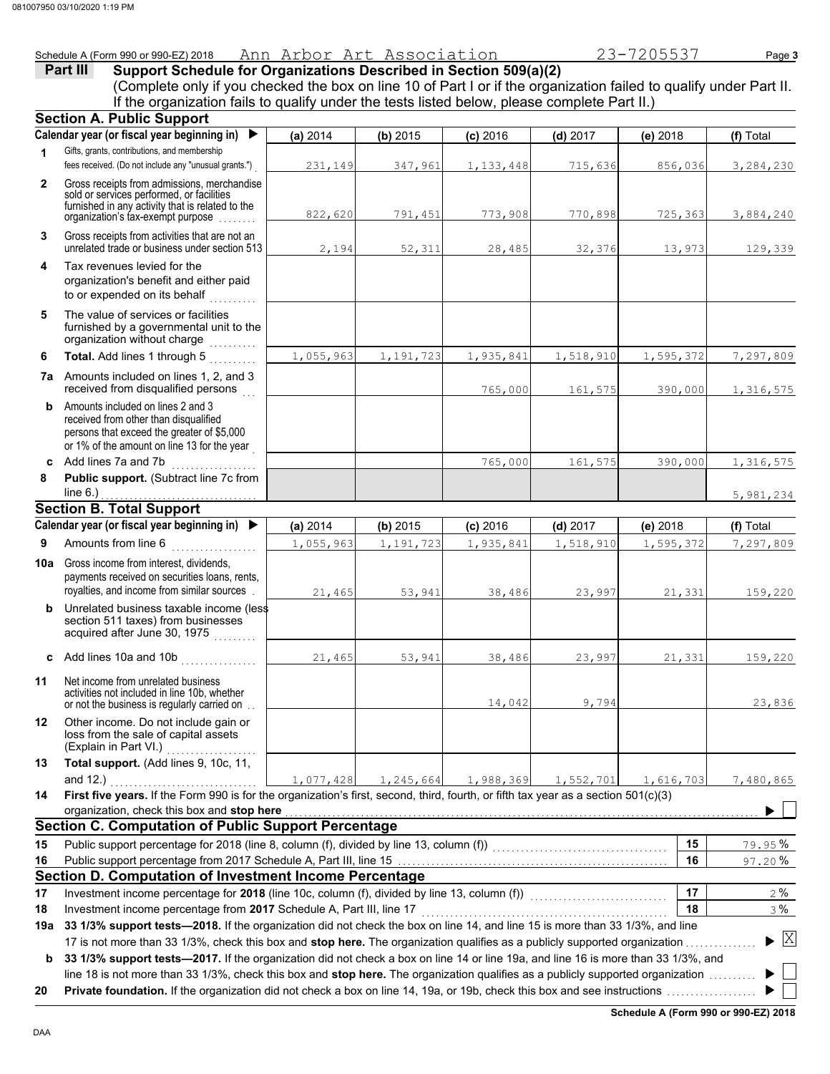Schedule A (Form 990 or 990-EZ) 2018 Page **3** Ann Arbor Art Association 23-7205537 **Part III Support Schedule for Organizations Described in Section 509(a)(2)** (Complete only if you checked the box on line 10 of Part I or if the organization failed to qualify under Part II. If the organization fails to qualify under the tests listed below, please complete Part II.) **Section A. Public Support Calendar year (or fiscal year beginning in) (a)** 2014 **(b)** 2015 **(c)** 2016 **(d)** 2017 **(e)** 2018 **(f)** Total Gifts, grants, contributions, and membership **1** 231,149 347,961 1,133,448 715,636 856,036 3,284,230 fees received. (Do not include any "unusual grants.") **2** Gross receipts from admissions, merchandise sold or services performed, or facilities furnished in any activity that is related to the 822,620 791,451 773,908 770,898 725,363 3,884,240 organization's tax-exempt purpose ........ **3** Gross receipts from activities that are not an unrelated trade or business under section 513 2,194 52,311 28,485 32,376 13,973 129,339 **4** Tax revenues levied for the organization's benefit and either paid to or expended on its behalf **5** The value of services or facilities furnished by a governmental unit to the organization without charge ........... **Total.** Add lines 1 through 5 . . . . . . . . . **6** 1,055,963 1,191,723 1,935,841 1,518,910 1,595,372 7,297,809 **7a** Amounts included on lines 1, 2, and 3 received from disqualified persons 765,000 161,575 390,000 1,316,575 **b** Amounts included on lines 2 and 3 received from other than disqualified persons that exceed the greater of \$5,000 or 1% of the amount on line 13 for the year **c** Add lines 7a and 7b 765,000 161,575 390,000 1,316,575 **8 Public support.** (Subtract line 7c from  $line 6.)$ 5,981,234 **Section B. Total Support Calendar year (or fiscal year beginning in) (a)** 2014 **(b)** 2015 **(c)** 2016 **(d)** 2017 **(e)** 2018 **(f)** Total Amounts from line 6 . . . . . . . . . . . . . . . . . . **9** 1,055,963 1,191,723 1,935,841 1,518,910 1,595,372 7,297,809 **10a** Gross income from interest, dividends, payments received on securities loans, rents, royalties, and income from similar sources . 21,465 53,941 38,486 23,997 21,331 159,220 **b** Unrelated business taxable income (less section 511 taxes) from businesses acquired after June 30, 1975 . . . . . . . . **c** Add lines 10a and 10b . . . . . . . . . . . . . . . . . 21,465 53,941 38,486 23,997 21,331 159,220 **11** Net income from unrelated business activities not included in line 10b, whether 14,042 9,794 23,836 or not the business is regularly carried on ... **12** Other income. Do not include gain or loss from the sale of capital assets (Explain in Part VI.) . . . . . . . . . . . . . . . **13 Total support.** (Add lines 9, 10c, 11, and 12.) . . . . . . . . . . . . . . . . . . . . . . . . . . . . . . . 1,077,428 1,245,664 1,988,369 1,552,701 1,616,703 7,480,865 **14 First five years.** If the Form 990 is for the organization's first, second, third, fourth, or fifth tax year as a section 501(c)(3) organization, check this box and stop here ь **Section C. Computation of Public Support Percentage 15** Public support percentage for 2018 (line 8, column (f), divided by line 13, column (f)) . . . . . . . . . . . . . . . . . . . . . . . . . . . . . . . . . . . . . **15** % 79.95

### Public support percentage from 2017 Schedule A, Part III, line 15 **16 Section D. Computation of Investment Income Percentage**

17 Investment income percentage for 2018 (line 10c, column (f), divided by line 13, column (f))

**18** Investment income percentage from 2017 Schedule A, Part III, line 17 ..................

17 is not more than 33 1/3%, check this box and **stop here.** The organization qualifies as a publicly supported organization . . . . . . . . . . . . . . . **19a 33 1/3% support tests—2018.** If the organization did not check the box on line 14, and line 15 is more than 33 1/3%, and line  $\blacktriangleright$   $\mathbb{X}$ 

**b** 33 1/3% support tests—2017. If the organization did not check a box on line 14 or line 19a, and line 16 is more than 33 1/3%, and line 18 is not more than 33 1/3%, check this box and **stop here.** The organization qualifies as a publicly supported organization ........

**20 Private foundation.** If the organization did not check a box on line 14, 19a, or 19b, check this box and see instructions . . . . . . . . . . . . . . . . . . .

**16**

**17 18** 97.20%

% 2 % 3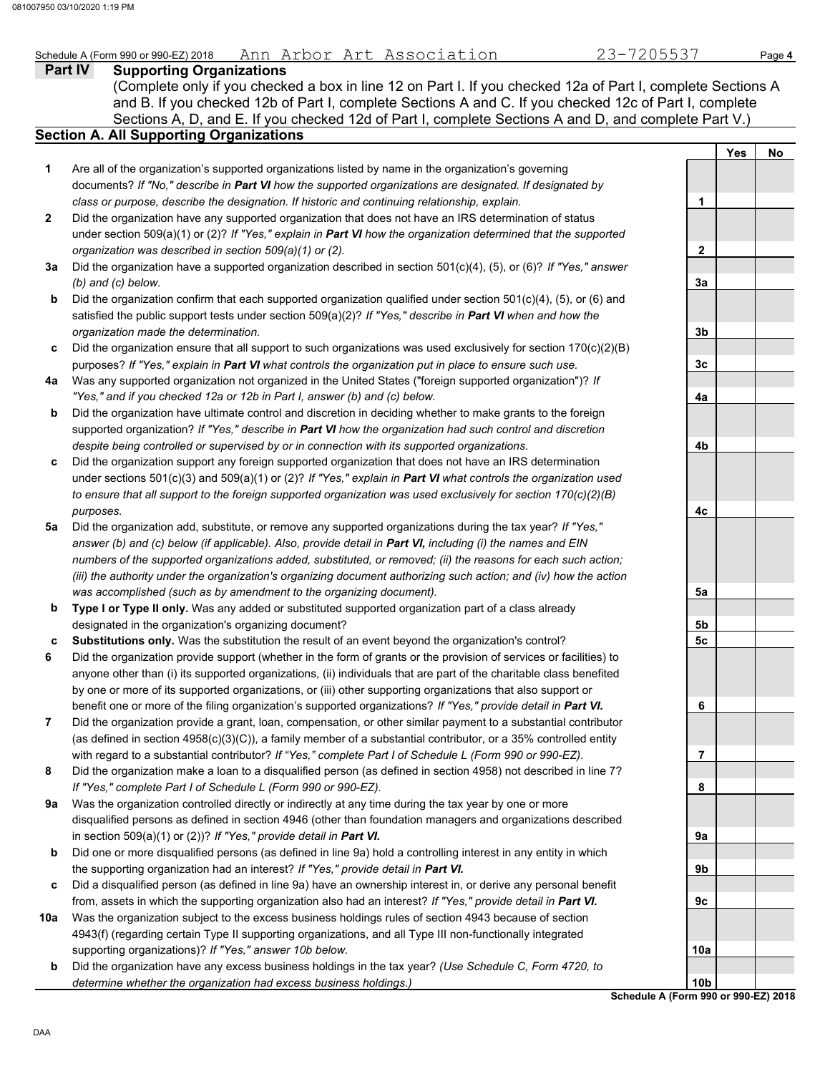# Schedule A (Form 990 or 990-EZ) 2018 Page **4** Ann Arbor Art Association 23-7205537

### **Part IV Supporting Organizations** Sections A, D, and E. If you checked 12d of Part I, complete Sections A and D, and complete Part V.) **Section A. All Supporting Organizations** (Complete only if you checked a box in line 12 on Part I. If you checked 12a of Part I, complete Sections A and B. If you checked 12b of Part I, complete Sections A and C. If you checked 12c of Part I, complete Are all of the organization's supported organizations listed by name in the organization's governing documents? *If "No," describe in Part VI how the supported organizations are designated. If designated by class or purpose, describe the designation. If historic and continuing relationship, explain.* Did the organization have any supported organization that does not have an IRS determination of status under section 509(a)(1) or (2)? *If "Yes," explain in Part VI how the organization determined that the supported organization was described in section 509(a)(1) or (2).* **1 2 3a** Did the organization have a supported organization described in section 501(c)(4), (5), or (6)? *If "Yes," answer* **b c** Did the organization ensure that all support to such organizations was used exclusively for section 170(c)(2)(B) **4a** Was any supported organization not organized in the United States ("foreign supported organization")? *If* **b c** Did the organization support any foreign supported organization that does not have an IRS determination **5a** Did the organization add, substitute, or remove any supported organizations during the tax year? *If "Yes,"* **b c 6 7 8 9a b c** Did a disqualified person (as defined in line 9a) have an ownership interest in, or derive any personal benefit **10a b** *(b) and (c) below.* Did the organization confirm that each supported organization qualified under section 501(c)(4), (5), or (6) and satisfied the public support tests under section 509(a)(2)? *If "Yes," describe in Part VI when and how the organization made the determination.* purposes? *If "Yes," explain in Part VI what controls the organization put in place to ensure such use. "Yes," and if you checked 12a or 12b in Part I, answer (b) and (c) below.* Did the organization have ultimate control and discretion in deciding whether to make grants to the foreign supported organization? *If "Yes," describe in Part VI how the organization had such control and discretion despite being controlled or supervised by or in connection with its supported organizations.* under sections 501(c)(3) and 509(a)(1) or (2)? *If "Yes," explain in Part VI what controls the organization used to ensure that all support to the foreign supported organization was used exclusively for section 170(c)(2)(B) purposes. answer (b) and (c) below (if applicable). Also, provide detail in Part VI, including (i) the names and EIN numbers of the supported organizations added, substituted, or removed; (ii) the reasons for each such action; (iii) the authority under the organization's organizing document authorizing such action; and (iv) how the action was accomplished (such as by amendment to the organizing document).* **Type I or Type II only.** Was any added or substituted supported organization part of a class already designated in the organization's organizing document? **Substitutions only.** Was the substitution the result of an event beyond the organization's control? Did the organization provide support (whether in the form of grants or the provision of services or facilities) to anyone other than (i) its supported organizations, (ii) individuals that are part of the charitable class benefited by one or more of its supported organizations, or (iii) other supporting organizations that also support or benefit one or more of the filing organization's supported organizations? *If "Yes," provide detail in Part VI.* Did the organization provide a grant, loan, compensation, or other similar payment to a substantial contributor (as defined in section 4958(c)(3)(C)), a family member of a substantial contributor, or a 35% controlled entity with regard to a substantial contributor? *If "Yes," complete Part I of Schedule L (Form 990 or 990-EZ).* Did the organization make a loan to a disqualified person (as defined in section 4958) not described in line 7? *If "Yes," complete Part I of Schedule L (Form 990 or 990-EZ).* Was the organization controlled directly or indirectly at any time during the tax year by one or more disqualified persons as defined in section 4946 (other than foundation managers and organizations described in section 509(a)(1) or (2))? *If "Yes," provide detail in Part VI.* Did one or more disqualified persons (as defined in line 9a) hold a controlling interest in any entity in which the supporting organization had an interest? *If "Yes," provide detail in Part VI.* from, assets in which the supporting organization also had an interest? *If "Yes," provide detail in Part VI.* Was the organization subject to the excess business holdings rules of section 4943 because of section 4943(f) (regarding certain Type II supporting organizations, and all Type III non-functionally integrated supporting organizations)? *If "Yes," answer 10b below.* Did the organization have any excess business holdings in the tax year? *(Use Schedule C, Form 4720, to*  **Yes No 1 2 3a 3b 3c 4a 4b 4c 5a 5b 5c 6 7 8 9a 9b 9c 10a**

**Schedule A (Form 990 or 990-EZ) 2018 10b**

*determine whether the organization had excess business holdings.)*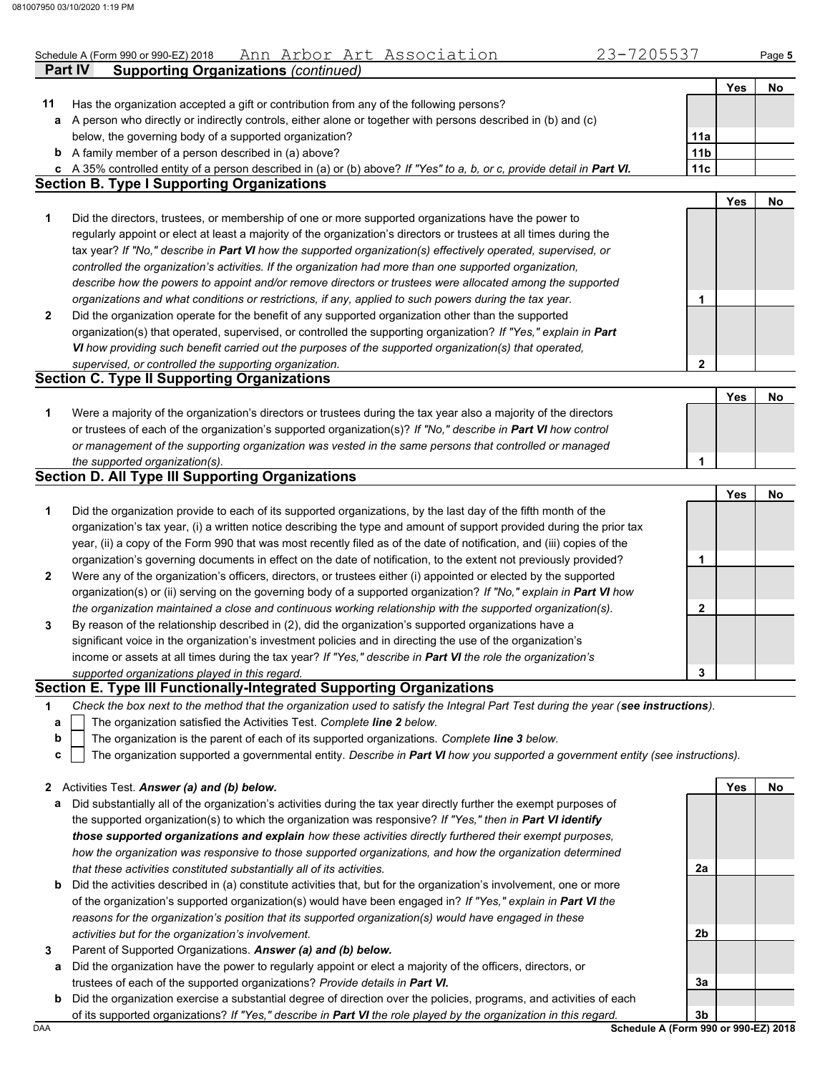|              | <u>Ann Arbor Art Association</u><br>23-7205537<br>Schedule A (Form 990 or 990-EZ) 2018                                                                                                                                            |                 |            | Page 5 |
|--------------|-----------------------------------------------------------------------------------------------------------------------------------------------------------------------------------------------------------------------------------|-----------------|------------|--------|
|              | <b>Supporting Organizations (continued)</b><br><b>Part IV</b>                                                                                                                                                                     |                 |            |        |
|              |                                                                                                                                                                                                                                   |                 | <b>Yes</b> | No     |
| 11           | Has the organization accepted a gift or contribution from any of the following persons?                                                                                                                                           |                 |            |        |
| a            | A person who directly or indirectly controls, either alone or together with persons described in (b) and (c)                                                                                                                      |                 |            |        |
|              | below, the governing body of a supported organization?                                                                                                                                                                            | 11a             |            |        |
|              | <b>b</b> A family member of a person described in (a) above?                                                                                                                                                                      | 11 <sub>b</sub> |            |        |
|              | c A 35% controlled entity of a person described in (a) or (b) above? If "Yes" to a, b, or c, provide detail in Part VI.                                                                                                           | 11c             |            |        |
|              | <b>Section B. Type I Supporting Organizations</b>                                                                                                                                                                                 |                 |            |        |
|              |                                                                                                                                                                                                                                   |                 | <b>Yes</b> | No     |
| 1            | Did the directors, trustees, or membership of one or more supported organizations have the power to                                                                                                                               |                 |            |        |
|              | regularly appoint or elect at least a majority of the organization's directors or trustees at all times during the                                                                                                                |                 |            |        |
|              | tax year? If "No," describe in Part VI how the supported organization(s) effectively operated, supervised, or                                                                                                                     |                 |            |        |
|              | controlled the organization's activities. If the organization had more than one supported organization,                                                                                                                           |                 |            |        |
|              | describe how the powers to appoint and/or remove directors or trustees were allocated among the supported                                                                                                                         |                 |            |        |
|              | organizations and what conditions or restrictions, if any, applied to such powers during the tax year.                                                                                                                            | 1               |            |        |
| $\mathbf{2}$ | Did the organization operate for the benefit of any supported organization other than the supported                                                                                                                               |                 |            |        |
|              | organization(s) that operated, supervised, or controlled the supporting organization? If "Yes," explain in Part                                                                                                                   |                 |            |        |
|              | VI how providing such benefit carried out the purposes of the supported organization(s) that operated,                                                                                                                            |                 |            |        |
|              | supervised, or controlled the supporting organization.<br><b>Section C. Type II Supporting Organizations</b>                                                                                                                      | 2               |            |        |
|              |                                                                                                                                                                                                                                   |                 | Yes        | No     |
| 1            |                                                                                                                                                                                                                                   |                 |            |        |
|              | Were a majority of the organization's directors or trustees during the tax year also a majority of the directors<br>or trustees of each of the organization's supported organization(s)? If "No," describe in Part VI how control |                 |            |        |
|              |                                                                                                                                                                                                                                   |                 |            |        |
|              | or management of the supporting organization was vested in the same persons that controlled or managed<br>the supported organization(s).                                                                                          | 1               |            |        |
|              | <b>Section D. All Type III Supporting Organizations</b>                                                                                                                                                                           |                 |            |        |
|              |                                                                                                                                                                                                                                   |                 | Yes        | No     |
| 1            | Did the organization provide to each of its supported organizations, by the last day of the fifth month of the                                                                                                                    |                 |            |        |
|              | organization's tax year, (i) a written notice describing the type and amount of support provided during the prior tax                                                                                                             |                 |            |        |
|              | year, (ii) a copy of the Form 990 that was most recently filed as of the date of notification, and (iii) copies of the                                                                                                            |                 |            |        |
|              | organization's governing documents in effect on the date of notification, to the extent not previously provided?                                                                                                                  | 1               |            |        |
| $\mathbf{2}$ | Were any of the organization's officers, directors, or trustees either (i) appointed or elected by the supported                                                                                                                  |                 |            |        |
|              | organization(s) or (ii) serving on the governing body of a supported organization? If "No," explain in Part VI how                                                                                                                |                 |            |        |
|              | the organization maintained a close and continuous working relationship with the supported organization(s).                                                                                                                       | 2               |            |        |
| 3            | By reason of the relationship described in (2), did the organization's supported organizations have a                                                                                                                             |                 |            |        |
|              | significant voice in the organization's investment policies and in directing the use of the organization's                                                                                                                        |                 |            |        |
|              | income or assets at all times during the tax year? If "Yes," describe in Part VI the role the organization's                                                                                                                      |                 |            |        |
|              | supported organizations played in this regard.                                                                                                                                                                                    | 3               |            |        |
|              | Section E. Type III Functionally-Integrated Supporting Organizations                                                                                                                                                              |                 |            |        |
| 1            | Check the box next to the method that the organization used to satisfy the Integral Part Test during the year (see instructions).                                                                                                 |                 |            |        |
| а            | The organization satisfied the Activities Test. Complete line 2 below.                                                                                                                                                            |                 |            |        |
| b            | The organization is the parent of each of its supported organizations. Complete line 3 below.                                                                                                                                     |                 |            |        |
| c            | The organization supported a governmental entity. Describe in Part VI how you supported a government entity (see instructions).                                                                                                   |                 |            |        |
|              |                                                                                                                                                                                                                                   |                 |            |        |
|              | 2 Activities Test. Answer (a) and (b) below.                                                                                                                                                                                      |                 | Yes        | No     |
| а            | Did substantially all of the organization's activities during the tax year directly further the exempt purposes of                                                                                                                |                 |            |        |
|              | the supported organization(s) to which the organization was responsive? If "Yes," then in Part VI identify                                                                                                                        |                 |            |        |
|              | those supported organizations and explain how these activities directly furthered their exempt purposes,                                                                                                                          |                 |            |        |
|              | how the organization was responsive to those supported organizations, and how the organization determined                                                                                                                         |                 |            |        |

- **b** Did the activities described in (a) constitute activities that, but for the organization's involvement, one or more *that these activities constituted substantially all of its activities.* of the organization's supported organization(s) would have been engaged in? *If "Yes," explain in Part VI the reasons for the organization's position that its supported organization(s) would have engaged in these activities but for the organization's involvement.*
- **3** Parent of Supported Organizations. *Answer (a) and (b) below.*
- **a** Did the organization have the power to regularly appoint or elect a majority of the officers, directors, or trustees of each of the supported organizations? *Provide details in Part VI.*
- **b** Did the organization exercise a substantial degree of direction over the policies, programs, and activities of each of its supported organizations? *If "Yes," describe in Part VI the role played by the organization in this regard.*

DAA **Schedule A (Form 990 or 990-EZ) 2018 3b**

**3a**

**2a**

**2b**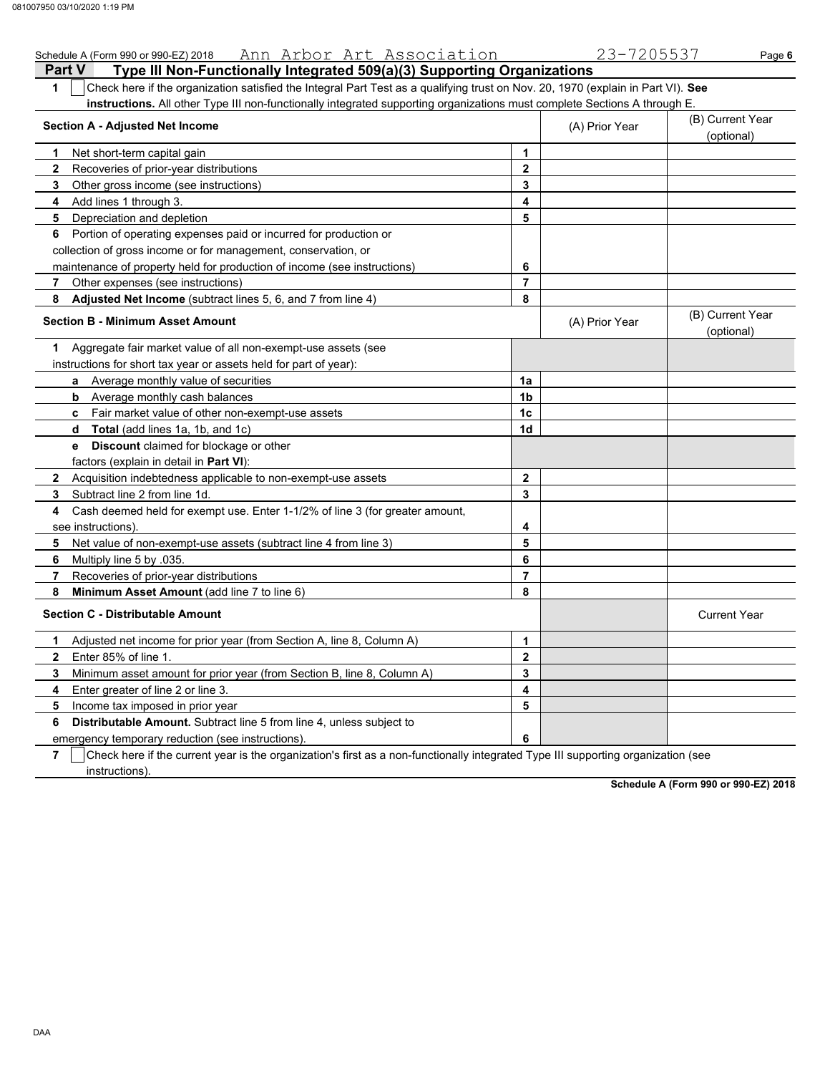|               | Schedule A (Form 990 or 990-EZ) 2018 Ann Arbor Art Association                                                                   |                | 23-7205537     | Page 6                         |
|---------------|----------------------------------------------------------------------------------------------------------------------------------|----------------|----------------|--------------------------------|
| <b>Part V</b> | Type III Non-Functionally Integrated 509(a)(3) Supporting Organizations                                                          |                |                |                                |
| 1             | Check here if the organization satisfied the Integral Part Test as a qualifying trust on Nov. 20, 1970 (explain in Part VI). See |                |                |                                |
|               | instructions. All other Type III non-functionally integrated supporting organizations must complete Sections A through E.        |                |                |                                |
|               | <b>Section A - Adjusted Net Income</b>                                                                                           |                | (A) Prior Year | (B) Current Year               |
|               |                                                                                                                                  |                |                | (optional)                     |
| 1.            | Net short-term capital gain                                                                                                      | 1              |                |                                |
| $\mathbf{2}$  | Recoveries of prior-year distributions                                                                                           | $\mathbf{2}$   |                |                                |
| 3             | Other gross income (see instructions)                                                                                            | 3              |                |                                |
| 4             | Add lines 1 through 3.                                                                                                           | 4              |                |                                |
| 5             | Depreciation and depletion                                                                                                       | 5              |                |                                |
|               | 6 Portion of operating expenses paid or incurred for production or                                                               |                |                |                                |
|               | collection of gross income or for management, conservation, or                                                                   |                |                |                                |
|               | maintenance of property held for production of income (see instructions)                                                         | 6              |                |                                |
| 7             | Other expenses (see instructions)                                                                                                | $\overline{7}$ |                |                                |
| 8             | <b>Adjusted Net Income</b> (subtract lines 5, 6, and 7 from line 4)                                                              | 8              |                |                                |
|               | <b>Section B - Minimum Asset Amount</b>                                                                                          |                | (A) Prior Year | (B) Current Year<br>(optional) |
| 1.            | Aggregate fair market value of all non-exempt-use assets (see                                                                    |                |                |                                |
|               | instructions for short tax year or assets held for part of year):                                                                |                |                |                                |
|               | <b>a</b> Average monthly value of securities                                                                                     | 1a             |                |                                |
|               | <b>b</b> Average monthly cash balances                                                                                           | 1b             |                |                                |
|               | <b>c</b> Fair market value of other non-exempt-use assets                                                                        | 1c             |                |                                |
|               | <b>d Total</b> (add lines 1a, 1b, and 1c)                                                                                        | 1d             |                |                                |
|               | <b>e</b> Discount claimed for blockage or other                                                                                  |                |                |                                |
|               | factors (explain in detail in Part VI):                                                                                          |                |                |                                |
|               | 2 Acquisition indebtedness applicable to non-exempt-use assets                                                                   | $\mathbf{2}$   |                |                                |
| 3             | Subtract line 2 from line 1d.                                                                                                    | 3              |                |                                |
| 4             | Cash deemed held for exempt use. Enter 1-1/2% of line 3 (for greater amount,                                                     |                |                |                                |
|               | see instructions).                                                                                                               | 4              |                |                                |
| 5             | Net value of non-exempt-use assets (subtract line 4 from line 3)                                                                 | 5              |                |                                |
| 6             | Multiply line 5 by 035.                                                                                                          | 6              |                |                                |
| 7             | Recoveries of prior-year distributions                                                                                           | $\overline{7}$ |                |                                |
| 8             | Minimum Asset Amount (add line 7 to line 6)                                                                                      | 8              |                |                                |
|               | <b>Section C - Distributable Amount</b>                                                                                          |                |                | <b>Current Year</b>            |
| 1             | Adjusted net income for prior year (from Section A, line 8, Column A)                                                            | 1              |                |                                |
| $\mathbf{2}$  | Enter 85% of line 1.                                                                                                             | $\mathbf 2$    |                |                                |
| 3             | Minimum asset amount for prior year (from Section B, line 8, Column A)                                                           | 3              |                |                                |
| 4             | Enter greater of line 2 or line 3.                                                                                               | 4              |                |                                |
| 5             | Income tax imposed in prior year                                                                                                 | 5              |                |                                |
| 6             | <b>Distributable Amount.</b> Subtract line 5 from line 4, unless subject to                                                      |                |                |                                |
|               | emergency temporary reduction (see instructions).                                                                                | 6              |                |                                |

**7** Check here if the current year is the organization's first as a non-functionally integrated Type III supporting organization (see instructions).

**Schedule A (Form 990 or 990-EZ) 2018**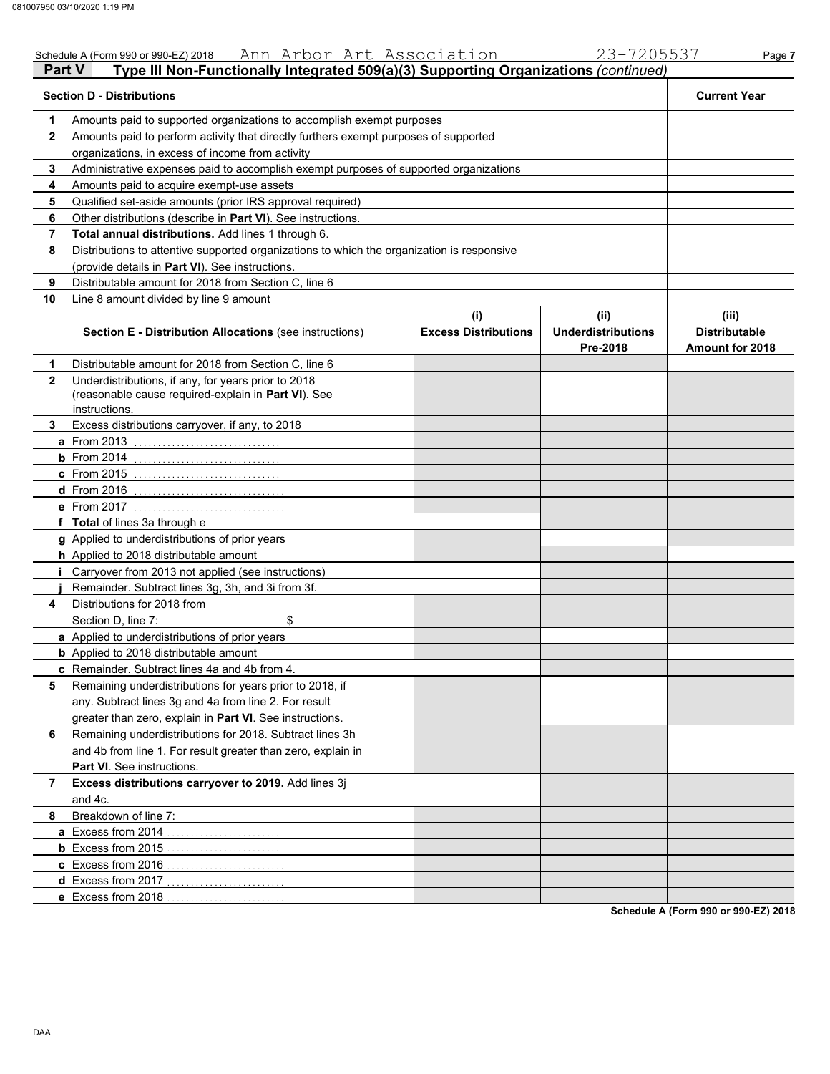|               | Schedule A (Form 990 or 990-EZ) 2018 Ann Arbor Art Association                                                              |                                    | 23-7205537                                    | Page 7                                                  |
|---------------|-----------------------------------------------------------------------------------------------------------------------------|------------------------------------|-----------------------------------------------|---------------------------------------------------------|
| <b>Part V</b> | Type III Non-Functionally Integrated 509(a)(3) Supporting Organizations (continued)                                         |                                    |                                               |                                                         |
|               | <b>Section D - Distributions</b>                                                                                            |                                    |                                               | <b>Current Year</b>                                     |
| 1             | Amounts paid to supported organizations to accomplish exempt purposes                                                       |                                    |                                               |                                                         |
| $\mathbf{2}$  | Amounts paid to perform activity that directly furthers exempt purposes of supported                                        |                                    |                                               |                                                         |
|               | organizations, in excess of income from activity                                                                            |                                    |                                               |                                                         |
| 3             | Administrative expenses paid to accomplish exempt purposes of supported organizations                                       |                                    |                                               |                                                         |
| 4             | Amounts paid to acquire exempt-use assets                                                                                   |                                    |                                               |                                                         |
| 5             | Qualified set-aside amounts (prior IRS approval required)                                                                   |                                    |                                               |                                                         |
| 6             | Other distributions (describe in Part VI). See instructions.                                                                |                                    |                                               |                                                         |
| 7             | Total annual distributions. Add lines 1 through 6.                                                                          |                                    |                                               |                                                         |
| 8             | Distributions to attentive supported organizations to which the organization is responsive                                  |                                    |                                               |                                                         |
|               | (provide details in Part VI). See instructions.                                                                             |                                    |                                               |                                                         |
| 9             | Distributable amount for 2018 from Section C, line 6                                                                        |                                    |                                               |                                                         |
| 10            | Line 8 amount divided by line 9 amount                                                                                      |                                    |                                               |                                                         |
|               | <b>Section E - Distribution Allocations (see instructions)</b>                                                              | (i)<br><b>Excess Distributions</b> | (ii)<br><b>Underdistributions</b><br>Pre-2018 | (iii)<br><b>Distributable</b><br><b>Amount for 2018</b> |
| 1             | Distributable amount for 2018 from Section C, line 6                                                                        |                                    |                                               |                                                         |
| $\mathbf{2}$  | Underdistributions, if any, for years prior to 2018<br>(reasonable cause required-explain in Part VI). See<br>instructions. |                                    |                                               |                                                         |
| 3.            | Excess distributions carryover, if any, to 2018                                                                             |                                    |                                               |                                                         |
|               | <b>a</b> From 2013                                                                                                          |                                    |                                               |                                                         |
|               | <b>b</b> From $2014$                                                                                                        |                                    |                                               |                                                         |
|               | <b>c</b> From 2015                                                                                                          |                                    |                                               |                                                         |
|               | <b>d</b> From 2016                                                                                                          |                                    |                                               |                                                         |
|               | e From 2017                                                                                                                 |                                    |                                               |                                                         |
|               | f Total of lines 3a through e                                                                                               |                                    |                                               |                                                         |
|               | g Applied to underdistributions of prior years                                                                              |                                    |                                               |                                                         |
|               | h Applied to 2018 distributable amount                                                                                      |                                    |                                               |                                                         |
|               | Carryover from 2013 not applied (see instructions)                                                                          |                                    |                                               |                                                         |
|               | Remainder. Subtract lines 3g, 3h, and 3i from 3f.                                                                           |                                    |                                               |                                                         |
| 4             | Distributions for 2018 from                                                                                                 |                                    |                                               |                                                         |
|               | \$<br>Section D, line 7:                                                                                                    |                                    |                                               |                                                         |
|               | a Applied to underdistributions of prior years                                                                              |                                    |                                               |                                                         |
|               | <b>b</b> Applied to 2018 distributable amount                                                                               |                                    |                                               |                                                         |
|               | c Remainder. Subtract lines 4a and 4b from 4.                                                                               |                                    |                                               |                                                         |
| 5             | Remaining underdistributions for years prior to 2018, if                                                                    |                                    |                                               |                                                         |
|               | any. Subtract lines 3g and 4a from line 2. For result                                                                       |                                    |                                               |                                                         |
|               | greater than zero, explain in Part VI. See instructions.                                                                    |                                    |                                               |                                                         |
| 6             | Remaining underdistributions for 2018. Subtract lines 3h                                                                    |                                    |                                               |                                                         |
|               | and 4b from line 1. For result greater than zero, explain in                                                                |                                    |                                               |                                                         |
|               | Part VI. See instructions.                                                                                                  |                                    |                                               |                                                         |
| 7             | Excess distributions carryover to 2019. Add lines 3j                                                                        |                                    |                                               |                                                         |
|               | and 4c.                                                                                                                     |                                    |                                               |                                                         |
| 8             | Breakdown of line 7:                                                                                                        |                                    |                                               |                                                         |
|               | a Excess from 2014                                                                                                          |                                    |                                               |                                                         |
|               | <b>b</b> Excess from 2015                                                                                                   |                                    |                                               |                                                         |
|               | c Excess from 2016                                                                                                          |                                    |                                               |                                                         |
|               | d Excess from 2017                                                                                                          |                                    |                                               |                                                         |
|               | e Excess from 2018                                                                                                          |                                    |                                               |                                                         |
|               |                                                                                                                             |                                    |                                               |                                                         |

**Schedule A (Form 990 or 990-EZ) 2018**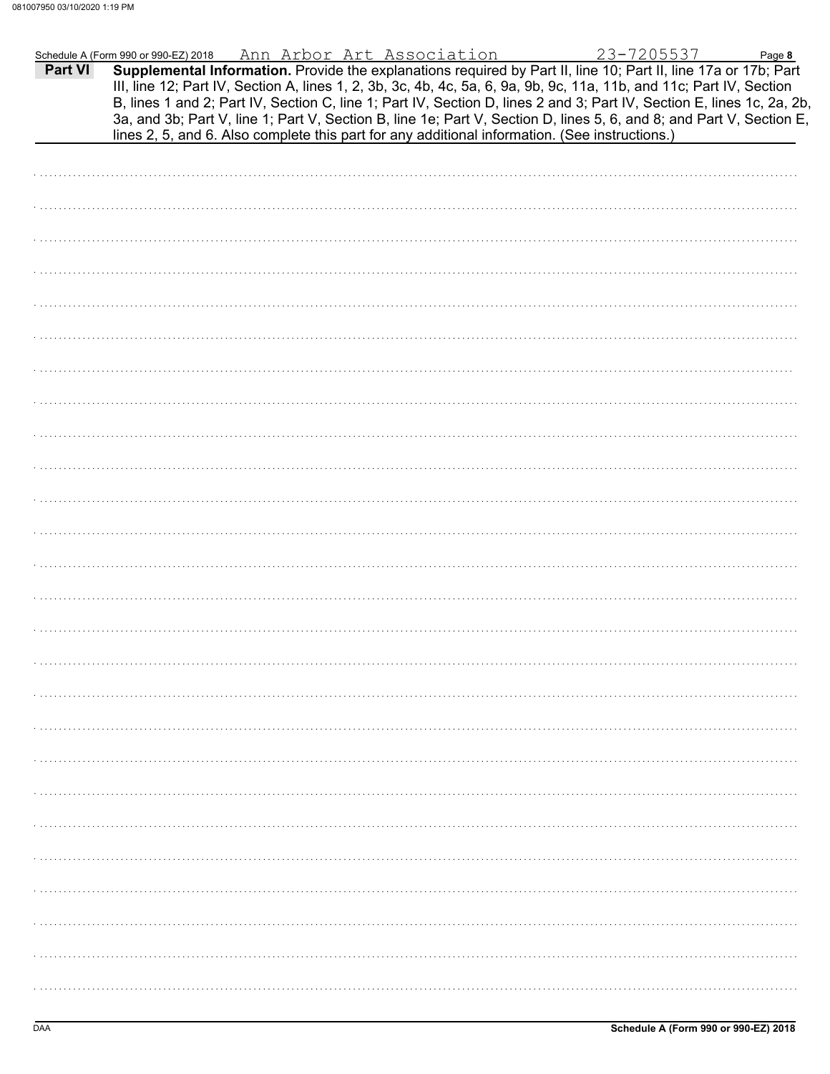|         | Schedule A (Form 990 or 990-EZ) 2018                                                                                                                                                                                                           | Ann Arbor Art Association |  |  | 23-7205537 | Page 8 |
|---------|------------------------------------------------------------------------------------------------------------------------------------------------------------------------------------------------------------------------------------------------|---------------------------|--|--|------------|--------|
| Part VI | Supplemental Information. Provide the explanations required by Part II, line 10; Part II, line 17a or 17b; Part                                                                                                                                |                           |  |  |            |        |
|         | III, line 12; Part IV, Section A, lines 1, 2, 3b, 3c, 4b, 4c, 5a, 6, 9a, 9b, 9c, 11a, 11b, and 11c; Part IV, Section<br>B, lines 1 and 2; Part IV, Section C, line 1; Part IV, Section D, lines 2 and 3; Part IV, Section E, lines 1c, 2a, 2b, |                           |  |  |            |        |
|         | 3a, and 3b; Part V, line 1; Part V, Section B, line 1e; Part V, Section D, lines 5, 6, and 8; and Part V, Section E,                                                                                                                           |                           |  |  |            |        |
|         | lines 2, 5, and 6. Also complete this part for any additional information. (See instructions.)                                                                                                                                                 |                           |  |  |            |        |
|         |                                                                                                                                                                                                                                                |                           |  |  |            |        |
|         |                                                                                                                                                                                                                                                |                           |  |  |            |        |
|         |                                                                                                                                                                                                                                                |                           |  |  |            |        |
|         |                                                                                                                                                                                                                                                |                           |  |  |            |        |
|         |                                                                                                                                                                                                                                                |                           |  |  |            |        |
|         |                                                                                                                                                                                                                                                |                           |  |  |            |        |
|         |                                                                                                                                                                                                                                                |                           |  |  |            |        |
|         |                                                                                                                                                                                                                                                |                           |  |  |            |        |
|         |                                                                                                                                                                                                                                                |                           |  |  |            |        |
|         |                                                                                                                                                                                                                                                |                           |  |  |            |        |
|         |                                                                                                                                                                                                                                                |                           |  |  |            |        |
|         |                                                                                                                                                                                                                                                |                           |  |  |            |        |
|         |                                                                                                                                                                                                                                                |                           |  |  |            |        |
|         |                                                                                                                                                                                                                                                |                           |  |  |            |        |
|         |                                                                                                                                                                                                                                                |                           |  |  |            |        |
|         |                                                                                                                                                                                                                                                |                           |  |  |            |        |
|         |                                                                                                                                                                                                                                                |                           |  |  |            |        |
|         |                                                                                                                                                                                                                                                |                           |  |  |            |        |
|         |                                                                                                                                                                                                                                                |                           |  |  |            |        |
|         |                                                                                                                                                                                                                                                |                           |  |  |            |        |
|         |                                                                                                                                                                                                                                                |                           |  |  |            |        |
|         |                                                                                                                                                                                                                                                |                           |  |  |            |        |
|         |                                                                                                                                                                                                                                                |                           |  |  |            |        |
|         |                                                                                                                                                                                                                                                |                           |  |  |            |        |
|         |                                                                                                                                                                                                                                                |                           |  |  |            |        |
|         |                                                                                                                                                                                                                                                |                           |  |  |            |        |
|         |                                                                                                                                                                                                                                                |                           |  |  |            |        |
|         |                                                                                                                                                                                                                                                |                           |  |  |            |        |
|         |                                                                                                                                                                                                                                                |                           |  |  |            |        |
|         |                                                                                                                                                                                                                                                |                           |  |  |            |        |
|         |                                                                                                                                                                                                                                                |                           |  |  |            |        |
|         |                                                                                                                                                                                                                                                |                           |  |  |            |        |
|         |                                                                                                                                                                                                                                                |                           |  |  |            |        |
|         |                                                                                                                                                                                                                                                |                           |  |  |            |        |
|         |                                                                                                                                                                                                                                                |                           |  |  |            |        |
|         |                                                                                                                                                                                                                                                |                           |  |  |            |        |
|         |                                                                                                                                                                                                                                                |                           |  |  |            |        |
|         |                                                                                                                                                                                                                                                |                           |  |  |            |        |
|         |                                                                                                                                                                                                                                                |                           |  |  |            |        |
|         |                                                                                                                                                                                                                                                |                           |  |  |            |        |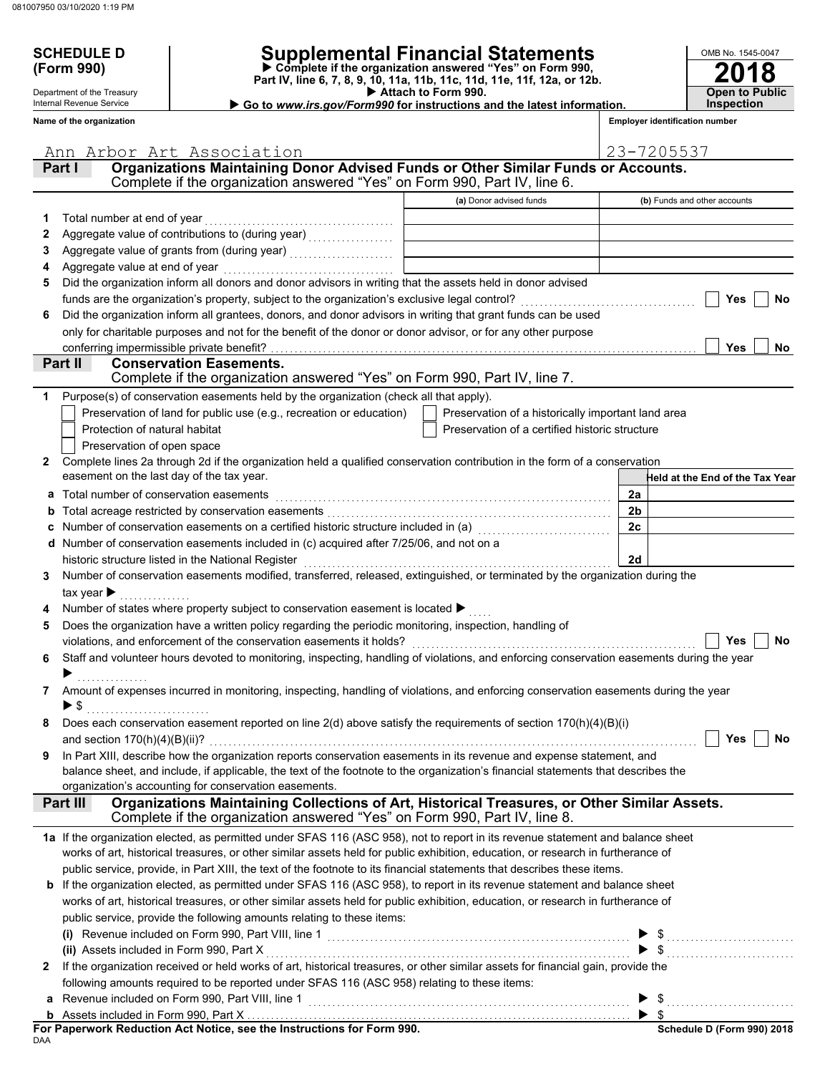Department of the Treasury Internal Revenue Service **Name of the organization**

# **SCHEDULE D Supplemental Financial Statements**

 **Attach to Form 990. (Form 990) Part IV, line 6, 7, 8, 9, 10, 11a, 11b, 11c, 11d, 11e, 11f, 12a, or 12b. Complete if the organization answered "Yes" on Form 990,**

 **Go to** *www.irs.gov/Form990* **for instructions and the latest information.**

| OMB No. 1545-0047     |
|-----------------------|
| 2018                  |
|                       |
| <b>Open to Public</b> |
| <b>Inspection</b>     |

**Employer identification number**

|              | Ann Arbor Art Association                                                                                                                                              |                                                      | 23-7205537                      |
|--------------|------------------------------------------------------------------------------------------------------------------------------------------------------------------------|------------------------------------------------------|---------------------------------|
|              | Organizations Maintaining Donor Advised Funds or Other Similar Funds or Accounts.<br>Part I                                                                            |                                                      |                                 |
|              | Complete if the organization answered "Yes" on Form 990, Part IV, line 6.                                                                                              |                                                      |                                 |
|              |                                                                                                                                                                        | (a) Donor advised funds                              | (b) Funds and other accounts    |
|              |                                                                                                                                                                        |                                                      |                                 |
| 1            | Total number at end of year                                                                                                                                            |                                                      |                                 |
| 2            |                                                                                                                                                                        | <u> 1989 - Johann Stoff, Amerikaansk politiker (</u> |                                 |
| З            | Aggregate value at end of year                                                                                                                                         |                                                      |                                 |
| 4            | Did the organization inform all donors and donor advisors in writing that the assets held in donor advised                                                             |                                                      |                                 |
| 5            |                                                                                                                                                                        |                                                      |                                 |
|              | funds are the organization's property, subject to the organization's exclusive legal control? [[[[[[[[[[[[[[[[                                                         |                                                      | Yes<br><b>No</b>                |
| 6            | Did the organization inform all grantees, donors, and donor advisors in writing that grant funds can be used                                                           |                                                      |                                 |
|              | only for charitable purposes and not for the benefit of the donor or donor advisor, or for any other purpose                                                           |                                                      |                                 |
|              | conferring impermissible private benefit?<br><b>Conservation Easements.</b><br>Part II                                                                                 |                                                      | <b>Yes</b><br>No                |
|              | Complete if the organization answered "Yes" on Form 990, Part IV, line 7.                                                                                              |                                                      |                                 |
| 1            | Purpose(s) of conservation easements held by the organization (check all that apply).                                                                                  |                                                      |                                 |
|              |                                                                                                                                                                        |                                                      |                                 |
|              | Preservation of land for public use (e.g., recreation or education)                                                                                                    | Preservation of a historically important land area   |                                 |
|              | Protection of natural habitat                                                                                                                                          | Preservation of a certified historic structure       |                                 |
|              | Preservation of open space                                                                                                                                             |                                                      |                                 |
| $\mathbf{2}$ | Complete lines 2a through 2d if the organization held a qualified conservation contribution in the form of a conservation<br>easement on the last day of the tax year. |                                                      |                                 |
|              |                                                                                                                                                                        |                                                      | Held at the End of the Tax Year |
| a            | Total number of conservation easements                                                                                                                                 |                                                      | 2a                              |
| b            |                                                                                                                                                                        |                                                      | 2 <sub>b</sub>                  |
| c            | Number of conservation easements on a certified historic structure included in (a) [11] Number of conservation                                                         |                                                      | 2c                              |
| d            | Number of conservation easements included in (c) acquired after 7/25/06, and not on a                                                                                  |                                                      |                                 |
|              | historic structure listed in the National Register                                                                                                                     |                                                      | 2d                              |
| 3            | Number of conservation easements modified, transferred, released, extinguished, or terminated by the organization during the                                           |                                                      |                                 |
|              | tax year $\blacktriangleright$                                                                                                                                         |                                                      |                                 |
| 4            | Number of states where property subject to conservation easement is located ▶                                                                                          |                                                      |                                 |
| 5            | Does the organization have a written policy regarding the periodic monitoring, inspection, handling of                                                                 |                                                      |                                 |
|              | violations, and enforcement of the conservation easements it holds?                                                                                                    |                                                      | <b>Yes</b><br>No                |
| 6            | Staff and volunteer hours devoted to monitoring, inspecting, handling of violations, and enforcing conservation easements during the year                              |                                                      |                                 |
|              |                                                                                                                                                                        |                                                      |                                 |
| 7            | Amount of expenses incurred in monitoring, inspecting, handling of violations, and enforcing conservation easements during the year                                    |                                                      |                                 |
|              | $\blacktriangleright$ s                                                                                                                                                |                                                      |                                 |
|              | Does each conservation easement reported on line $2(d)$ above satisfy the requirements of section $170(h)(4)(B)(i)$                                                    |                                                      |                                 |
|              |                                                                                                                                                                        |                                                      | $\Box$ Yes $\Box$ No            |
|              | In Part XIII, describe how the organization reports conservation easements in its revenue and expense statement, and                                                   |                                                      |                                 |
|              | balance sheet, and include, if applicable, the text of the footnote to the organization's financial statements that describes the                                      |                                                      |                                 |
|              | organization's accounting for conservation easements.                                                                                                                  |                                                      |                                 |
|              | Organizations Maintaining Collections of Art, Historical Treasures, or Other Similar Assets.<br>Part III                                                               |                                                      |                                 |
|              | Complete if the organization answered "Yes" on Form 990, Part IV, line 8.                                                                                              |                                                      |                                 |
|              | 1a If the organization elected, as permitted under SFAS 116 (ASC 958), not to report in its revenue statement and balance sheet                                        |                                                      |                                 |
|              | works of art, historical treasures, or other similar assets held for public exhibition, education, or research in furtherance of                                       |                                                      |                                 |
|              | public service, provide, in Part XIII, the text of the footnote to its financial statements that describes these items.                                                |                                                      |                                 |
|              | If the organization elected, as permitted under SFAS 116 (ASC 958), to report in its revenue statement and balance sheet                                               |                                                      |                                 |
|              | works of art, historical treasures, or other similar assets held for public exhibition, education, or research in furtherance of                                       |                                                      |                                 |
|              | public service, provide the following amounts relating to these items:                                                                                                 |                                                      |                                 |
|              |                                                                                                                                                                        |                                                      |                                 |
|              | (ii) Assets included in Form 990, Part X                                                                                                                               |                                                      |                                 |
| $\mathbf{2}$ | If the organization received or held works of art, historical treasures, or other similar assets for financial gain, provide the                                       |                                                      |                                 |
|              | following amounts required to be reported under SFAS 116 (ASC 958) relating to these items:                                                                            |                                                      |                                 |
|              | Revenue included on Form 990, Part VIII, line 1                                                                                                                        |                                                      |                                 |
|              |                                                                                                                                                                        |                                                      | $\blacktriangleright$ \$        |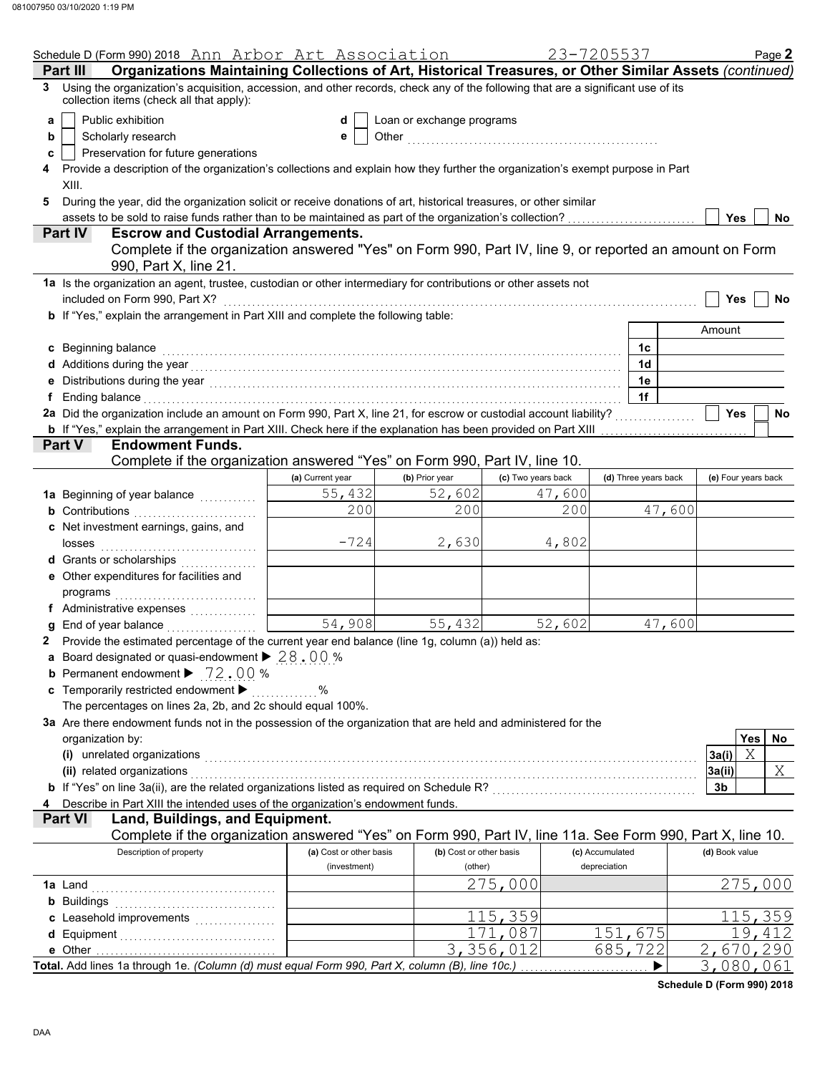| Organizations Maintaining Collections of Art, Historical Treasures, or Other Similar Assets (continued)<br>Part III<br>Using the organization's acquisition, accession, and other records, check any of the following that are a significant use of its<br>3<br>collection items (check all that apply):<br>Public exhibition<br>Loan or exchange programs<br>a<br>d<br>Scholarly research<br>b<br>е<br>Preservation for future generations<br>c<br>Provide a description of the organization's collections and explain how they further the organization's exempt purpose in Part<br>XIII.<br>During the year, did the organization solicit or receive donations of art, historical treasures, or other similar<br>5<br>assets to be sold to raise funds rather than to be maintained as part of the organization's collection?<br><b>Yes</b><br>No<br><b>Escrow and Custodial Arrangements.</b><br><b>Part IV</b><br>Complete if the organization answered "Yes" on Form 990, Part IV, line 9, or reported an amount on Form<br>990, Part X, line 21.<br>1a Is the organization an agent, trustee, custodian or other intermediary for contributions or other assets not<br>included on Form 990, Part X?<br><b>Yes</b><br>No<br><b>b</b> If "Yes," explain the arrangement in Part XIII and complete the following table:<br>Amount<br>1c<br>c Beginning balance<br>1 <sub>d</sub><br>1e<br>Distributions during the year [11] matter contracts and the year [11] matter contracts are contracted with the year [11] matter contracts are contracted with the set of the set of the set of the set of the set of the set o<br>1f<br>2a Did the organization include an amount on Form 990, Part X, line 21, for escrow or custodial account liability?<br><b>Yes</b><br>No<br><b>b</b> If "Yes," explain the arrangement in Part XIII. Check here if the explanation has been provided on Part XIII<br>Part V<br><b>Endowment Funds.</b><br>Complete if the organization answered "Yes" on Form 990, Part IV, line 10.<br>(c) Two years back<br>(a) Current year<br>(b) Prior year<br>(d) Three years back<br>(e) Four years back<br>55,432<br>52,602<br>47,600<br>1a Beginning of year balance <i>minimizing</i><br>200<br>200<br>47,600<br>200<br><b>b</b> Contributions<br>c Net investment earnings, gains, and<br>$-724$<br>2,630<br>4,802<br>losses<br>d Grants or scholarships<br>e Other expenditures for facilities and<br>programs<br>f Administrative expenses<br>54,908<br>55,432<br>52,602<br>47,600<br>End of year balance<br>Provide the estimated percentage of the current year end balance (line 1g, column (a)) held as:<br>a Board designated or quasi-endowment $\blacktriangleright$ 28.00 %<br><b>b</b> Permanent endowment $\triangleright$ 72.00 %<br>c Temporarily restricted endowment ><br>$\%$<br>The percentages on lines 2a, 2b, and 2c should equal 100%.<br>3a Are there endowment funds not in the possession of the organization that are held and administered for the<br>Yes<br>No<br>organization by:<br>Χ<br>3a(i)<br>(i) unrelated organizations<br>Χ<br>3a(ii)<br>(ii) related organizations<br>3b<br>Describe in Part XIII the intended uses of the organization's endowment funds.<br>Part VI<br>Land, Buildings, and Equipment.<br>Complete if the organization answered "Yes" on Form 990, Part IV, line 11a. See Form 990, Part X, line 10.<br>Description of property<br>(a) Cost or other basis<br>(b) Cost or other basis<br>(c) Accumulated<br>(d) Book value<br>depreciation<br>(investment)<br>(other)<br>$\overline{275}$ ,000<br>1a Land<br><b>b</b> Buildings<br>115,359<br>115,359<br>171,087<br>151,675<br>19,412 | 3,356,012<br>2,670,290                                                                          |  | Schedule D (Form 990) 2018 Ann Arbor Art Association |  |  |  | 23-7205537 |  | Page 2 |
|-------------------------------------------------------------------------------------------------------------------------------------------------------------------------------------------------------------------------------------------------------------------------------------------------------------------------------------------------------------------------------------------------------------------------------------------------------------------------------------------------------------------------------------------------------------------------------------------------------------------------------------------------------------------------------------------------------------------------------------------------------------------------------------------------------------------------------------------------------------------------------------------------------------------------------------------------------------------------------------------------------------------------------------------------------------------------------------------------------------------------------------------------------------------------------------------------------------------------------------------------------------------------------------------------------------------------------------------------------------------------------------------------------------------------------------------------------------------------------------------------------------------------------------------------------------------------------------------------------------------------------------------------------------------------------------------------------------------------------------------------------------------------------------------------------------------------------------------------------------------------------------------------------------------------------------------------------------------------------------------------------------------------------------------------------------------------------------------------------------------------------------------------------------------------------------------------------------------------------------------------------------------------------------------------------------------------------------------------------------------------------------------------------------------------------------------------------------------------------------------------------------------------------------------------------------------------------------------------------------------------------------------------------------------------------------------------------------------------------------------------------------------------------------------------------------------------------------------------------------------------------------------------------------------------------------------------------------------------------------------------------------------------------------------------------------------------------------------------------------------------------------------------------------------------------------------------------------------------------------------------------------------------------------------------------------------------------------------------------------------------------------------------------------------------------------------------------------------------------------------------------------------------------------------------------------------------------------------------------------------------------------------------------------------------------|-------------------------------------------------------------------------------------------------|--|------------------------------------------------------|--|--|--|------------|--|--------|
|                                                                                                                                                                                                                                                                                                                                                                                                                                                                                                                                                                                                                                                                                                                                                                                                                                                                                                                                                                                                                                                                                                                                                                                                                                                                                                                                                                                                                                                                                                                                                                                                                                                                                                                                                                                                                                                                                                                                                                                                                                                                                                                                                                                                                                                                                                                                                                                                                                                                                                                                                                                                                                                                                                                                                                                                                                                                                                                                                                                                                                                                                                                                                                                                                                                                                                                                                                                                                                                                                                                                                                                                                                                                               |                                                                                                 |  |                                                      |  |  |  |            |  |        |
|                                                                                                                                                                                                                                                                                                                                                                                                                                                                                                                                                                                                                                                                                                                                                                                                                                                                                                                                                                                                                                                                                                                                                                                                                                                                                                                                                                                                                                                                                                                                                                                                                                                                                                                                                                                                                                                                                                                                                                                                                                                                                                                                                                                                                                                                                                                                                                                                                                                                                                                                                                                                                                                                                                                                                                                                                                                                                                                                                                                                                                                                                                                                                                                                                                                                                                                                                                                                                                                                                                                                                                                                                                                                               |                                                                                                 |  |                                                      |  |  |  |            |  |        |
| 275,000                                                                                                                                                                                                                                                                                                                                                                                                                                                                                                                                                                                                                                                                                                                                                                                                                                                                                                                                                                                                                                                                                                                                                                                                                                                                                                                                                                                                                                                                                                                                                                                                                                                                                                                                                                                                                                                                                                                                                                                                                                                                                                                                                                                                                                                                                                                                                                                                                                                                                                                                                                                                                                                                                                                                                                                                                                                                                                                                                                                                                                                                                                                                                                                                                                                                                                                                                                                                                                                                                                                                                                                                                                                                       |                                                                                                 |  |                                                      |  |  |  |            |  |        |
|                                                                                                                                                                                                                                                                                                                                                                                                                                                                                                                                                                                                                                                                                                                                                                                                                                                                                                                                                                                                                                                                                                                                                                                                                                                                                                                                                                                                                                                                                                                                                                                                                                                                                                                                                                                                                                                                                                                                                                                                                                                                                                                                                                                                                                                                                                                                                                                                                                                                                                                                                                                                                                                                                                                                                                                                                                                                                                                                                                                                                                                                                                                                                                                                                                                                                                                                                                                                                                                                                                                                                                                                                                                                               |                                                                                                 |  |                                                      |  |  |  |            |  |        |
|                                                                                                                                                                                                                                                                                                                                                                                                                                                                                                                                                                                                                                                                                                                                                                                                                                                                                                                                                                                                                                                                                                                                                                                                                                                                                                                                                                                                                                                                                                                                                                                                                                                                                                                                                                                                                                                                                                                                                                                                                                                                                                                                                                                                                                                                                                                                                                                                                                                                                                                                                                                                                                                                                                                                                                                                                                                                                                                                                                                                                                                                                                                                                                                                                                                                                                                                                                                                                                                                                                                                                                                                                                                                               |                                                                                                 |  |                                                      |  |  |  |            |  |        |
|                                                                                                                                                                                                                                                                                                                                                                                                                                                                                                                                                                                                                                                                                                                                                                                                                                                                                                                                                                                                                                                                                                                                                                                                                                                                                                                                                                                                                                                                                                                                                                                                                                                                                                                                                                                                                                                                                                                                                                                                                                                                                                                                                                                                                                                                                                                                                                                                                                                                                                                                                                                                                                                                                                                                                                                                                                                                                                                                                                                                                                                                                                                                                                                                                                                                                                                                                                                                                                                                                                                                                                                                                                                                               |                                                                                                 |  |                                                      |  |  |  |            |  |        |
|                                                                                                                                                                                                                                                                                                                                                                                                                                                                                                                                                                                                                                                                                                                                                                                                                                                                                                                                                                                                                                                                                                                                                                                                                                                                                                                                                                                                                                                                                                                                                                                                                                                                                                                                                                                                                                                                                                                                                                                                                                                                                                                                                                                                                                                                                                                                                                                                                                                                                                                                                                                                                                                                                                                                                                                                                                                                                                                                                                                                                                                                                                                                                                                                                                                                                                                                                                                                                                                                                                                                                                                                                                                                               |                                                                                                 |  |                                                      |  |  |  |            |  |        |
|                                                                                                                                                                                                                                                                                                                                                                                                                                                                                                                                                                                                                                                                                                                                                                                                                                                                                                                                                                                                                                                                                                                                                                                                                                                                                                                                                                                                                                                                                                                                                                                                                                                                                                                                                                                                                                                                                                                                                                                                                                                                                                                                                                                                                                                                                                                                                                                                                                                                                                                                                                                                                                                                                                                                                                                                                                                                                                                                                                                                                                                                                                                                                                                                                                                                                                                                                                                                                                                                                                                                                                                                                                                                               |                                                                                                 |  |                                                      |  |  |  |            |  |        |
|                                                                                                                                                                                                                                                                                                                                                                                                                                                                                                                                                                                                                                                                                                                                                                                                                                                                                                                                                                                                                                                                                                                                                                                                                                                                                                                                                                                                                                                                                                                                                                                                                                                                                                                                                                                                                                                                                                                                                                                                                                                                                                                                                                                                                                                                                                                                                                                                                                                                                                                                                                                                                                                                                                                                                                                                                                                                                                                                                                                                                                                                                                                                                                                                                                                                                                                                                                                                                                                                                                                                                                                                                                                                               |                                                                                                 |  |                                                      |  |  |  |            |  |        |
|                                                                                                                                                                                                                                                                                                                                                                                                                                                                                                                                                                                                                                                                                                                                                                                                                                                                                                                                                                                                                                                                                                                                                                                                                                                                                                                                                                                                                                                                                                                                                                                                                                                                                                                                                                                                                                                                                                                                                                                                                                                                                                                                                                                                                                                                                                                                                                                                                                                                                                                                                                                                                                                                                                                                                                                                                                                                                                                                                                                                                                                                                                                                                                                                                                                                                                                                                                                                                                                                                                                                                                                                                                                                               |                                                                                                 |  |                                                      |  |  |  |            |  |        |
|                                                                                                                                                                                                                                                                                                                                                                                                                                                                                                                                                                                                                                                                                                                                                                                                                                                                                                                                                                                                                                                                                                                                                                                                                                                                                                                                                                                                                                                                                                                                                                                                                                                                                                                                                                                                                                                                                                                                                                                                                                                                                                                                                                                                                                                                                                                                                                                                                                                                                                                                                                                                                                                                                                                                                                                                                                                                                                                                                                                                                                                                                                                                                                                                                                                                                                                                                                                                                                                                                                                                                                                                                                                                               |                                                                                                 |  |                                                      |  |  |  |            |  |        |
|                                                                                                                                                                                                                                                                                                                                                                                                                                                                                                                                                                                                                                                                                                                                                                                                                                                                                                                                                                                                                                                                                                                                                                                                                                                                                                                                                                                                                                                                                                                                                                                                                                                                                                                                                                                                                                                                                                                                                                                                                                                                                                                                                                                                                                                                                                                                                                                                                                                                                                                                                                                                                                                                                                                                                                                                                                                                                                                                                                                                                                                                                                                                                                                                                                                                                                                                                                                                                                                                                                                                                                                                                                                                               |                                                                                                 |  |                                                      |  |  |  |            |  |        |
|                                                                                                                                                                                                                                                                                                                                                                                                                                                                                                                                                                                                                                                                                                                                                                                                                                                                                                                                                                                                                                                                                                                                                                                                                                                                                                                                                                                                                                                                                                                                                                                                                                                                                                                                                                                                                                                                                                                                                                                                                                                                                                                                                                                                                                                                                                                                                                                                                                                                                                                                                                                                                                                                                                                                                                                                                                                                                                                                                                                                                                                                                                                                                                                                                                                                                                                                                                                                                                                                                                                                                                                                                                                                               |                                                                                                 |  |                                                      |  |  |  |            |  |        |
|                                                                                                                                                                                                                                                                                                                                                                                                                                                                                                                                                                                                                                                                                                                                                                                                                                                                                                                                                                                                                                                                                                                                                                                                                                                                                                                                                                                                                                                                                                                                                                                                                                                                                                                                                                                                                                                                                                                                                                                                                                                                                                                                                                                                                                                                                                                                                                                                                                                                                                                                                                                                                                                                                                                                                                                                                                                                                                                                                                                                                                                                                                                                                                                                                                                                                                                                                                                                                                                                                                                                                                                                                                                                               |                                                                                                 |  |                                                      |  |  |  |            |  |        |
|                                                                                                                                                                                                                                                                                                                                                                                                                                                                                                                                                                                                                                                                                                                                                                                                                                                                                                                                                                                                                                                                                                                                                                                                                                                                                                                                                                                                                                                                                                                                                                                                                                                                                                                                                                                                                                                                                                                                                                                                                                                                                                                                                                                                                                                                                                                                                                                                                                                                                                                                                                                                                                                                                                                                                                                                                                                                                                                                                                                                                                                                                                                                                                                                                                                                                                                                                                                                                                                                                                                                                                                                                                                                               |                                                                                                 |  |                                                      |  |  |  |            |  |        |
|                                                                                                                                                                                                                                                                                                                                                                                                                                                                                                                                                                                                                                                                                                                                                                                                                                                                                                                                                                                                                                                                                                                                                                                                                                                                                                                                                                                                                                                                                                                                                                                                                                                                                                                                                                                                                                                                                                                                                                                                                                                                                                                                                                                                                                                                                                                                                                                                                                                                                                                                                                                                                                                                                                                                                                                                                                                                                                                                                                                                                                                                                                                                                                                                                                                                                                                                                                                                                                                                                                                                                                                                                                                                               |                                                                                                 |  |                                                      |  |  |  |            |  |        |
|                                                                                                                                                                                                                                                                                                                                                                                                                                                                                                                                                                                                                                                                                                                                                                                                                                                                                                                                                                                                                                                                                                                                                                                                                                                                                                                                                                                                                                                                                                                                                                                                                                                                                                                                                                                                                                                                                                                                                                                                                                                                                                                                                                                                                                                                                                                                                                                                                                                                                                                                                                                                                                                                                                                                                                                                                                                                                                                                                                                                                                                                                                                                                                                                                                                                                                                                                                                                                                                                                                                                                                                                                                                                               |                                                                                                 |  |                                                      |  |  |  |            |  |        |
|                                                                                                                                                                                                                                                                                                                                                                                                                                                                                                                                                                                                                                                                                                                                                                                                                                                                                                                                                                                                                                                                                                                                                                                                                                                                                                                                                                                                                                                                                                                                                                                                                                                                                                                                                                                                                                                                                                                                                                                                                                                                                                                                                                                                                                                                                                                                                                                                                                                                                                                                                                                                                                                                                                                                                                                                                                                                                                                                                                                                                                                                                                                                                                                                                                                                                                                                                                                                                                                                                                                                                                                                                                                                               |                                                                                                 |  |                                                      |  |  |  |            |  |        |
|                                                                                                                                                                                                                                                                                                                                                                                                                                                                                                                                                                                                                                                                                                                                                                                                                                                                                                                                                                                                                                                                                                                                                                                                                                                                                                                                                                                                                                                                                                                                                                                                                                                                                                                                                                                                                                                                                                                                                                                                                                                                                                                                                                                                                                                                                                                                                                                                                                                                                                                                                                                                                                                                                                                                                                                                                                                                                                                                                                                                                                                                                                                                                                                                                                                                                                                                                                                                                                                                                                                                                                                                                                                                               |                                                                                                 |  |                                                      |  |  |  |            |  |        |
|                                                                                                                                                                                                                                                                                                                                                                                                                                                                                                                                                                                                                                                                                                                                                                                                                                                                                                                                                                                                                                                                                                                                                                                                                                                                                                                                                                                                                                                                                                                                                                                                                                                                                                                                                                                                                                                                                                                                                                                                                                                                                                                                                                                                                                                                                                                                                                                                                                                                                                                                                                                                                                                                                                                                                                                                                                                                                                                                                                                                                                                                                                                                                                                                                                                                                                                                                                                                                                                                                                                                                                                                                                                                               |                                                                                                 |  |                                                      |  |  |  |            |  |        |
|                                                                                                                                                                                                                                                                                                                                                                                                                                                                                                                                                                                                                                                                                                                                                                                                                                                                                                                                                                                                                                                                                                                                                                                                                                                                                                                                                                                                                                                                                                                                                                                                                                                                                                                                                                                                                                                                                                                                                                                                                                                                                                                                                                                                                                                                                                                                                                                                                                                                                                                                                                                                                                                                                                                                                                                                                                                                                                                                                                                                                                                                                                                                                                                                                                                                                                                                                                                                                                                                                                                                                                                                                                                                               |                                                                                                 |  |                                                      |  |  |  |            |  |        |
|                                                                                                                                                                                                                                                                                                                                                                                                                                                                                                                                                                                                                                                                                                                                                                                                                                                                                                                                                                                                                                                                                                                                                                                                                                                                                                                                                                                                                                                                                                                                                                                                                                                                                                                                                                                                                                                                                                                                                                                                                                                                                                                                                                                                                                                                                                                                                                                                                                                                                                                                                                                                                                                                                                                                                                                                                                                                                                                                                                                                                                                                                                                                                                                                                                                                                                                                                                                                                                                                                                                                                                                                                                                                               |                                                                                                 |  |                                                      |  |  |  |            |  |        |
|                                                                                                                                                                                                                                                                                                                                                                                                                                                                                                                                                                                                                                                                                                                                                                                                                                                                                                                                                                                                                                                                                                                                                                                                                                                                                                                                                                                                                                                                                                                                                                                                                                                                                                                                                                                                                                                                                                                                                                                                                                                                                                                                                                                                                                                                                                                                                                                                                                                                                                                                                                                                                                                                                                                                                                                                                                                                                                                                                                                                                                                                                                                                                                                                                                                                                                                                                                                                                                                                                                                                                                                                                                                                               |                                                                                                 |  |                                                      |  |  |  |            |  |        |
|                                                                                                                                                                                                                                                                                                                                                                                                                                                                                                                                                                                                                                                                                                                                                                                                                                                                                                                                                                                                                                                                                                                                                                                                                                                                                                                                                                                                                                                                                                                                                                                                                                                                                                                                                                                                                                                                                                                                                                                                                                                                                                                                                                                                                                                                                                                                                                                                                                                                                                                                                                                                                                                                                                                                                                                                                                                                                                                                                                                                                                                                                                                                                                                                                                                                                                                                                                                                                                                                                                                                                                                                                                                                               |                                                                                                 |  |                                                      |  |  |  |            |  |        |
|                                                                                                                                                                                                                                                                                                                                                                                                                                                                                                                                                                                                                                                                                                                                                                                                                                                                                                                                                                                                                                                                                                                                                                                                                                                                                                                                                                                                                                                                                                                                                                                                                                                                                                                                                                                                                                                                                                                                                                                                                                                                                                                                                                                                                                                                                                                                                                                                                                                                                                                                                                                                                                                                                                                                                                                                                                                                                                                                                                                                                                                                                                                                                                                                                                                                                                                                                                                                                                                                                                                                                                                                                                                                               |                                                                                                 |  |                                                      |  |  |  |            |  |        |
|                                                                                                                                                                                                                                                                                                                                                                                                                                                                                                                                                                                                                                                                                                                                                                                                                                                                                                                                                                                                                                                                                                                                                                                                                                                                                                                                                                                                                                                                                                                                                                                                                                                                                                                                                                                                                                                                                                                                                                                                                                                                                                                                                                                                                                                                                                                                                                                                                                                                                                                                                                                                                                                                                                                                                                                                                                                                                                                                                                                                                                                                                                                                                                                                                                                                                                                                                                                                                                                                                                                                                                                                                                                                               |                                                                                                 |  |                                                      |  |  |  |            |  |        |
|                                                                                                                                                                                                                                                                                                                                                                                                                                                                                                                                                                                                                                                                                                                                                                                                                                                                                                                                                                                                                                                                                                                                                                                                                                                                                                                                                                                                                                                                                                                                                                                                                                                                                                                                                                                                                                                                                                                                                                                                                                                                                                                                                                                                                                                                                                                                                                                                                                                                                                                                                                                                                                                                                                                                                                                                                                                                                                                                                                                                                                                                                                                                                                                                                                                                                                                                                                                                                                                                                                                                                                                                                                                                               |                                                                                                 |  |                                                      |  |  |  |            |  |        |
|                                                                                                                                                                                                                                                                                                                                                                                                                                                                                                                                                                                                                                                                                                                                                                                                                                                                                                                                                                                                                                                                                                                                                                                                                                                                                                                                                                                                                                                                                                                                                                                                                                                                                                                                                                                                                                                                                                                                                                                                                                                                                                                                                                                                                                                                                                                                                                                                                                                                                                                                                                                                                                                                                                                                                                                                                                                                                                                                                                                                                                                                                                                                                                                                                                                                                                                                                                                                                                                                                                                                                                                                                                                                               |                                                                                                 |  |                                                      |  |  |  |            |  |        |
|                                                                                                                                                                                                                                                                                                                                                                                                                                                                                                                                                                                                                                                                                                                                                                                                                                                                                                                                                                                                                                                                                                                                                                                                                                                                                                                                                                                                                                                                                                                                                                                                                                                                                                                                                                                                                                                                                                                                                                                                                                                                                                                                                                                                                                                                                                                                                                                                                                                                                                                                                                                                                                                                                                                                                                                                                                                                                                                                                                                                                                                                                                                                                                                                                                                                                                                                                                                                                                                                                                                                                                                                                                                                               |                                                                                                 |  |                                                      |  |  |  |            |  |        |
|                                                                                                                                                                                                                                                                                                                                                                                                                                                                                                                                                                                                                                                                                                                                                                                                                                                                                                                                                                                                                                                                                                                                                                                                                                                                                                                                                                                                                                                                                                                                                                                                                                                                                                                                                                                                                                                                                                                                                                                                                                                                                                                                                                                                                                                                                                                                                                                                                                                                                                                                                                                                                                                                                                                                                                                                                                                                                                                                                                                                                                                                                                                                                                                                                                                                                                                                                                                                                                                                                                                                                                                                                                                                               |                                                                                                 |  |                                                      |  |  |  |            |  |        |
|                                                                                                                                                                                                                                                                                                                                                                                                                                                                                                                                                                                                                                                                                                                                                                                                                                                                                                                                                                                                                                                                                                                                                                                                                                                                                                                                                                                                                                                                                                                                                                                                                                                                                                                                                                                                                                                                                                                                                                                                                                                                                                                                                                                                                                                                                                                                                                                                                                                                                                                                                                                                                                                                                                                                                                                                                                                                                                                                                                                                                                                                                                                                                                                                                                                                                                                                                                                                                                                                                                                                                                                                                                                                               |                                                                                                 |  |                                                      |  |  |  |            |  |        |
|                                                                                                                                                                                                                                                                                                                                                                                                                                                                                                                                                                                                                                                                                                                                                                                                                                                                                                                                                                                                                                                                                                                                                                                                                                                                                                                                                                                                                                                                                                                                                                                                                                                                                                                                                                                                                                                                                                                                                                                                                                                                                                                                                                                                                                                                                                                                                                                                                                                                                                                                                                                                                                                                                                                                                                                                                                                                                                                                                                                                                                                                                                                                                                                                                                                                                                                                                                                                                                                                                                                                                                                                                                                                               |                                                                                                 |  |                                                      |  |  |  |            |  |        |
|                                                                                                                                                                                                                                                                                                                                                                                                                                                                                                                                                                                                                                                                                                                                                                                                                                                                                                                                                                                                                                                                                                                                                                                                                                                                                                                                                                                                                                                                                                                                                                                                                                                                                                                                                                                                                                                                                                                                                                                                                                                                                                                                                                                                                                                                                                                                                                                                                                                                                                                                                                                                                                                                                                                                                                                                                                                                                                                                                                                                                                                                                                                                                                                                                                                                                                                                                                                                                                                                                                                                                                                                                                                                               |                                                                                                 |  |                                                      |  |  |  |            |  |        |
|                                                                                                                                                                                                                                                                                                                                                                                                                                                                                                                                                                                                                                                                                                                                                                                                                                                                                                                                                                                                                                                                                                                                                                                                                                                                                                                                                                                                                                                                                                                                                                                                                                                                                                                                                                                                                                                                                                                                                                                                                                                                                                                                                                                                                                                                                                                                                                                                                                                                                                                                                                                                                                                                                                                                                                                                                                                                                                                                                                                                                                                                                                                                                                                                                                                                                                                                                                                                                                                                                                                                                                                                                                                                               |                                                                                                 |  |                                                      |  |  |  |            |  |        |
|                                                                                                                                                                                                                                                                                                                                                                                                                                                                                                                                                                                                                                                                                                                                                                                                                                                                                                                                                                                                                                                                                                                                                                                                                                                                                                                                                                                                                                                                                                                                                                                                                                                                                                                                                                                                                                                                                                                                                                                                                                                                                                                                                                                                                                                                                                                                                                                                                                                                                                                                                                                                                                                                                                                                                                                                                                                                                                                                                                                                                                                                                                                                                                                                                                                                                                                                                                                                                                                                                                                                                                                                                                                                               |                                                                                                 |  |                                                      |  |  |  |            |  |        |
|                                                                                                                                                                                                                                                                                                                                                                                                                                                                                                                                                                                                                                                                                                                                                                                                                                                                                                                                                                                                                                                                                                                                                                                                                                                                                                                                                                                                                                                                                                                                                                                                                                                                                                                                                                                                                                                                                                                                                                                                                                                                                                                                                                                                                                                                                                                                                                                                                                                                                                                                                                                                                                                                                                                                                                                                                                                                                                                                                                                                                                                                                                                                                                                                                                                                                                                                                                                                                                                                                                                                                                                                                                                                               |                                                                                                 |  |                                                      |  |  |  |            |  |        |
|                                                                                                                                                                                                                                                                                                                                                                                                                                                                                                                                                                                                                                                                                                                                                                                                                                                                                                                                                                                                                                                                                                                                                                                                                                                                                                                                                                                                                                                                                                                                                                                                                                                                                                                                                                                                                                                                                                                                                                                                                                                                                                                                                                                                                                                                                                                                                                                                                                                                                                                                                                                                                                                                                                                                                                                                                                                                                                                                                                                                                                                                                                                                                                                                                                                                                                                                                                                                                                                                                                                                                                                                                                                                               |                                                                                                 |  |                                                      |  |  |  |            |  |        |
|                                                                                                                                                                                                                                                                                                                                                                                                                                                                                                                                                                                                                                                                                                                                                                                                                                                                                                                                                                                                                                                                                                                                                                                                                                                                                                                                                                                                                                                                                                                                                                                                                                                                                                                                                                                                                                                                                                                                                                                                                                                                                                                                                                                                                                                                                                                                                                                                                                                                                                                                                                                                                                                                                                                                                                                                                                                                                                                                                                                                                                                                                                                                                                                                                                                                                                                                                                                                                                                                                                                                                                                                                                                                               |                                                                                                 |  |                                                      |  |  |  |            |  |        |
|                                                                                                                                                                                                                                                                                                                                                                                                                                                                                                                                                                                                                                                                                                                                                                                                                                                                                                                                                                                                                                                                                                                                                                                                                                                                                                                                                                                                                                                                                                                                                                                                                                                                                                                                                                                                                                                                                                                                                                                                                                                                                                                                                                                                                                                                                                                                                                                                                                                                                                                                                                                                                                                                                                                                                                                                                                                                                                                                                                                                                                                                                                                                                                                                                                                                                                                                                                                                                                                                                                                                                                                                                                                                               |                                                                                                 |  |                                                      |  |  |  |            |  |        |
|                                                                                                                                                                                                                                                                                                                                                                                                                                                                                                                                                                                                                                                                                                                                                                                                                                                                                                                                                                                                                                                                                                                                                                                                                                                                                                                                                                                                                                                                                                                                                                                                                                                                                                                                                                                                                                                                                                                                                                                                                                                                                                                                                                                                                                                                                                                                                                                                                                                                                                                                                                                                                                                                                                                                                                                                                                                                                                                                                                                                                                                                                                                                                                                                                                                                                                                                                                                                                                                                                                                                                                                                                                                                               |                                                                                                 |  |                                                      |  |  |  |            |  |        |
|                                                                                                                                                                                                                                                                                                                                                                                                                                                                                                                                                                                                                                                                                                                                                                                                                                                                                                                                                                                                                                                                                                                                                                                                                                                                                                                                                                                                                                                                                                                                                                                                                                                                                                                                                                                                                                                                                                                                                                                                                                                                                                                                                                                                                                                                                                                                                                                                                                                                                                                                                                                                                                                                                                                                                                                                                                                                                                                                                                                                                                                                                                                                                                                                                                                                                                                                                                                                                                                                                                                                                                                                                                                                               |                                                                                                 |  |                                                      |  |  |  |            |  |        |
|                                                                                                                                                                                                                                                                                                                                                                                                                                                                                                                                                                                                                                                                                                                                                                                                                                                                                                                                                                                                                                                                                                                                                                                                                                                                                                                                                                                                                                                                                                                                                                                                                                                                                                                                                                                                                                                                                                                                                                                                                                                                                                                                                                                                                                                                                                                                                                                                                                                                                                                                                                                                                                                                                                                                                                                                                                                                                                                                                                                                                                                                                                                                                                                                                                                                                                                                                                                                                                                                                                                                                                                                                                                                               |                                                                                                 |  |                                                      |  |  |  |            |  |        |
|                                                                                                                                                                                                                                                                                                                                                                                                                                                                                                                                                                                                                                                                                                                                                                                                                                                                                                                                                                                                                                                                                                                                                                                                                                                                                                                                                                                                                                                                                                                                                                                                                                                                                                                                                                                                                                                                                                                                                                                                                                                                                                                                                                                                                                                                                                                                                                                                                                                                                                                                                                                                                                                                                                                                                                                                                                                                                                                                                                                                                                                                                                                                                                                                                                                                                                                                                                                                                                                                                                                                                                                                                                                                               |                                                                                                 |  |                                                      |  |  |  |            |  |        |
|                                                                                                                                                                                                                                                                                                                                                                                                                                                                                                                                                                                                                                                                                                                                                                                                                                                                                                                                                                                                                                                                                                                                                                                                                                                                                                                                                                                                                                                                                                                                                                                                                                                                                                                                                                                                                                                                                                                                                                                                                                                                                                                                                                                                                                                                                                                                                                                                                                                                                                                                                                                                                                                                                                                                                                                                                                                                                                                                                                                                                                                                                                                                                                                                                                                                                                                                                                                                                                                                                                                                                                                                                                                                               |                                                                                                 |  |                                                      |  |  |  |            |  |        |
|                                                                                                                                                                                                                                                                                                                                                                                                                                                                                                                                                                                                                                                                                                                                                                                                                                                                                                                                                                                                                                                                                                                                                                                                                                                                                                                                                                                                                                                                                                                                                                                                                                                                                                                                                                                                                                                                                                                                                                                                                                                                                                                                                                                                                                                                                                                                                                                                                                                                                                                                                                                                                                                                                                                                                                                                                                                                                                                                                                                                                                                                                                                                                                                                                                                                                                                                                                                                                                                                                                                                                                                                                                                                               |                                                                                                 |  |                                                      |  |  |  |            |  |        |
|                                                                                                                                                                                                                                                                                                                                                                                                                                                                                                                                                                                                                                                                                                                                                                                                                                                                                                                                                                                                                                                                                                                                                                                                                                                                                                                                                                                                                                                                                                                                                                                                                                                                                                                                                                                                                                                                                                                                                                                                                                                                                                                                                                                                                                                                                                                                                                                                                                                                                                                                                                                                                                                                                                                                                                                                                                                                                                                                                                                                                                                                                                                                                                                                                                                                                                                                                                                                                                                                                                                                                                                                                                                                               |                                                                                                 |  |                                                      |  |  |  |            |  |        |
|                                                                                                                                                                                                                                                                                                                                                                                                                                                                                                                                                                                                                                                                                                                                                                                                                                                                                                                                                                                                                                                                                                                                                                                                                                                                                                                                                                                                                                                                                                                                                                                                                                                                                                                                                                                                                                                                                                                                                                                                                                                                                                                                                                                                                                                                                                                                                                                                                                                                                                                                                                                                                                                                                                                                                                                                                                                                                                                                                                                                                                                                                                                                                                                                                                                                                                                                                                                                                                                                                                                                                                                                                                                                               |                                                                                                 |  |                                                      |  |  |  |            |  |        |
|                                                                                                                                                                                                                                                                                                                                                                                                                                                                                                                                                                                                                                                                                                                                                                                                                                                                                                                                                                                                                                                                                                                                                                                                                                                                                                                                                                                                                                                                                                                                                                                                                                                                                                                                                                                                                                                                                                                                                                                                                                                                                                                                                                                                                                                                                                                                                                                                                                                                                                                                                                                                                                                                                                                                                                                                                                                                                                                                                                                                                                                                                                                                                                                                                                                                                                                                                                                                                                                                                                                                                                                                                                                                               |                                                                                                 |  |                                                      |  |  |  |            |  |        |
|                                                                                                                                                                                                                                                                                                                                                                                                                                                                                                                                                                                                                                                                                                                                                                                                                                                                                                                                                                                                                                                                                                                                                                                                                                                                                                                                                                                                                                                                                                                                                                                                                                                                                                                                                                                                                                                                                                                                                                                                                                                                                                                                                                                                                                                                                                                                                                                                                                                                                                                                                                                                                                                                                                                                                                                                                                                                                                                                                                                                                                                                                                                                                                                                                                                                                                                                                                                                                                                                                                                                                                                                                                                                               |                                                                                                 |  |                                                      |  |  |  |            |  |        |
|                                                                                                                                                                                                                                                                                                                                                                                                                                                                                                                                                                                                                                                                                                                                                                                                                                                                                                                                                                                                                                                                                                                                                                                                                                                                                                                                                                                                                                                                                                                                                                                                                                                                                                                                                                                                                                                                                                                                                                                                                                                                                                                                                                                                                                                                                                                                                                                                                                                                                                                                                                                                                                                                                                                                                                                                                                                                                                                                                                                                                                                                                                                                                                                                                                                                                                                                                                                                                                                                                                                                                                                                                                                                               |                                                                                                 |  |                                                      |  |  |  |            |  |        |
|                                                                                                                                                                                                                                                                                                                                                                                                                                                                                                                                                                                                                                                                                                                                                                                                                                                                                                                                                                                                                                                                                                                                                                                                                                                                                                                                                                                                                                                                                                                                                                                                                                                                                                                                                                                                                                                                                                                                                                                                                                                                                                                                                                                                                                                                                                                                                                                                                                                                                                                                                                                                                                                                                                                                                                                                                                                                                                                                                                                                                                                                                                                                                                                                                                                                                                                                                                                                                                                                                                                                                                                                                                                                               |                                                                                                 |  |                                                      |  |  |  |            |  |        |
|                                                                                                                                                                                                                                                                                                                                                                                                                                                                                                                                                                                                                                                                                                                                                                                                                                                                                                                                                                                                                                                                                                                                                                                                                                                                                                                                                                                                                                                                                                                                                                                                                                                                                                                                                                                                                                                                                                                                                                                                                                                                                                                                                                                                                                                                                                                                                                                                                                                                                                                                                                                                                                                                                                                                                                                                                                                                                                                                                                                                                                                                                                                                                                                                                                                                                                                                                                                                                                                                                                                                                                                                                                                                               |                                                                                                 |  |                                                      |  |  |  |            |  |        |
|                                                                                                                                                                                                                                                                                                                                                                                                                                                                                                                                                                                                                                                                                                                                                                                                                                                                                                                                                                                                                                                                                                                                                                                                                                                                                                                                                                                                                                                                                                                                                                                                                                                                                                                                                                                                                                                                                                                                                                                                                                                                                                                                                                                                                                                                                                                                                                                                                                                                                                                                                                                                                                                                                                                                                                                                                                                                                                                                                                                                                                                                                                                                                                                                                                                                                                                                                                                                                                                                                                                                                                                                                                                                               |                                                                                                 |  |                                                      |  |  |  | 685,722    |  |        |
| <u>3,080,061</u>                                                                                                                                                                                                                                                                                                                                                                                                                                                                                                                                                                                                                                                                                                                                                                                                                                                                                                                                                                                                                                                                                                                                                                                                                                                                                                                                                                                                                                                                                                                                                                                                                                                                                                                                                                                                                                                                                                                                                                                                                                                                                                                                                                                                                                                                                                                                                                                                                                                                                                                                                                                                                                                                                                                                                                                                                                                                                                                                                                                                                                                                                                                                                                                                                                                                                                                                                                                                                                                                                                                                                                                                                                                              | Total. Add lines 1a through 1e. (Column (d) must equal Form 990, Part X, column (B), line 10c.) |  |                                                      |  |  |  |            |  |        |

**Schedule D (Form 990) 2018**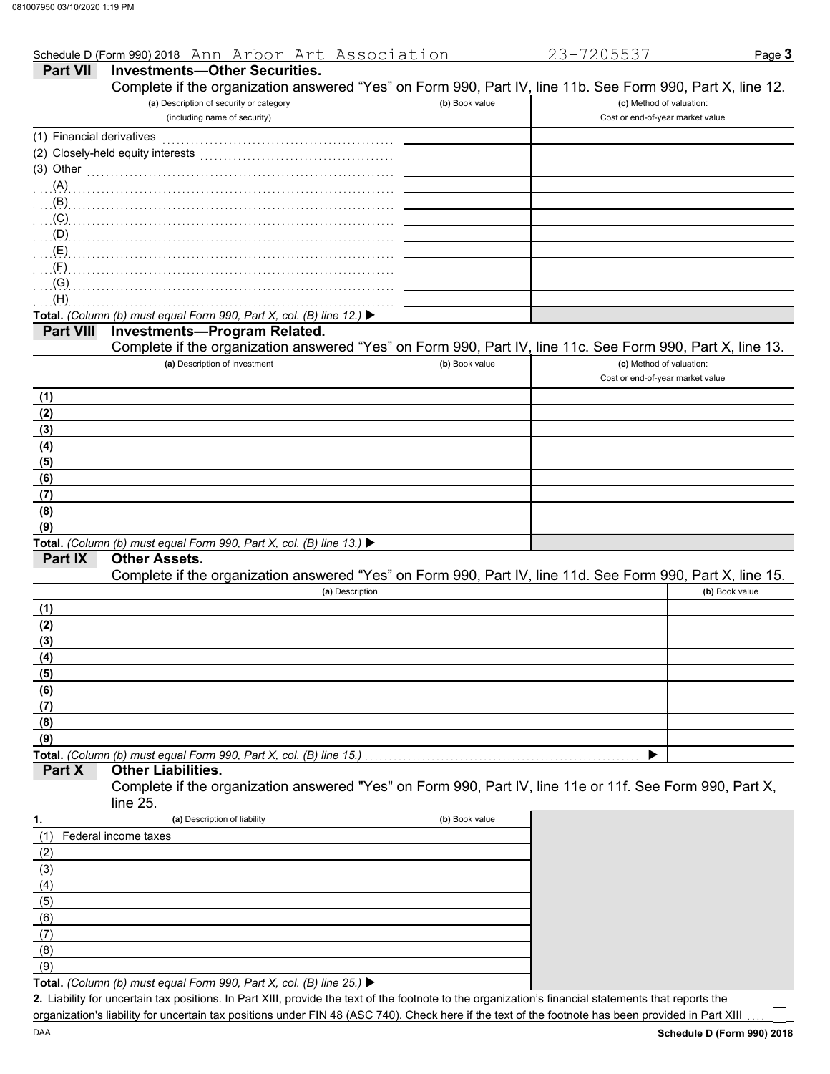|                                   | Schedule D (Form 990) 2018 Ann Arbor Art Association                                                       |                | 23-7205537                       | Page 3 |
|-----------------------------------|------------------------------------------------------------------------------------------------------------|----------------|----------------------------------|--------|
| <b>Part VII</b>                   | <b>Investments-Other Securities.</b>                                                                       |                |                                  |        |
|                                   | Complete if the organization answered "Yes" on Form 990, Part IV, line 11b. See Form 990, Part X, line 12. |                |                                  |        |
|                                   | (a) Description of security or category                                                                    | (b) Book value | (c) Method of valuation:         |        |
|                                   | (including name of security)                                                                               |                | Cost or end-of-year market value |        |
| (1) Financial derivatives         |                                                                                                            |                |                                  |        |
| (2) Closely-held equity interests |                                                                                                            |                |                                  |        |
| $(3)$ Other                       |                                                                                                            |                |                                  |        |
| (A)                               |                                                                                                            |                |                                  |        |
| $\ldots$ (B)                      |                                                                                                            |                |                                  |        |

| .                                                                    |  |  |
|----------------------------------------------------------------------|--|--|
| .                                                                    |  |  |
| .                                                                    |  |  |
|                                                                      |  |  |
|                                                                      |  |  |
|                                                                      |  |  |
| Total. (Column (b) must equal Form 990, Part X, col. (B) line 12.) ▶ |  |  |

## **Part VIII Investments—Program Related.**

Complete if the organization answered "Yes" on Form 990, Part IV, line 11c. See Form 990, Part X, line 13.

| (a) Description of investment                                                            | (b) Book value | (c) Method of valuation:         |
|------------------------------------------------------------------------------------------|----------------|----------------------------------|
|                                                                                          |                | Cost or end-of-year market value |
| (1)                                                                                      |                |                                  |
| (2)                                                                                      |                |                                  |
| (3)                                                                                      |                |                                  |
| (4)                                                                                      |                |                                  |
| (5)                                                                                      |                |                                  |
| (6)                                                                                      |                |                                  |
| (7)                                                                                      |                |                                  |
| (8)                                                                                      |                |                                  |
| (9)                                                                                      |                |                                  |
| Total. (Column (b) must equal Form 990, Part X, col. (B) line 13.) $\blacktriangleright$ |                |                                  |

### **Other Assets. Part IX**

Complete if the organization answered "Yes" on Form 990, Part IV, line 11d. See Form 990, Part X, line 15.

| (a) Description | (b) Book value |
|-----------------|----------------|
| (1)             |                |
| (2)             |                |
| (3)             |                |
| (4)             |                |
| (5)             |                |
| (6)             |                |
| (7)             |                |
| (8)             |                |
| (9)             |                |
|                 |                |

### **Part X Other Liabilities.**

Complete if the organization answered "Yes" on Form 990, Part IV, line 11e or 11f. See Form 990, Part X, line 25.

| 1.  | (a) Description of liability                                                             | (b) Book value |
|-----|------------------------------------------------------------------------------------------|----------------|
| (1) | Federal income taxes                                                                     |                |
| (2) |                                                                                          |                |
| (3) |                                                                                          |                |
| (4) |                                                                                          |                |
| (5) |                                                                                          |                |
| (6) |                                                                                          |                |
| (7) |                                                                                          |                |
| (8) |                                                                                          |                |
| (9) |                                                                                          |                |
|     | Total. (Column (b) must equal Form 990, Part X, col. (B) line 25.) $\blacktriangleright$ |                |

Liability for uncertain tax positions. In Part XIII, provide the text of the footnote to the organization's financial statements that reports the **2.** organization's liability for uncertain tax positions under FIN 48 (ASC 740). Check here if the text of the footnote has been provided in Part XIII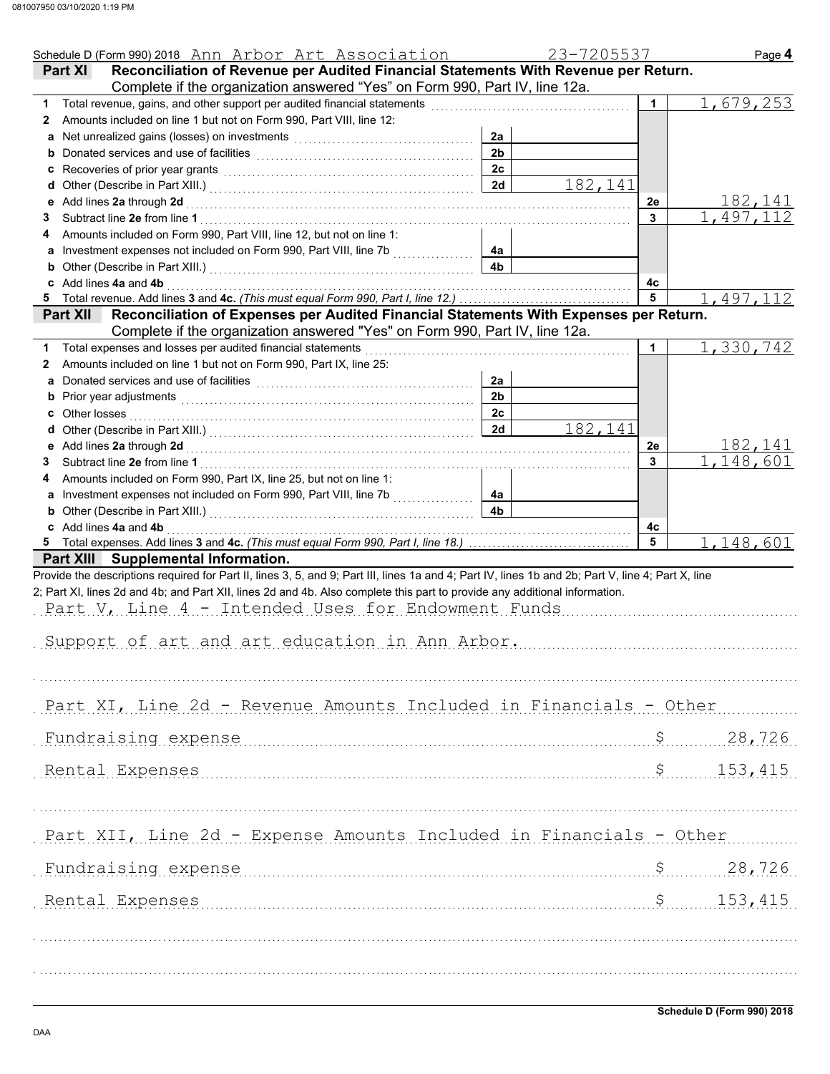| Schedule D (Form 990) 2018 Ann Arbor Art Association                                                                                               | 23-7205537     |                      | Page 4                 |
|----------------------------------------------------------------------------------------------------------------------------------------------------|----------------|----------------------|------------------------|
| Reconciliation of Revenue per Audited Financial Statements With Revenue per Return.<br><b>Part XI</b>                                              |                |                      |                        |
| Complete if the organization answered "Yes" on Form 990, Part IV, line 12a.                                                                        |                |                      |                        |
| Total revenue, gains, and other support per audited financial statements<br>1.                                                                     |                | 1                    | $\overline{1,679,253}$ |
| Amounts included on line 1 but not on Form 990, Part VIII, line 12:<br>2                                                                           |                |                      |                        |
| a                                                                                                                                                  | 2a             |                      |                        |
|                                                                                                                                                    | 2 <sub>b</sub> |                      |                        |
|                                                                                                                                                    | 2c             |                      |                        |
|                                                                                                                                                    | 182,141<br>2d  |                      |                        |
| Add lines 2a through 2d [[[[[[[[[[[[[[[[[[[[[[[[]]]]]]]]]] Add lines 2a through 2d<br>е                                                            |                | 2e                   | 182,141                |
| 3                                                                                                                                                  |                | 3                    | 497.112                |
| Amounts included on Form 990, Part VIII, line 12, but not on line 1:<br>4                                                                          |                |                      |                        |
| а                                                                                                                                                  | 4а             |                      |                        |
|                                                                                                                                                    | 4b             |                      |                        |
| c Add lines 4a and 4b                                                                                                                              |                | 4с<br>5              | 1,497,112              |
| Part XII Reconciliation of Expenses per Audited Financial Statements With Expenses per Return.                                                     |                |                      |                        |
| Complete if the organization answered "Yes" on Form 990, Part IV, line 12a.                                                                        |                |                      |                        |
| Total expenses and losses per audited financial statements                                                                                         |                | $\blacktriangleleft$ | 1,330,742              |
| Amounts included on line 1 but not on Form 990, Part IX, line 25:<br>2                                                                             |                |                      |                        |
| a                                                                                                                                                  | 2a             |                      |                        |
|                                                                                                                                                    | 2 <sub>b</sub> |                      |                        |
| <b>c</b> Other losses                                                                                                                              | 2 <sub>c</sub> |                      |                        |
|                                                                                                                                                    | 182,141<br>2d  |                      |                        |
| е                                                                                                                                                  |                | 2e                   | 182,141                |
| Add lines 2a through 2d [[[[[[[[[[[[[[[[[[[[[[[[]]]]]]]]] Add lines 2a through 2d<br>Subtract line 2e from line 1<br>3                             |                | 3                    | 1,148,601              |
| Amounts included on Form 990, Part IX, line 25, but not on line 1:<br>4                                                                            |                |                      |                        |
|                                                                                                                                                    | 4a             |                      |                        |
| <b>b</b> Other (Describe in Part XIII.) <b>CONVERGENT</b> OF Other (Described: The VIII.                                                           | 4b             |                      |                        |
| c Add lines 4a and 4b                                                                                                                              |                | 4с                   |                        |
|                                                                                                                                                    |                | 5                    | 1,148,601              |
| Part XIII Supplemental Information.                                                                                                                |                |                      |                        |
| Provide the descriptions required for Part II, lines 3, 5, and 9; Part III, lines 1a and 4; Part IV, lines 1b and 2b; Part V, line 4; Part X, line |                |                      |                        |
| 2; Part XI, lines 2d and 4b; and Part XII, lines 2d and 4b. Also complete this part to provide any additional information.                         |                |                      |                        |
| Part V, Line 4 - Intended Uses for Endowment Funds                                                                                                 |                |                      |                        |
|                                                                                                                                                    |                |                      |                        |
| Support of art and art education in Ann Arbor.                                                                                                     |                |                      |                        |
|                                                                                                                                                    |                |                      |                        |
|                                                                                                                                                    |                |                      |                        |
|                                                                                                                                                    |                |                      |                        |
| Part XI, Line 2d - Revenue Amounts Included in Financials - Other                                                                                  |                |                      |                        |
|                                                                                                                                                    |                |                      |                        |
| Fundraising expense                                                                                                                                |                |                      | 28,726                 |
|                                                                                                                                                    |                |                      |                        |
| Rental Expenses                                                                                                                                    |                |                      | \$ 153, 415            |
|                                                                                                                                                    |                |                      |                        |
|                                                                                                                                                    |                |                      |                        |
|                                                                                                                                                    |                |                      |                        |
| Part XII, Line 2d - Expense Amounts Included in Financials - Other                                                                                 |                |                      |                        |
|                                                                                                                                                    |                |                      |                        |
| Fundraising expense                                                                                                                                |                | $\mathsf{S}$         | 28,726                 |
|                                                                                                                                                    |                |                      |                        |
| Rental Expenses                                                                                                                                    |                |                      | \$153,415              |
|                                                                                                                                                    |                |                      |                        |
|                                                                                                                                                    |                |                      |                        |
|                                                                                                                                                    |                |                      |                        |
|                                                                                                                                                    |                |                      |                        |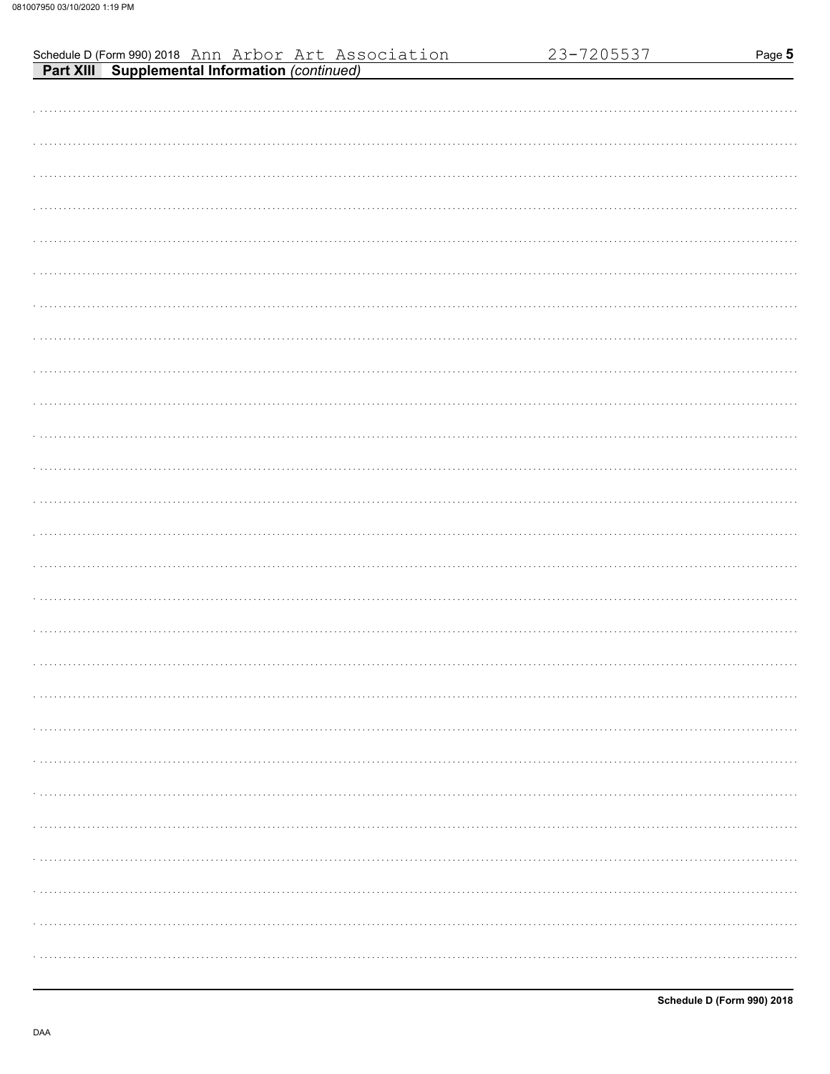| Schedule D (Form 990) 2018 Ann Arbor Art Association<br><b>Part XIII Supplemental Information (continued)</b> | 23-7205537 | Page 5 |
|---------------------------------------------------------------------------------------------------------------|------------|--------|
|                                                                                                               |            |        |
|                                                                                                               |            |        |
|                                                                                                               |            |        |
|                                                                                                               |            |        |
|                                                                                                               |            |        |
|                                                                                                               |            |        |
|                                                                                                               |            |        |
|                                                                                                               |            |        |
|                                                                                                               |            |        |
|                                                                                                               |            |        |
|                                                                                                               |            |        |
|                                                                                                               |            |        |
|                                                                                                               |            |        |
|                                                                                                               |            |        |
|                                                                                                               |            |        |
|                                                                                                               |            |        |
|                                                                                                               |            |        |
|                                                                                                               |            |        |
|                                                                                                               |            |        |
|                                                                                                               |            |        |
|                                                                                                               |            |        |
|                                                                                                               |            |        |
|                                                                                                               |            |        |
|                                                                                                               |            |        |
|                                                                                                               |            |        |
|                                                                                                               |            |        |
|                                                                                                               |            |        |
|                                                                                                               |            |        |
|                                                                                                               |            |        |
|                                                                                                               |            |        |
|                                                                                                               |            |        |
|                                                                                                               |            |        |
|                                                                                                               |            |        |
|                                                                                                               |            |        |
|                                                                                                               |            |        |
|                                                                                                               |            |        |
|                                                                                                               |            |        |
|                                                                                                               |            |        |
|                                                                                                               |            |        |
|                                                                                                               |            |        |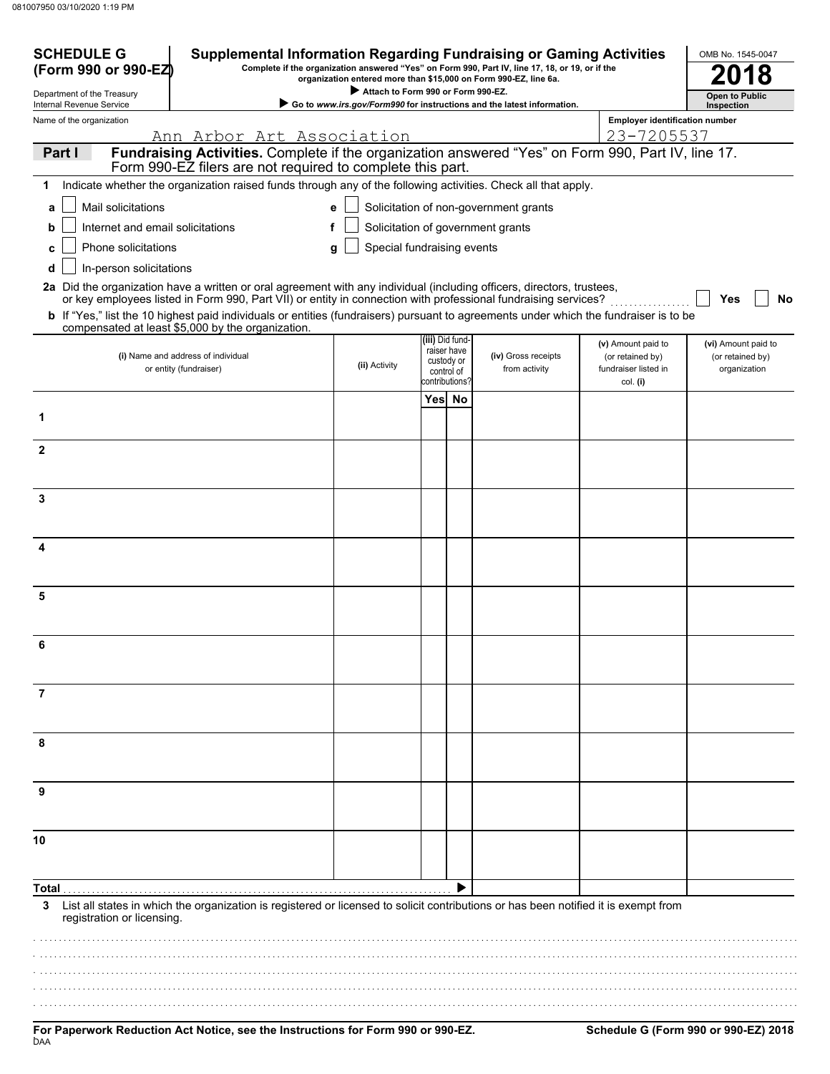| <b>SCHEDULE G</b><br><b>Supplemental Information Regarding Fundraising or Gaming Activities</b><br>Complete if the organization answered "Yes" on Form 990, Part IV, line 17, 18, or 19, or if the<br>(Form 990 or 990-EZ)<br>organization entered more than \$15,000 on Form 990-EZ, line 6a. |                                                                                                                                                                                                                                          |                                    |                |                           | OMB No. 1545-0047                                                      |                                        |                                         |
|------------------------------------------------------------------------------------------------------------------------------------------------------------------------------------------------------------------------------------------------------------------------------------------------|------------------------------------------------------------------------------------------------------------------------------------------------------------------------------------------------------------------------------------------|------------------------------------|----------------|---------------------------|------------------------------------------------------------------------|----------------------------------------|-----------------------------------------|
| Department of the Treasury<br>Internal Revenue Service                                                                                                                                                                                                                                         |                                                                                                                                                                                                                                          | Attach to Form 990 or Form 990-EZ. |                |                           | Go to www.irs.gov/Form990 for instructions and the latest information. |                                        | <b>Open to Public</b><br>Inspection     |
| Name of the organization                                                                                                                                                                                                                                                                       |                                                                                                                                                                                                                                          |                                    |                |                           |                                                                        | <b>Employer identification number</b>  |                                         |
|                                                                                                                                                                                                                                                                                                | Ann Arbor Art Association                                                                                                                                                                                                                |                                    |                |                           |                                                                        | 23-7205537                             |                                         |
| Fundraising Activities. Complete if the organization answered "Yes" on Form 990, Part IV, line 17.<br>Part I<br>Form 990-EZ filers are not required to complete this part.                                                                                                                     |                                                                                                                                                                                                                                          |                                    |                |                           |                                                                        |                                        |                                         |
|                                                                                                                                                                                                                                                                                                | Indicate whether the organization raised funds through any of the following activities. Check all that apply.                                                                                                                            |                                    |                |                           |                                                                        |                                        |                                         |
| Mail solicitations<br>a                                                                                                                                                                                                                                                                        |                                                                                                                                                                                                                                          | e                                  |                |                           | Solicitation of non-government grants                                  |                                        |                                         |
| Internet and email solicitations<br>b                                                                                                                                                                                                                                                          | f                                                                                                                                                                                                                                        |                                    |                |                           | Solicitation of government grants                                      |                                        |                                         |
| Phone solicitations<br>C                                                                                                                                                                                                                                                                       |                                                                                                                                                                                                                                          | Special fundraising events<br>g    |                |                           |                                                                        |                                        |                                         |
| In-person solicitations<br>d                                                                                                                                                                                                                                                                   |                                                                                                                                                                                                                                          |                                    |                |                           |                                                                        |                                        |                                         |
|                                                                                                                                                                                                                                                                                                | 2a Did the organization have a written or oral agreement with any individual (including officers, directors, trustees,<br>or key employees listed in Form 990, Part VII) or entity in connection with professional fundraising services? |                                    |                |                           |                                                                        |                                        | Yes<br>No                               |
|                                                                                                                                                                                                                                                                                                | <b>b</b> If "Yes," list the 10 highest paid individuals or entities (fundraisers) pursuant to agreements under which the fundraiser is to be                                                                                             |                                    |                |                           |                                                                        |                                        |                                         |
|                                                                                                                                                                                                                                                                                                | compensated at least \$5,000 by the organization.                                                                                                                                                                                        |                                    |                | (iii) Did fund-           |                                                                        |                                        |                                         |
|                                                                                                                                                                                                                                                                                                | (i) Name and address of individual                                                                                                                                                                                                       |                                    |                | raiser have<br>custody or | (iv) Gross receipts                                                    | (v) Amount paid to<br>(or retained by) | (vi) Amount paid to<br>(or retained by) |
|                                                                                                                                                                                                                                                                                                | or entity (fundraiser)                                                                                                                                                                                                                   | (ii) Activity                      | contributions? | control of                | from activity                                                          | fundraiser listed in<br>col. (i)       | organization                            |
|                                                                                                                                                                                                                                                                                                |                                                                                                                                                                                                                                          |                                    |                | Yes No                    |                                                                        |                                        |                                         |
| 1                                                                                                                                                                                                                                                                                              |                                                                                                                                                                                                                                          |                                    |                |                           |                                                                        |                                        |                                         |
| $\mathbf{2}$                                                                                                                                                                                                                                                                                   |                                                                                                                                                                                                                                          |                                    |                |                           |                                                                        |                                        |                                         |
|                                                                                                                                                                                                                                                                                                |                                                                                                                                                                                                                                          |                                    |                |                           |                                                                        |                                        |                                         |
|                                                                                                                                                                                                                                                                                                |                                                                                                                                                                                                                                          |                                    |                |                           |                                                                        |                                        |                                         |
| 3                                                                                                                                                                                                                                                                                              |                                                                                                                                                                                                                                          |                                    |                |                           |                                                                        |                                        |                                         |
|                                                                                                                                                                                                                                                                                                |                                                                                                                                                                                                                                          |                                    |                |                           |                                                                        |                                        |                                         |
| 4                                                                                                                                                                                                                                                                                              |                                                                                                                                                                                                                                          |                                    |                |                           |                                                                        |                                        |                                         |
|                                                                                                                                                                                                                                                                                                |                                                                                                                                                                                                                                          |                                    |                |                           |                                                                        |                                        |                                         |
| 5                                                                                                                                                                                                                                                                                              |                                                                                                                                                                                                                                          |                                    |                |                           |                                                                        |                                        |                                         |
|                                                                                                                                                                                                                                                                                                |                                                                                                                                                                                                                                          |                                    |                |                           |                                                                        |                                        |                                         |
|                                                                                                                                                                                                                                                                                                |                                                                                                                                                                                                                                          |                                    |                |                           |                                                                        |                                        |                                         |
| 6                                                                                                                                                                                                                                                                                              |                                                                                                                                                                                                                                          |                                    |                |                           |                                                                        |                                        |                                         |
|                                                                                                                                                                                                                                                                                                |                                                                                                                                                                                                                                          |                                    |                |                           |                                                                        |                                        |                                         |
| 7                                                                                                                                                                                                                                                                                              |                                                                                                                                                                                                                                          |                                    |                |                           |                                                                        |                                        |                                         |
|                                                                                                                                                                                                                                                                                                |                                                                                                                                                                                                                                          |                                    |                |                           |                                                                        |                                        |                                         |
| 8                                                                                                                                                                                                                                                                                              |                                                                                                                                                                                                                                          |                                    |                |                           |                                                                        |                                        |                                         |
|                                                                                                                                                                                                                                                                                                |                                                                                                                                                                                                                                          |                                    |                |                           |                                                                        |                                        |                                         |
| 9                                                                                                                                                                                                                                                                                              |                                                                                                                                                                                                                                          |                                    |                |                           |                                                                        |                                        |                                         |
|                                                                                                                                                                                                                                                                                                |                                                                                                                                                                                                                                          |                                    |                |                           |                                                                        |                                        |                                         |
|                                                                                                                                                                                                                                                                                                |                                                                                                                                                                                                                                          |                                    |                |                           |                                                                        |                                        |                                         |
| 10                                                                                                                                                                                                                                                                                             |                                                                                                                                                                                                                                          |                                    |                |                           |                                                                        |                                        |                                         |
|                                                                                                                                                                                                                                                                                                |                                                                                                                                                                                                                                          |                                    |                |                           |                                                                        |                                        |                                         |
| Total                                                                                                                                                                                                                                                                                          |                                                                                                                                                                                                                                          |                                    |                |                           |                                                                        |                                        |                                         |
| 3<br>registration or licensing.                                                                                                                                                                                                                                                                | List all states in which the organization is registered or licensed to solicit contributions or has been notified it is exempt from                                                                                                      |                                    |                |                           |                                                                        |                                        |                                         |
|                                                                                                                                                                                                                                                                                                |                                                                                                                                                                                                                                          |                                    |                |                           |                                                                        |                                        |                                         |
|                                                                                                                                                                                                                                                                                                |                                                                                                                                                                                                                                          |                                    |                |                           |                                                                        |                                        |                                         |
|                                                                                                                                                                                                                                                                                                |                                                                                                                                                                                                                                          |                                    |                |                           |                                                                        |                                        |                                         |
|                                                                                                                                                                                                                                                                                                |                                                                                                                                                                                                                                          |                                    |                |                           |                                                                        |                                        |                                         |
|                                                                                                                                                                                                                                                                                                |                                                                                                                                                                                                                                          |                                    |                |                           |                                                                        |                                        |                                         |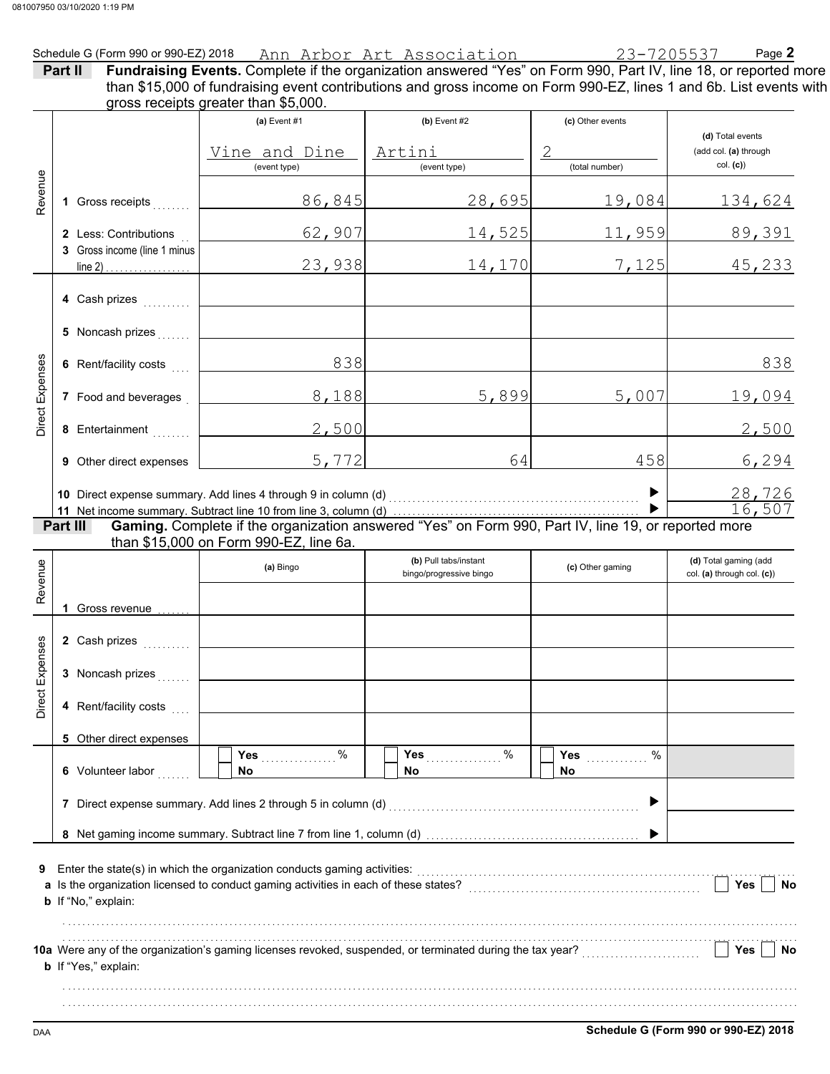Direct Expenses

Direct Expenses

**6** Rent/facility costs **compared** 

**7** Food and beverages .

Other direct expenses **9**

**8** Entertainment . . . . . . .

|         | 07950 03/10/2020 1:19 PM     |                                                                                                                    |                |                  |                                           |
|---------|------------------------------|--------------------------------------------------------------------------------------------------------------------|----------------|------------------|-------------------------------------------|
|         |                              | Schedule G (Form 990 or 990-EZ) 2018 Ann Arbor Art Association                                                     |                | 23-7205537       | Page 2                                    |
|         | Part II                      | Fundraising Events. Complete if the organization answered "Yes" on Form 990, Part IV, line 18, or reported more    |                |                  |                                           |
|         |                              | than \$15,000 of fundraising event contributions and gross income on Form 990-EZ, lines 1 and 6b. List events with |                |                  |                                           |
|         |                              | gross receipts greater than \$5,000.                                                                               |                |                  |                                           |
|         |                              | (a) Event $#1$                                                                                                     | $(b)$ Event #2 | (c) Other events |                                           |
|         |                              | Vine and Dine                                                                                                      | Artini         | 2                | (d) Total events<br>(add col. (a) through |
|         |                              | (event type)                                                                                                       | (event type)   | (total number)   | col. (c)                                  |
| Revenue | Gross receipts               | 86,845                                                                                                             | 28,695         | 19,084           | 134,624                                   |
|         | 2 Less: Contributions        | 62,907                                                                                                             | 14,525         | 11,959           | 89,391                                    |
|         | 3 Gross income (line 1 minus | 23,938                                                                                                             | 14,170         | 7,125            | 45,233                                    |
|         | 4 Cash prizes                |                                                                                                                    |                |                  |                                           |
|         | 5 Noncash prizes             |                                                                                                                    |                |                  |                                           |

838 838 838

8,188 5,899 5,007 19,094

2,500 2,500

5,772 64 458 6,294

|                                        |                                                                                                                                                                              | 28,726                                                                                                     |
|----------------------------------------|------------------------------------------------------------------------------------------------------------------------------------------------------------------------------|------------------------------------------------------------------------------------------------------------|
|                                        |                                                                                                                                                                              | 16,507                                                                                                     |
|                                        |                                                                                                                                                                              |                                                                                                            |
| than \$15,000 on Form 990-EZ, line 6a. |                                                                                                                                                                              |                                                                                                            |
|                                        | 10 Direct expense summary. Add lines 4 through 9 in column (d)<br><b>11</b> Net income summary. Subtract line 10 from line 3, column (d) $(1)$ $(2)$ $(3)$ $(4)$<br>Part III | <b>Gaming.</b> Complete if the organization answered "Yes" on Form 990, Part IV, line 19, or reported more |

| Revenue         |                            | (a) Bingo                                                                                                                                                                                                                                                                                                                                             | (b) Pull tabs/instant<br>bingo/progressive bingo | (c) Other gaming                       | (d) Total gaming (add<br>col. (a) through col. (c)) |
|-----------------|----------------------------|-------------------------------------------------------------------------------------------------------------------------------------------------------------------------------------------------------------------------------------------------------------------------------------------------------------------------------------------------------|--------------------------------------------------|----------------------------------------|-----------------------------------------------------|
|                 | 1 Gross revenue            |                                                                                                                                                                                                                                                                                                                                                       |                                                  |                                        |                                                     |
| Direct Expenses | 2 Cash prizes              |                                                                                                                                                                                                                                                                                                                                                       |                                                  |                                        |                                                     |
|                 | 3 Noncash prizes           |                                                                                                                                                                                                                                                                                                                                                       |                                                  |                                        |                                                     |
|                 | 4 Rent/facility costs      |                                                                                                                                                                                                                                                                                                                                                       |                                                  |                                        |                                                     |
|                 | 5 Other direct expenses    |                                                                                                                                                                                                                                                                                                                                                       |                                                  |                                        |                                                     |
|                 | 6 Volunteer labor          | Yes $%$<br><b>No</b>                                                                                                                                                                                                                                                                                                                                  | %<br><b>Yes</b><br>No                            | $\%$<br>Yes $\frac{1}{2}$<br><b>No</b> |                                                     |
|                 | 7                          |                                                                                                                                                                                                                                                                                                                                                       |                                                  | ▶                                      |                                                     |
|                 |                            |                                                                                                                                                                                                                                                                                                                                                       |                                                  |                                        |                                                     |
| 9               | <b>b</b> If "No," explain: | Enter the state(s) in which the organization conducts gaming activities:<br>[2010]<br>Solution Conduction Conducts and Schwarz Conducts and Schwarz Conducts and Schwarz Conducts and Schwarz Condu<br>The Schwarz Conducts and Sch<br>a Is the organization licensed to conduct gaming activities in each of these states? [[[[[[[[[[[[[[[[[[[[[[[[[ |                                                  |                                        | <b>Yes</b><br><b>No</b>                             |
|                 |                            |                                                                                                                                                                                                                                                                                                                                                       |                                                  |                                        |                                                     |
|                 | b If "Yes," explain:       |                                                                                                                                                                                                                                                                                                                                                       |                                                  |                                        | <b>Yes</b><br><b>No</b>                             |
|                 |                            |                                                                                                                                                                                                                                                                                                                                                       |                                                  |                                        |                                                     |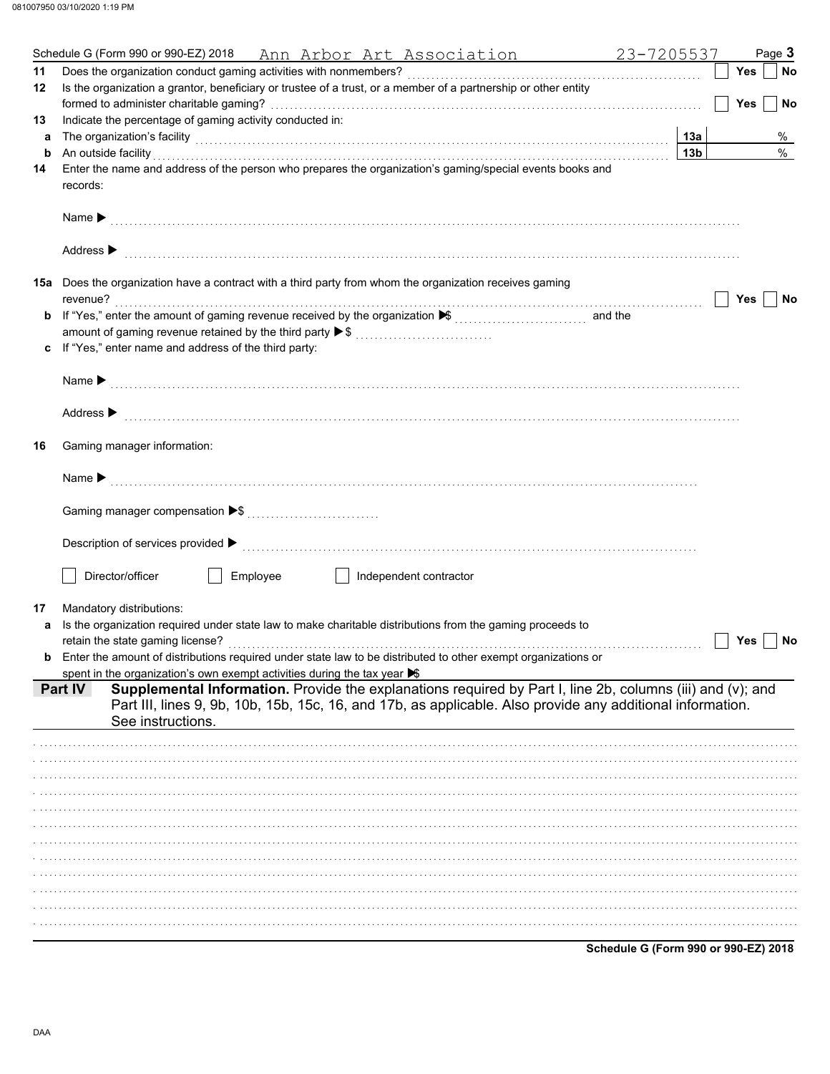| Does the organization conduct gaming activities with nonmembers?<br><br>The conditions of the conditions conduct state in the conduct of the conditions with the conditions of the conditions of the conditions of the conditions<br>Yes<br><b>No</b><br>Is the organization a grantor, beneficiary or trustee of a trust, or a member of a partnership or other entity<br><b>Yes</b><br><b>No</b><br>Indicate the percentage of gaming activity conducted in:<br>The organization's facility with the contract of the contract of the contract of the contract of the contract of the contract of the contract of the contract of the contract of the contract of the contract of the contract<br>13а<br>%<br>а<br>$\%$<br>13 <sub>b</sub><br>An outside facility<br>b<br>Enter the name and address of the person who prepares the organization's gaming/special events books and<br>records:<br>Address $\blacktriangleright$<br>15a Does the organization have a contract with a third party from whom the organization receives gaming<br>revenue?<br>Yes<br>No<br>If "Yes," enter the amount of gaming revenue received by the organization ▶ (\\times\)<br>b<br>amount of gaming revenue retained by the third party ▶ \$<br>If "Yes," enter name and address of the third party:<br>c<br>Address > material contracts and contracts are contracted and contract of the contract of the contract of the contract of the contract of the contract of the contract of the contract of the contract of the contract of the<br>Gaming manager information:<br>Description of services provided $\blacktriangleright$ [100] contract the contract of services provided $\blacktriangleright$ [100] contract the contract of services provided $\blacktriangleright$ [100] contract the contract of services provided $\blacktriangleright$ [100] cont<br>Director/officer<br>Employee<br>Independent contractor<br>17<br>Mandatory distributions:<br>Is the organization required under state law to make charitable distributions from the gaming proceeds to<br>a<br>Yes<br>No<br>Enter the amount of distributions required under state law to be distributed to other exempt organizations or<br>spent in the organization's own exempt activities during the tax year $\blacktriangleright$<br>Supplemental Information. Provide the explanations required by Part I, line 2b, columns (iii) and (v); and<br><b>Part IV</b><br>Part III, lines 9, 9b, 10b, 15b, 15c, 16, and 17b, as applicable. Also provide any additional information.<br>See instructions. |    | Schedule G (Form 990 or 990-EZ) 2018<br>23-7205537<br>Ann Arbor Art Association |  |  |  | Page 3 |  |  |  |  |  |  |
|-----------------------------------------------------------------------------------------------------------------------------------------------------------------------------------------------------------------------------------------------------------------------------------------------------------------------------------------------------------------------------------------------------------------------------------------------------------------------------------------------------------------------------------------------------------------------------------------------------------------------------------------------------------------------------------------------------------------------------------------------------------------------------------------------------------------------------------------------------------------------------------------------------------------------------------------------------------------------------------------------------------------------------------------------------------------------------------------------------------------------------------------------------------------------------------------------------------------------------------------------------------------------------------------------------------------------------------------------------------------------------------------------------------------------------------------------------------------------------------------------------------------------------------------------------------------------------------------------------------------------------------------------------------------------------------------------------------------------------------------------------------------------------------------------------------------------------------------------------------------------------------------------------------------------------------------------------------------------------------------------------------------------------------------------------------------------------------------------------------------------------------------------------------------------------------------------------------------------------------------------------------------------------------------------------------------------------------------------------------------------------------------------------------------------------------------------------------------------------------------------------------------------------------------------------------------------|----|---------------------------------------------------------------------------------|--|--|--|--------|--|--|--|--|--|--|
|                                                                                                                                                                                                                                                                                                                                                                                                                                                                                                                                                                                                                                                                                                                                                                                                                                                                                                                                                                                                                                                                                                                                                                                                                                                                                                                                                                                                                                                                                                                                                                                                                                                                                                                                                                                                                                                                                                                                                                                                                                                                                                                                                                                                                                                                                                                                                                                                                                                                                                                                                                       | 11 |                                                                                 |  |  |  |        |  |  |  |  |  |  |
|                                                                                                                                                                                                                                                                                                                                                                                                                                                                                                                                                                                                                                                                                                                                                                                                                                                                                                                                                                                                                                                                                                                                                                                                                                                                                                                                                                                                                                                                                                                                                                                                                                                                                                                                                                                                                                                                                                                                                                                                                                                                                                                                                                                                                                                                                                                                                                                                                                                                                                                                                                       | 12 |                                                                                 |  |  |  |        |  |  |  |  |  |  |
|                                                                                                                                                                                                                                                                                                                                                                                                                                                                                                                                                                                                                                                                                                                                                                                                                                                                                                                                                                                                                                                                                                                                                                                                                                                                                                                                                                                                                                                                                                                                                                                                                                                                                                                                                                                                                                                                                                                                                                                                                                                                                                                                                                                                                                                                                                                                                                                                                                                                                                                                                                       |    |                                                                                 |  |  |  |        |  |  |  |  |  |  |
|                                                                                                                                                                                                                                                                                                                                                                                                                                                                                                                                                                                                                                                                                                                                                                                                                                                                                                                                                                                                                                                                                                                                                                                                                                                                                                                                                                                                                                                                                                                                                                                                                                                                                                                                                                                                                                                                                                                                                                                                                                                                                                                                                                                                                                                                                                                                                                                                                                                                                                                                                                       | 13 |                                                                                 |  |  |  |        |  |  |  |  |  |  |
|                                                                                                                                                                                                                                                                                                                                                                                                                                                                                                                                                                                                                                                                                                                                                                                                                                                                                                                                                                                                                                                                                                                                                                                                                                                                                                                                                                                                                                                                                                                                                                                                                                                                                                                                                                                                                                                                                                                                                                                                                                                                                                                                                                                                                                                                                                                                                                                                                                                                                                                                                                       |    |                                                                                 |  |  |  |        |  |  |  |  |  |  |
|                                                                                                                                                                                                                                                                                                                                                                                                                                                                                                                                                                                                                                                                                                                                                                                                                                                                                                                                                                                                                                                                                                                                                                                                                                                                                                                                                                                                                                                                                                                                                                                                                                                                                                                                                                                                                                                                                                                                                                                                                                                                                                                                                                                                                                                                                                                                                                                                                                                                                                                                                                       |    |                                                                                 |  |  |  |        |  |  |  |  |  |  |
|                                                                                                                                                                                                                                                                                                                                                                                                                                                                                                                                                                                                                                                                                                                                                                                                                                                                                                                                                                                                                                                                                                                                                                                                                                                                                                                                                                                                                                                                                                                                                                                                                                                                                                                                                                                                                                                                                                                                                                                                                                                                                                                                                                                                                                                                                                                                                                                                                                                                                                                                                                       | 14 |                                                                                 |  |  |  |        |  |  |  |  |  |  |
|                                                                                                                                                                                                                                                                                                                                                                                                                                                                                                                                                                                                                                                                                                                                                                                                                                                                                                                                                                                                                                                                                                                                                                                                                                                                                                                                                                                                                                                                                                                                                                                                                                                                                                                                                                                                                                                                                                                                                                                                                                                                                                                                                                                                                                                                                                                                                                                                                                                                                                                                                                       |    |                                                                                 |  |  |  |        |  |  |  |  |  |  |
|                                                                                                                                                                                                                                                                                                                                                                                                                                                                                                                                                                                                                                                                                                                                                                                                                                                                                                                                                                                                                                                                                                                                                                                                                                                                                                                                                                                                                                                                                                                                                                                                                                                                                                                                                                                                                                                                                                                                                                                                                                                                                                                                                                                                                                                                                                                                                                                                                                                                                                                                                                       |    |                                                                                 |  |  |  |        |  |  |  |  |  |  |
|                                                                                                                                                                                                                                                                                                                                                                                                                                                                                                                                                                                                                                                                                                                                                                                                                                                                                                                                                                                                                                                                                                                                                                                                                                                                                                                                                                                                                                                                                                                                                                                                                                                                                                                                                                                                                                                                                                                                                                                                                                                                                                                                                                                                                                                                                                                                                                                                                                                                                                                                                                       |    |                                                                                 |  |  |  |        |  |  |  |  |  |  |
|                                                                                                                                                                                                                                                                                                                                                                                                                                                                                                                                                                                                                                                                                                                                                                                                                                                                                                                                                                                                                                                                                                                                                                                                                                                                                                                                                                                                                                                                                                                                                                                                                                                                                                                                                                                                                                                                                                                                                                                                                                                                                                                                                                                                                                                                                                                                                                                                                                                                                                                                                                       |    |                                                                                 |  |  |  |        |  |  |  |  |  |  |
|                                                                                                                                                                                                                                                                                                                                                                                                                                                                                                                                                                                                                                                                                                                                                                                                                                                                                                                                                                                                                                                                                                                                                                                                                                                                                                                                                                                                                                                                                                                                                                                                                                                                                                                                                                                                                                                                                                                                                                                                                                                                                                                                                                                                                                                                                                                                                                                                                                                                                                                                                                       |    |                                                                                 |  |  |  |        |  |  |  |  |  |  |
|                                                                                                                                                                                                                                                                                                                                                                                                                                                                                                                                                                                                                                                                                                                                                                                                                                                                                                                                                                                                                                                                                                                                                                                                                                                                                                                                                                                                                                                                                                                                                                                                                                                                                                                                                                                                                                                                                                                                                                                                                                                                                                                                                                                                                                                                                                                                                                                                                                                                                                                                                                       |    |                                                                                 |  |  |  |        |  |  |  |  |  |  |
|                                                                                                                                                                                                                                                                                                                                                                                                                                                                                                                                                                                                                                                                                                                                                                                                                                                                                                                                                                                                                                                                                                                                                                                                                                                                                                                                                                                                                                                                                                                                                                                                                                                                                                                                                                                                                                                                                                                                                                                                                                                                                                                                                                                                                                                                                                                                                                                                                                                                                                                                                                       |    |                                                                                 |  |  |  |        |  |  |  |  |  |  |
|                                                                                                                                                                                                                                                                                                                                                                                                                                                                                                                                                                                                                                                                                                                                                                                                                                                                                                                                                                                                                                                                                                                                                                                                                                                                                                                                                                                                                                                                                                                                                                                                                                                                                                                                                                                                                                                                                                                                                                                                                                                                                                                                                                                                                                                                                                                                                                                                                                                                                                                                                                       |    |                                                                                 |  |  |  |        |  |  |  |  |  |  |
|                                                                                                                                                                                                                                                                                                                                                                                                                                                                                                                                                                                                                                                                                                                                                                                                                                                                                                                                                                                                                                                                                                                                                                                                                                                                                                                                                                                                                                                                                                                                                                                                                                                                                                                                                                                                                                                                                                                                                                                                                                                                                                                                                                                                                                                                                                                                                                                                                                                                                                                                                                       |    |                                                                                 |  |  |  |        |  |  |  |  |  |  |
|                                                                                                                                                                                                                                                                                                                                                                                                                                                                                                                                                                                                                                                                                                                                                                                                                                                                                                                                                                                                                                                                                                                                                                                                                                                                                                                                                                                                                                                                                                                                                                                                                                                                                                                                                                                                                                                                                                                                                                                                                                                                                                                                                                                                                                                                                                                                                                                                                                                                                                                                                                       | 16 |                                                                                 |  |  |  |        |  |  |  |  |  |  |
|                                                                                                                                                                                                                                                                                                                                                                                                                                                                                                                                                                                                                                                                                                                                                                                                                                                                                                                                                                                                                                                                                                                                                                                                                                                                                                                                                                                                                                                                                                                                                                                                                                                                                                                                                                                                                                                                                                                                                                                                                                                                                                                                                                                                                                                                                                                                                                                                                                                                                                                                                                       |    |                                                                                 |  |  |  |        |  |  |  |  |  |  |
|                                                                                                                                                                                                                                                                                                                                                                                                                                                                                                                                                                                                                                                                                                                                                                                                                                                                                                                                                                                                                                                                                                                                                                                                                                                                                                                                                                                                                                                                                                                                                                                                                                                                                                                                                                                                                                                                                                                                                                                                                                                                                                                                                                                                                                                                                                                                                                                                                                                                                                                                                                       |    |                                                                                 |  |  |  |        |  |  |  |  |  |  |
|                                                                                                                                                                                                                                                                                                                                                                                                                                                                                                                                                                                                                                                                                                                                                                                                                                                                                                                                                                                                                                                                                                                                                                                                                                                                                                                                                                                                                                                                                                                                                                                                                                                                                                                                                                                                                                                                                                                                                                                                                                                                                                                                                                                                                                                                                                                                                                                                                                                                                                                                                                       |    |                                                                                 |  |  |  |        |  |  |  |  |  |  |
|                                                                                                                                                                                                                                                                                                                                                                                                                                                                                                                                                                                                                                                                                                                                                                                                                                                                                                                                                                                                                                                                                                                                                                                                                                                                                                                                                                                                                                                                                                                                                                                                                                                                                                                                                                                                                                                                                                                                                                                                                                                                                                                                                                                                                                                                                                                                                                                                                                                                                                                                                                       |    |                                                                                 |  |  |  |        |  |  |  |  |  |  |
|                                                                                                                                                                                                                                                                                                                                                                                                                                                                                                                                                                                                                                                                                                                                                                                                                                                                                                                                                                                                                                                                                                                                                                                                                                                                                                                                                                                                                                                                                                                                                                                                                                                                                                                                                                                                                                                                                                                                                                                                                                                                                                                                                                                                                                                                                                                                                                                                                                                                                                                                                                       |    |                                                                                 |  |  |  |        |  |  |  |  |  |  |
|                                                                                                                                                                                                                                                                                                                                                                                                                                                                                                                                                                                                                                                                                                                                                                                                                                                                                                                                                                                                                                                                                                                                                                                                                                                                                                                                                                                                                                                                                                                                                                                                                                                                                                                                                                                                                                                                                                                                                                                                                                                                                                                                                                                                                                                                                                                                                                                                                                                                                                                                                                       |    |                                                                                 |  |  |  |        |  |  |  |  |  |  |
|                                                                                                                                                                                                                                                                                                                                                                                                                                                                                                                                                                                                                                                                                                                                                                                                                                                                                                                                                                                                                                                                                                                                                                                                                                                                                                                                                                                                                                                                                                                                                                                                                                                                                                                                                                                                                                                                                                                                                                                                                                                                                                                                                                                                                                                                                                                                                                                                                                                                                                                                                                       |    |                                                                                 |  |  |  |        |  |  |  |  |  |  |
|                                                                                                                                                                                                                                                                                                                                                                                                                                                                                                                                                                                                                                                                                                                                                                                                                                                                                                                                                                                                                                                                                                                                                                                                                                                                                                                                                                                                                                                                                                                                                                                                                                                                                                                                                                                                                                                                                                                                                                                                                                                                                                                                                                                                                                                                                                                                                                                                                                                                                                                                                                       |    |                                                                                 |  |  |  |        |  |  |  |  |  |  |
|                                                                                                                                                                                                                                                                                                                                                                                                                                                                                                                                                                                                                                                                                                                                                                                                                                                                                                                                                                                                                                                                                                                                                                                                                                                                                                                                                                                                                                                                                                                                                                                                                                                                                                                                                                                                                                                                                                                                                                                                                                                                                                                                                                                                                                                                                                                                                                                                                                                                                                                                                                       |    |                                                                                 |  |  |  |        |  |  |  |  |  |  |
|                                                                                                                                                                                                                                                                                                                                                                                                                                                                                                                                                                                                                                                                                                                                                                                                                                                                                                                                                                                                                                                                                                                                                                                                                                                                                                                                                                                                                                                                                                                                                                                                                                                                                                                                                                                                                                                                                                                                                                                                                                                                                                                                                                                                                                                                                                                                                                                                                                                                                                                                                                       |    |                                                                                 |  |  |  |        |  |  |  |  |  |  |
|                                                                                                                                                                                                                                                                                                                                                                                                                                                                                                                                                                                                                                                                                                                                                                                                                                                                                                                                                                                                                                                                                                                                                                                                                                                                                                                                                                                                                                                                                                                                                                                                                                                                                                                                                                                                                                                                                                                                                                                                                                                                                                                                                                                                                                                                                                                                                                                                                                                                                                                                                                       |    |                                                                                 |  |  |  |        |  |  |  |  |  |  |
|                                                                                                                                                                                                                                                                                                                                                                                                                                                                                                                                                                                                                                                                                                                                                                                                                                                                                                                                                                                                                                                                                                                                                                                                                                                                                                                                                                                                                                                                                                                                                                                                                                                                                                                                                                                                                                                                                                                                                                                                                                                                                                                                                                                                                                                                                                                                                                                                                                                                                                                                                                       |    |                                                                                 |  |  |  |        |  |  |  |  |  |  |
|                                                                                                                                                                                                                                                                                                                                                                                                                                                                                                                                                                                                                                                                                                                                                                                                                                                                                                                                                                                                                                                                                                                                                                                                                                                                                                                                                                                                                                                                                                                                                                                                                                                                                                                                                                                                                                                                                                                                                                                                                                                                                                                                                                                                                                                                                                                                                                                                                                                                                                                                                                       |    |                                                                                 |  |  |  |        |  |  |  |  |  |  |
|                                                                                                                                                                                                                                                                                                                                                                                                                                                                                                                                                                                                                                                                                                                                                                                                                                                                                                                                                                                                                                                                                                                                                                                                                                                                                                                                                                                                                                                                                                                                                                                                                                                                                                                                                                                                                                                                                                                                                                                                                                                                                                                                                                                                                                                                                                                                                                                                                                                                                                                                                                       |    |                                                                                 |  |  |  |        |  |  |  |  |  |  |
|                                                                                                                                                                                                                                                                                                                                                                                                                                                                                                                                                                                                                                                                                                                                                                                                                                                                                                                                                                                                                                                                                                                                                                                                                                                                                                                                                                                                                                                                                                                                                                                                                                                                                                                                                                                                                                                                                                                                                                                                                                                                                                                                                                                                                                                                                                                                                                                                                                                                                                                                                                       |    |                                                                                 |  |  |  |        |  |  |  |  |  |  |
|                                                                                                                                                                                                                                                                                                                                                                                                                                                                                                                                                                                                                                                                                                                                                                                                                                                                                                                                                                                                                                                                                                                                                                                                                                                                                                                                                                                                                                                                                                                                                                                                                                                                                                                                                                                                                                                                                                                                                                                                                                                                                                                                                                                                                                                                                                                                                                                                                                                                                                                                                                       |    |                                                                                 |  |  |  |        |  |  |  |  |  |  |
|                                                                                                                                                                                                                                                                                                                                                                                                                                                                                                                                                                                                                                                                                                                                                                                                                                                                                                                                                                                                                                                                                                                                                                                                                                                                                                                                                                                                                                                                                                                                                                                                                                                                                                                                                                                                                                                                                                                                                                                                                                                                                                                                                                                                                                                                                                                                                                                                                                                                                                                                                                       |    |                                                                                 |  |  |  |        |  |  |  |  |  |  |
|                                                                                                                                                                                                                                                                                                                                                                                                                                                                                                                                                                                                                                                                                                                                                                                                                                                                                                                                                                                                                                                                                                                                                                                                                                                                                                                                                                                                                                                                                                                                                                                                                                                                                                                                                                                                                                                                                                                                                                                                                                                                                                                                                                                                                                                                                                                                                                                                                                                                                                                                                                       |    |                                                                                 |  |  |  |        |  |  |  |  |  |  |
|                                                                                                                                                                                                                                                                                                                                                                                                                                                                                                                                                                                                                                                                                                                                                                                                                                                                                                                                                                                                                                                                                                                                                                                                                                                                                                                                                                                                                                                                                                                                                                                                                                                                                                                                                                                                                                                                                                                                                                                                                                                                                                                                                                                                                                                                                                                                                                                                                                                                                                                                                                       |    |                                                                                 |  |  |  |        |  |  |  |  |  |  |
|                                                                                                                                                                                                                                                                                                                                                                                                                                                                                                                                                                                                                                                                                                                                                                                                                                                                                                                                                                                                                                                                                                                                                                                                                                                                                                                                                                                                                                                                                                                                                                                                                                                                                                                                                                                                                                                                                                                                                                                                                                                                                                                                                                                                                                                                                                                                                                                                                                                                                                                                                                       |    |                                                                                 |  |  |  |        |  |  |  |  |  |  |
|                                                                                                                                                                                                                                                                                                                                                                                                                                                                                                                                                                                                                                                                                                                                                                                                                                                                                                                                                                                                                                                                                                                                                                                                                                                                                                                                                                                                                                                                                                                                                                                                                                                                                                                                                                                                                                                                                                                                                                                                                                                                                                                                                                                                                                                                                                                                                                                                                                                                                                                                                                       |    |                                                                                 |  |  |  |        |  |  |  |  |  |  |
|                                                                                                                                                                                                                                                                                                                                                                                                                                                                                                                                                                                                                                                                                                                                                                                                                                                                                                                                                                                                                                                                                                                                                                                                                                                                                                                                                                                                                                                                                                                                                                                                                                                                                                                                                                                                                                                                                                                                                                                                                                                                                                                                                                                                                                                                                                                                                                                                                                                                                                                                                                       |    |                                                                                 |  |  |  |        |  |  |  |  |  |  |
|                                                                                                                                                                                                                                                                                                                                                                                                                                                                                                                                                                                                                                                                                                                                                                                                                                                                                                                                                                                                                                                                                                                                                                                                                                                                                                                                                                                                                                                                                                                                                                                                                                                                                                                                                                                                                                                                                                                                                                                                                                                                                                                                                                                                                                                                                                                                                                                                                                                                                                                                                                       |    |                                                                                 |  |  |  |        |  |  |  |  |  |  |

Schedule G (Form 990 or 990-EZ) 2018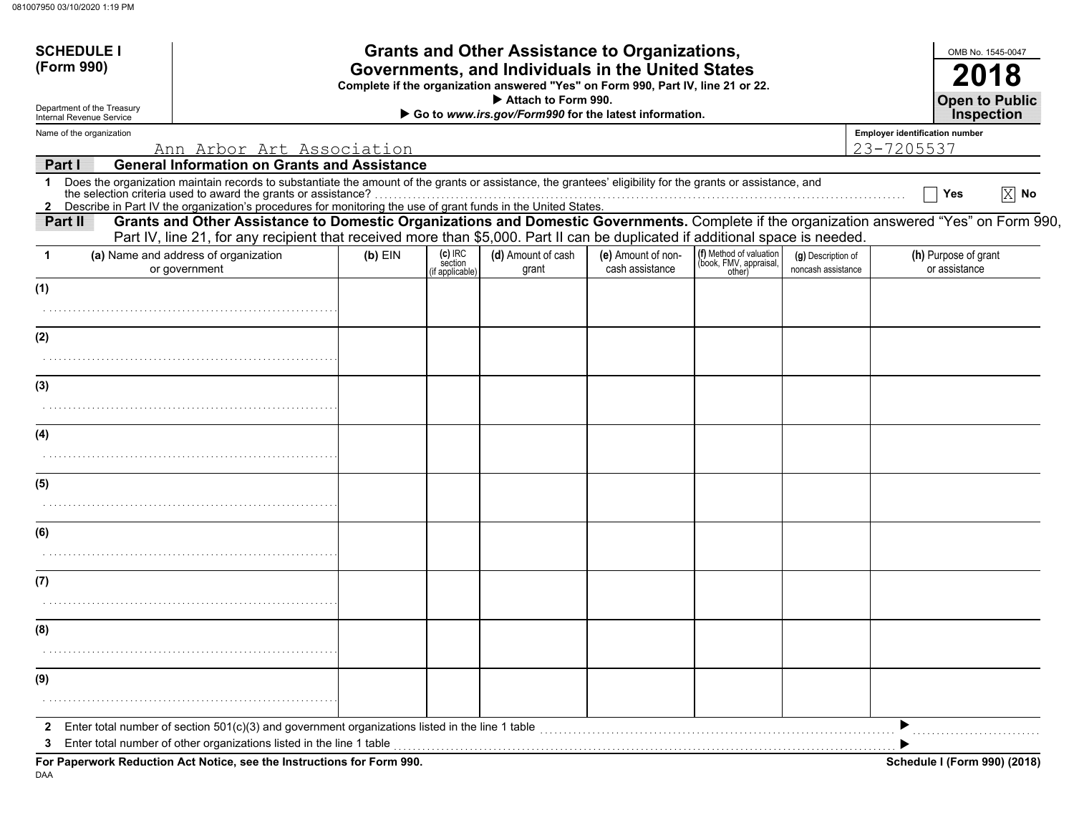| <b>SCHEDULE I</b>                                      |                                                                                                                                                                                                                                                                                                                                               |                                                                                                                                       |                                                       | <b>Grants and Other Assistance to Organizations,</b> |                                            |                                                             |                                          |            | OMB No. 1545-0047                     |  |
|--------------------------------------------------------|-----------------------------------------------------------------------------------------------------------------------------------------------------------------------------------------------------------------------------------------------------------------------------------------------------------------------------------------------|---------------------------------------------------------------------------------------------------------------------------------------|-------------------------------------------------------|------------------------------------------------------|--------------------------------------------|-------------------------------------------------------------|------------------------------------------|------------|---------------------------------------|--|
| (Form 990)                                             |                                                                                                                                                                                                                                                                                                                                               | Governments, and Individuals in the United States<br>Complete if the organization answered "Yes" on Form 990, Part IV, line 21 or 22. |                                                       | 2018                                                 |                                            |                                                             |                                          |            |                                       |  |
| Department of the Treasury<br>Internal Revenue Service |                                                                                                                                                                                                                                                                                                                                               |                                                                                                                                       | Go to www.irs.gov/Form990 for the latest information. |                                                      | <b>Open to Public</b><br><b>Inspection</b> |                                                             |                                          |            |                                       |  |
| Name of the organization                               |                                                                                                                                                                                                                                                                                                                                               |                                                                                                                                       |                                                       |                                                      |                                            |                                                             |                                          |            | <b>Employer identification number</b> |  |
|                                                        | <u>Ann Arbor Art Association</u>                                                                                                                                                                                                                                                                                                              |                                                                                                                                       |                                                       |                                                      |                                            |                                                             |                                          | 23-7205537 |                                       |  |
| Part I                                                 | <b>General Information on Grants and Assistance</b>                                                                                                                                                                                                                                                                                           |                                                                                                                                       |                                                       |                                                      |                                            |                                                             |                                          |            |                                       |  |
| 1<br>$\overline{\mathbf{2}}$                           | Does the organization maintain records to substantiate the amount of the grants or assistance, the grantees' eligibility for the grants or assistance, and<br>the selection criteria used to award the grants or assistance?<br>Describe in Part IV the organization's procedures for monitoring the use of grant funds in the United States. |                                                                                                                                       |                                                       |                                                      |                                            |                                                             |                                          |            | $ X $ No<br>Yes                       |  |
| Part II                                                | Grants and Other Assistance to Domestic Organizations and Domestic Governments. Complete if the organization answered "Yes" on Form 990,<br>Part IV, line 21, for any recipient that received more than \$5,000. Part II can be duplicated if additional space is needed.                                                                     |                                                                                                                                       |                                                       |                                                      |                                            |                                                             |                                          |            |                                       |  |
| (a) Name and address of organization<br>or government  |                                                                                                                                                                                                                                                                                                                                               | $(b)$ EIN                                                                                                                             | $(c)$ IRC<br>section<br>(if applicable)               | (d) Amount of cash<br>grant                          | (e) Amount of non-<br>cash assistance      | (f) Method of valuation<br>(book, FMV, appraisal,<br>other) | (g) Description of<br>noncash assistance |            | (h) Purpose of grant<br>or assistance |  |
| (1)                                                    |                                                                                                                                                                                                                                                                                                                                               |                                                                                                                                       |                                                       |                                                      |                                            |                                                             |                                          |            |                                       |  |
|                                                        |                                                                                                                                                                                                                                                                                                                                               |                                                                                                                                       |                                                       |                                                      |                                            |                                                             |                                          |            |                                       |  |
| (2)                                                    |                                                                                                                                                                                                                                                                                                                                               |                                                                                                                                       |                                                       |                                                      |                                            |                                                             |                                          |            |                                       |  |
|                                                        |                                                                                                                                                                                                                                                                                                                                               |                                                                                                                                       |                                                       |                                                      |                                            |                                                             |                                          |            |                                       |  |
| (3)                                                    |                                                                                                                                                                                                                                                                                                                                               |                                                                                                                                       |                                                       |                                                      |                                            |                                                             |                                          |            |                                       |  |
|                                                        |                                                                                                                                                                                                                                                                                                                                               |                                                                                                                                       |                                                       |                                                      |                                            |                                                             |                                          |            |                                       |  |
| (4)                                                    |                                                                                                                                                                                                                                                                                                                                               |                                                                                                                                       |                                                       |                                                      |                                            |                                                             |                                          |            |                                       |  |
|                                                        |                                                                                                                                                                                                                                                                                                                                               |                                                                                                                                       |                                                       |                                                      |                                            |                                                             |                                          |            |                                       |  |
| (5)                                                    |                                                                                                                                                                                                                                                                                                                                               |                                                                                                                                       |                                                       |                                                      |                                            |                                                             |                                          |            |                                       |  |
|                                                        |                                                                                                                                                                                                                                                                                                                                               |                                                                                                                                       |                                                       |                                                      |                                            |                                                             |                                          |            |                                       |  |
| (6)                                                    |                                                                                                                                                                                                                                                                                                                                               |                                                                                                                                       |                                                       |                                                      |                                            |                                                             |                                          |            |                                       |  |
|                                                        |                                                                                                                                                                                                                                                                                                                                               |                                                                                                                                       |                                                       |                                                      |                                            |                                                             |                                          |            |                                       |  |
| (7)                                                    |                                                                                                                                                                                                                                                                                                                                               |                                                                                                                                       |                                                       |                                                      |                                            |                                                             |                                          |            |                                       |  |
|                                                        |                                                                                                                                                                                                                                                                                                                                               |                                                                                                                                       |                                                       |                                                      |                                            |                                                             |                                          |            |                                       |  |
| (8)                                                    |                                                                                                                                                                                                                                                                                                                                               |                                                                                                                                       |                                                       |                                                      |                                            |                                                             |                                          |            |                                       |  |
|                                                        |                                                                                                                                                                                                                                                                                                                                               |                                                                                                                                       |                                                       |                                                      |                                            |                                                             |                                          |            |                                       |  |
| (9)                                                    |                                                                                                                                                                                                                                                                                                                                               |                                                                                                                                       |                                                       |                                                      |                                            |                                                             |                                          |            |                                       |  |
|                                                        |                                                                                                                                                                                                                                                                                                                                               |                                                                                                                                       |                                                       |                                                      |                                            |                                                             |                                          |            |                                       |  |
|                                                        | Enter total number of section 501(c)(3) and government organizations listed in the line 1 table                                                                                                                                                                                                                                               |                                                                                                                                       |                                                       |                                                      |                                            |                                                             |                                          |            |                                       |  |
|                                                        | Enter total number of other organizations listed in the line 1 table<br>For Paperwork Reduction Act Notice, see the Instructions for Form 990.                                                                                                                                                                                                |                                                                                                                                       |                                                       |                                                      |                                            |                                                             |                                          |            | <b>Schedule I (Form 990) (2018)</b>   |  |

DAA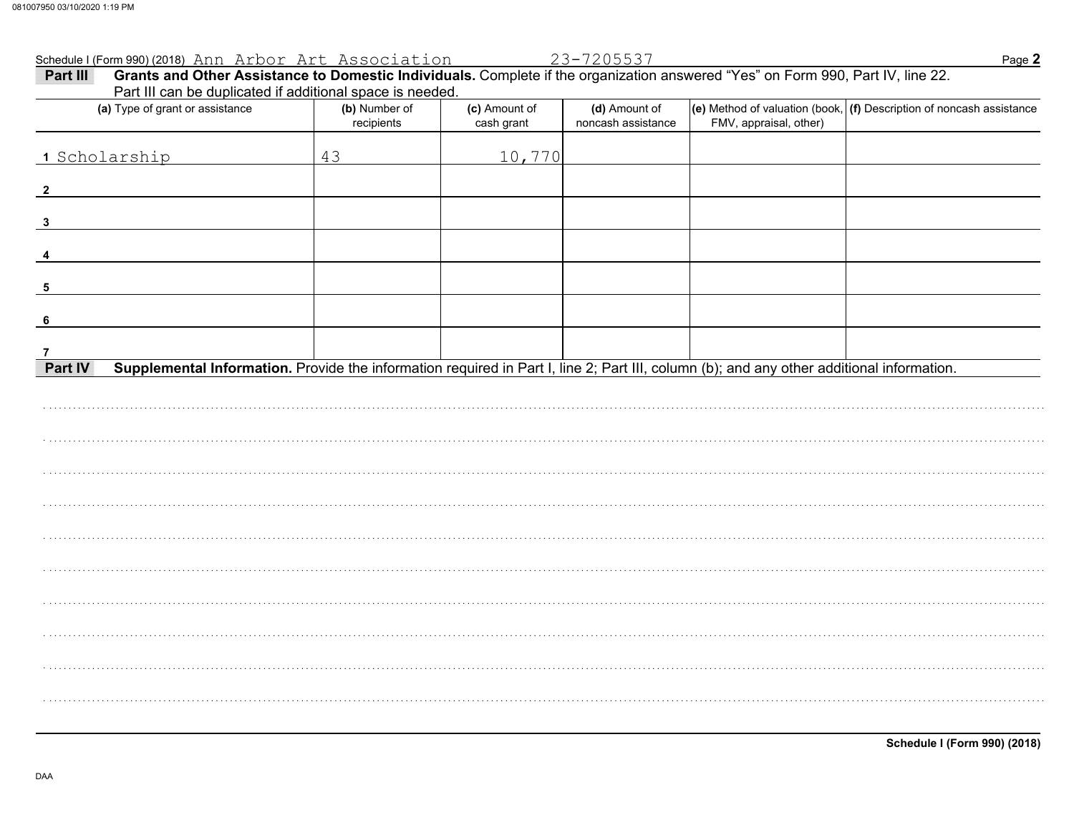| <u> Schedule I (Form 990) (2018) Ann Arbor Art Association</u>                                                                                       |                                                                                                                                 |                             | 23-7205537                          |                        | Page 2                                                                               |  |  |  |  |  |
|------------------------------------------------------------------------------------------------------------------------------------------------------|---------------------------------------------------------------------------------------------------------------------------------|-----------------------------|-------------------------------------|------------------------|--------------------------------------------------------------------------------------|--|--|--|--|--|
| Part III                                                                                                                                             | Grants and Other Assistance to Domestic Individuals. Complete if the organization answered "Yes" on Form 990, Part IV, line 22. |                             |                                     |                        |                                                                                      |  |  |  |  |  |
| Part III can be duplicated if additional space is needed.                                                                                            |                                                                                                                                 |                             |                                     |                        |                                                                                      |  |  |  |  |  |
| (a) Type of grant or assistance                                                                                                                      | (b) Number of<br>recipients                                                                                                     | (c) Amount of<br>cash grant | (d) Amount of<br>noncash assistance | FMV, appraisal, other) | $\vert$ (e) Method of valuation (book, $\vert$ (f) Description of noncash assistance |  |  |  |  |  |
| 1 Scholarship                                                                                                                                        | 43                                                                                                                              | 10,770                      |                                     |                        |                                                                                      |  |  |  |  |  |
| $\overline{\mathbf{2}}$                                                                                                                              |                                                                                                                                 |                             |                                     |                        |                                                                                      |  |  |  |  |  |
| $\mathbf{3}$                                                                                                                                         |                                                                                                                                 |                             |                                     |                        |                                                                                      |  |  |  |  |  |
| $\overline{4}$                                                                                                                                       |                                                                                                                                 |                             |                                     |                        |                                                                                      |  |  |  |  |  |
| $\overline{\phantom{0}}$                                                                                                                             |                                                                                                                                 |                             |                                     |                        |                                                                                      |  |  |  |  |  |
| $6\phantom{a}$                                                                                                                                       |                                                                                                                                 |                             |                                     |                        |                                                                                      |  |  |  |  |  |
| $\overline{7}$                                                                                                                                       |                                                                                                                                 |                             |                                     |                        |                                                                                      |  |  |  |  |  |
| Part IV<br>Supplemental Information. Provide the information required in Part I, line 2; Part III, column (b); and any other additional information. |                                                                                                                                 |                             |                                     |                        |                                                                                      |  |  |  |  |  |
|                                                                                                                                                      |                                                                                                                                 |                             |                                     |                        |                                                                                      |  |  |  |  |  |
|                                                                                                                                                      |                                                                                                                                 |                             |                                     |                        |                                                                                      |  |  |  |  |  |
|                                                                                                                                                      |                                                                                                                                 |                             |                                     |                        |                                                                                      |  |  |  |  |  |
|                                                                                                                                                      |                                                                                                                                 |                             |                                     |                        |                                                                                      |  |  |  |  |  |
|                                                                                                                                                      |                                                                                                                                 |                             |                                     |                        |                                                                                      |  |  |  |  |  |
|                                                                                                                                                      |                                                                                                                                 |                             |                                     |                        |                                                                                      |  |  |  |  |  |
|                                                                                                                                                      |                                                                                                                                 |                             |                                     |                        |                                                                                      |  |  |  |  |  |
|                                                                                                                                                      |                                                                                                                                 |                             |                                     |                        |                                                                                      |  |  |  |  |  |
|                                                                                                                                                      |                                                                                                                                 |                             |                                     |                        |                                                                                      |  |  |  |  |  |
|                                                                                                                                                      |                                                                                                                                 |                             |                                     |                        |                                                                                      |  |  |  |  |  |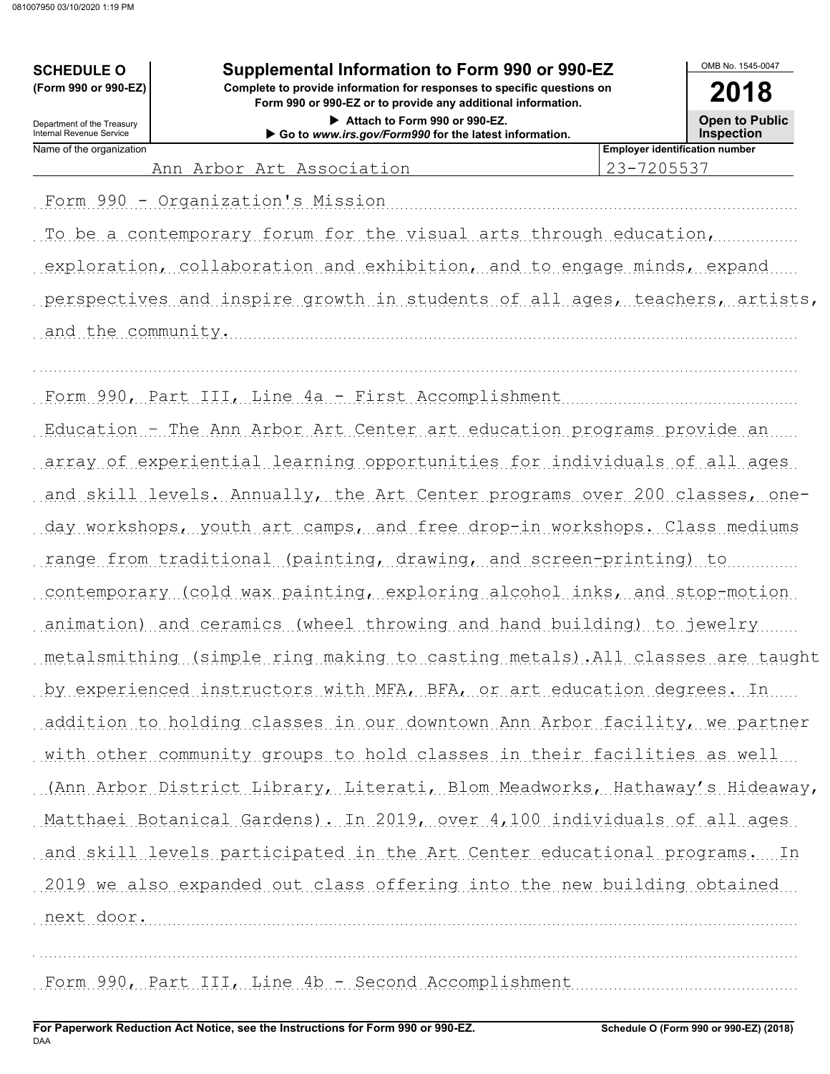**SCHEDULE O** (Form 990 or 990-EZ)

# Supplemental Information to Form 990 or 990-EZ

Complete to provide information for responses to specific questions on Form 990 or 990-EZ or to provide any additional information.

> Attach to Form 990 or 990-EZ. Go to www.irs.gov/Form990 for the latest information.

OMB No. 1545-0047 2018

**Open to Public Inspection** 

Internal Revenue Service Name of the organization

Department of the Treasury

**Employer identification number** 23-7205537

Form 990 - Organization's Mission

To be a contemporary forum for the visual arts through education,

exploration, collaboration and exhibition, and to engage minds, expand perspectives and inspire growth in students of all ages, teachers, artists, and the community.

Form 990, Part III, Line 4a - First Accomplishment

Ann Arbor Art Association

Education - The Ann Arbor Art Center art education programs provide an array of experiential learning opportunities for individuals of all ages and skill levels. Annually, the Art Center programs over 200 classes, oneday workshops, youth art camps, and free drop-in workshops. Class mediums range from traditional (painting, drawing, and screen-printing) to contemporary (cold wax painting, exploring alcohol inks, and stop-motion animation) and ceramics (wheel throwing and hand building) to jewelry metalsmithing (simple ring making to casting metals) All classes are taught by experienced instructors with MFA, BFA, or art education degrees. In addition to holding classes in our downtown Ann Arbor facility, we partner with other community groups to hold classes in their facilities as well (Ann Arbor District Library, Literati, Blom Meadworks, Hathaway's Hideaway, Matthaei Botanical Gardens). In 2019, over 4,100 individuals of all ages and skill levels participated in the Art Center educational programs. In 2019 we also expanded out class offering into the new building obtained next door.

Form 990, Part III, Line 4b - Second Accomplishment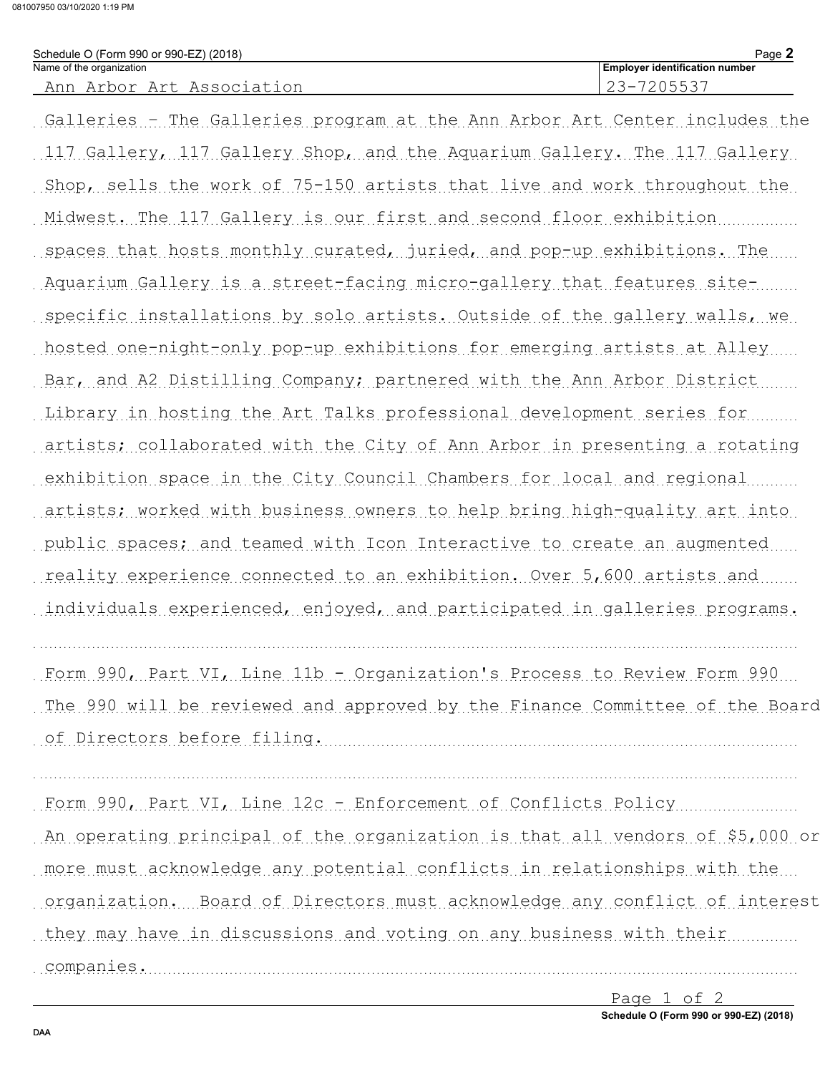| Schedule O (Form 990 or 990-EZ) (2018) | $P$ aqe.                              |
|----------------------------------------|---------------------------------------|
| Name of the organization               | <b>Employer identification number</b> |
| Art Association<br>Ann<br>Arhor        | $\lambda$                             |

Galleries - The Galleries program at the Ann Arbor Art Center includes the 117 Gallery, 117 Gallery Shop, and the Aquarium Gallery. The 117 Gallery Shop, sells the work of 75-150 artists that live and work throughout the Midwest. The 117 Gallery is our first and second floor exhibition spaces that hosts monthly curated, juried, and pop-up exhibitions. The Aquarium Gallery is a street-facing micro-gallery that features sitespecific installations by solo artists. Outside of the gallery walls, we hosted one-night-only pop-up exhibitions for emerging artists at Alley Bar, and A2 Distilling Company; partnered with the Ann Arbor District Library in hosting the Art Talks professional development series for artists; collaborated with the City of Ann Arbor in presenting a rotating exhibition space in the City Council Chambers for local and regional artists, worked with business owners to help bring high-quality art into public spaces; and teamed with Icon Interactive to create an augmented reality experience connected to an exhibition. Over 5,600 artists and individuals experienced, enjoyed, and participated in galleries programs.

Form 990, Part VI, Line 11b - Organization's Process to Review Form 990 The 990 will be reviewed and approved by the Finance Committee of the Board of Directors before filing. The continuum contractor of Directors before filing.

Form 990, Part VI, Line 12c - Enforcement of Conflicts Policy

An operating principal of the organization is that all vendors of \$5,000 or more must acknowledge any potential conflicts in relationships with the organization. Board of Directors must acknowledge any conflict of interest

they may have in discussions and voting on any business with their

companies.

Page 1 of 2 Schedule O (Form 990 or 990-EZ) (2018)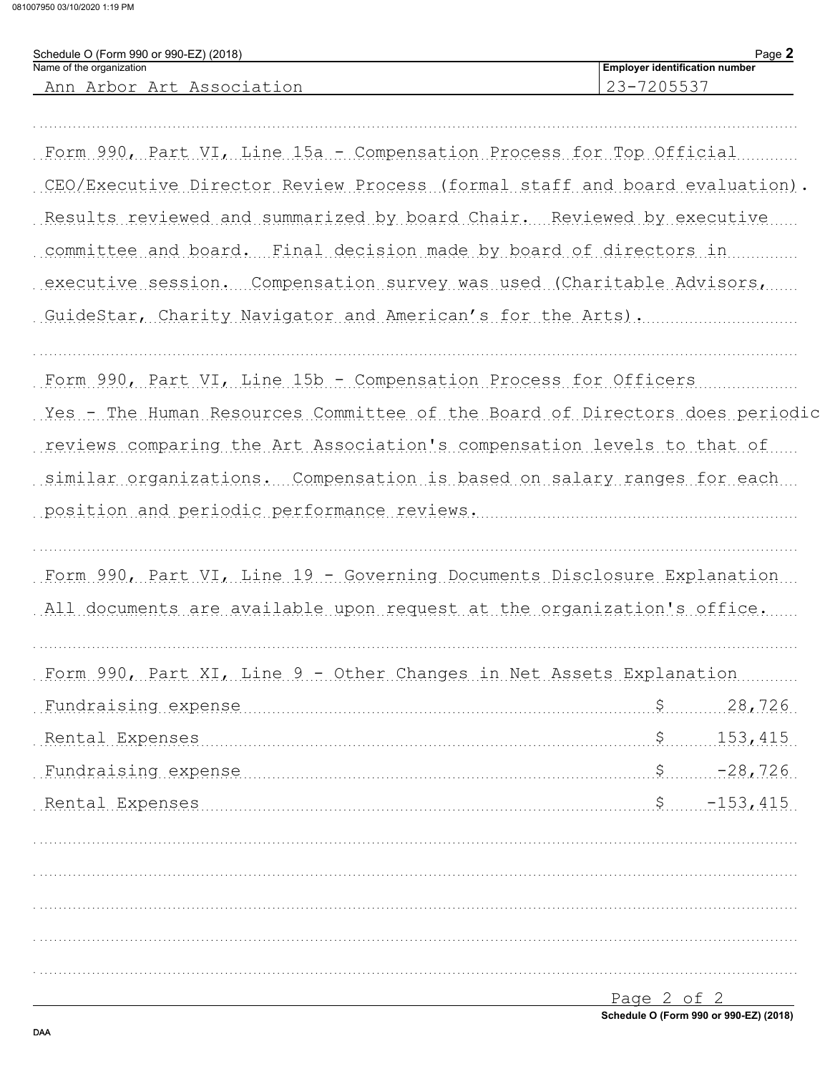081007950 03/10/2020 1:19 PM

| Ann Arbor Art Association<br>Form 990, Part VI, Line 15a - Compensation Process for Top Official<br>CEO/Executive Director Review Process (formal staff and board evaluation).<br>Results reviewed and summarized by board Chair. Reviewed by executive<br>committee and board. Final decision made by board of directors in | 23-7205537    |               |
|------------------------------------------------------------------------------------------------------------------------------------------------------------------------------------------------------------------------------------------------------------------------------------------------------------------------------|---------------|---------------|
|                                                                                                                                                                                                                                                                                                                              |               |               |
|                                                                                                                                                                                                                                                                                                                              |               |               |
|                                                                                                                                                                                                                                                                                                                              |               |               |
|                                                                                                                                                                                                                                                                                                                              |               |               |
|                                                                                                                                                                                                                                                                                                                              |               |               |
|                                                                                                                                                                                                                                                                                                                              |               |               |
| executive session. Compensation survey was used (Charitable Advisors,                                                                                                                                                                                                                                                        |               |               |
| GuideStar, Charity Navigator and American's for the Arts).                                                                                                                                                                                                                                                                   |               |               |
|                                                                                                                                                                                                                                                                                                                              |               |               |
| Form 990, Part VI, Line 15b - Compensation Process for Officers                                                                                                                                                                                                                                                              |               |               |
| Yes - The Human Resources Committee of the Board of Directors does periodic                                                                                                                                                                                                                                                  |               |               |
| reviews comparing the Art Association's compensation levels to that of                                                                                                                                                                                                                                                       |               |               |
| similar organizations. Compensation is based on salary ranges for each                                                                                                                                                                                                                                                       |               |               |
| position and periodic performance reviews.                                                                                                                                                                                                                                                                                   |               |               |
|                                                                                                                                                                                                                                                                                                                              |               |               |
| Form 990, Part VI, Line 19 - Governing Documents Disclosure Explanation                                                                                                                                                                                                                                                      |               |               |
| All documents are available upon request at the organization's office.                                                                                                                                                                                                                                                       |               |               |
|                                                                                                                                                                                                                                                                                                                              |               |               |
| Form 990, Part XI, Line 9 - Other Changes in Net Assets Explanation                                                                                                                                                                                                                                                          |               |               |
| Fundraising expense                                                                                                                                                                                                                                                                                                          | $\frac{1}{2}$ | 28,726        |
| Rental Expenses                                                                                                                                                                                                                                                                                                              | . \$ .        | 153,415       |
| Fundraising expense                                                                                                                                                                                                                                                                                                          | . 5           | $-28,726$     |
| Rental Expenses                                                                                                                                                                                                                                                                                                              |               | $5 - 153,415$ |
|                                                                                                                                                                                                                                                                                                                              |               |               |
|                                                                                                                                                                                                                                                                                                                              |               |               |
|                                                                                                                                                                                                                                                                                                                              |               |               |
|                                                                                                                                                                                                                                                                                                                              |               |               |
|                                                                                                                                                                                                                                                                                                                              |               |               |

Schedule O (Form 990 or 990-EZ) (2018)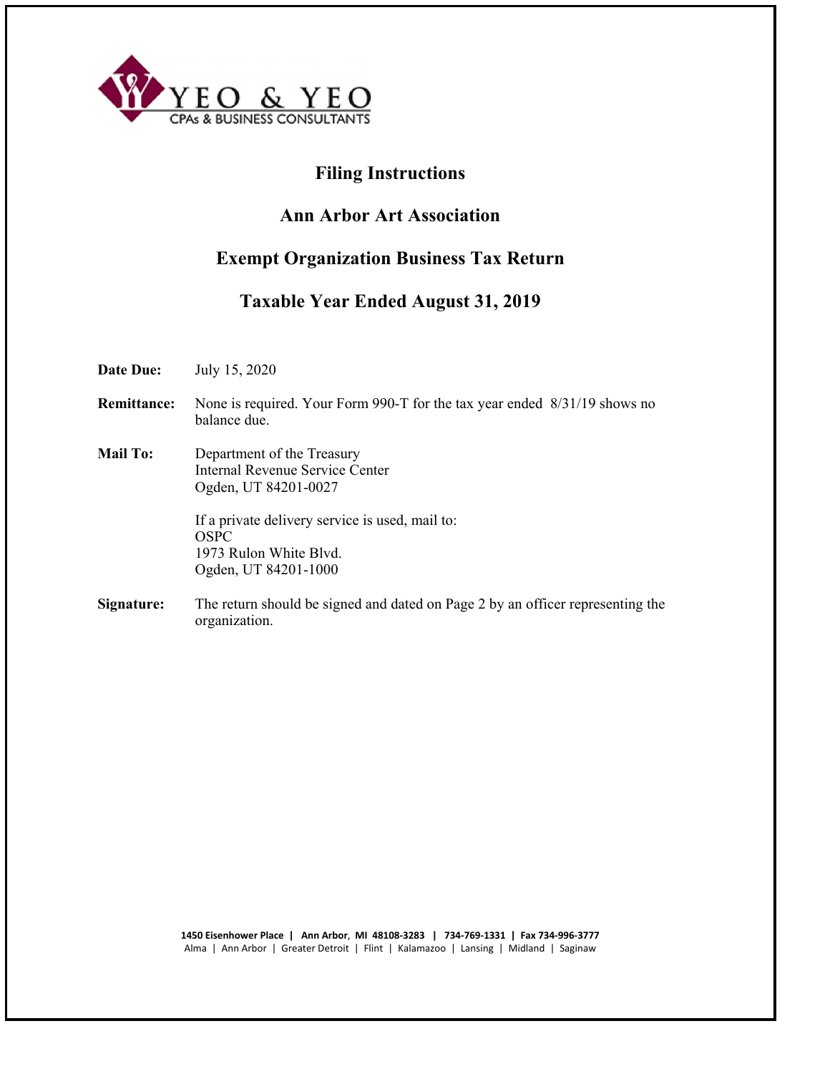

# **Filing Instructions**

# **Ann Arbor Art Association**

# **Exempt Organization Business Tax Return**

# **Taxable Year Ended August 31, 2019**

| <b>Date Due:</b>   | July 15, 2020                                                                                             |
|--------------------|-----------------------------------------------------------------------------------------------------------|
| <b>Remittance:</b> | None is required. Your Form 990-T for the tax year ended 8/31/19 shows no<br>balance due.                 |
| <b>Mail To:</b>    | Department of the Treasury<br>Internal Revenue Service Center<br>Ogden, UT 84201-0027                     |
|                    | If a private delivery service is used, mail to:<br>OSPC<br>1973 Rulon White Blvd.<br>Ogden, UT 84201-1000 |
| Signature:         | The return should be signed and dated on Page 2 by an officer representing the<br>organization.           |

1450 Eisenhower Place | Ann Arbor, MI 48108-3283 | 734-769-1331 | Fax 734-996-3777 Alma | Ann Arbor | Greater Detroit | Flint | Kalamazoo | Lansing | Midland | Saginaw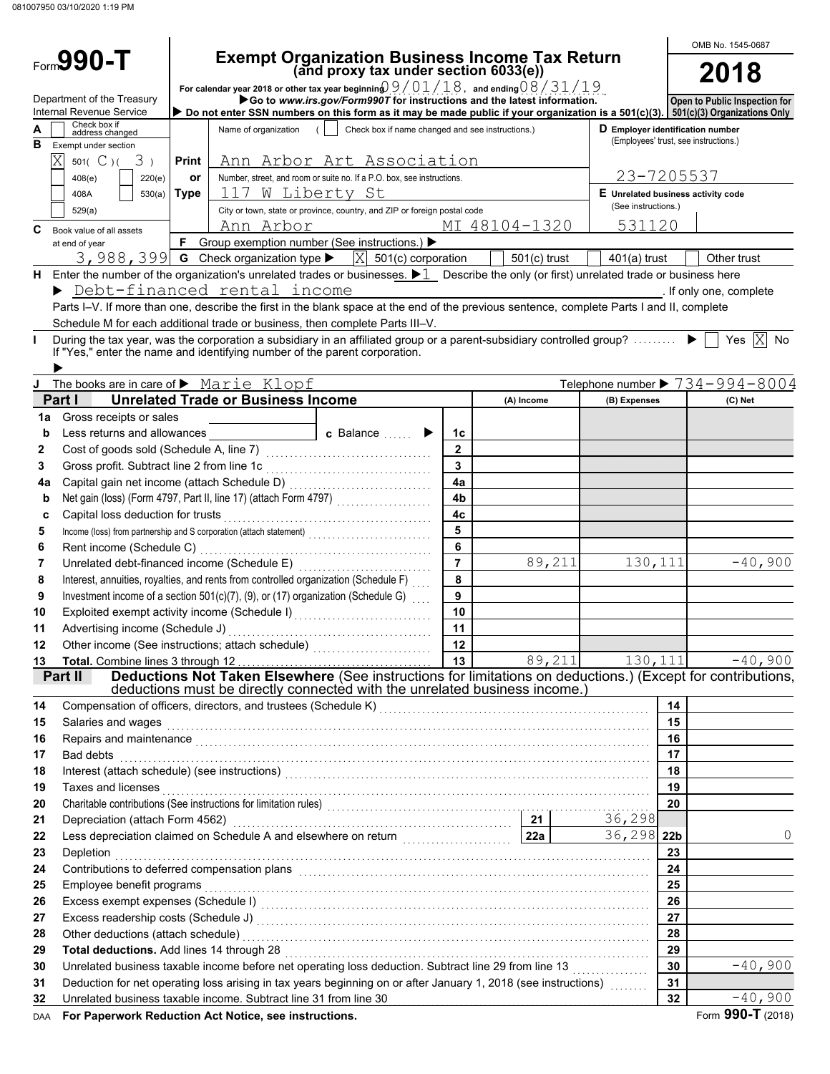|            |                                                                  |                                                                                                                                                                                 |                                           |                                                                                                                                                                                                                                |                |                |  |                                    |    | OMB No. 1545-0687                     |  |
|------------|------------------------------------------------------------------|---------------------------------------------------------------------------------------------------------------------------------------------------------------------------------|-------------------------------------------|--------------------------------------------------------------------------------------------------------------------------------------------------------------------------------------------------------------------------------|----------------|----------------|--|------------------------------------|----|---------------------------------------|--|
|            | Form <b>990-T</b>                                                | Exempt Organization Business Income Tax Return<br>(and proxy tax under section 6033(e))<br>For calendar year 2018 or other tax year beginning $9/01/18$ , and ending $08/31/19$ |                                           |                                                                                                                                                                                                                                |                |                |  |                                    |    | 2018                                  |  |
|            | Department of the Treasury                                       |                                                                                                                                                                                 |                                           | Go to www.irs.gov/Form990T for instructions and the latest information.                                                                                                                                                        |                |                |  |                                    |    | Open to Public Inspection for         |  |
|            | Internal Revenue Service                                         |                                                                                                                                                                                 |                                           | Do not enter SSN numbers on this form as it may be made public if your organization is a 501(c)(3). 501(c)(3) Organizations Only                                                                                               |                |                |  |                                    |    |                                       |  |
|            | Check box if<br>address changed                                  |                                                                                                                                                                                 | Name of organization                      | Check box if name changed and see instructions.)                                                                                                                                                                               |                |                |  | D Employer identification number   |    |                                       |  |
| в          | Exempt under section                                             |                                                                                                                                                                                 |                                           |                                                                                                                                                                                                                                |                |                |  |                                    |    | (Employees' trust, see instructions.) |  |
|            | X<br>$501(^{\circ}C)(3)$                                         | Print                                                                                                                                                                           |                                           | Ann Arbor Art Association                                                                                                                                                                                                      |                |                |  |                                    |    |                                       |  |
|            | 408(e)<br>220(e)                                                 | or                                                                                                                                                                              |                                           | Number, street, and room or suite no. If a P.O. box, see instructions.                                                                                                                                                         |                |                |  |                                    |    | 23-7205537                            |  |
|            | 408A<br>530(a)                                                   | Type                                                                                                                                                                            | 117 W Liberty St                          |                                                                                                                                                                                                                                |                |                |  | E Unrelated business activity code |    |                                       |  |
|            | 529(a)                                                           |                                                                                                                                                                                 |                                           | City or town, state or province, country, and ZIP or foreign postal code                                                                                                                                                       |                |                |  | (See instructions.)                |    |                                       |  |
| C.         | Book value of all assets                                         |                                                                                                                                                                                 | Ann Arbor                                 |                                                                                                                                                                                                                                |                | MI 48104-1320  |  | 531120                             |    |                                       |  |
|            | at end of year                                                   |                                                                                                                                                                                 |                                           | <b>F</b> Group exemption number (See instructions.) ▶                                                                                                                                                                          |                |                |  |                                    |    |                                       |  |
|            |                                                                  |                                                                                                                                                                                 |                                           | 3, 988, 399 G Check organization type $\blacktriangleright$ $ X $ 501(c) corporation                                                                                                                                           |                | $501(c)$ trust |  | $401(a)$ trust                     |    | Other trust                           |  |
| н.         |                                                                  |                                                                                                                                                                                 |                                           | Enter the number of the organization's unrelated trades or businesses. $\blacktriangleright$ 1 Describe the only (or first) unrelated trade or business here                                                                   |                |                |  |                                    |    |                                       |  |
|            | Debt-financed rental income                                      |                                                                                                                                                                                 |                                           |                                                                                                                                                                                                                                |                |                |  |                                    |    | . If only one, complete               |  |
|            |                                                                  |                                                                                                                                                                                 |                                           | Parts I-V. If more than one, describe the first in the blank space at the end of the previous sentence, complete Parts I and II, complete                                                                                      |                |                |  |                                    |    |                                       |  |
|            |                                                                  |                                                                                                                                                                                 |                                           | Schedule M for each additional trade or business, then complete Parts III-V.                                                                                                                                                   |                |                |  |                                    |    |                                       |  |
|            |                                                                  |                                                                                                                                                                                 |                                           | During the tax year, was the corporation a subsidiary in an affiliated group or a parent-subsidiary controlled group?<br>If "Yes," enter the name and identifying number of the parent corporation.                            |                |                |  |                                    |    | X <br>Yes<br>No                       |  |
| J          | The books are in care of ▶ Marie Klopf                           |                                                                                                                                                                                 |                                           |                                                                                                                                                                                                                                |                |                |  |                                    |    | Telephone number ▶ $734 - 994 - 8004$ |  |
|            | Part I                                                           |                                                                                                                                                                                 | <b>Unrelated Trade or Business Income</b> |                                                                                                                                                                                                                                |                | (A) Income     |  | (B) Expenses                       |    | $(C)$ Net                             |  |
| 1a         | Gross receipts or sales                                          |                                                                                                                                                                                 |                                           |                                                                                                                                                                                                                                |                |                |  |                                    |    |                                       |  |
| b          | Less returns and allowances                                      |                                                                                                                                                                                 |                                           | c Balance  ▶                                                                                                                                                                                                                   | 1c             |                |  |                                    |    |                                       |  |
| 2          |                                                                  |                                                                                                                                                                                 |                                           |                                                                                                                                                                                                                                | $\mathbf{2}$   |                |  |                                    |    |                                       |  |
| 3          | Gross profit. Subtract line 2 from line 1c                       |                                                                                                                                                                                 |                                           |                                                                                                                                                                                                                                | 3              |                |  |                                    |    |                                       |  |
| 4a         |                                                                  |                                                                                                                                                                                 |                                           |                                                                                                                                                                                                                                | 4a             |                |  |                                    |    |                                       |  |
| b          |                                                                  |                                                                                                                                                                                 |                                           | Net gain (loss) (Form 4797, Part II, line 17) (attach Form 4797)                                                                                                                                                               | 4b             |                |  |                                    |    |                                       |  |
| c          | Capital loss deduction for trusts                                |                                                                                                                                                                                 |                                           |                                                                                                                                                                                                                                | 4c             |                |  |                                    |    |                                       |  |
| 5          |                                                                  |                                                                                                                                                                                 |                                           |                                                                                                                                                                                                                                | 5              |                |  |                                    |    |                                       |  |
| 6          | Rent income (Schedule C)                                         |                                                                                                                                                                                 |                                           |                                                                                                                                                                                                                                | 6              |                |  |                                    |    |                                       |  |
| 7          | Unrelated debt-financed income (Schedule E)                      |                                                                                                                                                                                 |                                           |                                                                                                                                                                                                                                | $\overline{7}$ | 89,211         |  | 130, 111                           |    | $-40,900$                             |  |
| 8          |                                                                  |                                                                                                                                                                                 |                                           | Interest, annuities, royalties, and rents from controlled organization (Schedule F)                                                                                                                                            | 8              |                |  |                                    |    |                                       |  |
| 9          |                                                                  |                                                                                                                                                                                 |                                           | Investment income of a section 501(c)(7), (9), or (17) organization (Schedule G)                                                                                                                                               | 9              |                |  |                                    |    |                                       |  |
| 10         |                                                                  |                                                                                                                                                                                 |                                           |                                                                                                                                                                                                                                | 10             |                |  |                                    |    |                                       |  |
| 11         | Advertising income (Schedule J)                                  |                                                                                                                                                                                 |                                           |                                                                                                                                                                                                                                | 11             |                |  |                                    |    |                                       |  |
| 12         |                                                                  |                                                                                                                                                                                 |                                           |                                                                                                                                                                                                                                | 12             |                |  |                                    |    |                                       |  |
| 13         |                                                                  |                                                                                                                                                                                 |                                           |                                                                                                                                                                                                                                | 13             | 89,211         |  |                                    |    |                                       |  |
|            | Part II                                                          |                                                                                                                                                                                 |                                           | deductions must be directly connected with the unrelated business income.)                                                                                                                                                     |                |                |  |                                    |    |                                       |  |
| 14         |                                                                  |                                                                                                                                                                                 |                                           |                                                                                                                                                                                                                                |                |                |  |                                    | 14 |                                       |  |
| 15         | Salaries and wages                                               |                                                                                                                                                                                 |                                           |                                                                                                                                                                                                                                |                |                |  |                                    | 15 |                                       |  |
| 16         |                                                                  |                                                                                                                                                                                 |                                           | Repairs and maintenance <b>construction and construction of the construction</b> and maintenance in the construction of                                                                                                        |                |                |  |                                    | 16 |                                       |  |
| 17         | Bad debts                                                        |                                                                                                                                                                                 |                                           |                                                                                                                                                                                                                                |                |                |  |                                    | 17 |                                       |  |
| 18         |                                                                  |                                                                                                                                                                                 |                                           |                                                                                                                                                                                                                                |                |                |  |                                    | 18 |                                       |  |
| 19         | Taxes and licenses                                               |                                                                                                                                                                                 |                                           |                                                                                                                                                                                                                                |                |                |  |                                    | 19 |                                       |  |
| 20         |                                                                  |                                                                                                                                                                                 |                                           |                                                                                                                                                                                                                                |                |                |  |                                    | 20 |                                       |  |
| 21         |                                                                  |                                                                                                                                                                                 |                                           |                                                                                                                                                                                                                                |                |                |  | 36,298                             |    |                                       |  |
| 22         |                                                                  |                                                                                                                                                                                 |                                           | Less depreciation claimed on Schedule A and elsewhere on return <i>[200]</i> 22a 22a                                                                                                                                           |                |                |  | 36,298 22b                         |    | $\overline{0}$                        |  |
| 23         | Depletion                                                        |                                                                                                                                                                                 |                                           |                                                                                                                                                                                                                                |                |                |  |                                    | 23 |                                       |  |
| 24         |                                                                  |                                                                                                                                                                                 |                                           |                                                                                                                                                                                                                                |                |                |  |                                    | 24 |                                       |  |
| 25         |                                                                  |                                                                                                                                                                                 |                                           | Employee benefit programs with an account of the contract of the contract of the contract of the contract of the contract of the contract of the contract of the contract of the contract of the contract of the contract of t |                |                |  |                                    | 25 |                                       |  |
| 26         |                                                                  |                                                                                                                                                                                 |                                           | Excess exempt expenses (Schedule I) Material Contract Constant Contract Constant Constant Constant Constant Co                                                                                                                 |                |                |  |                                    | 26 |                                       |  |
| 27         |                                                                  |                                                                                                                                                                                 |                                           |                                                                                                                                                                                                                                |                |                |  |                                    | 27 |                                       |  |
| 28         |                                                                  |                                                                                                                                                                                 |                                           |                                                                                                                                                                                                                                |                |                |  |                                    | 28 |                                       |  |
| 29         |                                                                  |                                                                                                                                                                                 |                                           | Total deductions. Add lines 14 through 28 [11] Martin Martin Martin Martin Martin Martin Martin Martin Martin M                                                                                                                |                |                |  |                                    | 29 |                                       |  |
| 30         |                                                                  |                                                                                                                                                                                 |                                           | Unrelated business taxable income before net operating loss deduction. Subtract line 29 from line 13 [[[[[[[[[                                                                                                                 |                |                |  |                                    | 30 | $-40,900$                             |  |
| 31         |                                                                  |                                                                                                                                                                                 |                                           | Deduction for net operating loss arising in tax years beginning on or after January 1, 2018 (see instructions)                                                                                                                 |                |                |  |                                    | 31 |                                       |  |
| 32         | Unrelated business taxable income. Subtract line 31 from line 30 |                                                                                                                                                                                 |                                           |                                                                                                                                                                                                                                |                |                |  |                                    | 32 | $-40,900$                             |  |
| <b>DAA</b> | For Paperwork Reduction Act Notice, see instructions.            |                                                                                                                                                                                 |                                           |                                                                                                                                                                                                                                |                |                |  |                                    |    | Form 990-T (2018)                     |  |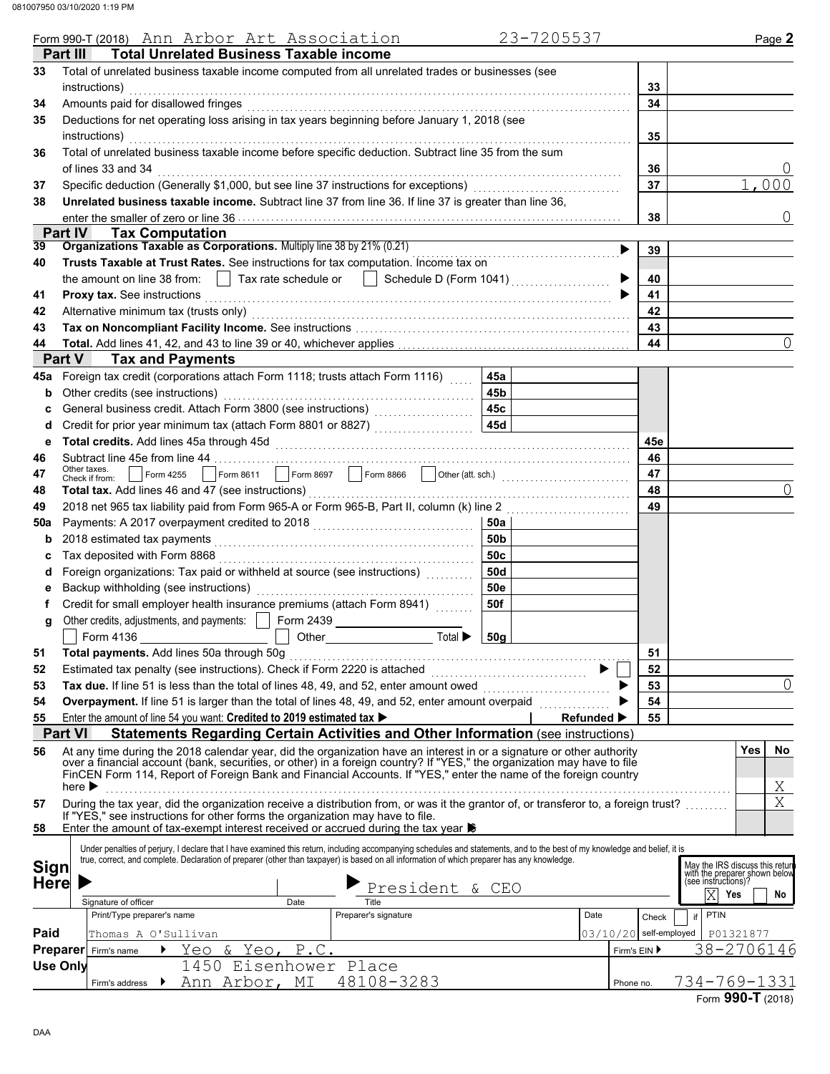|             | Form 990-T (2018) Ann Arbor Art Association                                                                                                                                                                                                | 23-7205537        |                        | Page 2                                                                                       |
|-------------|--------------------------------------------------------------------------------------------------------------------------------------------------------------------------------------------------------------------------------------------|-------------------|------------------------|----------------------------------------------------------------------------------------------|
|             | <b>Total Unrelated Business Taxable income</b><br>Part II                                                                                                                                                                                  |                   |                        |                                                                                              |
| 33          | Total of unrelated business taxable income computed from all unrelated trades or businesses (see                                                                                                                                           |                   |                        |                                                                                              |
|             | instructions)                                                                                                                                                                                                                              |                   | 33                     |                                                                                              |
| 34          | Amounts paid for disallowed fringes                                                                                                                                                                                                        |                   | 34                     |                                                                                              |
| 35          | Deductions for net operating loss arising in tax years beginning before January 1, 2018 (see                                                                                                                                               |                   |                        |                                                                                              |
|             | instructions)                                                                                                                                                                                                                              |                   | 35                     |                                                                                              |
|             | Total of unrelated business taxable income before specific deduction. Subtract line 35 from the sum                                                                                                                                        |                   |                        |                                                                                              |
| 36          |                                                                                                                                                                                                                                            |                   |                        |                                                                                              |
|             | of lines 33 and 34                                                                                                                                                                                                                         |                   | 36                     |                                                                                              |
| 37          |                                                                                                                                                                                                                                            |                   | 37                     | 000                                                                                          |
| 38          | Unrelated business taxable income. Subtract line 37 from line 36. If line 37 is greater than line 36,                                                                                                                                      |                   |                        |                                                                                              |
|             |                                                                                                                                                                                                                                            |                   | 38                     | $\left( \right)$                                                                             |
|             | <b>Part IV</b><br><b>Tax Computation</b>                                                                                                                                                                                                   |                   |                        |                                                                                              |
| 39          | Organizations Taxable as Corporations. Multiply line 38 by 21% (0.21)                                                                                                                                                                      |                   | ▶<br>39                |                                                                                              |
| 40          | Trusts Taxable at Trust Rates. See instructions for tax computation. Income tax on                                                                                                                                                         |                   |                        |                                                                                              |
|             | Tax rate schedule or     Schedule D (Form 1041)<br>the amount on line 38 from:                                                                                                                                                             |                   | 40                     |                                                                                              |
| 41          |                                                                                                                                                                                                                                            |                   | 41                     |                                                                                              |
| 42          |                                                                                                                                                                                                                                            |                   | 42                     |                                                                                              |
| 43          |                                                                                                                                                                                                                                            |                   | 43                     |                                                                                              |
| 44          |                                                                                                                                                                                                                                            |                   | 44                     | $\left( \right)$                                                                             |
|             | <b>Part V</b><br><b>Tax and Payments</b>                                                                                                                                                                                                   |                   |                        |                                                                                              |
| 45а         | Foreign tax credit (corporations attach Form 1118; trusts attach Form 1116)                                                                                                                                                                | 45a               |                        |                                                                                              |
| b           | Other credits (see instructions)                                                                                                                                                                                                           | 45b               |                        |                                                                                              |
| c           | General business credit. Attach Form 3800 (see instructions) [[[[[[[[[[[[[[[[[[[[[[[[[]]]]]]]]                                                                                                                                             | 45c               |                        |                                                                                              |
| d           |                                                                                                                                                                                                                                            | 45d               |                        |                                                                                              |
|             |                                                                                                                                                                                                                                            |                   | 45e                    |                                                                                              |
| е           | Subtract line 45e from line 44                                                                                                                                                                                                             |                   | 46                     |                                                                                              |
| 46          | Other taxes.                                                                                                                                                                                                                               |                   |                        |                                                                                              |
| 47          | Form 8611     Form 8697     Form 8866  <br>Form 4255<br>Check if from:                                                                                                                                                                     |                   | 47                     |                                                                                              |
| 48          | Total tax. Add lines 46 and 47 (see instructions)                                                                                                                                                                                          |                   | 48                     | $\Omega$                                                                                     |
| 49          | 2018 net 965 tax liability paid from Form 965-A or Form 965-B, Part II, column (k) line 2 [[[[[[[[[[[[[[[[[[[                                                                                                                              |                   | 49                     |                                                                                              |
| 50a         |                                                                                                                                                                                                                                            | 50a               |                        |                                                                                              |
| b           |                                                                                                                                                                                                                                            | 50 <sub>b</sub>   |                        |                                                                                              |
| c           |                                                                                                                                                                                                                                            | 50 <sub>c</sub>   |                        |                                                                                              |
| a           | Foreign organizations: Tax paid or withheld at source (see instructions)                                                                                                                                                                   | 50d               |                        |                                                                                              |
| е           |                                                                                                                                                                                                                                            | <b>50e</b>        |                        |                                                                                              |
|             | Credit for small employer health insurance premiums (attach Form 8941)                                                                                                                                                                     | 50f               |                        |                                                                                              |
| g           | Other credits, adjustments, and payments:     Form 2439                                                                                                                                                                                    |                   |                        |                                                                                              |
|             | Other<br>Total ▶<br>Form 4136                                                                                                                                                                                                              | 50a               |                        |                                                                                              |
| 51          | <b>Total payments.</b> Add lines 50a through 50g                                                                                                                                                                                           |                   | 51                     |                                                                                              |
| 52          |                                                                                                                                                                                                                                            |                   | 52                     |                                                                                              |
| 53          |                                                                                                                                                                                                                                            |                   | 53                     | $\Omega$                                                                                     |
| 54          | Overpayment. If line 51 is larger than the total of lines 48, 49, and 52, enter amount overpaid                                                                                                                                            |                   | 54                     |                                                                                              |
| 55          | Enter the amount of line 54 you want: Credited to 2019 estimated tax >                                                                                                                                                                     | <b>Refunded</b> ▶ | 55                     |                                                                                              |
|             | <b>Part VI</b><br><b>Statements Regarding Certain Activities and Other Information (see instructions)</b>                                                                                                                                  |                   |                        |                                                                                              |
|             |                                                                                                                                                                                                                                            |                   |                        |                                                                                              |
| 56          | At any time during the 2018 calendar year, did the organization have an interest in or a signature or other authority                                                                                                                      |                   |                        | Yes<br>No                                                                                    |
|             |                                                                                                                                                                                                                                            |                   |                        |                                                                                              |
|             | over a financial account (bank, securities, or other) in a foreign country? If "YES," the organization may have to file<br>FinCEN Form 114, Report of Foreign Bank and Financial Accounts. If "YES," enter the name of the foreign country |                   |                        |                                                                                              |
|             | here $\blacktriangleright$                                                                                                                                                                                                                 |                   |                        | Χ                                                                                            |
| 57          | During the tax year, did the organization receive a distribution from, or was it the grantor of, or transferor to, a foreign trust?                                                                                                        |                   |                        | Χ                                                                                            |
|             | If "YES," see instructions for other forms the organization may have to file.                                                                                                                                                              |                   |                        |                                                                                              |
| 58          | Enter the amount of tax-exempt interest received or accrued during the tax year $\ddot{\bullet}$                                                                                                                                           |                   |                        |                                                                                              |
|             | Under penalties of perjury, I declare that I have examined this return, including accompanying schedules and statements, and to the best of my knowledge and belief, it is                                                                 |                   |                        |                                                                                              |
|             | true, correct, and complete. Declaration of preparer (other than taxpayer) is based on all information of which preparer has any knowledge.                                                                                                |                   |                        |                                                                                              |
| Sign        |                                                                                                                                                                                                                                            |                   |                        |                                                                                              |
| <b>Here</b> | President & CEO                                                                                                                                                                                                                            |                   |                        | May the IRS discuss this retur<br>with the preparer shown below<br>(see instructions)?<br>No |
|             | Signature of officer<br>Date<br>Title                                                                                                                                                                                                      |                   |                        | $ \chi $ Yes                                                                                 |
|             | Print/Type preparer's name<br>Preparer's signature                                                                                                                                                                                         | Date              | if<br>Check            | PTIN                                                                                         |
| Paid        | Thomas A O'Sullivan                                                                                                                                                                                                                        |                   | 03/10/20 self-employed | P01321877                                                                                    |
|             | Yeo & Yeo, P.C.<br><b>Preparer</b><br>▶<br>Firm's name                                                                                                                                                                                     |                   | Firm's EIN ▶           | 38-2706146                                                                                   |
|             | 1450 Eisenhower Place<br><b>Use Only</b><br>Ann Arbor, MI 48108-3283                                                                                                                                                                       |                   |                        | 734-769-1331                                                                                 |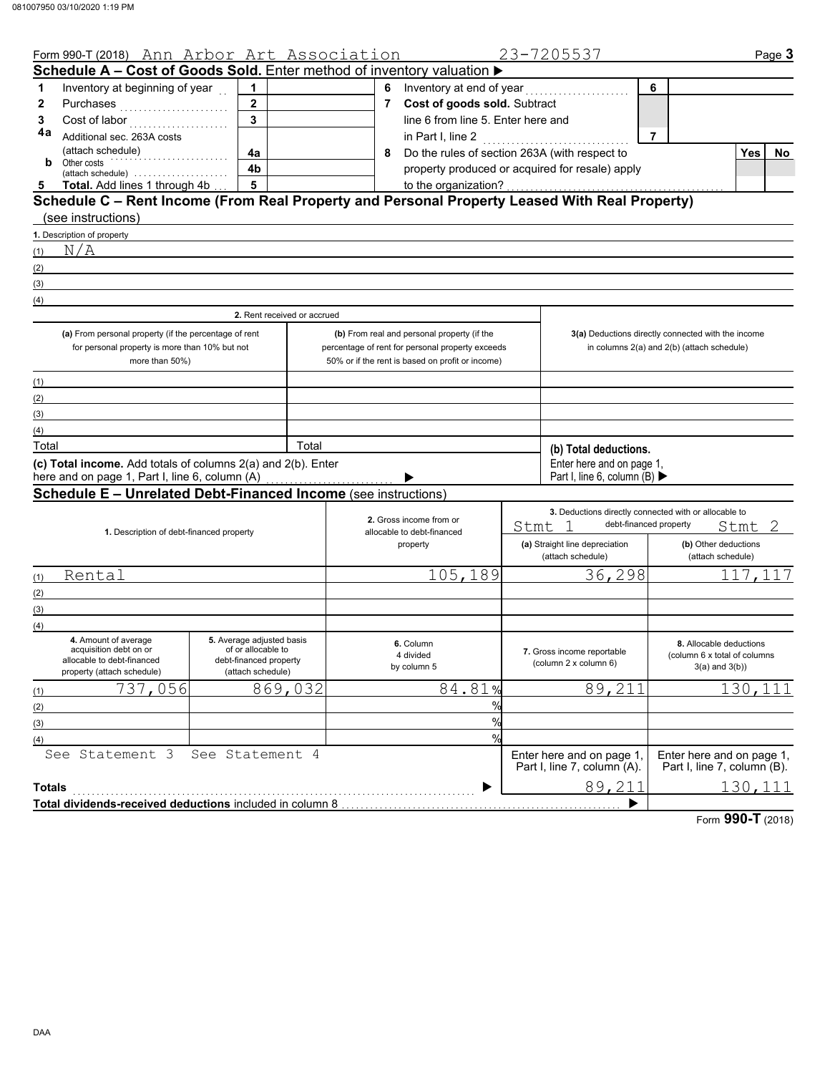| Form 990-T (2018) Ann Arbor Art Association                                                                    |                                                 |                                             |                                                  |      | 23-7205537                                                                    | Page 3                                                   |  |  |
|----------------------------------------------------------------------------------------------------------------|-------------------------------------------------|---------------------------------------------|--------------------------------------------------|------|-------------------------------------------------------------------------------|----------------------------------------------------------|--|--|
| Schedule A - Cost of Goods Sold. Enter method of inventory valuation $\blacktriangleright$                     |                                                 |                                             |                                                  |      |                                                                               |                                                          |  |  |
| Inventory at beginning of year<br>1<br>1                                                                       |                                                 |                                             | 6 Inventory at end of year                       |      |                                                                               | 6                                                        |  |  |
| 2<br>2<br>Purchases                                                                                            |                                                 | Cost of goods sold. Subtract<br>$7^{\circ}$ |                                                  |      |                                                                               |                                                          |  |  |
| 3<br>Cost of labor<br>3                                                                                        |                                                 | line 6 from line 5. Enter here and          |                                                  |      |                                                                               |                                                          |  |  |
| 4a<br>Additional sec. 263A costs                                                                               |                                                 |                                             |                                                  |      |                                                                               | 7                                                        |  |  |
| (attach schedule)<br>4a                                                                                        |                                                 | 8                                           | Do the rules of section 263A (with respect to    |      |                                                                               | <b>Yes</b><br><b>No</b>                                  |  |  |
| Other costs<br>b<br>4b                                                                                         |                                                 |                                             |                                                  |      | property produced or acquired for resale) apply                               |                                                          |  |  |
| (attach schedule)<br>5<br><b>Total.</b> Add lines 1 through 4b<br>5                                            |                                                 |                                             | to the organization?                             |      |                                                                               |                                                          |  |  |
| Schedule C - Rent Income (From Real Property and Personal Property Leased With Real Property)                  |                                                 |                                             |                                                  |      |                                                                               |                                                          |  |  |
| (see instructions)                                                                                             |                                                 |                                             |                                                  |      |                                                                               |                                                          |  |  |
| 1. Description of property                                                                                     |                                                 |                                             |                                                  |      |                                                                               |                                                          |  |  |
| N/A<br>(1)                                                                                                     |                                                 |                                             |                                                  |      |                                                                               |                                                          |  |  |
| (2)                                                                                                            |                                                 |                                             |                                                  |      |                                                                               |                                                          |  |  |
| (3)                                                                                                            |                                                 |                                             |                                                  |      |                                                                               |                                                          |  |  |
| (4)                                                                                                            |                                                 |                                             |                                                  |      |                                                                               |                                                          |  |  |
|                                                                                                                | 2. Rent received or accrued                     |                                             |                                                  |      |                                                                               |                                                          |  |  |
| (a) From personal property (if the percentage of rent                                                          |                                                 |                                             | (b) From real and personal property (if the      |      |                                                                               | 3(a) Deductions directly connected with the income       |  |  |
| for personal property is more than 10% but not                                                                 |                                                 |                                             | percentage of rent for personal property exceeds |      |                                                                               | in columns 2(a) and 2(b) (attach schedule)               |  |  |
| more than 50%)                                                                                                 |                                                 |                                             | 50% or if the rent is based on profit or income) |      |                                                                               |                                                          |  |  |
| (1)                                                                                                            |                                                 |                                             |                                                  |      |                                                                               |                                                          |  |  |
| (2)                                                                                                            |                                                 |                                             |                                                  |      |                                                                               |                                                          |  |  |
| (3)                                                                                                            |                                                 |                                             |                                                  |      |                                                                               |                                                          |  |  |
| (4)                                                                                                            |                                                 |                                             |                                                  |      |                                                                               |                                                          |  |  |
| Total                                                                                                          | Total                                           |                                             |                                                  |      |                                                                               |                                                          |  |  |
|                                                                                                                |                                                 |                                             |                                                  |      | (b) Total deductions.                                                         |                                                          |  |  |
| (c) Total income. Add totals of columns 2(a) and 2(b). Enter<br>here and on page 1, Part I, line 6, column (A) |                                                 |                                             |                                                  |      | Enter here and on page 1,<br>Part I, line 6, column (B) $\blacktriangleright$ |                                                          |  |  |
| Schedule E - Unrelated Debt-Financed Income (see instructions)                                                 |                                                 |                                             |                                                  |      |                                                                               |                                                          |  |  |
|                                                                                                                |                                                 |                                             |                                                  |      |                                                                               | 3. Deductions directly connected with or allocable to    |  |  |
|                                                                                                                |                                                 |                                             | 2. Gross income from or                          | Stmt | -1                                                                            | debt-financed property<br>2<br>Stmt                      |  |  |
| 1. Description of debt-financed property                                                                       |                                                 |                                             | allocable to debt-financed                       |      |                                                                               |                                                          |  |  |
|                                                                                                                |                                                 |                                             | property                                         |      | (a) Straight line depreciation<br>(attach schedule)                           | (b) Other deductions<br>(attach schedule)                |  |  |
| Rental                                                                                                         |                                                 |                                             | 105,189                                          |      | 36,298                                                                        | 117<br>117                                               |  |  |
| (1)                                                                                                            |                                                 |                                             |                                                  |      |                                                                               |                                                          |  |  |
| (2)                                                                                                            |                                                 |                                             |                                                  |      |                                                                               |                                                          |  |  |
| (3)                                                                                                            |                                                 |                                             |                                                  |      |                                                                               |                                                          |  |  |
| (4)                                                                                                            |                                                 |                                             |                                                  |      |                                                                               |                                                          |  |  |
| 4. Amount of average<br>acquisition debt on or                                                                 | 5. Average adjusted basis<br>of or allocable to |                                             | 6. Column                                        |      | 7. Gross income reportable                                                    | 8. Allocable deductions                                  |  |  |
| allocable to debt-financed                                                                                     | debt-financed property                          |                                             | 4 divided<br>by column 5                         |      | (column 2 x column 6)                                                         | (column 6 x total of columns<br>$3(a)$ and $3(b)$ )      |  |  |
| (attach schedule)<br>property (attach schedule)                                                                |                                                 |                                             |                                                  |      |                                                                               |                                                          |  |  |
| 737,056<br>(1)                                                                                                 | 869,032                                         |                                             | 84.81%                                           |      | 89,211                                                                        | 130,<br>111                                              |  |  |
| (2)                                                                                                            |                                                 |                                             | $\frac{0}{0}$                                    |      |                                                                               |                                                          |  |  |
| (3)                                                                                                            |                                                 |                                             | $\frac{0}{0}$                                    |      |                                                                               |                                                          |  |  |
| (4)                                                                                                            |                                                 |                                             | $\frac{0}{0}$                                    |      |                                                                               |                                                          |  |  |
| See Statement 4<br>Statement 3<br>See                                                                          |                                                 |                                             |                                                  |      | Enter here and on page 1,<br>Part I, line 7, column (A).                      | Enter here and on page 1,<br>Part I, line 7, column (B). |  |  |
| <b>Totals</b>                                                                                                  |                                                 |                                             | ▶                                                |      | 89,211                                                                        | 130,111                                                  |  |  |
| Total dividends-received deductions included in column 8                                                       |                                                 |                                             |                                                  |      |                                                                               |                                                          |  |  |

Form **990-T** (2018)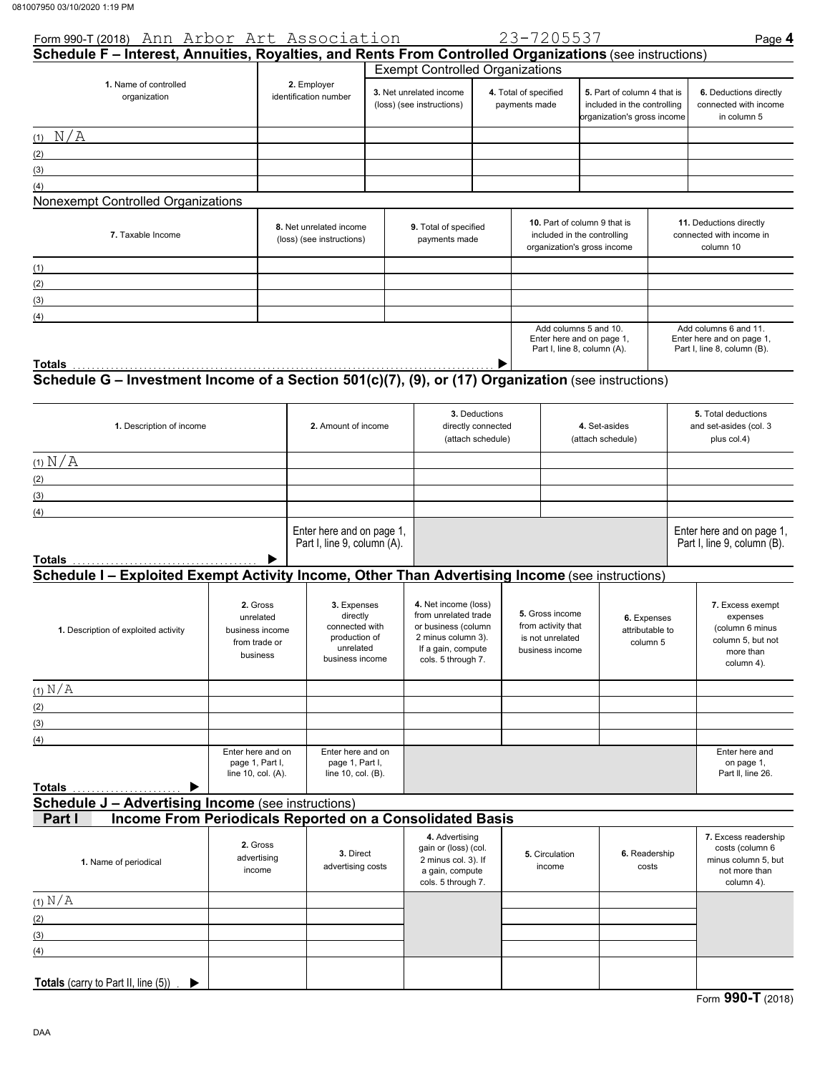(4) (3) (2)

| Form 990-T (2018) Ann Arbor Art Association                                                             |                                                      |                                                      |                                        |                                        | 23-7205537 |                                                                                            |  | Page 4                                                           |
|---------------------------------------------------------------------------------------------------------|------------------------------------------------------|------------------------------------------------------|----------------------------------------|----------------------------------------|------------|--------------------------------------------------------------------------------------------|--|------------------------------------------------------------------|
| Schedule F - Interest, Annuities, Royalties, and Rents From Controlled Organizations (see instructions) |                                                      |                                                      |                                        |                                        |            |                                                                                            |  |                                                                  |
|                                                                                                         |                                                      |                                                      | <b>Exempt Controlled Organizations</b> |                                        |            |                                                                                            |  |                                                                  |
| 1. Name of controlled<br>organization                                                                   | 2. Employer<br>identification number                 | 3. Net unrelated income<br>(loss) (see instructions) |                                        | 4. Total of specified<br>payments made |            | 5. Part of column 4 that is<br>included in the controlling<br>organization's gross income  |  | 6. Deductions directly<br>connected with income<br>in column 5   |
| $(1)$ N/A                                                                                               |                                                      |                                                      |                                        |                                        |            |                                                                                            |  |                                                                  |
| (2)                                                                                                     |                                                      |                                                      |                                        |                                        |            |                                                                                            |  |                                                                  |
| (3)                                                                                                     |                                                      |                                                      |                                        |                                        |            |                                                                                            |  |                                                                  |
| (4)                                                                                                     |                                                      |                                                      |                                        |                                        |            |                                                                                            |  |                                                                  |
| Nonexempt Controlled Organizations                                                                      |                                                      |                                                      |                                        |                                        |            |                                                                                            |  |                                                                  |
| 7. Taxable Income                                                                                       | 8. Net unrelated income<br>(loss) (see instructions) |                                                      |                                        | 9. Total of specified<br>payments made |            | 10. Part of column 9 that is<br>included in the controlling<br>organization's gross income |  | 11. Deductions directly<br>connected with income in<br>column 10 |
| (1)                                                                                                     |                                                      |                                                      |                                        |                                        |            |                                                                                            |  |                                                                  |

| <b>Totals</b>                                                                                   |                                                                       |                                                                                            |                                                                                                                                       |                          |                                                                                                                            |                        |                                                                                                 |
|-------------------------------------------------------------------------------------------------|-----------------------------------------------------------------------|--------------------------------------------------------------------------------------------|---------------------------------------------------------------------------------------------------------------------------------------|--------------------------|----------------------------------------------------------------------------------------------------------------------------|------------------------|-------------------------------------------------------------------------------------------------|
|                                                                                                 |                                                                       |                                                                                            |                                                                                                                                       |                          |                                                                                                                            |                        |                                                                                                 |
| 1. Description of income                                                                        |                                                                       | 2. Amount of income                                                                        | 3. Deductions<br>directly connected<br>(attach schedule)                                                                              |                          | 4. Set-asides<br>(attach schedule)                                                                                         |                        | 5. Total deductions<br>and set-asides (col. 3<br>plus col.4)                                    |
| (1) N/A                                                                                         |                                                                       |                                                                                            |                                                                                                                                       |                          |                                                                                                                            |                        |                                                                                                 |
| (2)                                                                                             |                                                                       |                                                                                            |                                                                                                                                       |                          |                                                                                                                            |                        |                                                                                                 |
| (3)                                                                                             |                                                                       |                                                                                            |                                                                                                                                       |                          |                                                                                                                            |                        |                                                                                                 |
| (4)                                                                                             |                                                                       |                                                                                            |                                                                                                                                       |                          |                                                                                                                            |                        |                                                                                                 |
| Totals                                                                                          |                                                                       | Enter here and on page 1,<br>Part I, line 9, column (A).                                   |                                                                                                                                       |                          |                                                                                                                            |                        | Enter here and on page 1,<br>Part I, line 9, column (B).                                        |
| Schedule I - Exploited Exempt Activity Income, Other Than Advertising Income (see instructions) |                                                                       |                                                                                            |                                                                                                                                       |                          |                                                                                                                            |                        |                                                                                                 |
|                                                                                                 |                                                                       |                                                                                            |                                                                                                                                       |                          |                                                                                                                            |                        |                                                                                                 |
| 1. Description of exploited activity                                                            | 2. Gross<br>unrelated<br>business income<br>from trade or<br>business | 3. Expenses<br>directly<br>connected with<br>production of<br>unrelated<br>business income | 4. Net income (loss)<br>from unrelated trade<br>or business (column<br>2 minus column 3).<br>If a gain, compute<br>cols. 5 through 7. |                          | 5. Gross income<br>6. Expenses<br>from activity that<br>attributable to<br>is not unrelated<br>column 5<br>business income |                        | 7. Excess exempt<br>expenses<br>(column 6 minus<br>column 5, but not<br>more than<br>column 4). |
| $(1)$ N/A                                                                                       |                                                                       |                                                                                            |                                                                                                                                       |                          |                                                                                                                            |                        |                                                                                                 |
| (2)                                                                                             |                                                                       |                                                                                            |                                                                                                                                       |                          |                                                                                                                            |                        |                                                                                                 |
| (3)                                                                                             |                                                                       |                                                                                            |                                                                                                                                       |                          |                                                                                                                            |                        |                                                                                                 |
| (4)                                                                                             |                                                                       |                                                                                            |                                                                                                                                       |                          |                                                                                                                            |                        |                                                                                                 |
| <b>Totals</b>                                                                                   | Enter here and on<br>page 1, Part I,<br>line 10, col. (A).            | Enter here and on<br>page 1, Part I,<br>line 10, col. (B).                                 |                                                                                                                                       |                          |                                                                                                                            |                        | Enter here and<br>on page 1,<br>Part II, line 26.                                               |
| <b>Schedule J - Advertising Income (see instructions)</b>                                       |                                                                       |                                                                                            |                                                                                                                                       |                          |                                                                                                                            |                        |                                                                                                 |
| Part I                                                                                          |                                                                       | Income From Periodicals Reported on a Consolidated Basis                                   |                                                                                                                                       |                          |                                                                                                                            |                        |                                                                                                 |
| 1. Name of periodical                                                                           | 2. Gross<br>advertising<br>income                                     | 3. Direct<br>advertising costs                                                             | 4. Advertising<br>gain or (loss) (col.<br>2 minus col. 3). If<br>a gain, compute<br>cols. 5 through 7.                                | 5. Circulation<br>income |                                                                                                                            | 6. Readership<br>costs | 7. Excess readership<br>costs (column 6<br>minus column 5, but<br>not more than<br>column 4).   |
| $(1)$ N/A                                                                                       |                                                                       |                                                                                            |                                                                                                                                       |                          |                                                                                                                            |                        |                                                                                                 |
| (2)                                                                                             |                                                                       |                                                                                            |                                                                                                                                       |                          |                                                                                                                            |                        |                                                                                                 |

Enter here and on page 1, Enter here and on page 1,<br>Part I, line 8, column (A). Part I, line 8, column (B). Add columns 5 and 10. Add columns 6 and 11.<br>
Enter here and on page 1,<br>
Part I, line 8, column (A). Part I, line 8, column (B)

(3) (4)

**Totals** (carry to Part II, line (5))

 $\blacktriangleright$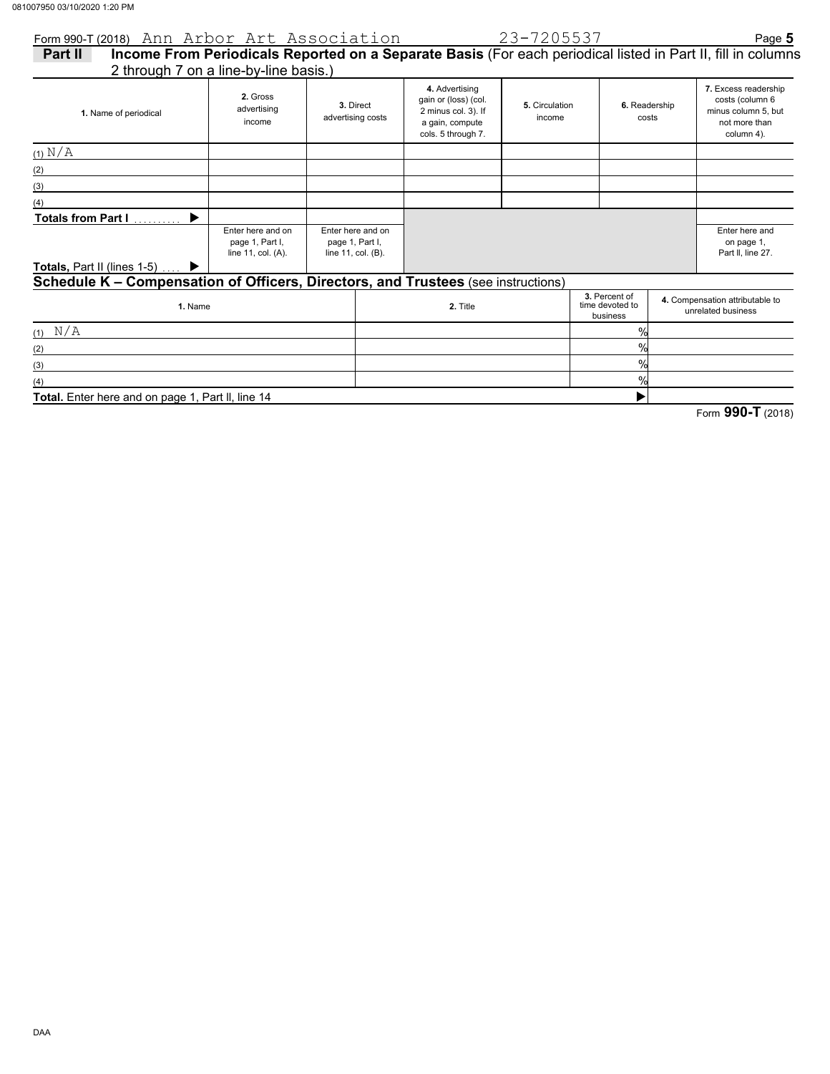#### Form 990-T (2018) Page **5** Ann Arbor Art Association 23-7205537

| 1. Name of periodical                                                             | 2. Gross<br>advertising<br>income                          | 3. Direct<br>advertising costs                             |  | 4. Advertising<br>gain or (loss) (col.<br>2 minus col. 3). If<br>a gain, compute<br>cols. 5 through 7. | 5. Circulation<br>income                     | 6. Readership<br>costs |                                                       | 7. Excess readership<br>costs (column 6<br>minus column 5, but<br>not more than<br>column 4). |
|-----------------------------------------------------------------------------------|------------------------------------------------------------|------------------------------------------------------------|--|--------------------------------------------------------------------------------------------------------|----------------------------------------------|------------------------|-------------------------------------------------------|-----------------------------------------------------------------------------------------------|
| $(1)$ N/A                                                                         |                                                            |                                                            |  |                                                                                                        |                                              |                        |                                                       |                                                                                               |
| (2)                                                                               |                                                            |                                                            |  |                                                                                                        |                                              |                        |                                                       |                                                                                               |
| (3)                                                                               |                                                            |                                                            |  |                                                                                                        |                                              |                        |                                                       |                                                                                               |
| (4)                                                                               |                                                            |                                                            |  |                                                                                                        |                                              |                        |                                                       |                                                                                               |
| <b>Totals from Part I</b>                                                         |                                                            |                                                            |  |                                                                                                        |                                              |                        |                                                       |                                                                                               |
|                                                                                   | Enter here and on<br>page 1, Part I,<br>line 11, col. (A). | Enter here and on<br>page 1, Part I,<br>line 11, col. (B). |  |                                                                                                        |                                              |                        |                                                       | Enter here and<br>on page 1,<br>Part II, line 27.                                             |
| <b>Totals, Part II (lines 1-5)</b>                                                |                                                            |                                                            |  |                                                                                                        |                                              |                        |                                                       |                                                                                               |
| Schedule K - Compensation of Officers, Directors, and Trustees (see instructions) |                                                            |                                                            |  |                                                                                                        |                                              |                        |                                                       |                                                                                               |
| 1. Name                                                                           |                                                            | 2. Title                                                   |  |                                                                                                        | 3. Percent of<br>time devoted to<br>business |                        | 4. Compensation attributable to<br>unrelated business |                                                                                               |
| $(1)$ N/A                                                                         |                                                            |                                                            |  |                                                                                                        |                                              | $\%$                   |                                                       |                                                                                               |
| (2)                                                                               |                                                            |                                                            |  |                                                                                                        |                                              | $\%$                   |                                                       |                                                                                               |
| (3)                                                                               |                                                            |                                                            |  |                                                                                                        |                                              | %                      |                                                       |                                                                                               |
| (4)                                                                               |                                                            |                                                            |  |                                                                                                        |                                              | $\%$                   |                                                       |                                                                                               |
| <b>Total.</b> Enter here and on page 1, Part II, line 14                          |                                                            |                                                            |  |                                                                                                        |                                              |                        |                                                       |                                                                                               |

Form **990-T** (2018)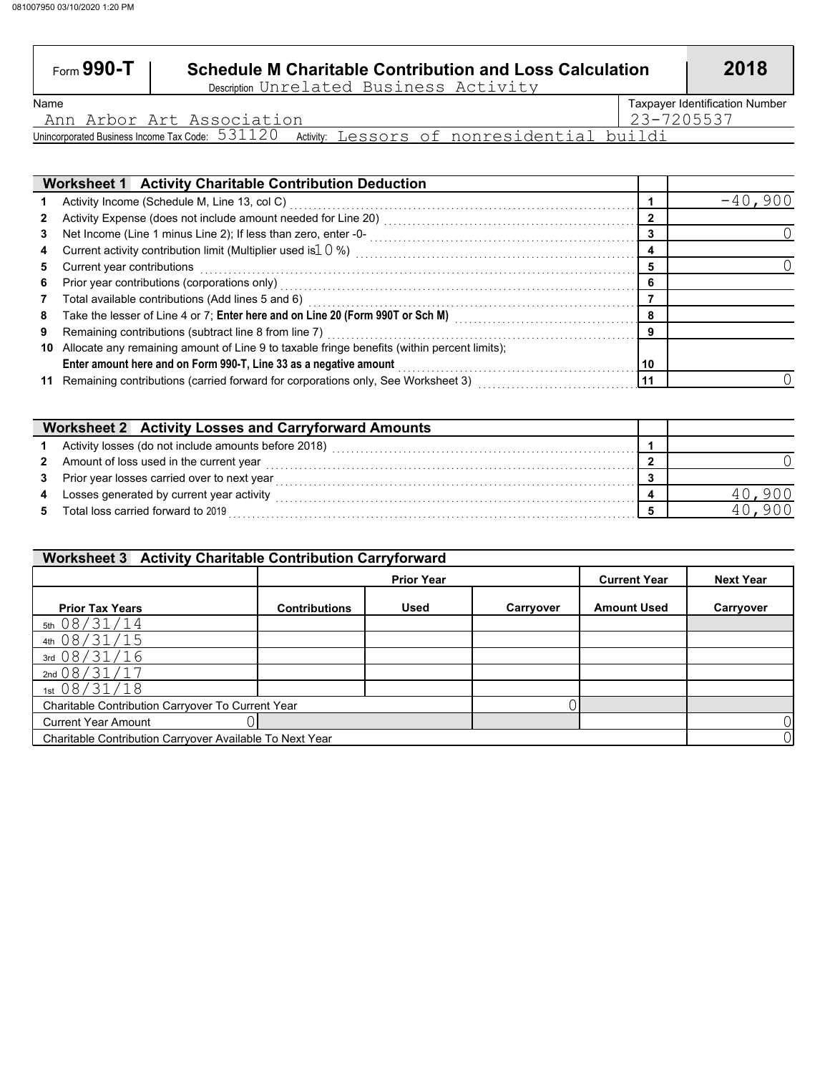# Form **990-T Schedule M Charitable Contribution and Loss Calculation 2018**

Description Unrelated Business Activity

Name **Taxpayer Identification Number** Name **Taxpayer Identification Number** 

Ann Arbor Art Association 23-7205537

Unincorporated Business Income Tax Code:  $531120$  Activity: <code>Lessors</code> of <code>nonresidential buildi</code>

|    | <b>Worksheet 1 Activity Charitable Contribution Deduction</b>                                                                              |    |  |
|----|--------------------------------------------------------------------------------------------------------------------------------------------|----|--|
|    | Activity Income (Schedule M, Line 13, col C)                                                                                               |    |  |
|    |                                                                                                                                            |    |  |
| 3  |                                                                                                                                            |    |  |
|    | Current activity contribution limit (Multiplier used is1 0 %) Multiman Current activity contribution limit (Multiplier used is1 0 %)       |    |  |
| 5. | Current year contributions                                                                                                                 |    |  |
| 6  | Prior year contributions (corporations only)                                                                                               | 6  |  |
|    | Total available contributions (Add lines 5 and 6)                                                                                          |    |  |
| 8  | Take the lesser of Line 4 or 7; Enter here and on Line 20 (Form 990T or Sch M)                                                             | 8  |  |
| 9  | Remaining contributions (subtract line 8 from line 7)<br>[2005]<br>$\ldots$ $\ldots$ $\ldots$ $\ldots$ $\ldots$ $\ldots$ $\ldots$ $\ldots$ | q  |  |
| 10 | Allocate any remaining amount of Line 9 to taxable fringe benefits (within percent limits);                                                |    |  |
|    | Enter amount here and on Form 990-T, Line 33 as a negative amount                                                                          | 10 |  |
|    | Remaining contributions (carried forward for corporations only, See Worksheet 3)                                                           | 11 |  |

|                | Worksheet 2 Activity Losses and Carryforward Amounts   |  |
|----------------|--------------------------------------------------------|--|
|                | 1 Activity losses (do not include amounts before 2018) |  |
|                | 2 Amount of loss used in the current year              |  |
|                | 3 Prior year losses carried over to next year          |  |
| $\overline{4}$ | Losses generated by current year activity              |  |
| 5              | Total loss carried forward to 2019                     |  |

| Worksheet 3 Activity Charitable Contribution Carryforward |                      |                   |           |                     |                  |  |  |  |  |  |
|-----------------------------------------------------------|----------------------|-------------------|-----------|---------------------|------------------|--|--|--|--|--|
|                                                           |                      | <b>Prior Year</b> |           | <b>Current Year</b> | <b>Next Year</b> |  |  |  |  |  |
| <b>Prior Tax Years</b>                                    | <b>Contributions</b> | Used              | Carryover | <b>Amount Used</b>  | Carryover        |  |  |  |  |  |
| $5th$ 08/31/14                                            |                      |                   |           |                     |                  |  |  |  |  |  |
| 4th $08/31/15$                                            |                      |                   |           |                     |                  |  |  |  |  |  |
| 3rd $08/31/16$                                            |                      |                   |           |                     |                  |  |  |  |  |  |
| 2nd $08/31/17$                                            |                      |                   |           |                     |                  |  |  |  |  |  |
| 1st $08/31/18$                                            |                      |                   |           |                     |                  |  |  |  |  |  |
| Charitable Contribution Carryover To Current Year         |                      |                   |           |                     |                  |  |  |  |  |  |
| <b>Current Year Amount</b>                                |                      |                   |           |                     |                  |  |  |  |  |  |
| Charitable Contribution Carryover Available To Next Year  |                      |                   |           |                     |                  |  |  |  |  |  |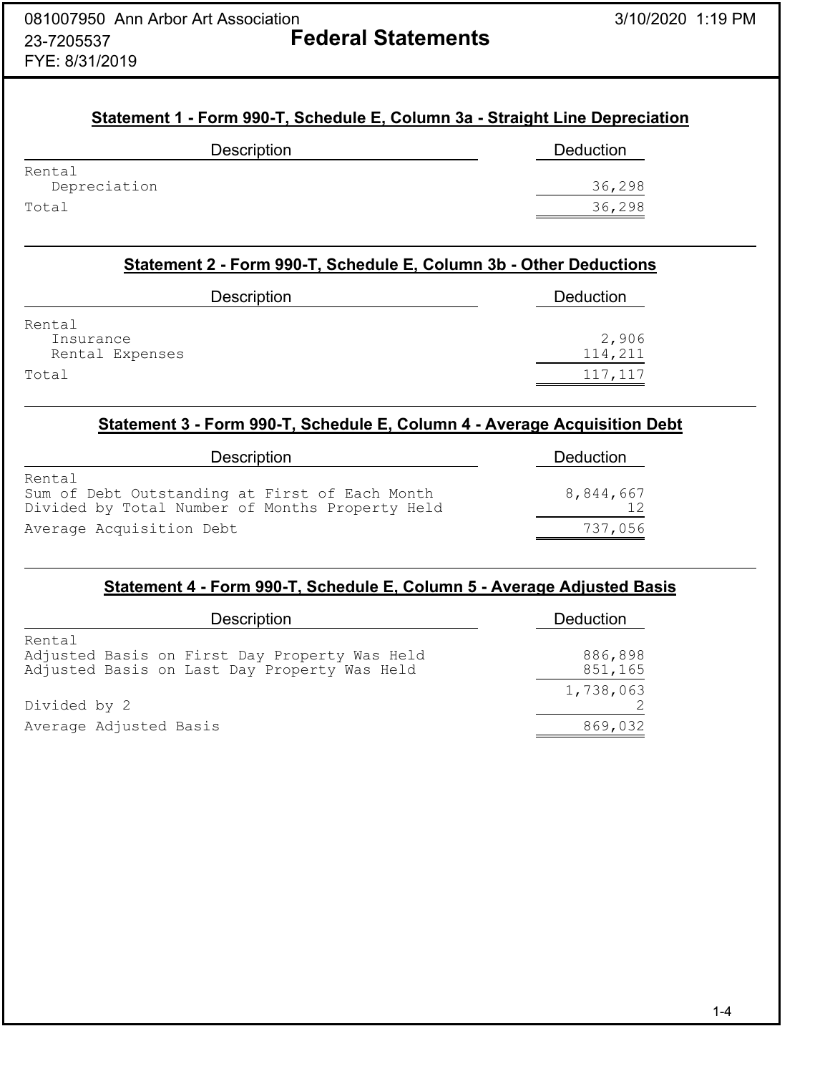| 081007950 Ann Arbor Art Association<br><b>Federal Statements</b><br>23-7205537<br>FYE: 8/31/2019 | 3/10/2020 1:19 PM |
|--------------------------------------------------------------------------------------------------|-------------------|
| Statement 1 - Form 990-T, Schedule E, Column 3a - Straight Line Depreciation                     |                   |
| <b>Description</b>                                                                               | <b>Deduction</b>  |
| Rental<br>Depreciation                                                                           | 36,298            |
| Total                                                                                            | 36,298            |
|                                                                                                  |                   |

# **Statement 2 - Form 990-T, Schedule E, Column 3b - Other Deductions**

| <b>Description</b>                     | <b>Deduction</b> |
|----------------------------------------|------------------|
| Rental<br>Insurance<br>Rental Expenses | 2,906<br>114,211 |
| Total                                  | 117,117          |

### **Statement 3 - Form 990-T, Schedule E, Column 4 - Average Acquisition Debt**

| <b>Description</b>                                                                                          | <b>Deduction</b> |
|-------------------------------------------------------------------------------------------------------------|------------------|
| Rental<br>Sum of Debt Outstanding at First of Each Month<br>Divided by Total Number of Months Property Held | 8,844,667        |
| Average Acquisition Debt                                                                                    | 737,056          |

### **Statement 4 - Form 990-T, Schedule E, Column 5 - Average Adjusted Basis**

| <b>Description</b>                                                                                      | <b>Deduction</b>   |
|---------------------------------------------------------------------------------------------------------|--------------------|
| Rental<br>Adjusted Basis on First Day Property Was Held<br>Adjusted Basis on Last Day Property Was Held | 886,898<br>851,165 |
| Divided by 2                                                                                            | 1,738,063          |
| Average Adjusted Basis                                                                                  | 869,032            |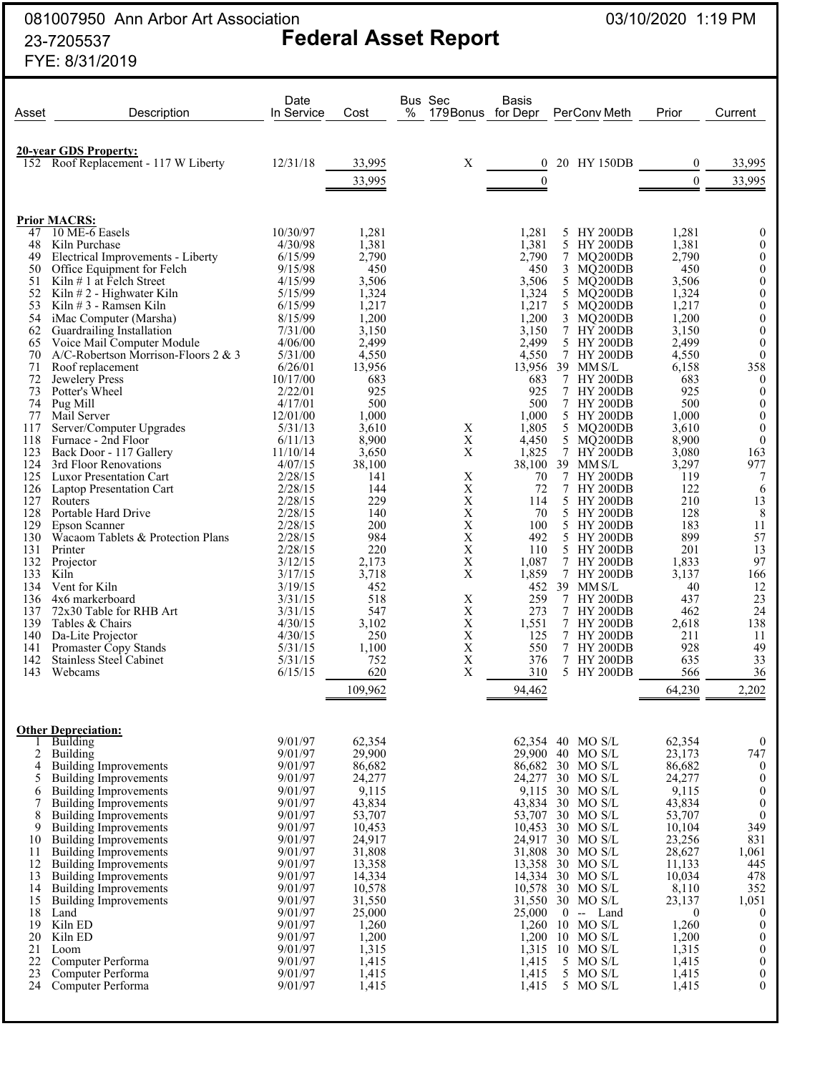# 081007950 Ann Arbor Art Association 03/10/2020 1:19 PM 23-7205537 **Federal Asset Report** FYE: 8/31/2019

| Asset        | Description                                                          | Date<br>In Service  | Cost             | <b>Bus Sec</b><br>% | 179 Bonus for Depr        | Basis            |   | PerConv Meth                  | Prior                   | Current                              |
|--------------|----------------------------------------------------------------------|---------------------|------------------|---------------------|---------------------------|------------------|---|-------------------------------|-------------------------|--------------------------------------|
|              |                                                                      |                     |                  |                     |                           |                  |   |                               |                         |                                      |
|              | <b>20-year GDS Property:</b><br>152 Roof Replacement - 117 W Liberty | 12/31/18            | 33,995           |                     | X                         | $\overline{0}$   |   | 20 HY 150DB                   | $\mathbf{0}$            | 33,995                               |
|              |                                                                      |                     | 33,995           |                     |                           | $\theta$         |   |                               | $\theta$                | 33,995                               |
|              |                                                                      |                     |                  |                     |                           |                  |   |                               |                         |                                      |
| 47           | <b>Prior MACRS:</b><br>10 ME-6 Easels                                | 10/30/97            | 1,281            |                     |                           | 1,281            |   | 5 HY 200DB                    | 1,281                   | $\boldsymbol{0}$                     |
| 48           | Kiln Purchase                                                        | 4/30/98             | 1,381            |                     |                           | 1,381            |   | 5 HY 200DB                    | 1,381                   | $\boldsymbol{0}$                     |
| 49           | Electrical Improvements - Liberty                                    | 6/15/99             | 2,790            |                     |                           | 2,790<br>450     | 7 | MQ200DB                       | 2,790<br>450            | $\overline{0}$                       |
| 50<br>51     | Office Equipment for Felch<br>Kiln $# 1$ at Felch Street             | 9/15/98<br>4/15/99  | 450<br>3,506     |                     |                           | 3,506            |   | 3 MQ200DB<br>5 MQ200DB        | 3,506                   | $\boldsymbol{0}$<br>$\boldsymbol{0}$ |
| 52           | Kiln $# 2$ - Highwater Kiln                                          | 5/15/99             | 1,324            |                     |                           | 1,324            |   | 5 MQ200DB                     | 1,324                   | $\boldsymbol{0}$                     |
| 53           | Kiln $# 3$ - Ramsen Kiln                                             | 6/15/99             | 1,217            |                     |                           | 1,217            |   | 5 MQ200DB                     | 1,217                   | $\boldsymbol{0}$                     |
| 54           | iMac Computer (Marsha)                                               | 8/15/99             | 1,200            |                     |                           | 1,200            |   | 3 MQ200DB                     | 1,200                   | $\boldsymbol{0}$                     |
| 62<br>65     | Guardrailing Installation                                            | 7/31/00<br>4/06/00  | 3,150<br>2,499   |                     |                           | 3,150<br>2,499   |   | 7 HY 200DB<br>5 HY 200DB      | 3,150<br>2,499          | $\boldsymbol{0}$<br>$\boldsymbol{0}$ |
| 70           | Voice Mail Computer Module<br>A/C-Robertson Morrison-Floors 2 & 3    | 5/31/00             | 4,550            |                     |                           | 4,550            |   | 7 HY 200DB                    | 4,550                   | $\boldsymbol{0}$                     |
| 71           | Roof replacement                                                     | 6/26/01             | 13,956           |                     |                           | 13,956           |   | 39 MM S/L                     | 6,158                   | 358                                  |
| 72           | Jewelery Press                                                       | 10/17/00            | 683              |                     |                           | 683              |   | 7 HY 200DB                    | 683                     | $\mathbf{0}$                         |
| 73           | Potter's Wheel                                                       | 2/22/01             | 925              |                     |                           | 925              |   | 7 HY 200DB                    | 925                     | $\mathbf{0}$                         |
| 74<br>77     | Pug Mill<br>Mail Server                                              | 4/17/01<br>12/01/00 | 500<br>1,000     |                     |                           | 500<br>1,000     |   | 7 HY 200DB<br>5 HY 200DB      | 500<br>1,000            | $\mathbf{0}$<br>$\boldsymbol{0}$     |
| 117          | Server/Computer Upgrades                                             | 5/31/13             | 3,610            |                     | X                         | 1,805            |   | 5 MQ200DB                     | 3,610                   | $\boldsymbol{0}$                     |
| 118          | Furnace - 2nd Floor                                                  | 6/11/13             | 8,900            |                     | X                         | 4,450            |   | 5 MQ200DB                     | 8,900                   | $\boldsymbol{0}$                     |
| 123          | Back Door - 117 Gallery                                              | 11/10/14            | 3,650            |                     | $\mathbf X$               | 1,825            |   | 7 HY 200DB                    | 3,080                   | 163                                  |
| 124          | 3rd Floor Renovations                                                | 4/07/15             | 38,100           |                     |                           | 38.100           |   | 39 MM S/L                     | 3,297                   | 977                                  |
| 125<br>126   | Luxor Presentation Cart<br>Laptop Presentation Cart                  | 2/28/15<br>2/28/15  | 141<br>144       |                     | X<br>X                    | 70<br>72         |   | 7 HY 200DB<br>7 HY 200DB      | 119<br>122              | 7<br>6                               |
| 127          | Routers                                                              | 2/28/15             | 229              |                     | $\mathbf X$               | 114              |   | 5 HY 200DB                    | 210                     | 13                                   |
| 128          | Portable Hard Drive                                                  | 2/28/15             | 140              |                     | X                         | 70               |   | 5 HY 200DB                    | 128                     | 8                                    |
| 129          | Epson Scanner                                                        | 2/28/15             | 200              |                     | $\mathbf X$               | 100              |   | 5 HY 200DB                    | 183                     | 11                                   |
| 130<br>131   | Wacaom Tablets & Protection Plans<br>Printer                         | 2/28/15<br>2/28/15  | 984<br>220       |                     | X<br>$\mathbf X$          | 492<br>110       |   | 5 HY 200DB<br>5 HY 200DB      | 899<br>201              | 57<br>13                             |
| 132          | Projector                                                            | 3/12/15             | 2,173            |                     | $\boldsymbol{\mathrm{X}}$ | 1,087            |   | 7 HY 200DB                    | 1,833                   | 97                                   |
| 133          | Kiln                                                                 | 3/17/15             | 3,718            |                     | $\mathbf X$               | 1,859            |   | 7 HY 200DB                    | 3,137                   | 166                                  |
| 134          | Vent for Kiln                                                        | 3/19/15             | 452              |                     |                           | 452              |   | 39 MM S/L                     | 40                      | 12                                   |
| 136          | 4x6 markerboard                                                      | 3/31/15             | 518              |                     | X                         | 259              |   | 7 HY 200DB                    | 437                     | 23                                   |
| 137<br>139   | 72x30 Table for RHB Art<br>Tables & Chairs                           | 3/31/15<br>4/30/15  | 547<br>3,102     |                     | X<br>$\mathbf X$          | 273<br>1,551     |   | 7 HY 200DB<br>7 HY 200DB      | 462<br>2,618            | 24<br>138                            |
| 140          | Da-Lite Projector                                                    | 4/30/15             | 250              |                     | X                         | 125              |   | 7 HY 200DB                    | 211                     | -11                                  |
| 141          | Promaster Copy Stands                                                | 5/31/15             | 1,100            |                     | $\boldsymbol{\mathrm{X}}$ | 550              |   | 7 HY 200DB                    | 928                     | 49                                   |
| 142          | Stainless Steel Cabinet                                              | 5/31/15             | 752              |                     | X                         | 376              |   | 7 HY 200DB                    | 635                     | 33                                   |
| 143          | Webcams                                                              | 6/15/15             | 620              |                     | X                         | 310              |   | 5 HY 200DB                    | 566                     | 36                                   |
|              |                                                                      |                     | 109,962          |                     |                           | 94,462           |   |                               | 64,230                  | 2,202                                |
|              | <b>Other Depreciation:</b>                                           |                     |                  |                     |                           |                  |   |                               |                         |                                      |
| $\mathbf{L}$ | Building                                                             | 9/01/97             | 62.354           |                     |                           |                  |   | 62,354 40 MO S/L              | 62,354                  | $\boldsymbol{0}$                     |
| 2            | Building                                                             | 9/01/97             | 29,900           |                     |                           |                  |   | 29,900 40 MO S/L              | 23,173                  | 747                                  |
| 4<br>5       | <b>Building Improvements</b><br><b>Building Improvements</b>         | 9/01/97<br>9/01/97  | 86,682<br>24,277 |                     |                           | 24,277           |   | 86,682 30 MO S/L<br>30 MO S/L | 86,682<br>24,277        | $\bf{0}$<br>$\mathbf{0}$             |
| 6            | <b>Building Improvements</b>                                         | 9/01/97             | 9,115            |                     |                           |                  |   | 9,115 30 MO S/L               | 9,115                   | $\boldsymbol{0}$                     |
| 7            | <b>Building Improvements</b>                                         | 9/01/97             | 43,834           |                     |                           |                  |   | 43,834 30 MO S/L              | 43,834                  | $\boldsymbol{0}$                     |
| 8            | <b>Building Improvements</b>                                         | 9/01/97             | 53,707           |                     |                           |                  |   | 53,707 30 MO S/L              | 53,707                  | $\boldsymbol{0}$                     |
| 9            | <b>Building Improvements</b>                                         | 9/01/97             | 10,453           |                     |                           |                  |   | 10,453 30 MO S/L              | 10,104                  | 349                                  |
| 10<br>11     | <b>Building Improvements</b><br><b>Building Improvements</b>         | 9/01/97<br>9/01/97  | 24,917<br>31,808 |                     |                           | 24,917<br>31,808 |   | 30 MO S/L<br>30 MO S/L        | 23,256<br>28,627        | 831<br>1,061                         |
| 12           | <b>Building Improvements</b>                                         | 9/01/97             | 13,358           |                     |                           | 13,358           |   | 30 MO S/L                     | 11,133                  | 445                                  |
| 13           | <b>Building Improvements</b>                                         | 9/01/97             | 14,334           |                     |                           |                  |   | 14,334 30 MO S/L              | 10,034                  | 478                                  |
| 14           | <b>Building Improvements</b>                                         | 9/01/97             | 10,578           |                     |                           | 10,578           |   | 30 MO S/L                     | 8,110                   | 352                                  |
| 15           | <b>Building Improvements</b>                                         | 9/01/97<br>9/01/97  | 31,550           |                     |                           | 31,550<br>25,000 |   | 30 MO S/L<br>$0 -$ Land       | 23,137                  | 1,051                                |
| 18<br>19     | Land<br>Kiln ED                                                      | 9/01/97             | 25,000<br>1,260  |                     |                           | 1,260            |   | 10 MO S/L                     | $\overline{0}$<br>1,260 | $\boldsymbol{0}$<br>$\boldsymbol{0}$ |
| 20           | Kiln ED                                                              | 9/01/97             | 1,200            |                     |                           | 1,200            |   | 10 MO S/L                     | 1,200                   | $\boldsymbol{0}$                     |
| 21           | Loom                                                                 | 9/01/97             | 1,315            |                     |                           | 1,315            |   | 10 MO S/L                     | 1,315                   | $\boldsymbol{0}$                     |
| 22           | Computer Performa                                                    | 9/01/97             | 1,415            |                     |                           | 1,415            |   | 5 MO S/L                      | 1,415                   | $\boldsymbol{0}$                     |
| 23<br>24     | Computer Performa<br>Computer Performa                               | 9/01/97<br>9/01/97  | 1,415<br>1,415   |                     |                           | 1,415<br>1,415   |   | 5 MO S/L<br>5 MO S/L          | 1,415<br>1,415          | $\boldsymbol{0}$<br>$\boldsymbol{0}$ |
|              |                                                                      |                     |                  |                     |                           |                  |   |                               |                         |                                      |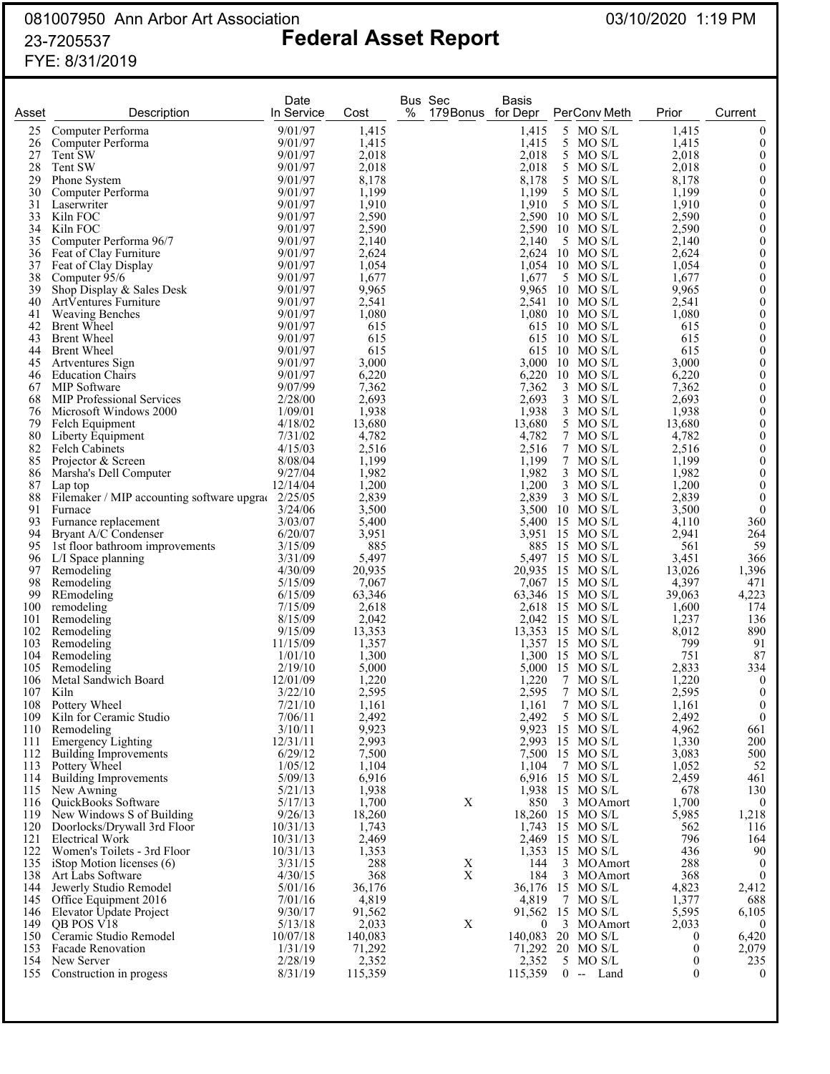### 081007950 Ann Arbor Art Association 03/10/2020 1:19 PM 23-7205537 **Federal Asset Report** FYE: 8/31/2019

| Asset      | Description                                        | Date<br>In Service | Cost            | Bus Sec<br>%<br>179Bonus for Depr | Basis    | PerConv Meth                       | Prior            | Current                 |
|------------|----------------------------------------------------|--------------------|-----------------|-----------------------------------|----------|------------------------------------|------------------|-------------------------|
| 25         | Computer Performa                                  | 9/01/97            | 1,415           |                                   | 1,415    | 5 MO S/L                           | 1,415            | $\boldsymbol{0}$        |
| 26         | Computer Performa                                  | 9/01/97            | 1,415           |                                   | 1,415    | 5 MO S/L                           | 1,415            | $\bf{0}$                |
| 27         | Tent SW                                            | 9/01/97            | 2,018           |                                   | 2,018    | 5 MO S/L                           | 2,018            | $\boldsymbol{0}$        |
| 28         | Tent SW                                            | 9/01/97            | 2,018           |                                   | 2,018    | 5 MO S/L                           | 2.018            | $\bf{0}$                |
| 29         | Phone System                                       | 9/01/97            | 8,178           |                                   | 8,178    | 5 MO S/L                           | 8,178            | $\boldsymbol{0}$        |
| 30         | Computer Performa                                  | 9/01/97            | 1,199           |                                   | 1,199    | 5 MO S/L                           | 1,199            | 0                       |
| 31         | Laserwriter                                        | 9/01/97            | 1,910           |                                   | 1,910    | 5 MO S/L                           | 1,910            | $\boldsymbol{0}$        |
| 33         | Kiln FOC                                           | 9/01/97            | 2,590           |                                   |          | 2,590 10 MO S/L<br>2,590 10 MO S/L | 2,590<br>2,590   | 0<br>$\boldsymbol{0}$   |
| 34<br>35   | Kiln FOC<br>Computer Performa 96/7                 | 9/01/97<br>9/01/97 | 2,590<br>2,140  |                                   | 2,140    | 5 MO S/L                           | 2,140            | 0                       |
| 36         | Feat of Clay Furniture                             | 9/01/97            | 2,624           |                                   |          | 2,624 10 MO S/L                    | 2,624            | $\boldsymbol{0}$        |
| 37         | Feat of Clay Display                               | 9/01/97            | 1,054           |                                   | 1,054    | $10$ MO S/L                        | 1,054            | 0                       |
| 38         | Computer 95/6                                      | 9/01/97            | 1,677           |                                   | 1,677    | 5 MO S/L                           | 1,677            | $\boldsymbol{0}$        |
| 39         | Shop Display & Sales Desk                          | 9/01/97            | 9,965           |                                   | 9,965    | $10$ MO S/L                        | 9,965            | 0                       |
| 40         | <b>ArtVentures Furniture</b>                       | 9/01/97            | 2,541           |                                   |          | 2,541 10 MO S/L                    | 2,541            | $\boldsymbol{0}$        |
| 41         | <b>Weaving Benches</b>                             | 9/01/97            | 1,080           |                                   | 1,080    | $10$ MO S/L                        | 1,080            | 0                       |
| 42         | Brent Wheel                                        | 9/01/97            | 615             |                                   | 615      | $10$ MO S/L                        | 615              | $\boldsymbol{0}$        |
| 43         | Brent Wheel                                        | 9/01/97            | 615             |                                   | 615      | $10$ MO S/L                        | 615              | 0                       |
| 44         | Brent Wheel                                        | 9/01/97            | 615             |                                   | 615      | $10$ MO S/L                        | 615              | $\boldsymbol{0}$        |
| 45<br>46   | Artventures Sign<br><b>Education Chairs</b>        | 9/01/97<br>9/01/97 | 3,000           |                                   | 3,000    | $10$ MO S/L<br>6,220 10 MO S/L     | 3,000<br>6,220   | 0<br>$\boldsymbol{0}$   |
| 67         | MIP Software                                       | 9/07/99            | 6,220<br>7,362  |                                   | 7,362    | $3$ MO S/L                         | 7,362            | 0                       |
| 68         | <b>MIP Professional Services</b>                   | 2/28/00            | 2,693           |                                   | 2,693    | $\mathfrak{Z}$<br>MO S/L           | 2,693            | $\boldsymbol{0}$        |
| 76         | Microsoft Windows 2000                             | 1/09/01            | 1,938           |                                   | 1,938    | 3 MO S/L                           | 1,938            | 0                       |
| 79         | Felch Equipment                                    | 4/18/02            | 13,680          |                                   | 13,680   | 5 MO S/L                           | 13,680           | $\boldsymbol{0}$        |
| 80         | Liberty Equipment                                  | 7/31/02            | 4,782           |                                   | 4,782    | 7 MO S/L                           | 4,782            | 0                       |
| 82         | <b>Felch Cabinets</b>                              | 4/15/03            | 2,516           |                                   | 2,516    | 7 MO S/L                           | 2,516            | $\boldsymbol{0}$        |
| 85         | Projector & Screen                                 | 8/08/04            | 1,199           |                                   | 1,199    | 7 MO S/L                           | 1,199            | 0                       |
| 86         | Marsha's Dell Computer                             | 9/27/04            | 1,982           |                                   | 1,982    | $3$ MO S/L                         | 1,982            | $\boldsymbol{0}$        |
| 87         | Lap top                                            | 12/14/04           | 1,200           |                                   | 1,200    | $3$ MO S/L                         | 1,200            | $\bf{0}$                |
| 88         | Filemaker / MIP accounting software upgrac 2/25/05 |                    | 2,839           |                                   | 2,839    | $3$ MO S/L<br>3,500 10 MO S/L      | 2,839            | $\mathbf{0}$            |
| 91<br>93   | Furnace<br>Furnance replacement                    | 3/24/06<br>3/03/07 | 3,500<br>5,400  |                                   |          | 5,400 15 MO S/L                    | 3,500<br>4,110   | $\boldsymbol{0}$<br>360 |
| 94         | Bryant A/C Condenser                               | 6/20/07            | 3,951           |                                   | 3,951    | 15 MO S/L                          | 2,941            | 264                     |
| 95         | 1st floor bathroom improvements                    | 3/15/09            | 885             |                                   | 885      | 15 MO S/L                          | 561              | 59                      |
| 96         | L/I Space planning                                 | 3/31/09            | 5,497           |                                   | 5,497    | 15 MO S/L                          | 3,451            | 366                     |
| 97         | Remodeling                                         | 4/30/09            | 20,935          |                                   |          | 20,935 15 MO S/L                   | 13,026           | 1,396                   |
| 98         | Remodeling                                         | 5/15/09            | 7,067           |                                   |          | 7,067 15 MO S/L                    | 4,397            | 471                     |
| 99         | REmodeling                                         | 6/15/09            | 63,346          |                                   |          | 63,346 15 MO S/L                   | 39,063           | 4,223                   |
| 100        | remodeling                                         | 7/15/09            | 2,618           |                                   | 2,618    | 15 MO S/L                          | 1,600            | 174                     |
| 101        | Remodeling                                         | 8/15/09<br>9/15/09 | 2,042           |                                   | 13.353   | 2,042 15 MO S/L                    | 1,237            | 136                     |
| 102<br>103 | Remodeling<br>Remodeling                           | 11/15/09           | 13,353<br>1,357 |                                   |          | 15 MO S/L<br>1,357 15 MO S/L       | 8,012<br>799     | 890<br>91               |
| 104        | Remodeling                                         | 1/01/10            | 1,300           |                                   |          | 1.300 15 MO S/L                    | 751              | 87                      |
| 105        | Remodeling                                         | 2/19/10            | 5,000           |                                   |          | 5,000 15 MO S/L                    | 2,833            | 334                     |
| 106        | Metal Sandwich Board                               | 12/01/09           | 1,220           |                                   | 1,220    | 7 MO S/L                           | 1,220            | $\boldsymbol{0}$        |
| 107        | Kiln                                               | 3/22/10            | 2,595           |                                   | 2,595    | 7 MO S/L                           | 2,595            | $\mathbf{0}$            |
| 108        | Pottery Wheel                                      | 7/21/10            | 1,161           |                                   | 1,161    | 7 MO S/L                           | 1,161            | $\boldsymbol{0}$        |
| 109        | Kiln for Ceramic Studio                            | 7/06/11            | 2,492           |                                   | 2,492    | 5 MO S/L                           | 2,492            | $\mathbf{0}$            |
| 110        | Remodeling                                         | 3/10/11            | 9,923           |                                   |          | 9,923 15 MO S/L                    | 4,962            | 661                     |
| 111        | <b>Emergency Lighting</b>                          | 12/31/11           | 2,993           |                                   |          | 2,993 15 MO S/L                    | 1,330            | 200                     |
| 112        | <b>Building Improvements</b><br>Pottery Wheel      | 6/29/12            | 7,500           |                                   |          | 7,500 15 MO S/L                    | 3,083            | 500                     |
| 113<br>114 | <b>Building Improvements</b>                       | 1/05/12<br>5/09/13 | 1,104<br>6,916  |                                   | 1,104    | 7 MO S/L<br>6,916 15 MO S/L        | 1,052<br>2,459   | 52<br>461               |
| 115        | New Awning                                         | 5/21/13            | 1,938           |                                   |          | 1,938 15 MO S/L                    | 678              | 130                     |
| 116        | <b>OuickBooks Software</b>                         | 5/17/13            | 1,700           | $\mathbf X$                       | 850      | 3 MOAmort                          | 1,700            | $\boldsymbol{0}$        |
| 119        | New Windows S of Building                          | 9/26/13            | 18,260          |                                   |          | 18,260 15 MO S/L                   | 5,985            | 1,218                   |
| 120        | Doorlocks/Drywall 3rd Floor                        | 10/31/13           | 1,743           |                                   |          | 1,743 15 MO S/L                    | 562              | 116                     |
| 121        | <b>Electrical Work</b>                             | 10/31/13           | 2,469           |                                   |          | 2,469 15 MO S/L                    | 796              | 164                     |
| 122        | Women's Toilets - 3rd Floor                        | 10/31/13           | 1,353           |                                   |          | 1,353 15 MO S/L                    | 436              | 90                      |
| 135        | iStop Motion licenses $(6)$                        | 3/31/15            | 288             | $\mathbf X$                       | 144      | 3 MOAmort                          | 288              | $\boldsymbol{0}$        |
| 138        | Art Labs Software                                  | 4/30/15            | 368             | $\mathbf X$                       | 184      | 3 MOAmort                          | 368              | $\boldsymbol{0}$        |
| 144<br>145 | Jewerly Studio Remodel                             | 5/01/16<br>7/01/16 | 36,176<br>4,819 |                                   | 4,819    | 36,176 15 MO S/L<br>7 MO S/L       | 4,823<br>1,377   | 2,412<br>688            |
| 146        | Office Equipment 2016<br>Elevator Update Project   | 9/30/17            | 91,562          |                                   |          | 91,562 15 MO S/L                   | 5,595            | 6,105                   |
| 149        | QB POS V18                                         | 5/13/18            | 2,033           | $\mathbf X$                       | $\bf{0}$ | 3 MOAmort                          | 2,033            | $\bf{0}$                |
| 150        | Ceramic Studio Remodel                             | 10/07/18           | 140,083         |                                   | 140,083  | 20 MO S/L                          | $\bf{0}$         | 6,420                   |
| 153        | Facade Renovation                                  | 1/31/19            | 71,292          |                                   |          | 71,292 20 MO S/L                   | $\boldsymbol{0}$ | 2,079                   |
| 154        | New Server                                         | 2/28/19            | 2,352           |                                   | 2,352    | 5 MO S/L                           | $\boldsymbol{0}$ | 235                     |
| 155        | Construction in progess                            | 8/31/19            | 115,359         |                                   | 115,359  | $0 -$<br>Land                      | $\boldsymbol{0}$ | $\overline{0}$          |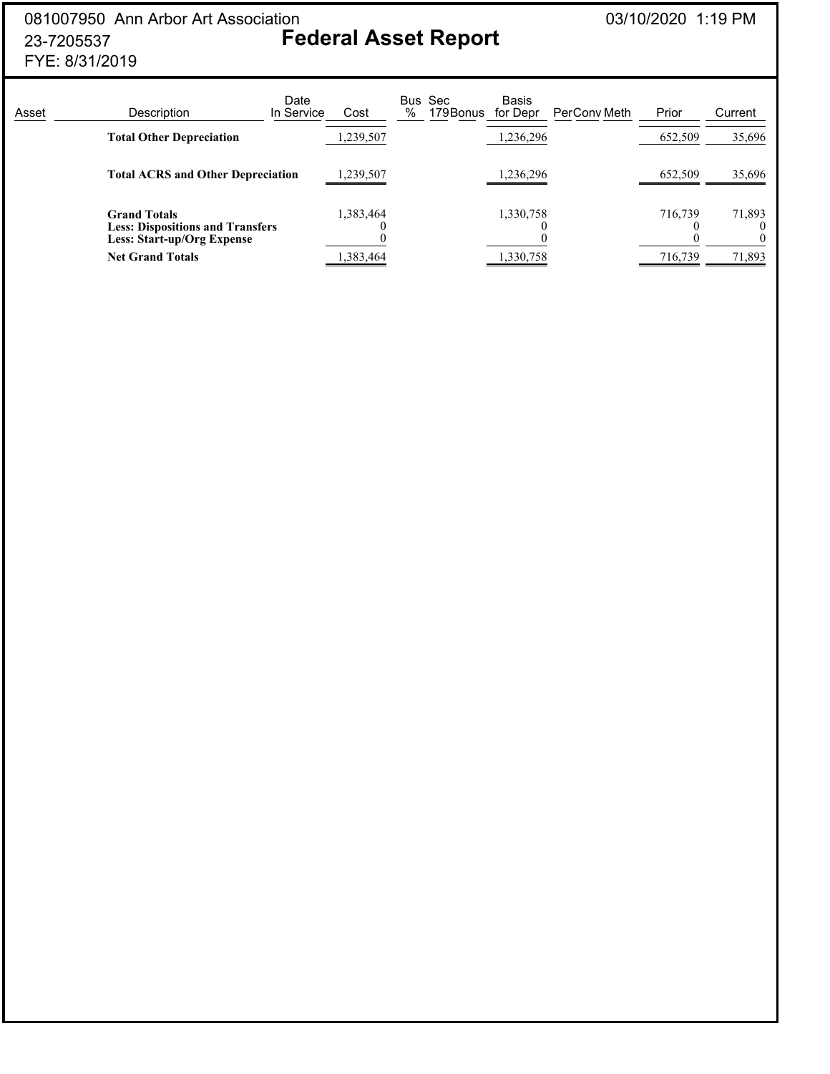# 081007950 Ann Arbor Art Association 03/10/2020 1:19 PM 23-7205537 **Federal Asset Report** FYE: 8/31/2019

| Asset | Date<br>In Service<br>Description                                                                   | Cost      | Bus Sec<br><b>Basis</b><br>$\%$<br>179Bonus<br>for Depr<br>PerCony Meth | Prior   | Current |
|-------|-----------------------------------------------------------------------------------------------------|-----------|-------------------------------------------------------------------------|---------|---------|
|       | <b>Total Other Depreciation</b>                                                                     | ,239,507  | ,236,296                                                                | 652,509 | 35,696  |
|       | <b>Total ACRS and Other Depreciation</b>                                                            | ,239,507  | ,236,296                                                                | 652,509 | 35,696  |
|       | <b>Grand Totals</b><br><b>Less: Dispositions and Transfers</b><br><b>Less: Start-up/Org Expense</b> | 1,383,464 | 1,330,758                                                               | 716.739 | 71,893  |
|       | <b>Net Grand Totals</b>                                                                             | ,383,464  | 1,330,758                                                               | 716,739 | 71,893  |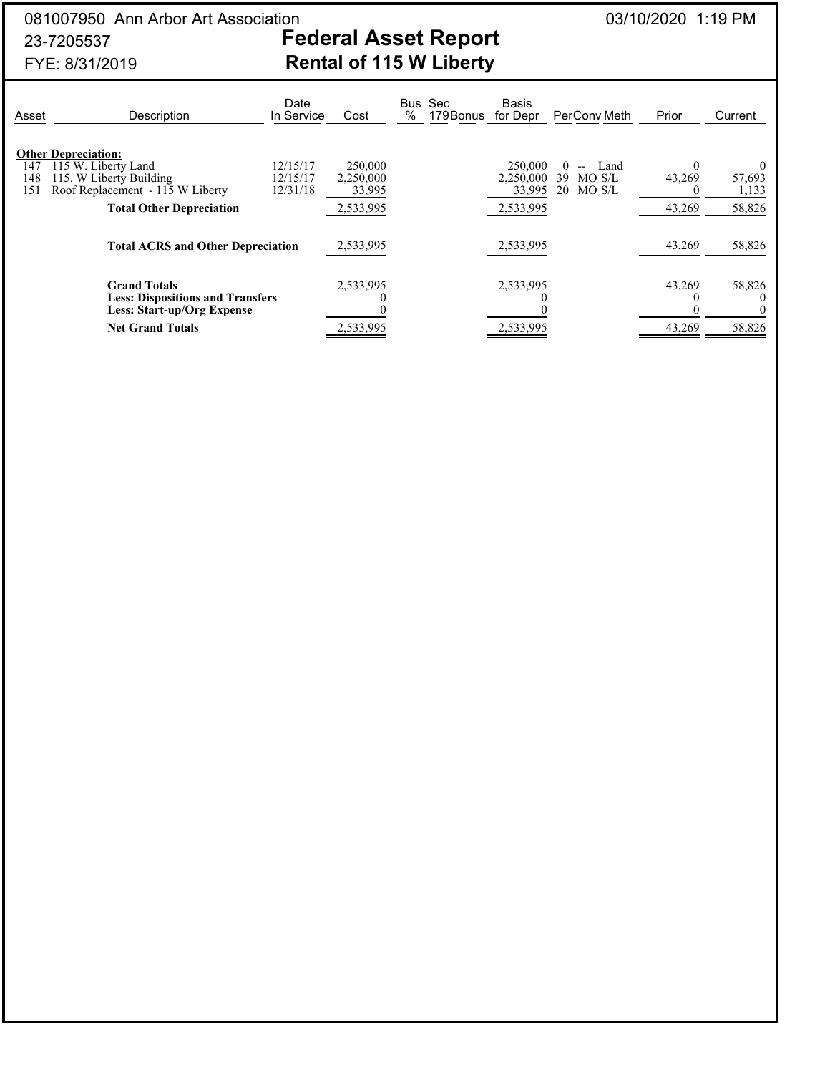# 081007950 Ann Arbor Art Association 03/10/2020 1:19 PM 23-7205537 **Federal Asset Report** FYE: 8/31/2019 **Rental of 115 W Liberty**

| Asset      | Description                                                                                         | Date<br>In Service   | Cost                 | % | Bus Sec<br>179 Bonus | Basis<br>for Depr    | PerCony Meth                             | Prior  | Current                              |
|------------|-----------------------------------------------------------------------------------------------------|----------------------|----------------------|---|----------------------|----------------------|------------------------------------------|--------|--------------------------------------|
| 147<br>148 | <b>Other Depreciation:</b><br>l 15 W. Liberty Land<br>115. W Liberty Building                       | 12/15/17<br>12/15/17 | 250,000<br>2,250,000 |   |                      | 250,000<br>2,250,000 | Land<br>$^{(1)}$<br>$--$<br>39<br>MO S/L | 43,269 | $\theta$<br>57,693                   |
| 151        | Roof Replacement - 115 W Liberty<br><b>Total Other Depreciation</b>                                 | 12/31/18             | 33,995<br>2,533,995  |   |                      | 33,995<br>2,533,995  | 20<br>MO S/L                             | 43,269 | 1,133<br>58,826                      |
|            | <b>Total ACRS and Other Depreciation</b>                                                            |                      | 2,533,995            |   |                      | 2,533,995            |                                          | 43,269 | 58,826                               |
|            |                                                                                                     |                      |                      |   |                      |                      |                                          |        |                                      |
|            | <b>Grand Totals</b><br><b>Less: Dispositions and Transfers</b><br><b>Less: Start-up/Org Expense</b> |                      | 2,533,995            |   |                      | 2,533,995            |                                          | 43,269 | 58,826<br>$\theta$<br>$\overline{0}$ |
|            | <b>Net Grand Totals</b>                                                                             |                      | 2,533,995            |   |                      | 2,533,995            |                                          | 43,269 | 58,826                               |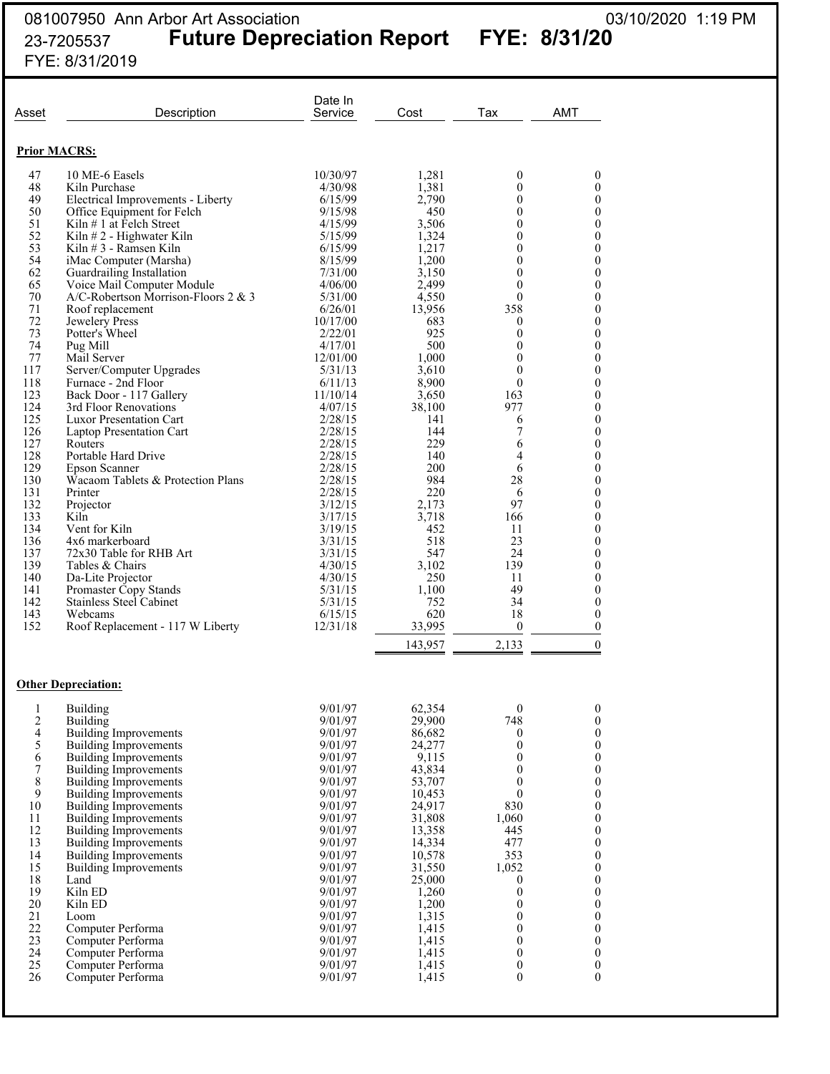# 081007950 Ann Arbor Art Association **03/10/2020 1:19 PM** 23-7205537 **Future Depreciation Report FYE: 8/31/20** FYE: 8/31/2019

| Asset               | Description                                                     | Date In<br>Service  | Cost              | Tax                                  | <b>AMT</b>                           |
|---------------------|-----------------------------------------------------------------|---------------------|-------------------|--------------------------------------|--------------------------------------|
|                     | <b>Prior MACRS:</b>                                             |                     |                   |                                      |                                      |
| 47                  | 10 ME-6 Easels                                                  | 10/30/97            | 1,281             | 0                                    | $\boldsymbol{0}$                     |
| 48                  | Kiln Purchase                                                   | 4/30/98             | 1,381             | $\overline{0}$                       | $\overline{0}$                       |
| 49<br>50            | Electrical Improvements - Liberty<br>Office Equipment for Felch | 6/15/99<br>9/15/98  | 2,790<br>450      | $\overline{0}$<br>$\boldsymbol{0}$   | $\overline{0}$<br>$\mathbf{0}$       |
| 51                  | Kiln $# 1$ at Felch Street                                      | 4/15/99             | 3,506             | $\overline{0}$                       | $\overline{0}$                       |
| 52                  | Kiln #2 - Highwater Kiln                                        | 5/15/99             | 1,324             | 0                                    | $\mathbf{0}$                         |
| 53                  | Kiln # 3 - Ramsen Kiln                                          | 6/15/99             | 1,217             | $\boldsymbol{0}$                     | $\overline{0}$                       |
| 54<br>62            | iMac Computer (Marsha)                                          | 8/15/99<br>7/31/00  | 1,200             | 0<br>$\boldsymbol{0}$                | $\overline{0}$<br>$\overline{0}$     |
| 65                  | Guardrailing Installation<br>Voice Mail Computer Module         | 4/06/00             | 3,150<br>2,499    | $\Omega$                             | $\overline{0}$                       |
| 70                  | A/C-Robertson Morrison-Floors 2 & 3                             | 5/31/00             | 4,550             | $\Omega$                             | $\overline{0}$                       |
| 71                  | Roof replacement                                                | 6/26/01             | 13,956            | 358                                  | $\overline{0}$                       |
| 72                  | Jewelery Press                                                  | 10/17/00            | 683               | 0                                    | $\overline{0}$                       |
| 73<br>74            | Potter's Wheel<br>Pug Mill                                      | 2/22/01<br>4/17/01  | 925<br>500        | 0<br>$\boldsymbol{0}$                | $\overline{0}$<br>$\overline{0}$     |
| 77                  | Mail Server                                                     | 12/01/00            | 1,000             | $\boldsymbol{0}$                     | $\overline{0}$                       |
| 117                 | Server/Computer Upgrades                                        | 5/31/13             | 3,610             | $\theta$                             | $\overline{0}$                       |
| 118                 | Furnace - 2nd Floor                                             | 6/11/13             | 8,900             | 0                                    | $\mathbf{0}$                         |
| 123<br>124          | Back Door - 117 Gallery<br>3rd Floor Renovations                | 11/10/14<br>4/07/15 | 3,650<br>38,100   | 163<br>977                           | $\overline{0}$<br>$\overline{0}$     |
| 125                 | Luxor Presentation Cart                                         | 2/28/15             | 141               | 6                                    | $\overline{0}$                       |
| 126                 | Laptop Presentation Cart                                        | 2/28/15             | 144               | 7                                    | $\mathbf{0}$                         |
| 127                 | Routers                                                         | 2/28/15             | 229               | 6                                    | $\overline{0}$                       |
| 128<br>129          | Portable Hard Drive<br><b>Epson Scanner</b>                     | 2/28/15<br>2/28/15  | 140<br><b>200</b> | 4<br>6                               | $\overline{0}$<br>$\overline{0}$     |
| 130                 | Wacaom Tablets & Protection Plans                               | 2/28/15             | 984               | 28                                   | $\mathbf{0}$                         |
| 131                 | Printer                                                         | 2/28/15             | 220               | 6                                    | $\overline{0}$                       |
| 132                 | Projector                                                       | 3/12/15             | 2,173             | 97                                   | 0                                    |
| 133<br>134          | Kiln<br>Vent for Kiln                                           | 3/17/15             | 3,718<br>452      | 166<br>11                            | $\overline{0}$<br>0                  |
| 136                 | 4x6 markerboard                                                 | 3/19/15<br>3/31/15  | 518               | 23                                   | $\overline{0}$                       |
| 137                 | 72x30 Table for RHB Art                                         | 3/31/15             | 547               | 24                                   | 0                                    |
| 139                 | Tables & Chairs                                                 | 4/30/15             | 3,102             | 139                                  | $\overline{0}$                       |
| 140                 | Da-Lite Projector                                               | 4/30/15             | 250               | 11                                   | 0                                    |
| 141<br>142          | Promaster Copy Stands<br>Stainless Steel Cabinet                | 5/31/15<br>5/31/15  | 1,100<br>752      | 49<br>34                             | $\overline{0}$<br>$\mathbf{0}$       |
| 143                 | Webcams                                                         | 6/15/15             | 620               | 18                                   | $\overline{0}$                       |
| 152                 | Roof Replacement - 117 W Liberty                                | 12/31/18            | 33,995            | $\mathbf{0}$                         | $\mathbf{0}$                         |
|                     |                                                                 |                     | 143,957           | 2,133                                | $\boldsymbol{0}$                     |
|                     | <b>Other Depreciation:</b>                                      |                     |                   |                                      |                                      |
|                     |                                                                 |                     |                   |                                      |                                      |
| $\mathbf{1}$        | Building                                                        | 9/01/97             | 62,354            | $\boldsymbol{0}$                     | $\boldsymbol{0}$                     |
| 2<br>$\overline{4}$ | Building<br>Building Improvements                               | 9/01/97<br>9/01/97  | 29,900<br>86,682  | 748<br>0                             | $\boldsymbol{0}$<br>$\boldsymbol{0}$ |
| 5                   | <b>Building Improvements</b>                                    | 9/01/97             | 24,277            | $\boldsymbol{0}$                     | $\boldsymbol{0}$                     |
| 6                   | <b>Building Improvements</b>                                    | 9/01/97             | 9,115             | $\boldsymbol{0}$                     | $\boldsymbol{0}$                     |
| 7                   | <b>Building Improvements</b>                                    | 9/01/97             | 43,834            | $\boldsymbol{0}$                     | $\boldsymbol{0}$                     |
| 8<br>9              | <b>Building Improvements</b><br><b>Building Improvements</b>    | 9/01/97<br>9/01/97  | 53,707<br>10,453  | $\boldsymbol{0}$<br>$\boldsymbol{0}$ | $\boldsymbol{0}$<br>$\boldsymbol{0}$ |
| 10                  | <b>Building Improvements</b>                                    | 9/01/97             | 24,917            | 830                                  | $\boldsymbol{0}$                     |
| 11                  | <b>Building Improvements</b>                                    | 9/01/97             | 31,808            | 1,060                                | $\boldsymbol{0}$                     |
| 12                  | <b>Building Improvements</b>                                    | 9/01/97             | 13,358            | 445                                  | $\boldsymbol{0}$                     |
| 13<br>14            | <b>Building Improvements</b><br><b>Building Improvements</b>    | 9/01/97<br>9/01/97  | 14,334<br>10,578  | 477<br>353                           | $\boldsymbol{0}$<br>$\boldsymbol{0}$ |
| 15                  | <b>Building Improvements</b>                                    | 9/01/97             | 31,550            | 1,052                                | $\boldsymbol{0}$                     |
| 18                  | Land                                                            | 9/01/97             | 25,000            | 0                                    | $\boldsymbol{0}$                     |
| 19                  | Kiln ED                                                         | 9/01/97             | 1,260             | $\boldsymbol{0}$                     | $\boldsymbol{0}$                     |
| 20<br>21            | Kiln ED                                                         | 9/01/97             | 1,200             | $\boldsymbol{0}$<br>$\boldsymbol{0}$ | $\boldsymbol{0}$<br>$\boldsymbol{0}$ |
| 22                  | Loom<br>Computer Performa                                       | 9/01/97<br>9/01/97  | 1,315<br>1,415    | $\boldsymbol{0}$                     | $\boldsymbol{0}$                     |
| 23                  | Computer Performa                                               | 9/01/97             | 1,415             | $\boldsymbol{0}$                     | $\boldsymbol{0}$                     |
| 24                  | Computer Performa                                               | 9/01/97             | 1,415             | $\boldsymbol{0}$                     | $\boldsymbol{0}$                     |
| 25                  | Computer Performa                                               | 9/01/97             | 1,415             | $\boldsymbol{0}$<br>$\boldsymbol{0}$ | $\boldsymbol{0}$<br>$\overline{0}$   |
| 26                  | Computer Performa                                               | 9/01/97             | 1,415             |                                      |                                      |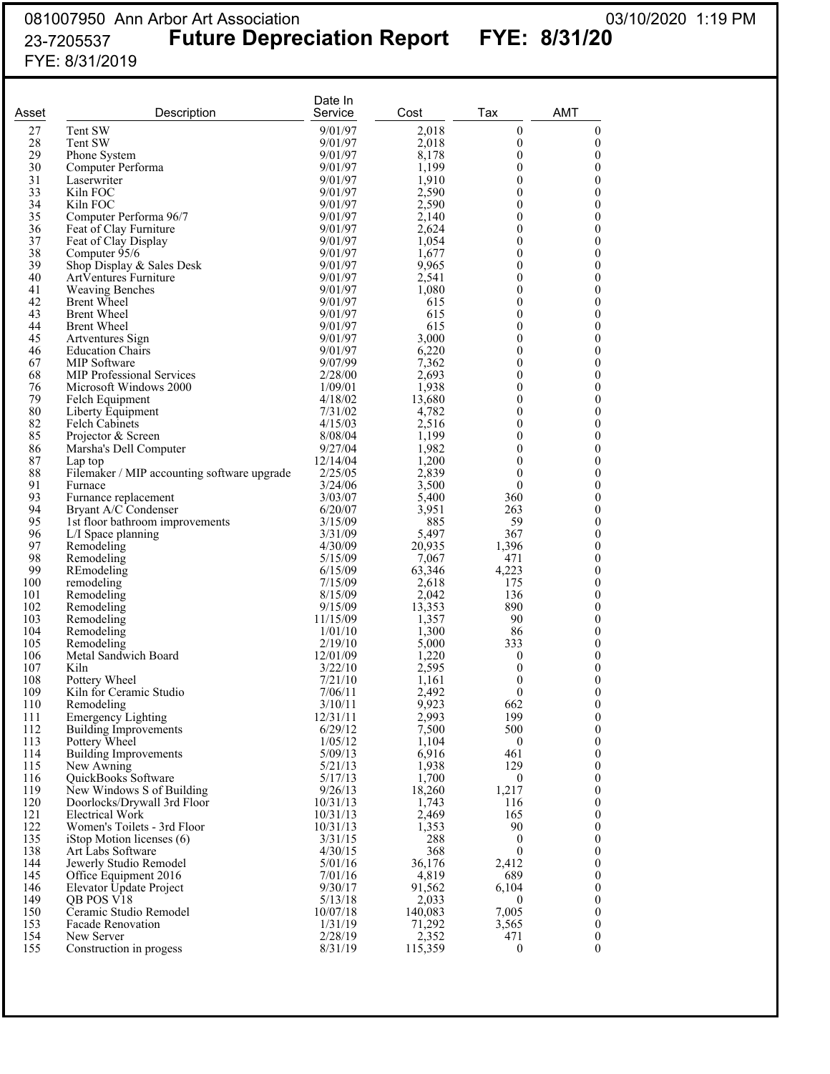# 081007950 Ann Arbor Art Association<br>
23-7205537 **Future Depreciation Report FYE: 8/31/20** 23-7205537 **Future Depreciation Report FYE: 8/31/20** FYE: 8/31/2019

|       | 00 I 00 I 000 YNTHYNDOL YN CYSSOGIANGH<br>23-7205537<br>FYE: 8/31/2019 | <b>Future Depreciation Report</b> |       |        | 007 I UZ<br>FYE: 8/31/20 |
|-------|------------------------------------------------------------------------|-----------------------------------|-------|--------|--------------------------|
| Asset | Description                                                            | Date In<br>Service                | Cost  | Tax    | AMT                      |
| 27    | Tent SW                                                                | 9/01/97                           | 2,018 | $_{0}$ |                          |
| 28    | Tent SW                                                                | 9/01/97                           | 2,018 |        |                          |
| 29    | Phone System                                                           | 9/01/97                           | 8,178 |        |                          |
| 30    | Computer Performa                                                      | 9/01/97                           | 1,199 |        |                          |
| 31    | Laserwriter                                                            | 9/01/97                           | 1,910 |        |                          |
| 33    | Kiln FOC                                                               | 9/01/97                           | 2,590 |        |                          |
| 34    | Kiln FOC                                                               | 9/01/97                           | 2,590 |        |                          |
| 35    | Computer Performa 96/7                                                 | 9/01/97                           | 2,140 |        |                          |
| 36    | Feat of Clay Furniture                                                 | 9/01/97                           | 2,624 |        |                          |
| 37    | Feat of Clay Display                                                   | 9/01/97                           | 1,054 |        |                          |
| 38    | Computer 95/6                                                          | 9/01/97                           | 1,677 |        |                          |
| 39    | Shop Display & Sales Desk                                              | 9/01/97                           | 9,965 |        |                          |
| 40    | <b>ArtVentures Furniture</b>                                           | 9/01/97                           | 2,541 |        |                          |
| 41    | <b>Weaving Benches</b>                                                 | 9/01/97                           | 1,080 |        |                          |
| 42    | <b>Brent Wheel</b>                                                     | 9/01/97                           | 615   |        |                          |
| 43    | <b>Brent Wheel</b>                                                     | 9/01/97                           | 615   | 0      |                          |
| 44    | <b>Brent Wheel</b>                                                     | 9/01/97                           | 615   |        |                          |
| 45    | Artventures Sign                                                       | 9/01/97                           | 3,000 |        |                          |
| 46    | <b>Education Chairs</b>                                                | 9/01/97                           | 6,220 | 0      |                          |

| 34  | Kiln FOC                                    | 9/01/97  | 2,590   | v                | v                |
|-----|---------------------------------------------|----------|---------|------------------|------------------|
| 35  | Computer Performa 96/7                      | 9/01/97  | 2,140   | $\boldsymbol{0}$ | $\boldsymbol{0}$ |
| 36  | Feat of Clay Furniture                      | 9/01/97  | 2,624   | $\boldsymbol{0}$ | $\boldsymbol{0}$ |
| 37  | Feat of Clay Display                        | 9/01/97  | 1,054   | 0                | $\boldsymbol{0}$ |
| 38  | Computer 95/6                               | 9/01/97  | 1,677   | $\boldsymbol{0}$ | $\boldsymbol{0}$ |
| 39  | Shop Display & Sales Desk                   | 9/01/97  | 9,965   | 0                | $\boldsymbol{0}$ |
| 40  | ArtVentures Furniture                       | 9/01/97  | 2,541   | 0                | $\boldsymbol{0}$ |
| 41  |                                             |          |         |                  |                  |
|     | <b>Weaving Benches</b>                      | 9/01/97  | 1,080   | 0                | $\boldsymbol{0}$ |
| 42  | Brent Wheel                                 | 9/01/97  | 615     | $\boldsymbol{0}$ | $\boldsymbol{0}$ |
| 43  | Brent Wheel                                 | 9/01/97  | 615     | 0                | $\boldsymbol{0}$ |
| 44  | Brent Wheel                                 | 9/01/97  | 615     | 0                | $\boldsymbol{0}$ |
| 45  | Artventures Sign                            | 9/01/97  | 3,000   | 0                | $\boldsymbol{0}$ |
| 46  | <b>Education Chairs</b>                     | 9/01/97  | 6,220   | $\boldsymbol{0}$ | $\boldsymbol{0}$ |
| 67  | MIP Software                                | 9/07/99  | 7,362   | 0                | $\boldsymbol{0}$ |
| 68  | <b>MIP Professional Services</b>            | 2/28/00  | 2,693   | 0                | $\boldsymbol{0}$ |
| 76  | Microsoft Windows 2000                      | 1/09/01  | 1,938   | 0                | $\boldsymbol{0}$ |
| 79  | Felch Equipment                             | 4/18/02  | 13,680  | $\boldsymbol{0}$ | $\boldsymbol{0}$ |
| 80  | Liberty Equipment                           | 7/31/02  | 4,782   | 0                | $\boldsymbol{0}$ |
| 82  |                                             |          |         | $\boldsymbol{0}$ |                  |
|     | <b>Felch Cabinets</b>                       | 4/15/03  | 2,516   |                  | $\boldsymbol{0}$ |
| 85  | Projector & Screen                          | 8/08/04  | 1,199   | 0                | $\boldsymbol{0}$ |
| 86  | Marsha's Dell Computer                      | 9/27/04  | 1,982   | $\boldsymbol{0}$ | $\boldsymbol{0}$ |
| 87  | Lap top                                     | 12/14/04 | 1,200   | 0                | $\boldsymbol{0}$ |
| 88  | Filemaker / MIP accounting software upgrade | 2/25/05  | 2,839   | $\boldsymbol{0}$ | $\boldsymbol{0}$ |
| 91  | Furnace                                     | 3/24/06  | 3,500   | $\boldsymbol{0}$ | $\boldsymbol{0}$ |
| 93  | Furnance replacement                        | 3/03/07  | 5,400   | 360              | $\boldsymbol{0}$ |
| 94  | Bryant A/C Condenser                        | 6/20/07  | 3,951   | 263              | $\boldsymbol{0}$ |
| 95  | 1st floor bathroom improvements             | 3/15/09  | 885     | 59               | $\boldsymbol{0}$ |
| 96  | $L/I$ Space planning                        | 3/31/09  | 5,497   | 367              | $\boldsymbol{0}$ |
| 97  |                                             | 4/30/09  | 20,935  | 1,396            | $\boldsymbol{0}$ |
|     | Remodeling                                  |          |         |                  |                  |
| 98  | Remodeling                                  | 5/15/09  | 7,067   | 471              | $\boldsymbol{0}$ |
| 99  | REmodeling                                  | 6/15/09  | 63,346  | 4,223            | $\boldsymbol{0}$ |
| 100 | remodeling                                  | 7/15/09  | 2,618   | 175              | $\boldsymbol{0}$ |
| 101 | Remodeling                                  | 8/15/09  | 2,042   | 136              | $\boldsymbol{0}$ |
| 102 | Remodeling                                  | 9/15/09  | 13,353  | 890              | $\boldsymbol{0}$ |
| 103 | Remodeling                                  | 11/15/09 | 1,357   | 90               | $\boldsymbol{0}$ |
| 104 | Remodeling                                  | 1/01/10  | 1,300   | 86               | $\boldsymbol{0}$ |
| 105 | Remodeling                                  | 2/19/10  | 5,000   | 333              | $\boldsymbol{0}$ |
| 106 | Metal Sandwich Board                        | 12/01/09 | 1,220   | $\boldsymbol{0}$ | $\boldsymbol{0}$ |
| 107 | Kiln                                        | 3/22/10  | 2,595   | $\boldsymbol{0}$ | $\boldsymbol{0}$ |
| 108 | Pottery Wheel                               | 7/21/10  | 1,161   | $\boldsymbol{0}$ | $\boldsymbol{0}$ |
| 109 | Kiln for Ceramic Studio                     | 7/06/11  | 2,492   | $\theta$         | $\boldsymbol{0}$ |
|     |                                             |          |         |                  |                  |
| 110 | Remodeling                                  | 3/10/11  | 9,923   | 662              | $\boldsymbol{0}$ |
| 111 | <b>Emergency Lighting</b>                   | 12/31/11 | 2,993   | 199              | $\boldsymbol{0}$ |
| 112 | <b>Building Improvements</b>                | 6/29/12  | 7,500   | 500              | $\boldsymbol{0}$ |
| 113 | Pottery Wheel                               | 1/05/12  | 1,104   | $\boldsymbol{0}$ | $\boldsymbol{0}$ |
| 114 | <b>Building Improvements</b>                | 5/09/13  | 6,916   | 461              | $\boldsymbol{0}$ |
| 115 | New Awning                                  | 5/21/13  | 1,938   | 129              | $\boldsymbol{0}$ |
| 116 | QuickBooks Software                         | 5/17/13  | 1,700   | $\boldsymbol{0}$ | $\boldsymbol{0}$ |
| 119 | New Windows S of Building                   | 9/26/13  | 18,260  | 1,217            | $\boldsymbol{0}$ |
| 120 | Doorlocks/Drywall 3rd Floor                 | 10/31/13 | 1,743   | 116              | $\boldsymbol{0}$ |
| 121 | Electrical Work                             | 10/31/13 | 2,469   | 165              | $\boldsymbol{0}$ |
| 122 | Women's Toilets - 3rd Floor                 | 10/31/13 | 1,353   | 90               | $\boldsymbol{0}$ |
|     |                                             |          |         |                  |                  |
| 135 | iStop Motion licenses (6)                   | 3/31/15  | 288     | $\boldsymbol{0}$ | $\boldsymbol{0}$ |
| 138 | Art Labs Software                           | 4/30/15  | 368     | $\boldsymbol{0}$ | $\boldsymbol{0}$ |
| 144 | Jewerly Studio Remodel                      | 5/01/16  | 36,176  | 2,412            | 0                |
| 145 | Office Equipment 2016                       | 7/01/16  | 4,819   | 689              | $\boldsymbol{0}$ |
| 146 | Elevator Update Project                     | 9/30/17  | 91,562  | 6,104            | $\boldsymbol{0}$ |
| 149 | QB POS V18                                  | 5/13/18  | 2,033   | $\mathbf{0}$     | $\boldsymbol{0}$ |
| 150 | Ceramic Studio Remodel                      | 10/07/18 | 140,083 | 7,005            | 0                |
| 153 | <b>Facade Renovation</b>                    | 1/31/19  | 71,292  | 3,565            | $\boldsymbol{0}$ |
| 154 | New Server                                  | 2/28/19  | 2,352   | 471              | 0                |
| 155 | Construction in progess                     | 8/31/19  | 115,359 | $\boldsymbol{0}$ | $\boldsymbol{0}$ |
|     |                                             |          |         |                  |                  |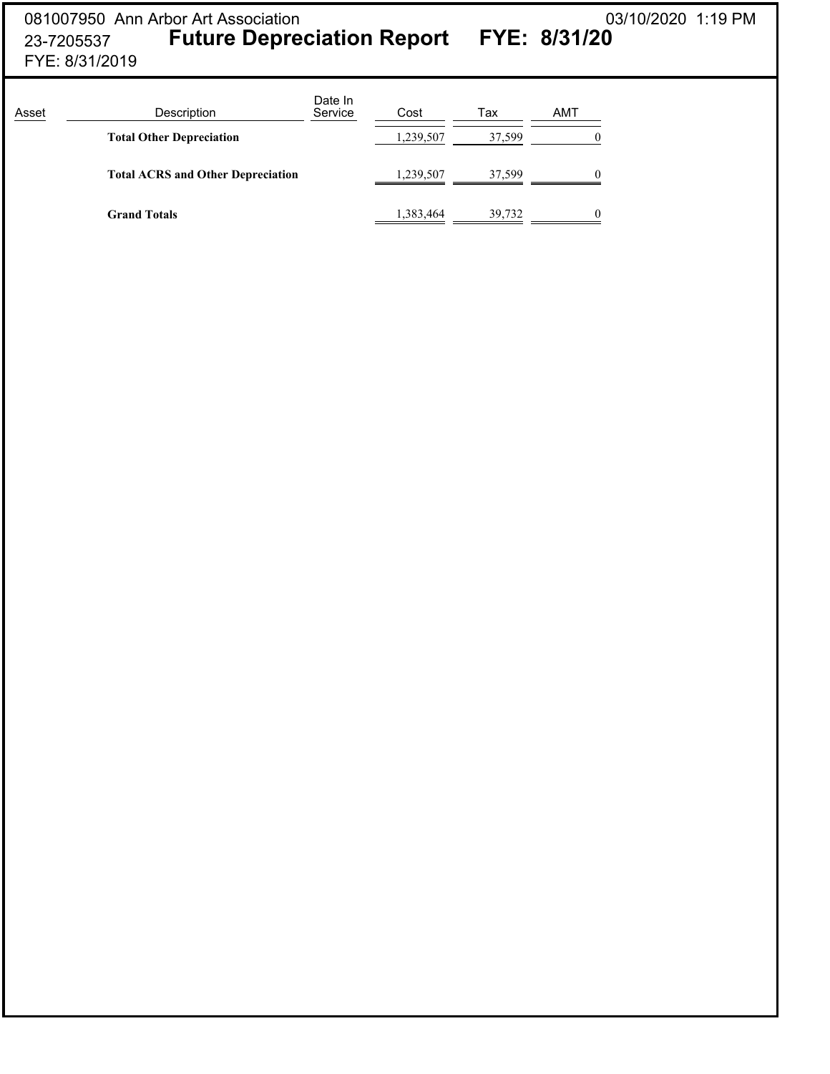# 081007950 Ann Arbor Art Association 03/10/2020 1:19 PM 23-7205537 **Future Depreciation Report FYE: 8/31/20** FYE: 8/31/2019

| Asset | Description                              | Date In<br>Service | Cost      | Tax    | AMT |
|-------|------------------------------------------|--------------------|-----------|--------|-----|
|       | <b>Total Other Depreciation</b>          |                    | 1,239,507 | 37.599 |     |
|       | <b>Total ACRS and Other Depreciation</b> |                    | 1,239,507 | 37,599 |     |
|       | <b>Grand Totals</b>                      |                    | 1,383,464 | 39,732 |     |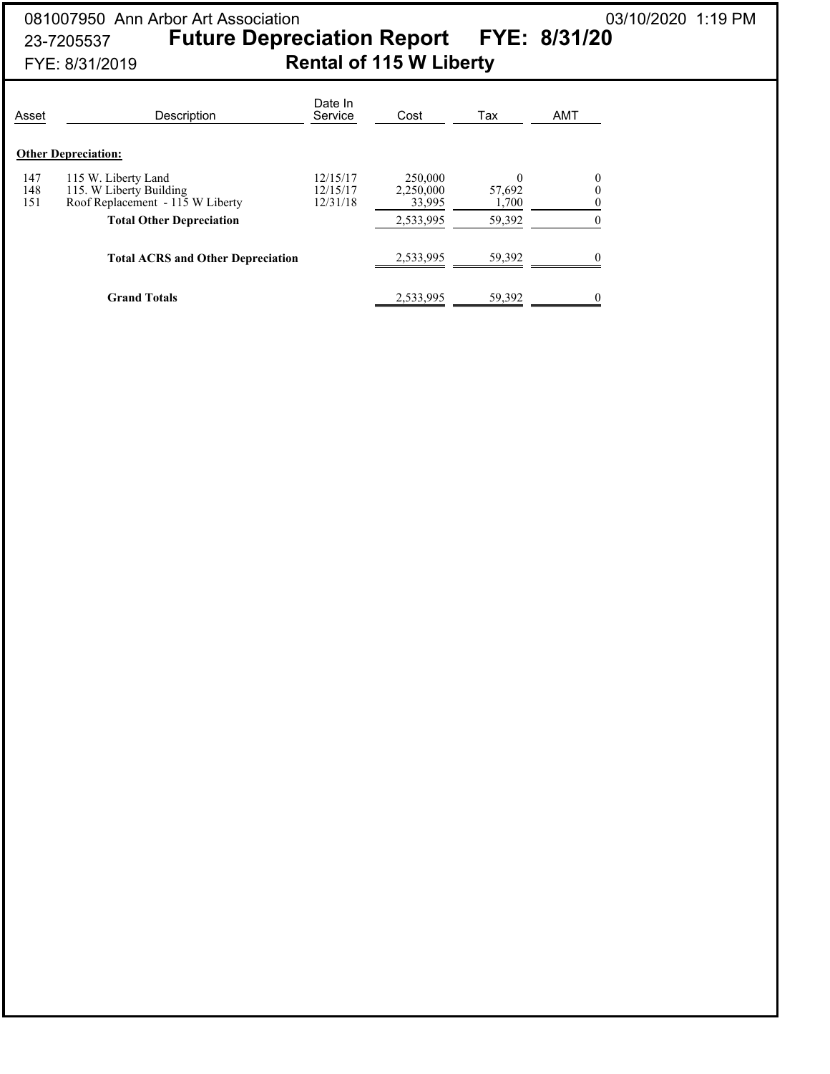# 081007950 Ann Arbor Art Association **03/10/2020 1:19 PM** 23-7205537 **Future Depreciation Report FYE: 8/31/20** FYE: 8/31/2019 **Rental of 115 W Liberty**

| Asset             | Description                                                                        | Date In<br>Service               | Cost                           | Tax             | AMT          |
|-------------------|------------------------------------------------------------------------------------|----------------------------------|--------------------------------|-----------------|--------------|
|                   | <b>Other Depreciation:</b>                                                         |                                  |                                |                 |              |
| 147<br>148<br>151 | 115 W. Liberty Land<br>115. W Liberty Building<br>Roof Replacement - 115 W Liberty | 12/15/17<br>12/15/17<br>12/31/18 | 250,000<br>2,250,000<br>33,995 | 57,692<br>1,700 | 0            |
|                   | <b>Total Other Depreciation</b>                                                    |                                  | 2,533,995                      | 59,392          |              |
|                   | <b>Total ACRS and Other Depreciation</b>                                           |                                  | 2,533,995                      | 59,392          | 0            |
|                   | <b>Grand Totals</b>                                                                |                                  | 2.533.995                      | 59.392          | $\mathbf{0}$ |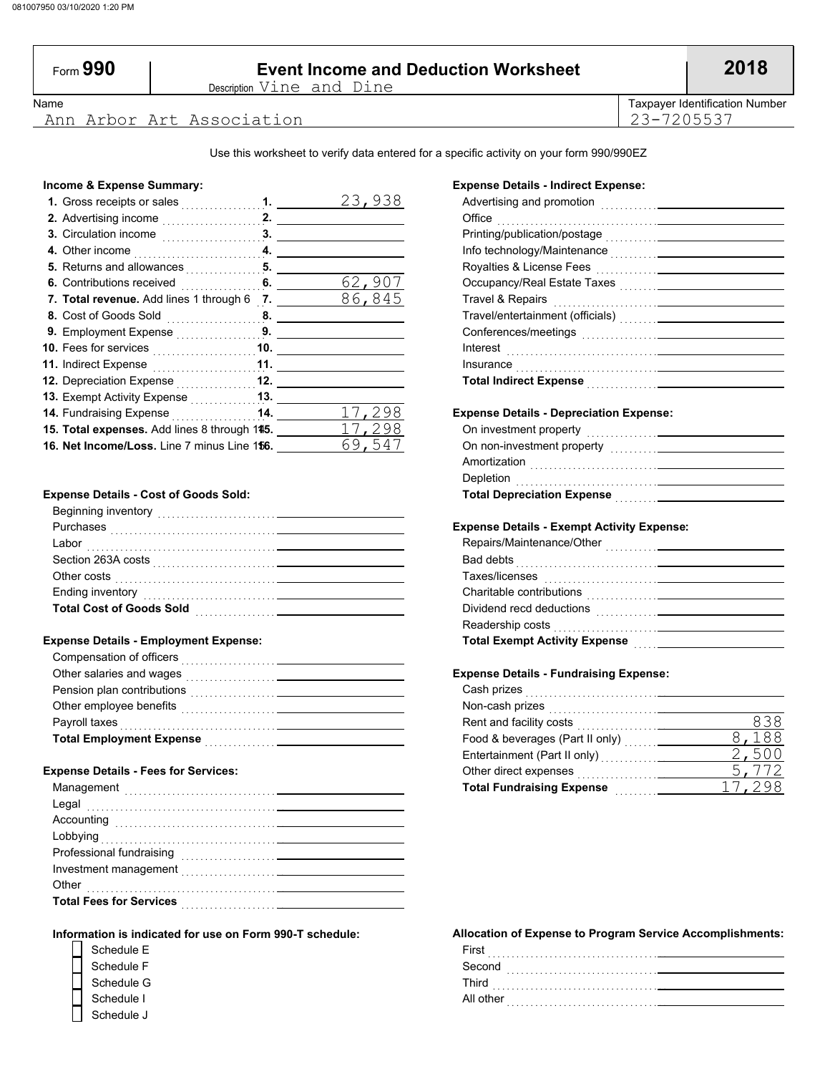# Form **990 Event Income and Deduction Worksheet 2018**

Description Vine and Dine Name **Taxpayer Identification Number** Number 1 and Taxpayer Identification Number

Ann Arbor Art Association 23-7205537

Use this worksheet to verify data entered for a specific activity on your form 990/990EZ

#### **Income & Expense Summary:**

| 1. Gross receipts or sales                                                                                                                                                                                                          | 1.  |        |
|-------------------------------------------------------------------------------------------------------------------------------------------------------------------------------------------------------------------------------------|-----|--------|
| 2. Advertising income                                                                                                                                                                                                               | 2.  |        |
| 3. Circulation income                                                                                                                                                                                                               | 3.  |        |
| 4. Other income                                                                                                                                                                                                                     |     |        |
| 5. Returns and allowances                                                                                                                                                                                                           | 5.  |        |
| 6. Contributions received                                                                                                                                                                                                           | 6.  |        |
| 7. Total revenue. Add lines 1 through 6                                                                                                                                                                                             | 7.  | 86.845 |
| 8. Cost of Goods Sold <b>Community</b> of Sold <b>Bulleting</b>                                                                                                                                                                     | 8.  |        |
| <b>9.</b> Employment Expense $\ldots$                                                                                                                                                                                               |     |        |
| <b>10.</b> Fees for services <b>container and in the service of the service of 10.</b>                                                                                                                                              |     |        |
| 11. Indirect Expense <b>Production</b> in the sense in the sense in the sense in the sense in the sense in the sense in the sense in the sense in the sense in the sense in the sense in the sense in the sense in the sense in the | 11. |        |
| 12. Depreciation Expense 12.                                                                                                                                                                                                        |     |        |
| 13. Exempt Activity Expense [11, 13. 13.                                                                                                                                                                                            |     |        |
| 14. Fundraising Expense <b>Constantine 14.</b>                                                                                                                                                                                      |     |        |
| 15. Total expenses. Add lines 8 through 145.                                                                                                                                                                                        |     |        |
| 16. Net Income/Loss. Line 7 minus Line 156.                                                                                                                                                                                         |     |        |

#### **Expense Details - Cost of Goods Sold:**

| Beginning inventory             |  |
|---------------------------------|--|
| Purchases                       |  |
| I abor                          |  |
| Section 263A costs              |  |
| Other costs                     |  |
| <b>Ending inventory</b>         |  |
| <b>Total Cost of Goods Sold</b> |  |
|                                 |  |

#### **Expense Details - Employment Expense:**

| Compensation of officers<br>.   |  |
|---------------------------------|--|
| Other salaries and wages        |  |
| Pension plan contributions      |  |
| Other employee benefits         |  |
| Payroll taxes                   |  |
| <b>Total Employment Expense</b> |  |

#### **Expense Details - Fees for Services:**

| Other<br><b>Total Fees for Services</b> |  |
|-----------------------------------------|--|
|                                         |  |
| Professional fundraising                |  |
|                                         |  |
|                                         |  |
|                                         |  |
|                                         |  |

#### **Information is indicated for use on Form 990-T schedule:**

Schedule E Schedule J Schedule I Schedule F Schedule G

#### **Expense Details - Indirect Expense:**

| Advertising and promotion<br>expressions contains and promotion                                                                              |
|----------------------------------------------------------------------------------------------------------------------------------------------|
|                                                                                                                                              |
|                                                                                                                                              |
|                                                                                                                                              |
|                                                                                                                                              |
| Occupancy/Real Estate Taxes<br>Martin Allen Martin Martin Martin Martin Martin Martin Martin Martin Martin Martin Martin Martin Martin Marti |
|                                                                                                                                              |
|                                                                                                                                              |
|                                                                                                                                              |
|                                                                                                                                              |
|                                                                                                                                              |
|                                                                                                                                              |
|                                                                                                                                              |

#### **Expense Details - Depreciation Expense:**

| Amortization                      |
|-----------------------------------|
| Depletion                         |
| <b>Total Depreciation Expense</b> |

#### **Expense Details - Exempt Activity Expense:**

| Repairs/Maintenance/Other            |  |
|--------------------------------------|--|
| <b>Bad debts</b>                     |  |
| Taxes/licenses                       |  |
| Charitable contributions             |  |
| Dividend recd deductions             |  |
| Readership costs                     |  |
| <b>Total Exempt Activity Expense</b> |  |
|                                      |  |

#### **Expense Details - Fundraising Expense:**

| Cash prizes                                    |        |
|------------------------------------------------|--------|
| Non-cash prizes                                |        |
| Rent and facility costs                        | 838    |
| Food & beverages (Part II only)                | 8,188  |
|                                                | 2,500  |
| Other direct expenses                          | 5,772  |
| <b>Total Fundraising Expense</b><br>. <u>.</u> | 17.298 |
|                                                |        |

| First<br>.  |  |
|-------------|--|
| Second<br>. |  |
| Third<br>.  |  |
| All other   |  |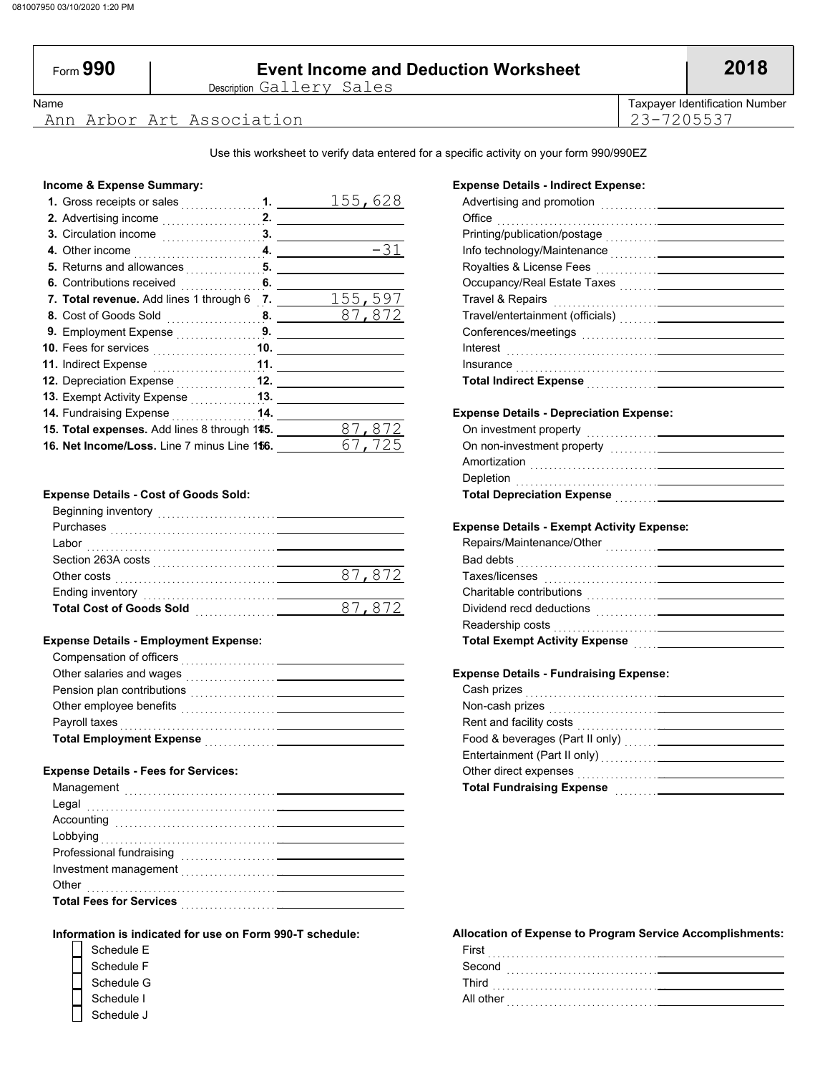| Form 990 | <b>Event Income and Deduction Worksheet</b> | 2018 |
|----------|---------------------------------------------|------|
|          | Description Gallery Sales                   |      |

Name **Taxpayer Identification Number** Number 1 and Taxpayer Identification Number

Ann Arbor Art Association 23-7205537

Use this worksheet to verify data entered for a specific activity on your form 990/990EZ

#### **Income & Expense Summary:**

|                 |                                                                                                                                                                                                                                      |     | 155,     |
|-----------------|--------------------------------------------------------------------------------------------------------------------------------------------------------------------------------------------------------------------------------------|-----|----------|
|                 | 2. Advertising income                                                                                                                                                                                                                | 2.  |          |
|                 | 3. Circulation income                                                                                                                                                                                                                | 3.  |          |
| 4. Other income |                                                                                                                                                                                                                                      |     | -31      |
|                 | 5. Returns and allowances                                                                                                                                                                                                            | 5.  |          |
|                 | <b>6.</b> Contributions received<br>.                                                                                                                                                                                                | 6.  |          |
|                 | 7. Total revenue. Add lines 1 through 6                                                                                                                                                                                              | 7.  | 155,597  |
|                 | 8. Cost of Goods Sold <b>Community</b> of Sold <b>Bulleting</b>                                                                                                                                                                      | 8.  | 87.<br>8 |
|                 |                                                                                                                                                                                                                                      |     |          |
|                 | 10. Fees for services 10.                                                                                                                                                                                                            |     |          |
|                 | 11. Indirect Expense <b>container and the sense in the sense in the sense in the sense in the sense in the sense in the sense in the sense in the sense in the sense in the sense in the sense in the sense in the sense in the </b> | 11. |          |
|                 | 12. Depreciation Expense 12.                                                                                                                                                                                                         |     |          |
|                 | 13. Exempt Activity Expense [11, 13. 13.                                                                                                                                                                                             |     |          |
|                 |                                                                                                                                                                                                                                      |     |          |
|                 | 15. Total expenses. Add lines 8 through 145.                                                                                                                                                                                         |     |          |
|                 | 16. Net Income/Loss. Line 7 minus Line 156.                                                                                                                                                                                          |     |          |

#### **Expense Details - Cost of Goods Sold:**

| Beginning inventory             |        |
|---------------------------------|--------|
| Purchases                       |        |
| Labor                           |        |
| Section 263A costs              |        |
| Other costs                     | 87.872 |
| Ending inventory                |        |
| <b>Total Cost of Goods Sold</b> | 87.872 |
|                                 |        |

#### **Expense Details - Employment Expense:**

| Compensation of officers        |  |
|---------------------------------|--|
| Other salaries and wages        |  |
| Pension plan contributions      |  |
| Other employee benefits         |  |
| Payroll taxes                   |  |
| <b>Total Employment Expense</b> |  |

#### **Expense Details - Fees for Services:**

| Management                     |  |  |
|--------------------------------|--|--|
|                                |  |  |
|                                |  |  |
|                                |  |  |
| Professional fundraising       |  |  |
|                                |  |  |
| Other                          |  |  |
| <b>Total Fees for Services</b> |  |  |
|                                |  |  |

#### **Information is indicated for use on Form 990-T schedule:**

| Schedule E |
|------------|
| Schedule F |
| Schedule G |
| Schedule I |
| Schedule J |

#### **Expense Details - Indirect Expense:**

| Office                                                                                                                                                                                                                         |  |
|--------------------------------------------------------------------------------------------------------------------------------------------------------------------------------------------------------------------------------|--|
|                                                                                                                                                                                                                                |  |
|                                                                                                                                                                                                                                |  |
|                                                                                                                                                                                                                                |  |
|                                                                                                                                                                                                                                |  |
|                                                                                                                                                                                                                                |  |
| Travel/entertainment (officials)<br>Travel/entertainment (officials)                                                                                                                                                           |  |
|                                                                                                                                                                                                                                |  |
| Interest<br><u> </u>                                                                                                                                                                                                           |  |
|                                                                                                                                                                                                                                |  |
|                                                                                                                                                                                                                                |  |
|                                                                                                                                                                                                                                |  |
| <b>Expense Details - Depreciation Expense:</b>                                                                                                                                                                                 |  |
|                                                                                                                                                                                                                                |  |
|                                                                                                                                                                                                                                |  |
|                                                                                                                                                                                                                                |  |
|                                                                                                                                                                                                                                |  |
| Total Depreciation Expense [11] [12] Total Depreciation Expense [11] [12] Total Depreciation Expense [12] Total Depreciation Production Production Production Production Production Production Production Production Productio |  |
|                                                                                                                                                                                                                                |  |
| <b>Expense Details - Exempt Activity Expense:</b>                                                                                                                                                                              |  |
| Repairs/Maintenance/Other<br>Maintenance/Other                                                                                                                                                                                 |  |
|                                                                                                                                                                                                                                |  |
|                                                                                                                                                                                                                                |  |
|                                                                                                                                                                                                                                |  |
|                                                                                                                                                                                                                                |  |
|                                                                                                                                                                                                                                |  |
| Total Exempt Activity Expense [11] [12] Total Exempt Activity Expense                                                                                                                                                          |  |
|                                                                                                                                                                                                                                |  |
| <b>Expense Details - Fundraising Expense:</b>                                                                                                                                                                                  |  |
|                                                                                                                                                                                                                                |  |
|                                                                                                                                                                                                                                |  |
|                                                                                                                                                                                                                                |  |
|                                                                                                                                                                                                                                |  |

#### **Allocation of Expense to Program Service Accomplishments:**

**Total Fundraising Expense** . . . . . . . . . . .

Food & beverages (Part II only)  $\begin{array}{ccc} \dots \end{array}$ 

Other direct expenses . . . . . . . . . . . . . . . . . . .

Entertainment (Part II only) . . . . . . . . . . . . . .

| First<br>.     |
|----------------|
| Second<br>.    |
| Third<br>.     |
| All other<br>. |
|                |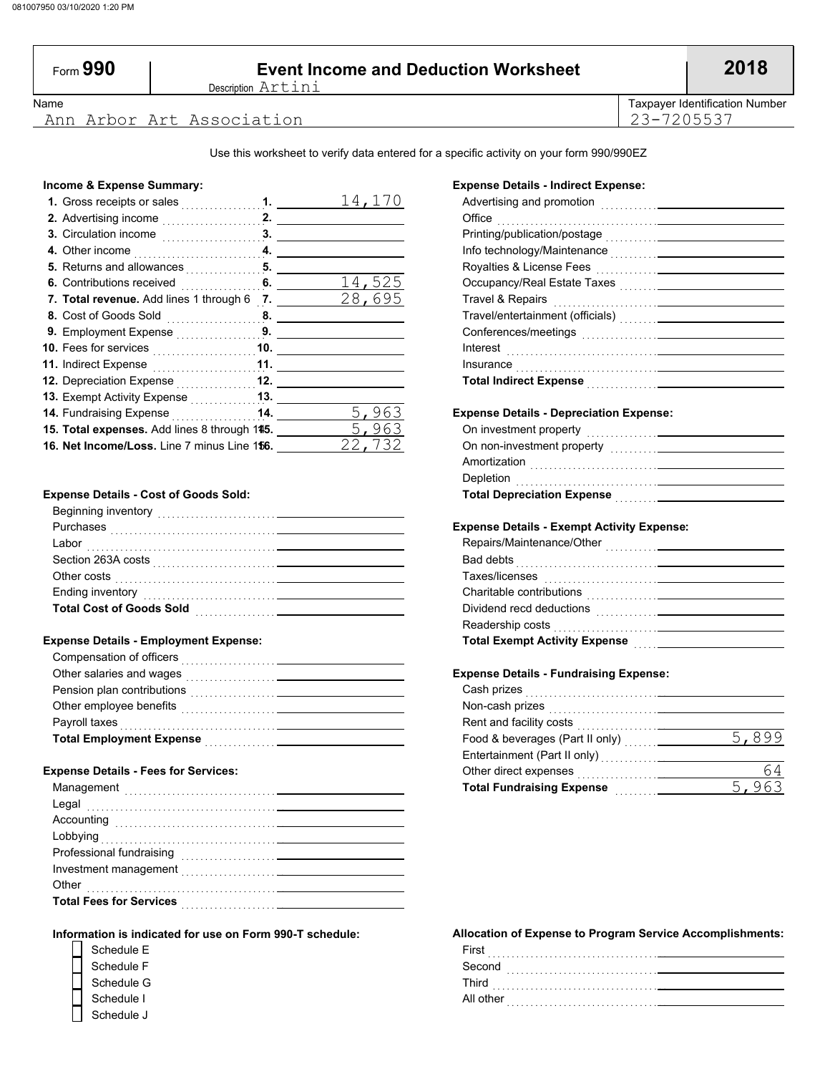# Form **990 Event Income and Deduction Worksheet 2018**

Description Artini

Name **Taxpayer Identification Number** Number 1 and Taxpayer Identification Number Ann Arbor Art Association 23-7205537

Use this worksheet to verify data entered for a specific activity on your form 990/990EZ

#### **Income & Expense Summary:**

| 1. Gross receipts or sales                                                                                                                                                                                                           | 1.  | 14         |
|--------------------------------------------------------------------------------------------------------------------------------------------------------------------------------------------------------------------------------------|-----|------------|
| 2. Advertising income                                                                                                                                                                                                                | 2.  |            |
| 3. Circulation income                                                                                                                                                                                                                | 3.  |            |
| 4. Other income                                                                                                                                                                                                                      |     |            |
| 5. Returns and allowances                                                                                                                                                                                                            | 5.  |            |
| 6. Contributions received                                                                                                                                                                                                            | 6.  | 14,<br>525 |
| 7. Total revenue. Add lines 1 through 6                                                                                                                                                                                              | 7.  | 28,        |
| 8. Cost of Goods Sold <b>Community</b> of Sold                                                                                                                                                                                       | 8.  |            |
| 9. Employment Expense 9.                                                                                                                                                                                                             |     |            |
| 10. Fees for services <b>container and 10.</b>                                                                                                                                                                                       |     |            |
| 11. Indirect Expense <b>container and the sense in the sense in the sense in the sense in the sense in the sense in the sense in the sense in the sense in the sense in the sense in the sense in the sense in the sense in the </b> | 11. |            |
| 12. Depreciation Expense 12.                                                                                                                                                                                                         |     |            |
| 13. Exempt Activity Expense 13.                                                                                                                                                                                                      |     |            |
|                                                                                                                                                                                                                                      |     |            |
| 15. Total expenses. Add lines 8 through 145.                                                                                                                                                                                         |     | 9          |
| 16. Net Income/Loss. Line 7 minus Line 156.                                                                                                                                                                                          |     |            |

#### **Expense Details - Cost of Goods Sold:**

| Beginning inventory             |  |
|---------------------------------|--|
| Purchases                       |  |
| Labor                           |  |
| Section 263A costs              |  |
| Other costs                     |  |
| <b>Ending inventory</b>         |  |
| <b>Total Cost of Goods Sold</b> |  |
|                                 |  |

#### **Expense Details - Employment Expense:**

| Compensation of officers        |  |
|---------------------------------|--|
| Other salaries and wages        |  |
| Pension plan contributions      |  |
| Other employee benefits         |  |
| Payroll taxes<br>.              |  |
| <b>Total Employment Expense</b> |  |

#### **Expense Details - Fees for Services:**

| Other<br><b>Total Fees for Services</b> |  |
|-----------------------------------------|--|
|                                         |  |
| Professional fundraising                |  |
|                                         |  |
|                                         |  |
|                                         |  |
|                                         |  |

#### **Information is indicated for use on Form 990-T schedule:**

Schedule E Schedule J Schedule I Schedule F Schedule G

#### **Expense Details - Indirect Expense:**

| Office <u>with the contract of the contract of the contract of the contract of the contract of the contract of the contract of the contract of the contract of the contract of the contract of the contract of the contract of t</u> |
|--------------------------------------------------------------------------------------------------------------------------------------------------------------------------------------------------------------------------------------|
|                                                                                                                                                                                                                                      |
| Info technology/Maintenance www.communications.com                                                                                                                                                                                   |
|                                                                                                                                                                                                                                      |
| Occupancy/Real Estate Taxes<br>Martin Allen Martin Martin Martin Martin Martin Martin Martin Martin Martin Martin Martin Martin Martin Marti                                                                                         |
|                                                                                                                                                                                                                                      |
|                                                                                                                                                                                                                                      |
|                                                                                                                                                                                                                                      |
|                                                                                                                                                                                                                                      |
|                                                                                                                                                                                                                                      |
|                                                                                                                                                                                                                                      |
|                                                                                                                                                                                                                                      |

#### **Expense Details - Depreciation Expense:**

| On non-investment property        |
|-----------------------------------|
| Amortization                      |
| Depletion                         |
| <b>Total Depreciation Expense</b> |

#### **Expense Details - Exempt Activity Expense:**

| Repairs/Maintenance/Other            |  |
|--------------------------------------|--|
| <b>Bad debts</b>                     |  |
| Taxes/licenses                       |  |
| Charitable contributions             |  |
| Dividend recd deductions             |  |
| Readership costs                     |  |
| <b>Total Exempt Activity Expense</b> |  |
|                                      |  |

#### **Expense Details - Fundraising Expense:**

| Food & beverages (Part II only)<br>5,899 |
|------------------------------------------|
| Entertainment (Part II only)<br>[2005]   |
| . <u>.</u>                               |
|                                          |
|                                          |

| First<br>.  |  |
|-------------|--|
| Second<br>. |  |
| Third<br>.  |  |
| All other   |  |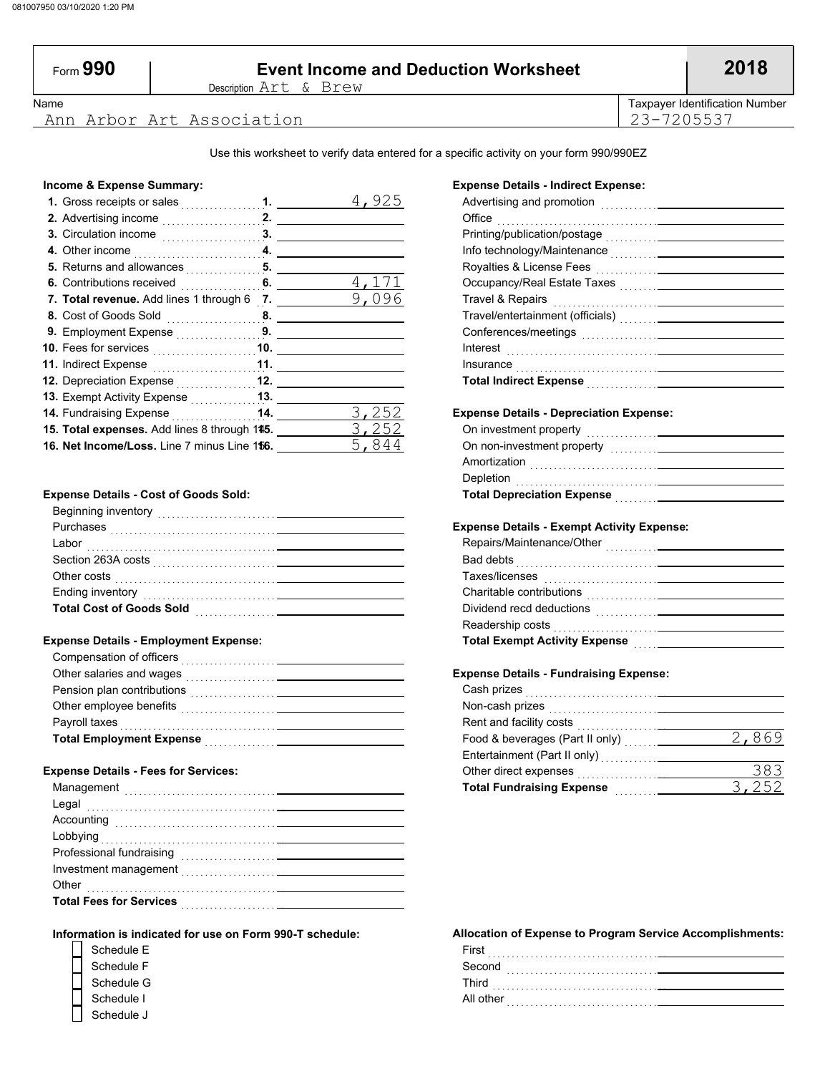| <b>Event Income and Deduction Worksheet</b> | 2018 |
|---------------------------------------------|------|
|                                             |      |

Description Art & Brew

Name Taxpayer Identification Number<br>
Ann Arbor Art Association

Ann Arbor Art Association 23-7205537

Use this worksheet to verify data entered for a specific activity on your form 990/990EZ

#### **Income & Expense Summary:**

| 1. Gross receipts or sales                                                                                                                                                                                                          | 1.  |     |
|-------------------------------------------------------------------------------------------------------------------------------------------------------------------------------------------------------------------------------------|-----|-----|
| 2. Advertising income                                                                                                                                                                                                               | 2.  |     |
| 3. Circulation income                                                                                                                                                                                                               | 3.  |     |
| 4. Other income                                                                                                                                                                                                                     |     |     |
| 5. Returns and allowances                                                                                                                                                                                                           | 5.  |     |
| 6. Contributions received                                                                                                                                                                                                           | 6.  |     |
| 7. Total revenue. Add lines 1 through 6                                                                                                                                                                                             |     |     |
| 8. Cost of Goods Sold 8.                                                                                                                                                                                                            |     |     |
| <b>9.</b> Employment Expense $\ldots$                                                                                                                                                                                               |     |     |
| <b>10.</b> Fees for services <b>10. 10.</b>                                                                                                                                                                                         |     |     |
| 11. Indirect Expense <b>Production</b> in the sense in the sense in the sense in the sense in the sense in the sense in the sense in the sense in the sense in the sense in the sense in the sense in the sense in the sense in the | 11. |     |
| 12. Depreciation Expense 12.                                                                                                                                                                                                        |     |     |
| 13. Exempt Activity Expense 13.                                                                                                                                                                                                     |     |     |
|                                                                                                                                                                                                                                     |     |     |
| 15. Total expenses. Add lines 8 through 145.                                                                                                                                                                                        |     | 252 |
| 16. Net Income/Loss. Line 7 minus Line 156.                                                                                                                                                                                         |     | 84  |

#### **Expense Details - Cost of Goods Sold:**

| Beginning inventory             |  |
|---------------------------------|--|
| Purchases                       |  |
| Labor                           |  |
| Section 263A costs              |  |
| Other costs                     |  |
| Ending inventory                |  |
| <b>Total Cost of Goods Sold</b> |  |
|                                 |  |

#### **Expense Details - Employment Expense:**

| Compensation of officers        |  |
|---------------------------------|--|
| Other salaries and wages        |  |
| Pension plan contributions      |  |
| Other employee benefits         |  |
| Payroll taxes                   |  |
| <b>Total Employment Expense</b> |  |

#### **Expense Details - Fees for Services:**

| Management                     |  |
|--------------------------------|--|
|                                |  |
|                                |  |
|                                |  |
| Professional fundraising       |  |
|                                |  |
| Other                          |  |
| <b>Total Fees for Services</b> |  |
|                                |  |

#### **Information is indicated for use on Form 990-T schedule:**

Schedule E Schedule J Schedule I Schedule F Schedule G

#### **Expense Details - Indirect Expense:**

| Occupancy/Real Estate Taxes<br>Martin Allen Martin Martin Martin Martin Martin Martin Martin Martin Martin Martin Martin Martin Martin Martin Martin Martin Martin Martin Martin Martin Martin Martin Martin Martin Martin Marti |
|----------------------------------------------------------------------------------------------------------------------------------------------------------------------------------------------------------------------------------|
| Travel & Repairs <b>Constitution of the Constitution of the Constitution of the Constitution of the Constitution</b>                                                                                                             |
|                                                                                                                                                                                                                                  |
|                                                                                                                                                                                                                                  |
|                                                                                                                                                                                                                                  |
|                                                                                                                                                                                                                                  |
|                                                                                                                                                                                                                                  |
|                                                                                                                                                                                                                                  |

#### **Expense Details - Depreciation Expense:**

| On non-investment property        |
|-----------------------------------|
| Amortization                      |
| Depletion                         |
| <b>Total Depreciation Expense</b> |

#### **Expense Details - Exempt Activity Expense:**

| Repairs/Maintenance/Other            |  |
|--------------------------------------|--|
| <b>Bad debts</b>                     |  |
| Taxes/licenses                       |  |
| Charitable contributions             |  |
| Dividend recd deductions             |  |
| Readership costs                     |  |
| <b>Total Exempt Activity Expense</b> |  |
|                                      |  |

#### **Expense Details - Fundraising Expense:**

| Rent and facility costs<br>interactions and the facility costs |       |
|----------------------------------------------------------------|-------|
| Food & beverages (Part II only) [100011]                       | 2,869 |
| Entertainment (Part II only)<br>[2005]                         |       |
| Other direct expenses<br>. <u>.</u>                            | 383   |
| <b>Total Fundraising Expense</b><br>. <u>.</u>                 | 3.252 |
|                                                                |       |

| First<br>.        |  |
|-------------------|--|
| Second<br>.       |  |
| <b>Third</b><br>. |  |
| All other<br>.    |  |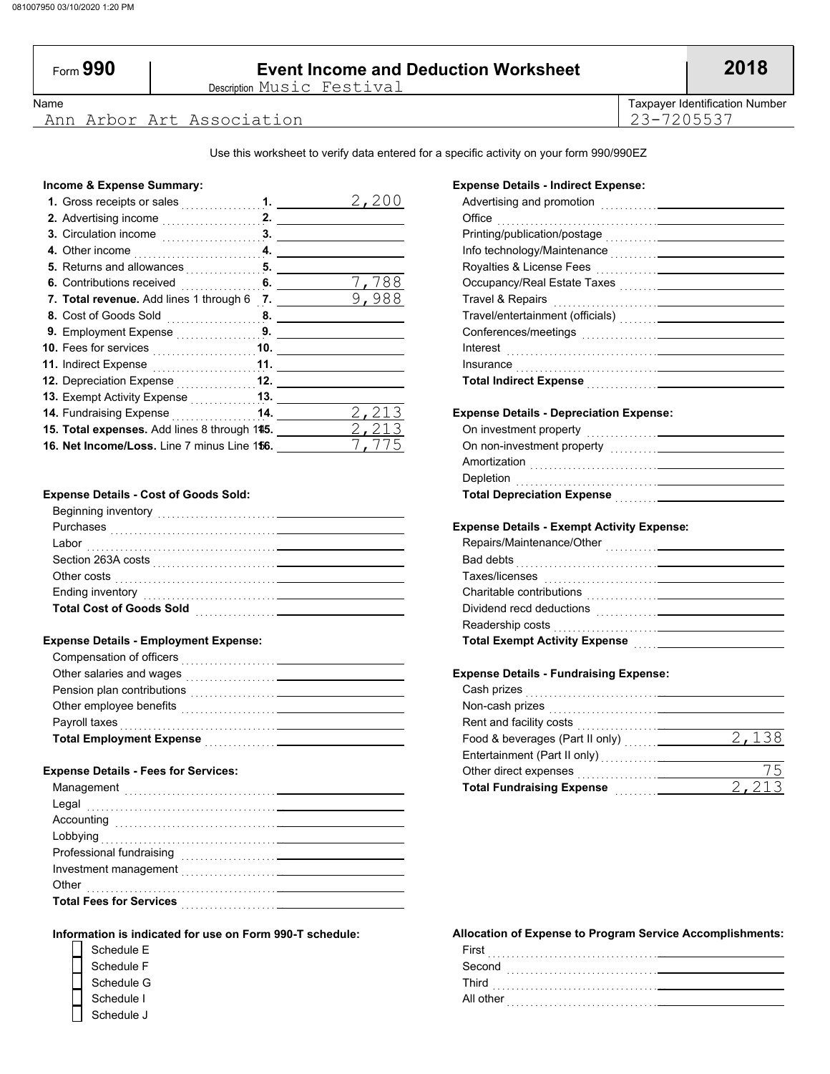| Form $990$ | <b>Event Income and Deduction Worksheet</b> | 2018 |
|------------|---------------------------------------------|------|
|            | Description Music Festival                  |      |

Name **Taxpayer Identification Number** Number 1 2009 1 2012 1 2022 1 2023 2 2023 2 2023 2 2023 2 2023 2 2023 2 2023 2 2023 2 2023 2 2023 2 2023 2 2023 2 2023 2 2023 2 2023 2 2023 2 2023 2 2023 2 2023 2 2023 2 2023 2 2023 2

Ann Arbor Art Association 23-7205537

Use this worksheet to verify data entered for a specific activity on your form 990/990EZ

#### **Income & Expense Summary:**

| 1. Gross receipts or sales                                                                                                                                                                                                           | 1.  |  |
|--------------------------------------------------------------------------------------------------------------------------------------------------------------------------------------------------------------------------------------|-----|--|
| 2. Advertising income                                                                                                                                                                                                                | 2.  |  |
| 3. Circulation income                                                                                                                                                                                                                | 3.  |  |
| 4. Other income                                                                                                                                                                                                                      |     |  |
| 5. Returns and allowances                                                                                                                                                                                                            | 5.  |  |
| 6. Contributions received                                                                                                                                                                                                            | 6.  |  |
| 7. Total revenue. Add lines 1 through 6                                                                                                                                                                                              |     |  |
| 8. Cost of Goods Sold <b>Community</b> of Sold                                                                                                                                                                                       | 8.  |  |
| <b>9.</b> Employment Expense $\ldots$                                                                                                                                                                                                |     |  |
| <b>10.</b> Fees for services <b>10. 10.</b>                                                                                                                                                                                          |     |  |
| 11. Indirect Expense <b>container and the sense in the sense in the sense in the sense in the sense in the sense in the sense in the sense in the sense in the sense in the sense in the sense in the sense in the sense in the </b> | 11. |  |
| 12. Depreciation Expense 12.                                                                                                                                                                                                         |     |  |
| 13. Exempt Activity Expense 13.                                                                                                                                                                                                      |     |  |
|                                                                                                                                                                                                                                      |     |  |
| 15. Total expenses. Add lines 8 through 145.                                                                                                                                                                                         |     |  |
| 16. Net Income/Loss. Line 7 minus Line 156.                                                                                                                                                                                          |     |  |

#### **Expense Details - Cost of Goods Sold:**

| Beginning inventory             |  |
|---------------------------------|--|
| Purchases                       |  |
| Labor                           |  |
| Section 263A costs              |  |
| Other costs                     |  |
| Ending inventory                |  |
| <b>Total Cost of Goods Sold</b> |  |
|                                 |  |

#### **Expense Details - Employment Expense:**

| Compensation of officers<br>.   |  |
|---------------------------------|--|
| Other salaries and wages        |  |
| Pension plan contributions      |  |
| Other employee benefits         |  |
| Payroll taxes<br>.              |  |
| <b>Total Employment Expense</b> |  |

#### **Expense Details - Fees for Services:**

| Management                     |  |  |
|--------------------------------|--|--|
|                                |  |  |
|                                |  |  |
|                                |  |  |
| Professional fundraising       |  |  |
|                                |  |  |
| Other                          |  |  |
| <b>Total Fees for Services</b> |  |  |
|                                |  |  |

#### **Information is indicated for use on Form 990-T schedule:**

Schedule E Schedule J Schedule I Schedule F Schedule G

#### **Expense Details - Indirect Expense:**

| Office <b>contract and the contract of the contract of the contract of the contract of the contract of the contract of the contract of the contract of the contract of the contract of the contract of the contract of the contr</b> |
|--------------------------------------------------------------------------------------------------------------------------------------------------------------------------------------------------------------------------------------|
|                                                                                                                                                                                                                                      |
|                                                                                                                                                                                                                                      |
|                                                                                                                                                                                                                                      |
| Occupancy/Real Estate Taxes<br>Martin Allen Martin Martin Martin Martin Martin Martin Martin Martin Martin Martin Martin Martin Martin Martin Martin Martin Martin Martin Martin Martin Martin Martin Martin Martin Martin Marti     |
|                                                                                                                                                                                                                                      |
|                                                                                                                                                                                                                                      |
|                                                                                                                                                                                                                                      |
| Interest<br><br><u> </u>                                                                                                                                                                                                             |
|                                                                                                                                                                                                                                      |
| Total Indirect Expense [[1] Total Indirect Expense [[1] The Management Control Indiana District Order                                                                                                                                |
|                                                                                                                                                                                                                                      |

#### **Expense Details - Depreciation Expense:**

| On non-investment property        |
|-----------------------------------|
| Amortization                      |
| Depletion                         |
| <b>Total Depreciation Expense</b> |

#### **Expense Details - Exempt Activity Expense:**

| Repairs/Maintenance/Other            |  |
|--------------------------------------|--|
| <b>Bad debts</b>                     |  |
| Taxes/licenses                       |  |
| Charitable contributions             |  |
| Dividend recd deductions             |  |
| Readership costs                     |  |
| <b>Total Exempt Activity Expense</b> |  |
|                                      |  |

#### **Expense Details - Fundraising Expense:**

| 2,138<br>Food & beverages (Part II only) |
|------------------------------------------|
| Entertainment (Part II only)<br>[2005]   |
|                                          |
| 2.213                                    |
|                                          |

| First<br>.        |
|-------------------|
| Second<br>.       |
| <b>Third</b><br>. |
| All other<br>.    |
|                   |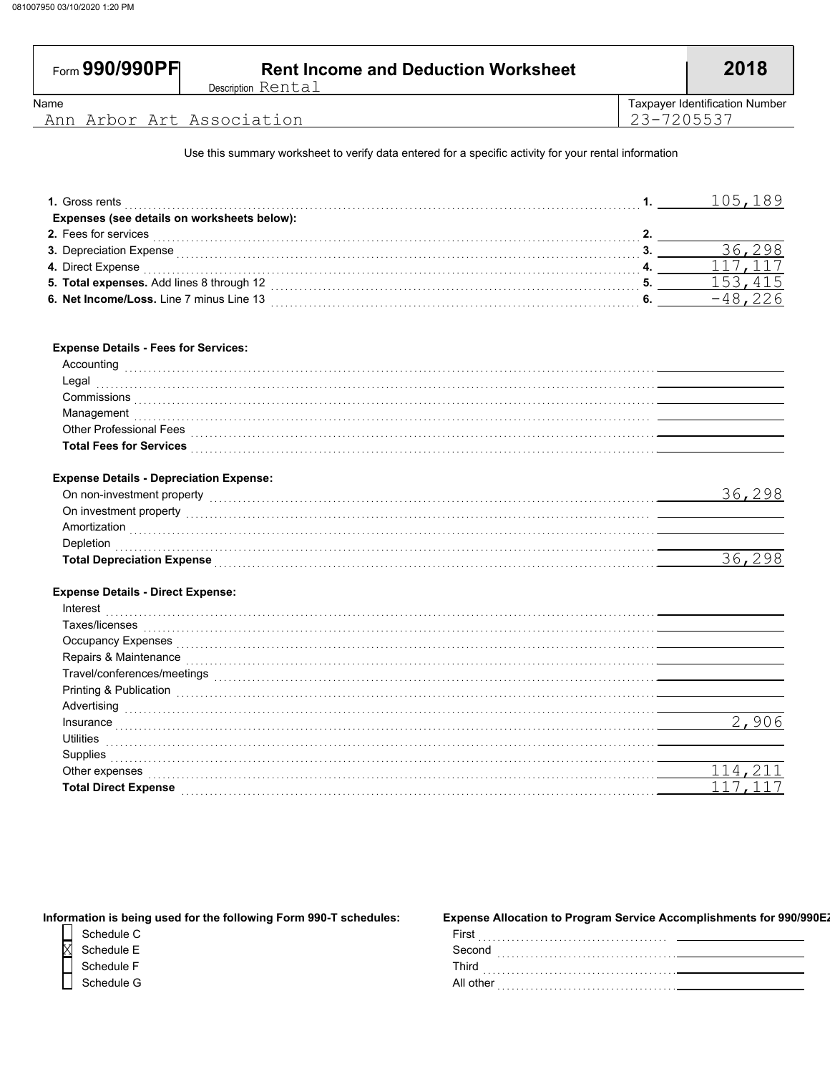| Form 990/990PF                    | <b>Rent Income and Deduction Worksheet</b><br>Description Rental |            | 2018                           |
|-----------------------------------|------------------------------------------------------------------|------------|--------------------------------|
| Name<br>Ann Arbor Art Association |                                                                  | 23-7205537 | Taxpayer Identification Number |
|                                   |                                                                  |            |                                |

#### Use this summary worksheet to verify data entered for a specific activity for your rental information

| <b>1.</b> Gross rents                       |  |
|---------------------------------------------|--|
| Expenses (see details on worksheets below): |  |
| 2. Fees for services                        |  |
| 3. Depreciation Expense                     |  |
| 4. Direct Expense                           |  |
| 5. Total expenses. Add lines 8 through 12   |  |
| 6. Net Income/Loss. Line 7 minus Line 13    |  |

#### **Expense Details - Fees for Services:**

| Accounting                                                                                                                                                                                                                                                                                                                                                               |        |
|--------------------------------------------------------------------------------------------------------------------------------------------------------------------------------------------------------------------------------------------------------------------------------------------------------------------------------------------------------------------------|--------|
|                                                                                                                                                                                                                                                                                                                                                                          |        |
| Commissions <b>Commissions Commissions COMPUTE</b>                                                                                                                                                                                                                                                                                                                       |        |
| Management contains a construction of the contact of the contact of the contact of the contact of the contact of the contact of the contact of the contact of the contact of the contact of the contact of the contact of the                                                                                                                                            |        |
| Other Professional Fees <b>contained the container and container and container and container and container and container and container and container and container and container and container and container and container and c</b>                                                                                                                                     |        |
| Total Fees for Services <b>Figure 2018 CONSERVICES CONSERVICES CONSERVICES CONSERVICES</b>                                                                                                                                                                                                                                                                               |        |
| <b>Expense Details - Depreciation Expense:</b>                                                                                                                                                                                                                                                                                                                           |        |
| On non-investment property <b>contained a contained a contained a contained a contained a contained a contained a</b>                                                                                                                                                                                                                                                    | 36,298 |
| On investment property electron contains a contact the contact of the contact of the contact of the contact of the contact of the contact of the contact of the contact of the contact of the contact of the contact of the co                                                                                                                                           |        |
| Amortization <b>Executive Constructs</b> and the construction of the construction of the construction of the construction of the construction of the construction of the construction of the construction of the construction of th                                                                                                                                      |        |
| Depletion                                                                                                                                                                                                                                                                                                                                                                |        |
| Total Depreciation Expense Material Contract Construction of the Construction of the Construction of the Construction of the Construction of the Construction of the Construction of the Construction of the Construction of t                                                                                                                                           | 36,298 |
| <b>Expense Details - Direct Expense:</b>                                                                                                                                                                                                                                                                                                                                 |        |
| $Interest \begin{picture}(150,10) \put(0,0){\vector(1,0){100}} \put(15,0){\vector(1,0){100}} \put(15,0){\vector(1,0){100}} \put(15,0){\vector(1,0){100}} \put(15,0){\vector(1,0){100}} \put(15,0){\vector(1,0){100}} \put(15,0){\vector(1,0){100}} \put(15,0){\vector(1,0){100}} \put(15,0){\vector(1,0){100}} \put(15,0){\vector(1,0){100}} \put(15,0){\vector(1,0){10$ |        |
| Taxes/licenses expansion and the contract of the contract of the contract of the contract of the contract of the contract of the contract of the contract of the contract of the contract of the contract of the contract of t                                                                                                                                           |        |
| Occupancy Expenses <b>contract the contract of the contract of the contract of the contract of the contract of the contract of the contract of the contract of the contract of the contract of the contract of the contract of t</b>                                                                                                                                     |        |
| Repairs & Maintenance expressions are constant and a series of the construction of the series of the series of the series of the series of the series of the series of the series of the series of the series of the series of                                                                                                                                           |        |
|                                                                                                                                                                                                                                                                                                                                                                          |        |
| Printing & Publication <b>Printing &amp; Publication</b>                                                                                                                                                                                                                                                                                                                 |        |
| Advertising <b>contact and the contact of the contact of the contact of the contact of the contact of the contact of the contact of the contact of the contact of the contact of the contact of the contact of the contact of th</b>                                                                                                                                     |        |
| Insurance <b>construction in the construction of the construction of the construction of the construction of the construction of the construction of the construction of the construction of the construction of the constructio</b>                                                                                                                                     | 2,906  |
| <b>Utilities</b>                                                                                                                                                                                                                                                                                                                                                         |        |
| Supplies                                                                                                                                                                                                                                                                                                                                                                 |        |
|                                                                                                                                                                                                                                                                                                                                                                          |        |

| --------<br>.                    |  |
|----------------------------------|--|
|                                  |  |
| Other expenses                   |  |
| <b>Total Direct Expense</b><br>. |  |
|                                  |  |
|                                  |  |

| Information is being used for the following Form 990-T schedules: | <b>Expense Allocation to Program Service Accomplishments for 990/990E.</b> |
|-------------------------------------------------------------------|----------------------------------------------------------------------------|
| Schedule C                                                        | First                                                                      |
| Schedule E                                                        | Second                                                                     |
| Schedule F                                                        | Third                                                                      |
| Schedule G                                                        | All other                                                                  |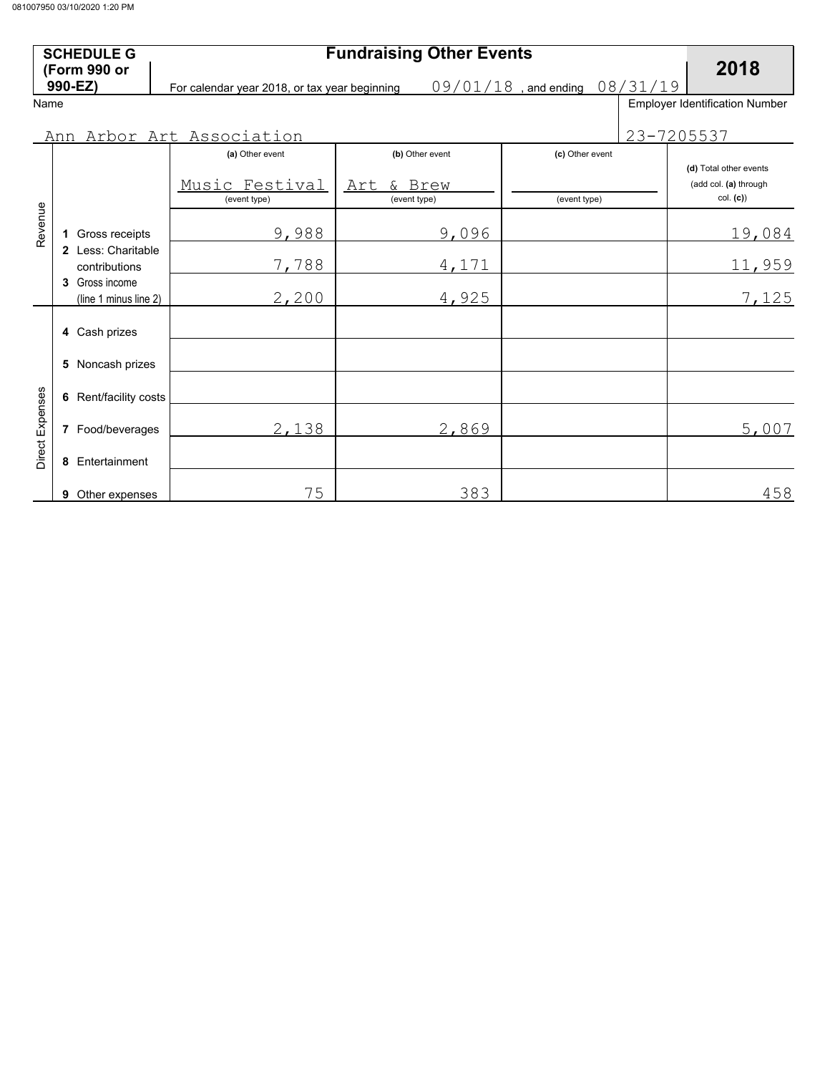081007950 03/10/2020 1:20 PM

|                        |   | <b>SCHEDULE G</b><br>(Form 990 or       |                                               | <b>Fundraising Other Events</b>       |                         |            | 2018                                            |
|------------------------|---|-----------------------------------------|-----------------------------------------------|---------------------------------------|-------------------------|------------|-------------------------------------------------|
|                        |   | 990-EZ)                                 | For calendar year 2018, or tax year beginning |                                       | $09/01/18$ , and ending | 08/31/19   |                                                 |
| Name                   |   |                                         |                                               | <b>Employer Identification Number</b> |                         |            |                                                 |
|                        |   |                                         | Ann Arbor Art Association                     |                                       |                         | 23-7205537 |                                                 |
|                        |   |                                         | (a) Other event                               | (b) Other event                       | (c) Other event         |            |                                                 |
|                        |   |                                         | Music Festival                                | Art<br>& Brew                         |                         |            | (d) Total other events<br>(add col. (a) through |
|                        |   |                                         | (event type)                                  | (event type)                          | (event type)            |            | col. (c)                                        |
| Revenue                | 1 | Gross receipts                          | 9,988                                         | 9,096                                 |                         |            | 19,084                                          |
|                        |   | 2 Less: Charitable<br>contributions     | 7,788                                         | 4,171                                 |                         |            | 11,959                                          |
|                        |   | 3 Gross income<br>(line 1 minus line 2) | 2,200                                         | 4,925                                 |                         |            | 7,125                                           |
|                        |   | 4 Cash prizes                           |                                               |                                       |                         |            |                                                 |
|                        |   | 5 Noncash prizes                        |                                               |                                       |                         |            |                                                 |
|                        | 6 | Rent/facility costs                     |                                               |                                       |                         |            |                                                 |
|                        |   | 7 Food/beverages                        | 2,138                                         | 2,869                                 |                         |            | 5,007                                           |
| <b>Direct Expenses</b> |   | 8 Entertainment                         |                                               |                                       |                         |            |                                                 |
|                        |   | <b>9</b> Other expenses                 | 75                                            | 383                                   |                         |            | 458                                             |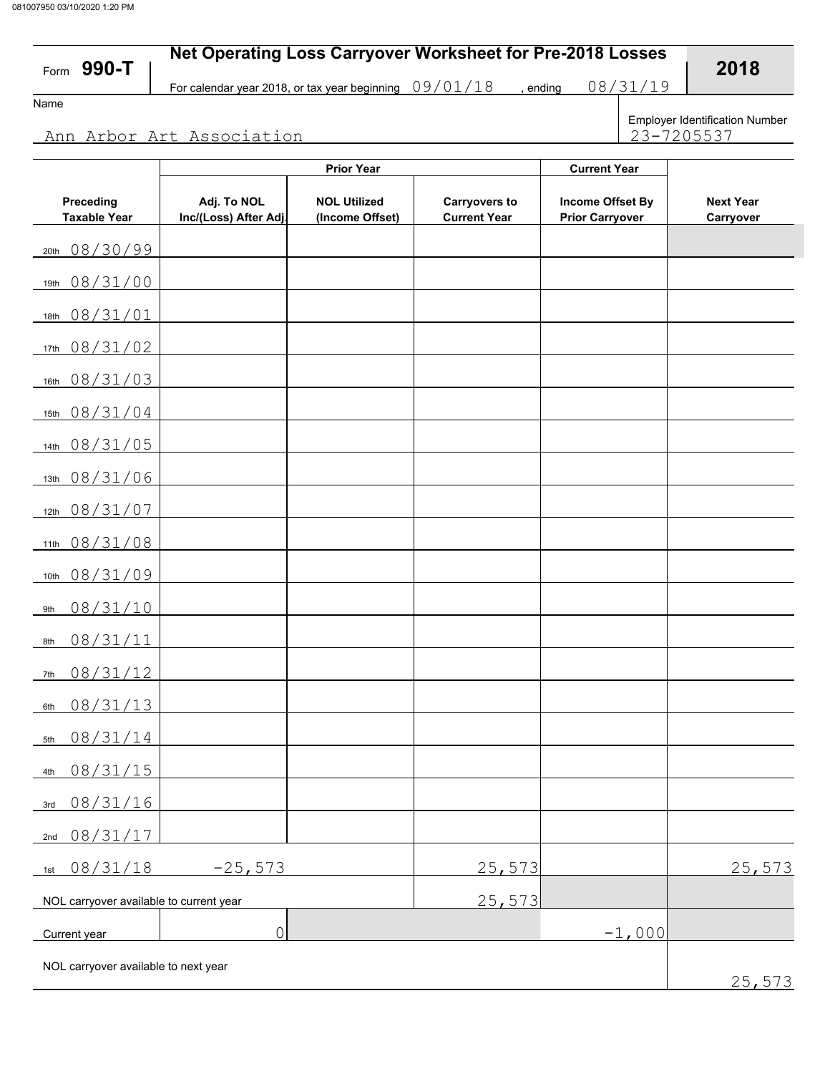081007950 03/10/2020 1:20 PM

# **Net Operating Loss Carryover Worksheet for Pre-2018 Losses**<br>For calendar year 2018, or tax year beginning  $09/01/18$ , ending  $08/31/19$

Form 990-T

### For calendar year 2018, or tax year beginning  $\sqrt{09/01/18} \,$  , ending  $\sqrt{08/31/19} \,$

Employer Identification Number<br>23-7205537

Name

Ann Arbor Art Association

|                                         |                                      | <b>Prior Year</b>                      |                                             | <b>Current Year</b>                               |                               |
|-----------------------------------------|--------------------------------------|----------------------------------------|---------------------------------------------|---------------------------------------------------|-------------------------------|
| Preceding<br><b>Taxable Year</b>        | Adj. To NOL<br>Inc/(Loss) After Adj. | <b>NOL Utilized</b><br>(Income Offset) | <b>Carryovers to</b><br><b>Current Year</b> | <b>Income Offset By</b><br><b>Prior Carryover</b> | <b>Next Year</b><br>Carryover |
| 08/30/99<br>20th                        |                                      |                                        |                                             |                                                   |                               |
| 08/31/00<br>19th                        |                                      |                                        |                                             |                                                   |                               |
| 08/31/01<br>18th                        |                                      |                                        |                                             |                                                   |                               |
| 08/31/02<br>17th                        |                                      |                                        |                                             |                                                   |                               |
| 08/31/03<br>16th                        |                                      |                                        |                                             |                                                   |                               |
| 08/31/04<br>15th                        |                                      |                                        |                                             |                                                   |                               |
| 08/31/05<br>14th                        |                                      |                                        |                                             |                                                   |                               |
| 08/31/06<br>13 <sub>th</sub>            |                                      |                                        |                                             |                                                   |                               |
| 08/31/07<br>12th                        |                                      |                                        |                                             |                                                   |                               |
| 08/31/08<br>11th                        |                                      |                                        |                                             |                                                   |                               |
| 08/31/09<br>10th                        |                                      |                                        |                                             |                                                   |                               |
| 08/31/10<br>9th                         |                                      |                                        |                                             |                                                   |                               |
| 08/31/11<br>8th                         |                                      |                                        |                                             |                                                   |                               |
| 08/31/12<br>7th                         |                                      |                                        |                                             |                                                   |                               |
| 08/31/13<br>6th                         |                                      |                                        |                                             |                                                   |                               |
| 08/31/14<br>5th                         |                                      |                                        |                                             |                                                   |                               |
| 08/31/15<br>4th                         |                                      |                                        |                                             |                                                   |                               |
| 08/31/16<br>3rd                         |                                      |                                        |                                             |                                                   |                               |
| 08/31/17<br>2nd                         |                                      |                                        |                                             |                                                   |                               |
| 08/31/18<br>1st                         | $-25,573$                            |                                        | 25,573                                      |                                                   | 25,573                        |
| NOL carryover available to current year |                                      |                                        | 25,573                                      |                                                   |                               |
| Current year                            | $\mathsf O$                          |                                        |                                             | $-1,000$                                          |                               |
| NOL carryover available to next year    |                                      |                                        |                                             |                                                   | 25,573                        |

**2018**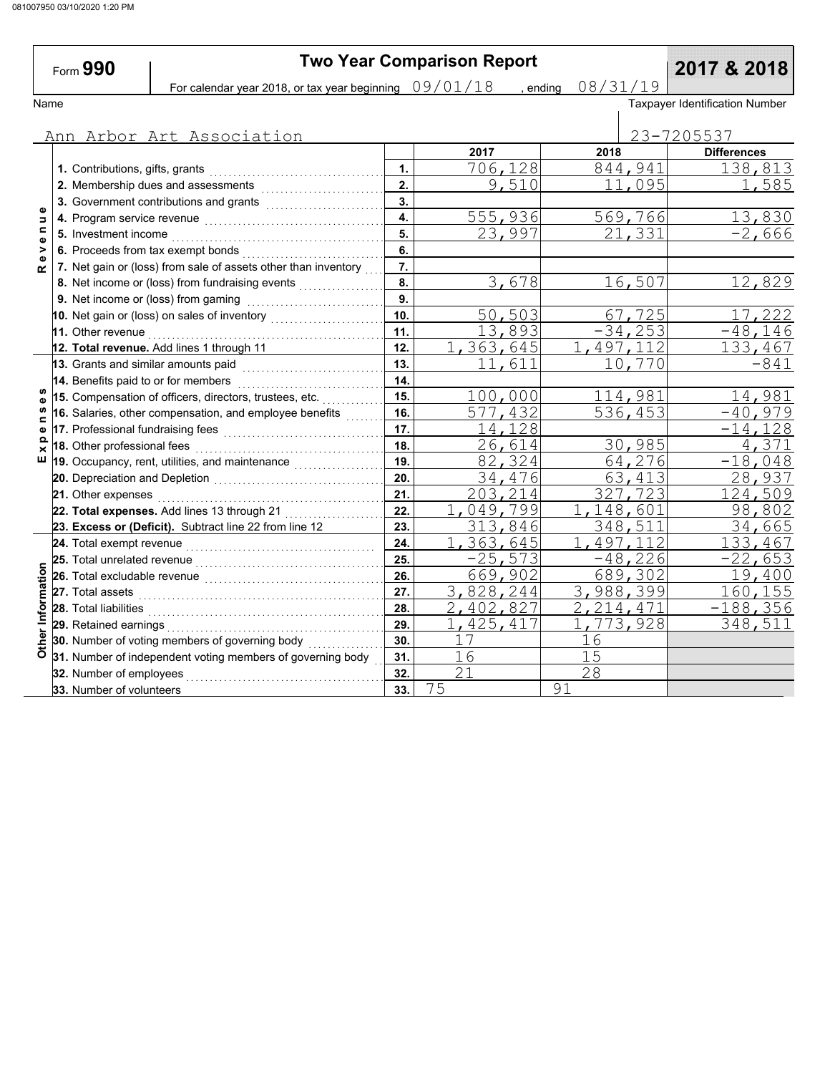**E x p e n s e s**

**e** s ဖာ  $\mathbf{e}$  n  $\Omega$  $\times$ ш

**Other Information**

Other Information

21. Other expenses

**27.** Total assets

| Form 990                               |                                                                                                          |     | <b>Two Year Comparison Report</b> |                      | 2017 & 2018                    |
|----------------------------------------|----------------------------------------------------------------------------------------------------------|-----|-----------------------------------|----------------------|--------------------------------|
|                                        | For calendar year 2018, or tax year beginning $09/01/18$                                                 |     |                                   | 08/31/19<br>, ending |                                |
| Name                                   |                                                                                                          |     |                                   |                      | Taxpayer Identification Number |
|                                        | Ann Arbor Art Association                                                                                |     |                                   |                      | 23-7205537                     |
|                                        |                                                                                                          |     | 2017                              | 2018                 | <b>Differences</b>             |
| <b>1.</b> Contributions, gifts, grants |                                                                                                          | 1.  | 706,128                           | 844,941              | 138,813                        |
|                                        | 2. Membership dues and assessments                                                                       | 2.  | 9,510                             | 11,095               | 1,585                          |
|                                        | 3. Government contributions and grants [                                                                 | 3.  |                                   |                      |                                |
| Φ<br>Б                                 | 4. Program service revenue <b>construction</b> and <b>4.</b> Program service revenue <b>construction</b> | 4.  | 555,936                           | 569,766              | 13,830                         |
| 5. Investment income<br>Φ              |                                                                                                          | 5.  | 23,997                            | 21,331               | $-2,666$                       |
|                                        | 6. Proceeds from tax exempt bonds                                                                        | 6.  |                                   |                      |                                |
| Φ<br>r                                 | 7. Net gain or (loss) from sale of assets other than inventory                                           | 7.  |                                   |                      |                                |
|                                        | 8. Net income or (loss) from fundraising events                                                          | 8.  | 3,678                             | 16,507               | 12,829                         |
|                                        | <b>9.</b> Net income or (loss) from gaming                                                               | 9.  |                                   |                      |                                |
|                                        | 10. Net gain or (loss) on sales of inventory                                                             | 10. | 50,503                            | 725<br>67            |                                |

**24. 23. 22.**

**26. 27.**

**32. 31. 30.**

**21. 20. 19. 18. 17. 16. 15. 14.**

**13. 12. 11.**

11,611

13,893 -34,253 -48,146 <u>363,645 1,497,112 133,467</u><br>11,611 10,770 -841

100,000 114,981 14,981<br>577,432 536,453 -40,979  $\frac{432}{128}$  536,453 -40,979<br>128 -14,128 14,128 <sup>-14</sup>,128 <u>26,614 30,985 4,371</u><br>82,324 64,276 −18,048 <u>82,324 64,276 -18,048</u><br>34,476 63,413 28,937 34,476 63,413 28,937

049,799 1,148,601 98,802<br>313,846 348,511 34,665

<u>363,645 1,497,112 133,467</u><br>-25,573 -48,226 -22,653 <mark>−25,573</mark> −48,226 −22,653<br>669,902 689,302 19,400

<mark>3,828,244</mark> 3,988,399 160,155<br>2,402,827 2,214,471 -188,356 2,402,827 2,214,471 -188,356<br>1,42<u>5,417 1,773,928 348,511</u>

<u>313,846 348,511</u><br>363,645 1,497,112

1<sub>7</sub>  $\frac{425,417}{16}$  1,773,928

 $\frac{28}{91}$ 

 $\begin{array}{c|c|c|c} 17 & 16 \\ \hline 16 & 15 \end{array}$ 16 15<br>21 28

<mark>75 91</mark>

<u>327,723 124,509</u><br>148,601 98,802

<mark>689,302</mark> 19,400<br>3,988,399 160,155

Total liabilities . . . . . . . . . . . . . . . . . . . . . . . . . . . . . . . . . . . . . . . . . . . . . . . . . . **28. 28.**

Retained earnings . . . . . . . . . . . . . . . . . . . . . . . . . . . . . . . . . . . . . . . . . . . . . . **29. 29.**

**33.** Number of volunteers **33.**

**14.** Benefits paid to or for members . . . . . . . . . . . . . . . . . . . . . . . . . . . . . . . **15.** Compensation of officers, directors, trustees, etc. . . . . . . . . . . . **16.** Salaries, other compensation, and employee benefits  $\ldots$ **17.** Professional fundraising fees . . . . . . . . . . . . . . . . . . . . . . . . . . . . . . . . . .

Grants and similar amounts paid . . . . . . . . . . . . . . . . . . . . . . . . . . . . . . **13.**

Other revenue . . . . . . . . . . . . . . . . . . . . . . . . . . . . . . . . . . . . . . . . . . . . . . . . . . **11.**

**18.** Other professional fees . . . . . . . . . . . . . . . . . . . . . . . . . . . . . . . . . . . . . . . . **19.** Occupancy, rent, utilities, and maintenance **. . . . . . . . . . . . . .** . . **20.** Depreciation and Depletion . . . . . . . . . . . . . . . . . . . . . . . . . . . . . . . . . . . .

**Total expenses.** Add lines 13 through 21 . . . . . . . . . . . . . . . . . . . . . **22.**

**24.** Total exempt revenue …………………………………… **25. 25.** Total unrelated revenue . . . . . . . . . . . . . . . . . . . . . . . . . . . . . . . . . . . . . . . .

Total excludable revenue . . . . . . . . . . . . . . . . . . . . . . . . . . . . . . . . . . . . . . **26.**

**Excess or (Deficit).** Subtract line 22 from line 12 **23.**

Total assets . . . . . . . . . . . . . . . . . . . . . . . . . . . . . . . . . . . . . . . . . . . . . . . . . . . .

**30.** Number of voting members of governing body . . . . . . 31. Number of independent voting members of governing body **32.** Number of employees . . . . . . . . . . . . . . . . . . . . . . . . . . . . . . . . . . . . . . . . . .

Other expenses . . . . . . . . . . . . . . . . . . . . . . . . . . . . . . . . . . . . . . . . . . . . . . . .

**Total revenue.** Add lines 1 through 11 **12.**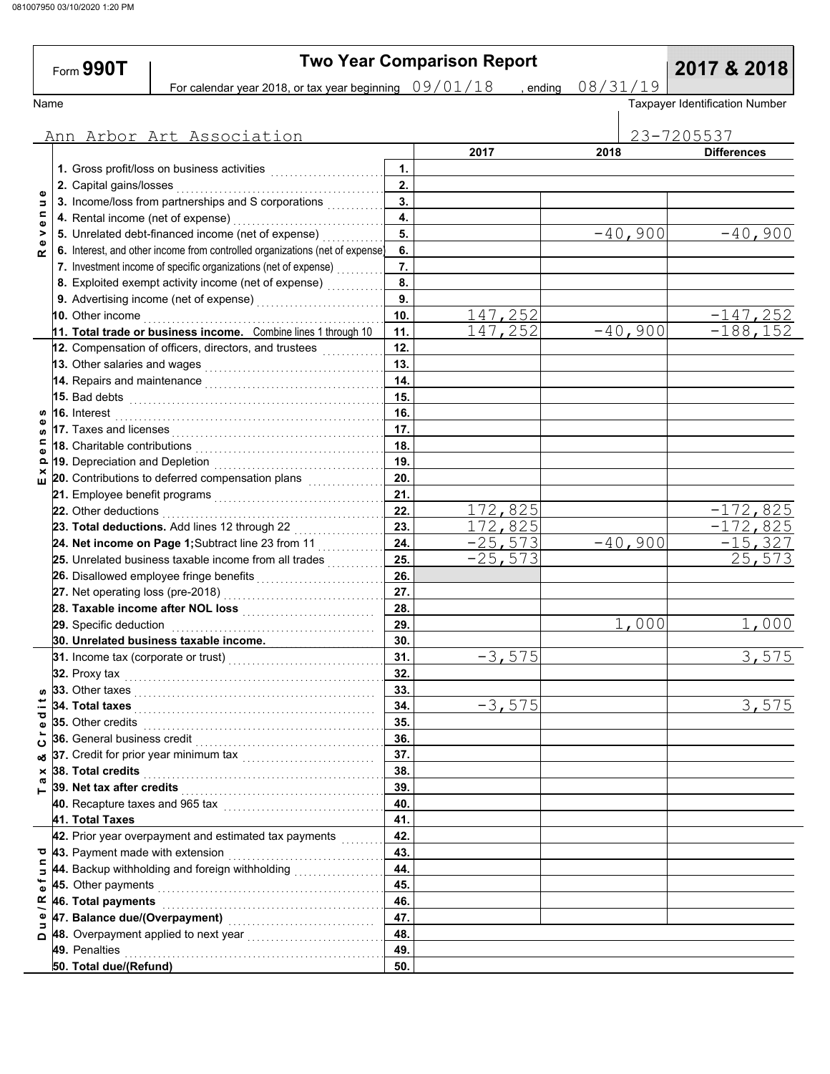|                    | Form 990T                      |                                                                                                                                                                                                                                           |            | <b>Two Year Comparison Report</b> |           | 2017 & 2018                           |
|--------------------|--------------------------------|-------------------------------------------------------------------------------------------------------------------------------------------------------------------------------------------------------------------------------------------|------------|-----------------------------------|-----------|---------------------------------------|
|                    |                                | For calendar year 2018, or tax year beginning $09/01/18$ , ending                                                                                                                                                                         |            |                                   | 08/31/19  |                                       |
| Name               |                                |                                                                                                                                                                                                                                           |            |                                   |           | <b>Taxpayer Identification Number</b> |
|                    |                                | <u>Ann Arbor Art Association</u>                                                                                                                                                                                                          |            |                                   |           | 23-7205537                            |
|                    |                                |                                                                                                                                                                                                                                           |            | 2017                              | 2018      | <b>Differences</b>                    |
|                    |                                | 1. Gross profit/loss on business activities                                                                                                                                                                                               | 1.         |                                   |           |                                       |
|                    | 2. Capital gains/losses        |                                                                                                                                                                                                                                           | 2.         |                                   |           |                                       |
| Φ<br>$\Rightarrow$ |                                | 3. Income/loss from partnerships and S corporations                                                                                                                                                                                       | 3.         |                                   |           |                                       |
| $\mathbf{C}$<br>Ф  |                                | 4. Rental income (net of expense)                                                                                                                                                                                                         | 4.         |                                   |           |                                       |
| ><br>Ф             |                                | 5. Unrelated debt-financed income (net of expense)                                                                                                                                                                                        | 5.         |                                   | $-40,900$ | $-40,900$                             |
| α                  |                                | 6. Interest, and other income from controlled organizations (net of expense)                                                                                                                                                              | 6.         |                                   |           |                                       |
|                    |                                | 7. Investment income of specific organizations (net of expense)                                                                                                                                                                           | 7.         |                                   |           |                                       |
|                    |                                | 8. Exploited exempt activity income (net of expense)                                                                                                                                                                                      | 8.         |                                   |           |                                       |
|                    |                                | 9. Advertising income (net of expense)                                                                                                                                                                                                    | 9.         |                                   |           |                                       |
|                    | <b>10.</b> Other income        | 11. Total trade or business income. Combine lines 1 through 10                                                                                                                                                                            | 10.        | 147,252<br>147,252                | $-40,900$ | $-147, 252$<br>$-188.1$<br>52         |
|                    |                                | 12. Compensation of officers, directors, and trustees                                                                                                                                                                                     | 11.<br>12. |                                   |           |                                       |
|                    | 13. Other salaries and wages   |                                                                                                                                                                                                                                           | 13.        |                                   |           |                                       |
|                    |                                | 14. Repairs and maintenance <b>communications</b>                                                                                                                                                                                         | 14.        |                                   |           |                                       |
|                    |                                |                                                                                                                                                                                                                                           | 15.        |                                   |           |                                       |
| w                  |                                |                                                                                                                                                                                                                                           | 16.        |                                   |           |                                       |
| Φ<br>w             |                                |                                                                                                                                                                                                                                           | 17.        |                                   |           |                                       |
| c                  |                                | 18. Charitable contributions <b>Constantine Charles and Charitan Charles Charles Charles Charles Charles Charles Charles Charles Charles Charles Charles Charles Charles Charles Charles Charles Charles Charles Charles Charles</b>      | 18.        |                                   |           |                                       |
| ௨                  | 19. Depreciation and Depletion |                                                                                                                                                                                                                                           | 19.        |                                   |           |                                       |
| ×                  |                                | 20. Contributions to deferred compensation plans                                                                                                                                                                                          | 20.        |                                   |           |                                       |
|                    |                                |                                                                                                                                                                                                                                           | 21.        |                                   |           |                                       |
|                    | 22. Other deductions           |                                                                                                                                                                                                                                           | 22.        | 172,825                           |           | $-172,825$                            |
|                    |                                | 23. Total deductions. Add lines 12 through 22                                                                                                                                                                                             | 23.        | 172,825                           |           | $-172,825$                            |
|                    |                                | 24. Net income on Page 1; Subtract line 23 from 11                                                                                                                                                                                        | 24.        | $-25,573$                         | $-40,900$ | $-15,327$                             |
|                    |                                | 25. Unrelated business taxable income from all trades                                                                                                                                                                                     | 25.        | $-25,573$                         |           | $\overline{25}$ , 573                 |
|                    |                                |                                                                                                                                                                                                                                           | 26.        |                                   |           |                                       |
|                    |                                |                                                                                                                                                                                                                                           | 27.        |                                   |           |                                       |
|                    |                                | 28. Taxable income after NOL loss                                                                                                                                                                                                         | 28.        |                                   |           |                                       |
|                    | 29. Specific deduction         |                                                                                                                                                                                                                                           | 29.        |                                   | 1,000     | 1,000                                 |
|                    |                                | 30. Unrelated business taxable income.                                                                                                                                                                                                    | 30.        |                                   |           |                                       |
|                    |                                |                                                                                                                                                                                                                                           | 31.        | $-3,575$                          |           | 3,575                                 |
|                    |                                | 32. Proxy tax <sub>……………</sub> ………………………………                                                                                                                                                                                               | 32.        |                                   |           |                                       |
| w                  |                                | <b>33.</b> Other taxes <b>contract the contract of the contract of the contract of the contract of the contract of the contract of the contract of the contract of the contract of the contract of the contract of the contract of th</b> | 33.        |                                   |           |                                       |
| ত                  | 34. Total taxes                |                                                                                                                                                                                                                                           | 34.        | $-3,575$                          |           | 3,575                                 |
| Ф                  |                                |                                                                                                                                                                                                                                           | 35.<br>36. |                                   |           |                                       |
| ပ                  |                                |                                                                                                                                                                                                                                           | 37.        |                                   |           |                                       |
| య<br>×             | 38. Total credits              |                                                                                                                                                                                                                                           | 38.        |                                   |           |                                       |
|                    |                                |                                                                                                                                                                                                                                           | 39.        |                                   |           |                                       |
|                    |                                | <b>40.</b> Recapture taxes and 965 tax <sub>………………………………</sub>                                                                                                                                                                            | 40.        |                                   |           |                                       |
|                    | 41. Total Taxes                |                                                                                                                                                                                                                                           | 41.        |                                   |           |                                       |
|                    |                                | 42. Prior year overpayment and estimated tax payments                                                                                                                                                                                     | 42.        |                                   |           |                                       |
|                    |                                | <b><math>\overline{\phantom{a}}</math> 43.</b> Payment made with extension                                                                                                                                                                | 43.        |                                   |           |                                       |
| c<br>Б             |                                | 44. Backup withholding and foreign withholding                                                                                                                                                                                            | 44.        |                                   |           |                                       |
|                    |                                |                                                                                                                                                                                                                                           | 45.        |                                   |           |                                       |
| œ                  | 46. Total payments             |                                                                                                                                                                                                                                           | 46.        |                                   |           |                                       |
|                    |                                |                                                                                                                                                                                                                                           | 47.        |                                   |           |                                       |
| $\Omega$           |                                |                                                                                                                                                                                                                                           | 48.        |                                   |           |                                       |
|                    | 49. Penalties                  |                                                                                                                                                                                                                                           | 49.        |                                   |           |                                       |
|                    | 50. Total due/(Refund)         |                                                                                                                                                                                                                                           | 50.        |                                   |           |                                       |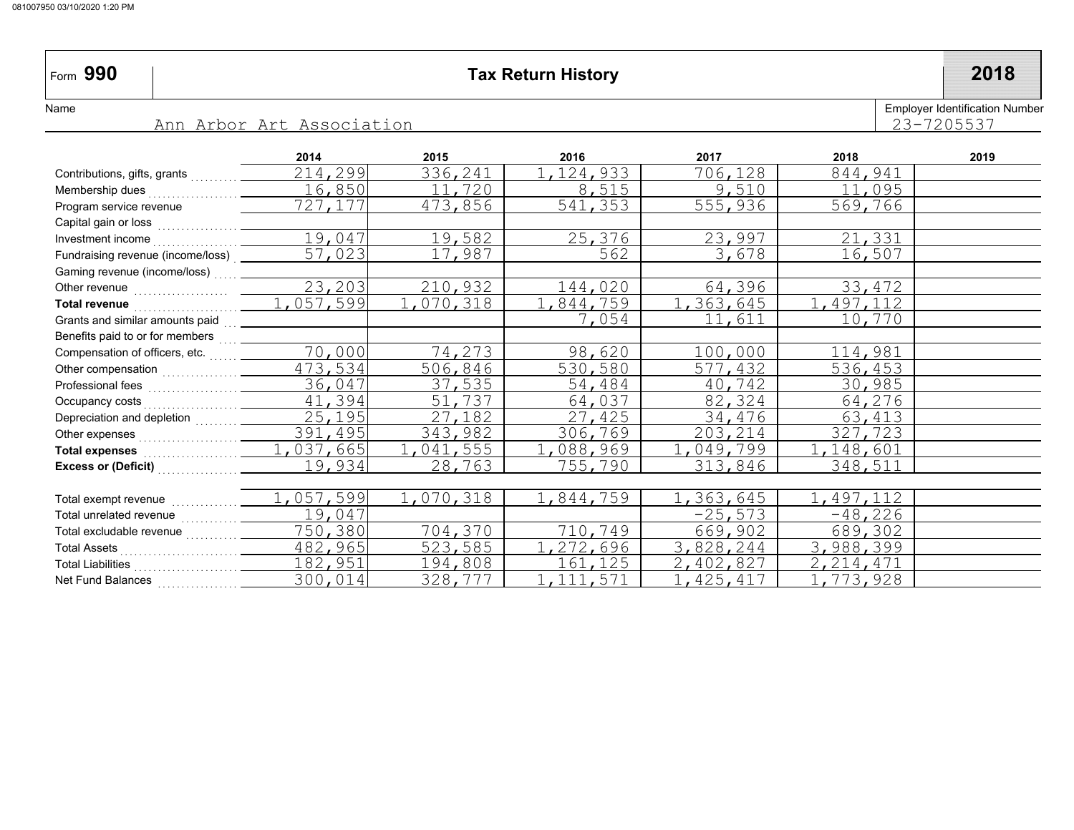| 081007950 03/10/2020 1:20 PM |
|------------------------------|
|------------------------------|

Form 990

# **990 Tax Return History 2018**

NameEmployer Identification Number

### Ann Arbor Art Association

|                                                               | 2014      | 2015      | 2016             | 2017      | 2018        | 2019 |
|---------------------------------------------------------------|-----------|-----------|------------------|-----------|-------------|------|
| Contributions, gifts, grants                                  | 214,299   | 336,241   | 1,124,933        | 706,128   | 844,941     |      |
|                                                               | 16,850    | 11,720    | 8,515            | 9,510     | 11,095      |      |
| Program service revenue                                       | 727,177   | 473,856   | 541,353          | 555,936   | 569,766     |      |
|                                                               |           |           |                  |           |             |      |
| Investment income                                             | 19,047    | 19,582    | 25,376           | 23,997    | 21,331      |      |
|                                                               | 57,023    | 17,987    | 562              | 3,678     | 16,507      |      |
| Gaming revenue (income/loss) [111]                            |           |           |                  |           |             |      |
| Other revenue <b>contained Other revenue</b>                  | 23,203    | 210,932   | 144,020          | 64,396    | 33,472      |      |
|                                                               | 1,057,599 | 1,070,318 | 1,844,759        | 1,363,645 | 1,497,112   |      |
| Grants and similar amounts paid                               |           |           | 7,054            | 11,611    | 10,770      |      |
| Benefits paid to or for members                               |           |           |                  |           |             |      |
| Compensation of officers, etc.                                | 70,000    | 74,273    | 98,620           | 100,000   | 114,981     |      |
|                                                               | 473,534   | 506,846   | 530,580          | 577,432   | 536,453     |      |
|                                                               | 36,047    | 37,535    | 54,484           | 40,742    | 30,985      |      |
|                                                               | 41,394    | 51,737    | 64,037           | 82,324    | 64,276      |      |
| Depreciation and depletion [1] [1] Depreciation and depletion | 25,195    | 27,182    | 27,425           | 34,476    | 63,413      |      |
| Other expenses                                                | 391,495   | 343,982   | 306,769          | 203, 214  | 327,723     |      |
|                                                               | 1,037,665 | 1,041,555 | <u>1,088,969</u> | 1,049,799 | 1,148,601   |      |
| <b>Excess or (Deficit)</b>                                    | 19,934    | 28,763    | 755,790          | 313,846   | 348,511     |      |
|                                                               |           |           |                  |           |             |      |
| Total exempt revenue                                          | 1,057,599 | 1,070,318 | 1,844,759        | 1,363,645 | 1, 497, 112 |      |
| Total unrelated revenue                                       | 19,047    |           |                  | $-25,573$ | $-48,226$   |      |
| Total excludable revenue                                      | 750,380   | 704,370   | 710,749          | 669,902   | 689,302     |      |
|                                                               | 482,965   | 523,585   | 1,272,696        | 3,828,244 | 3,988,399   |      |
|                                                               | 182,951   | 194,808   | 161,125          | 2,402,827 | 2, 214, 471 |      |
| Net Fund Balances                                             | 300,014   | 328,777   | 1, 111, 571      | 1,425,417 | 1, 773, 928 |      |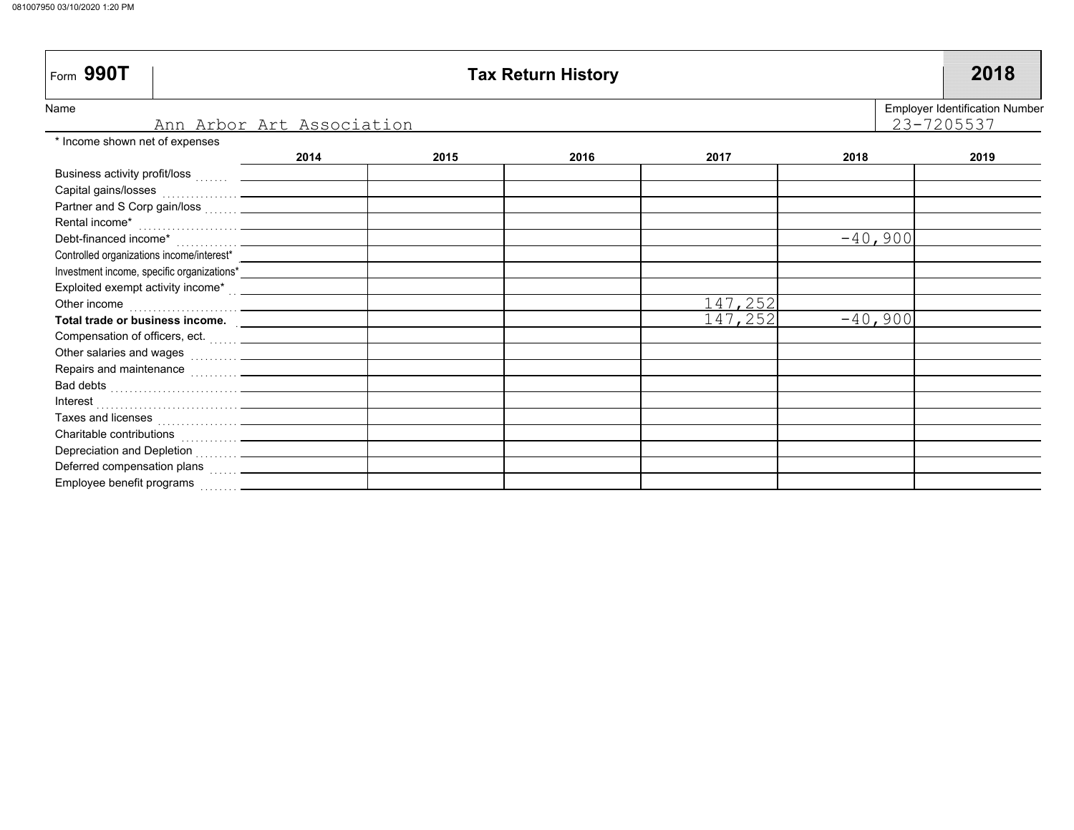| Form $990T$                                                                                                                                                                                                                        |                           |      | <b>Tax Return History</b> |         |           |            | 2018                                  |
|------------------------------------------------------------------------------------------------------------------------------------------------------------------------------------------------------------------------------------|---------------------------|------|---------------------------|---------|-----------|------------|---------------------------------------|
| Name                                                                                                                                                                                                                               |                           |      |                           |         |           |            | <b>Employer Identification Number</b> |
|                                                                                                                                                                                                                                    | Ann Arbor Art Association |      |                           |         |           | 23-7205537 |                                       |
| * Income shown net of expenses                                                                                                                                                                                                     |                           |      |                           |         |           |            |                                       |
|                                                                                                                                                                                                                                    | 2014                      | 2015 | 2016                      | 2017    | 2018      |            | 2019                                  |
| Business activity profit/loss  ____________                                                                                                                                                                                        |                           |      |                           |         |           |            |                                       |
|                                                                                                                                                                                                                                    |                           |      |                           |         |           |            |                                       |
|                                                                                                                                                                                                                                    |                           |      |                           |         |           |            |                                       |
|                                                                                                                                                                                                                                    |                           |      |                           |         |           |            |                                       |
|                                                                                                                                                                                                                                    |                           |      |                           |         | $-40,900$ |            |                                       |
| Controlled organizations income/interest*                                                                                                                                                                                          |                           |      |                           |         |           |            |                                       |
|                                                                                                                                                                                                                                    |                           |      |                           |         |           |            |                                       |
| Exploited exempt activity income*  ______________                                                                                                                                                                                  |                           |      |                           |         |           |            |                                       |
|                                                                                                                                                                                                                                    |                           |      |                           | 147,252 |           |            |                                       |
| Total trade or business income.                                                                                                                                                                                                    |                           |      |                           | 147,252 | $-40,900$ |            |                                       |
|                                                                                                                                                                                                                                    |                           |      |                           |         |           |            |                                       |
|                                                                                                                                                                                                                                    |                           |      |                           |         |           |            |                                       |
|                                                                                                                                                                                                                                    |                           |      |                           |         |           |            |                                       |
|                                                                                                                                                                                                                                    |                           |      |                           |         |           |            |                                       |
| Interest                                                                                                                                                                                                                           |                           |      |                           |         |           |            |                                       |
| Taxes and licenses <b>contained contained a set of the set of the set of the set of the set of the set of the set of the set of the set of the set of the set of the set of the set of the set of the set of the set of the se</b> |                           |      |                           |         |           |            |                                       |
|                                                                                                                                                                                                                                    |                           |      |                           |         |           |            |                                       |
|                                                                                                                                                                                                                                    |                           |      |                           |         |           |            |                                       |
|                                                                                                                                                                                                                                    |                           |      |                           |         |           |            |                                       |
|                                                                                                                                                                                                                                    |                           |      |                           |         |           |            |                                       |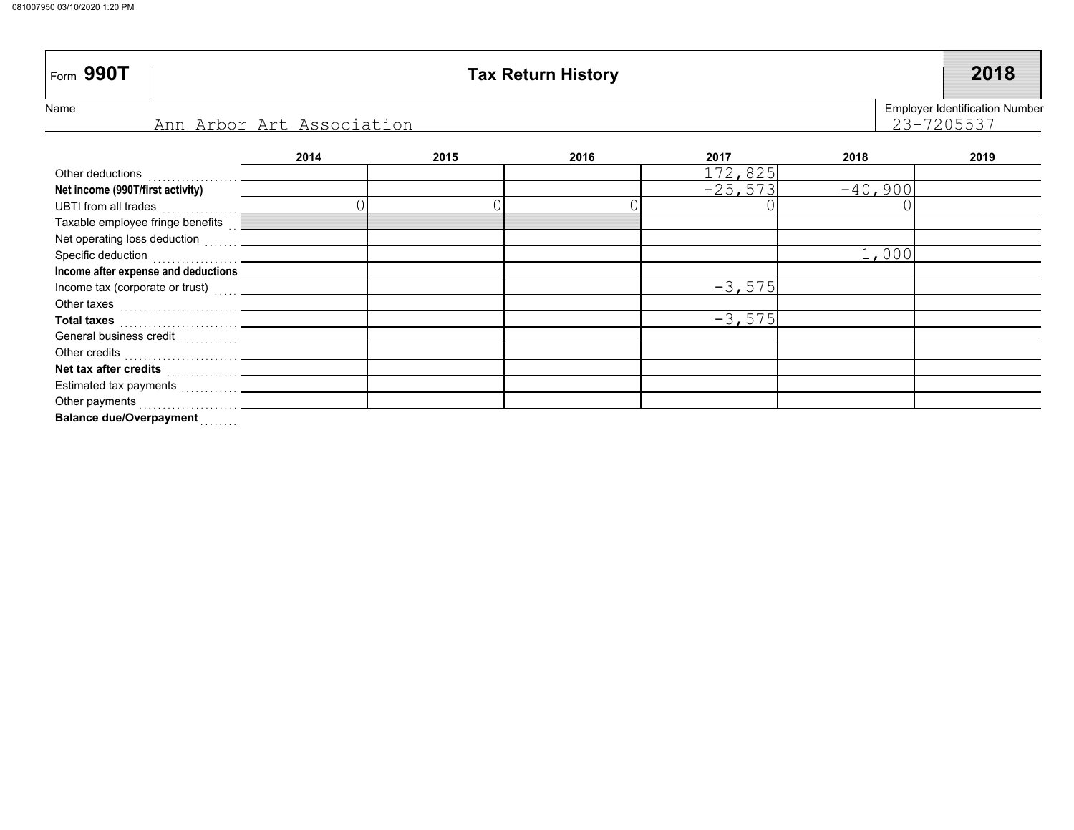#### Estimated tax payments  $\begin{smallmatrix} \dots & \dots & \dots \end{smallmatrix}$  Other payments . . . . . . . . . . . . . . . . . . . . . **Net tax after credits** . . . . . . . . . . . . . . .Other credits . . . . . . . . . . . . . . . . . . . . . . . . General business credit  $\begin{smallmatrix} \dots & \dots & \dots \end{smallmatrix}$ **Total taxes** . . . . . . . . . . . . . . . . . . . . . . . . . Other taxes . . . . . . . . . . . . . . . . . . . . . . . . . Income tax (corporate or trust) **Income after expense and deductions**  $\hbox{\sf Other deductions}$ Net operating loss deduction . . . . . . . Specific deduction . . . . . . . . . . . . . . . . . . Name Employer Identification Number Form 990T **Fax Return History CONSIDERED ATTACK 1990 12018 2014 2015 2016 2017 2019 2018** UBTI from all trades  $\begin{bmatrix} 1 & 0 & 0 \\ 0 & 1 & 0 \\ 0 & 0 & 1 \end{bmatrix}$  Taxable employee fringe benefits **Net income (990T/first activity)** 000172,825  $-25,573$  $\Omega$ -3,575  $-3,575$ -40,900  $\Omega$ 1,000 Ann Arbor Art Association 23-7205537

**Balance due/Overpayment**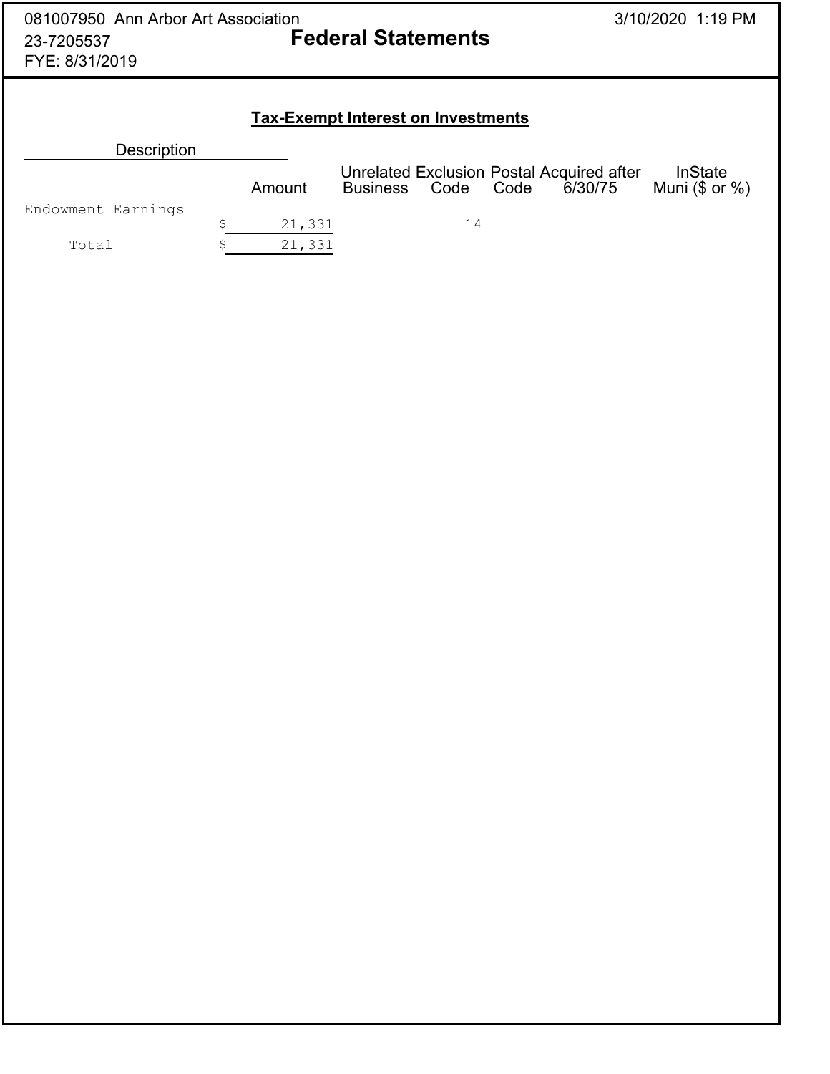|                    |        |                    |    | Unrelated Exclusion Postal Acquired after | <b>InState</b>      |
|--------------------|--------|--------------------|----|-------------------------------------------|---------------------|
|                    | Amount | Business Code Code |    | 6/30/75                                   | Muni $(\$$ or $%$ ) |
| Endowment Earnings |        |                    |    |                                           |                     |
|                    | 21,331 |                    | 14 |                                           |                     |
| Total              | 21,331 |                    |    |                                           |                     |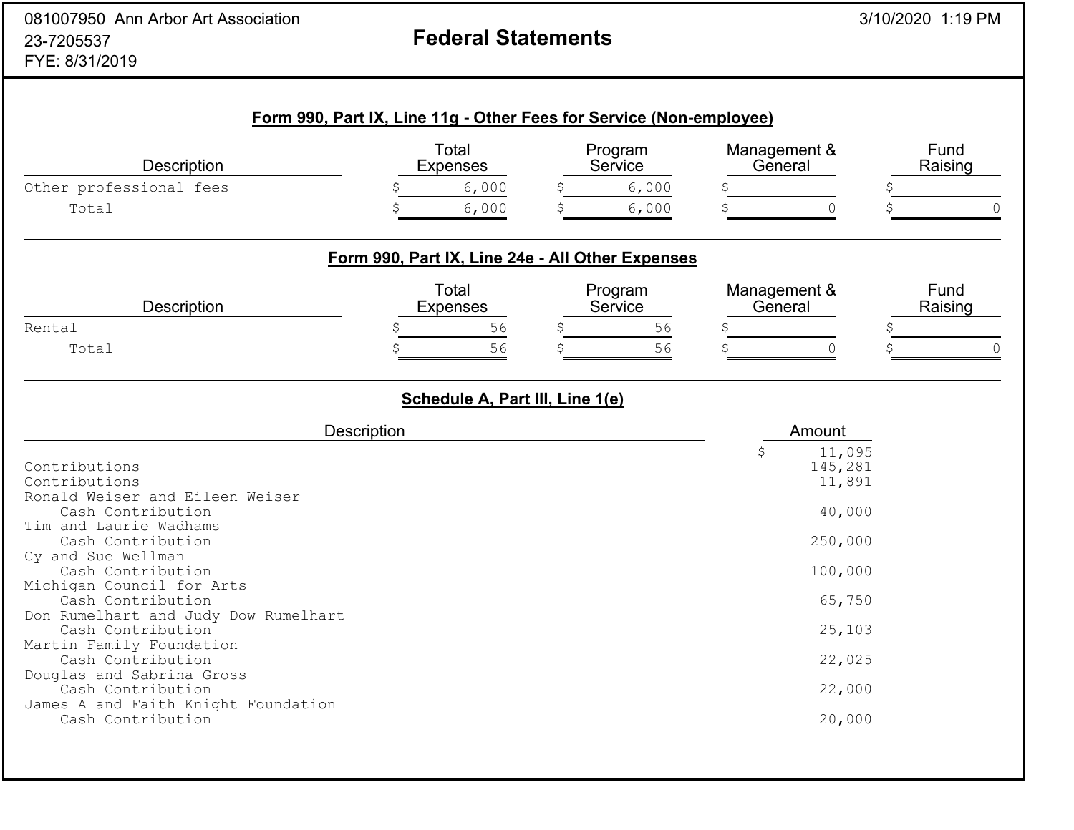# **Federal Statements**

| <b>Description</b>                                       |                    | Total<br><b>Expenses</b>                         |   | Program<br>Service | Management &<br>General |         | Fund<br>Raising |
|----------------------------------------------------------|--------------------|--------------------------------------------------|---|--------------------|-------------------------|---------|-----------------|
| Other professional fees                                  |                    | 6,000                                            |   | 6,000              |                         |         |                 |
| Total                                                    | \$                 | 6,000                                            |   | 6,000              |                         | $\cap$  | Ś               |
|                                                          |                    | Form 990, Part IX, Line 24e - All Other Expenses |   |                    |                         |         |                 |
| <b>Description</b>                                       |                    | Total<br><b>Expenses</b>                         |   | Program<br>Service | Management &<br>General |         | Fund<br>Raising |
| Rental                                                   | \$                 | 56                                               | S | 56                 | \$                      |         | S               |
| Total                                                    |                    | 56                                               | Ŝ | 56                 |                         | $\cap$  | Ś               |
|                                                          | <b>Description</b> |                                                  |   |                    |                         | Amount  |                 |
|                                                          |                    |                                                  |   |                    | \$                      | 11,095  |                 |
| Contributions                                            |                    |                                                  |   |                    |                         | 145,281 |                 |
| Contributions<br>Ronald Weiser and Eileen Weiser         |                    |                                                  |   |                    |                         | 11,891  |                 |
| Cash Contribution                                        |                    |                                                  |   |                    |                         | 40,000  |                 |
| Tim and Laurie Wadhams                                   |                    |                                                  |   |                    |                         |         |                 |
| Cash Contribution                                        |                    |                                                  |   |                    |                         | 250,000 |                 |
| Cy and Sue Wellman<br>Cash Contribution                  |                    |                                                  |   |                    |                         | 100,000 |                 |
| Michigan Council for Arts                                |                    |                                                  |   |                    |                         |         |                 |
| Cash Contribution                                        |                    |                                                  |   |                    |                         | 65,750  |                 |
| Don Rumelhart and Judy Dow Rumelhart                     |                    |                                                  |   |                    |                         |         |                 |
| Cash Contribution<br>Martin Family Foundation            |                    |                                                  |   |                    |                         | 25,103  |                 |
| Cash Contribution                                        |                    |                                                  |   |                    |                         | 22,025  |                 |
| Douglas and Sabrina Gross                                |                    |                                                  |   |                    |                         |         |                 |
|                                                          |                    |                                                  |   |                    |                         |         |                 |
| Cash Contribution<br>James A and Faith Knight Foundation |                    |                                                  |   |                    |                         | 22,000  |                 |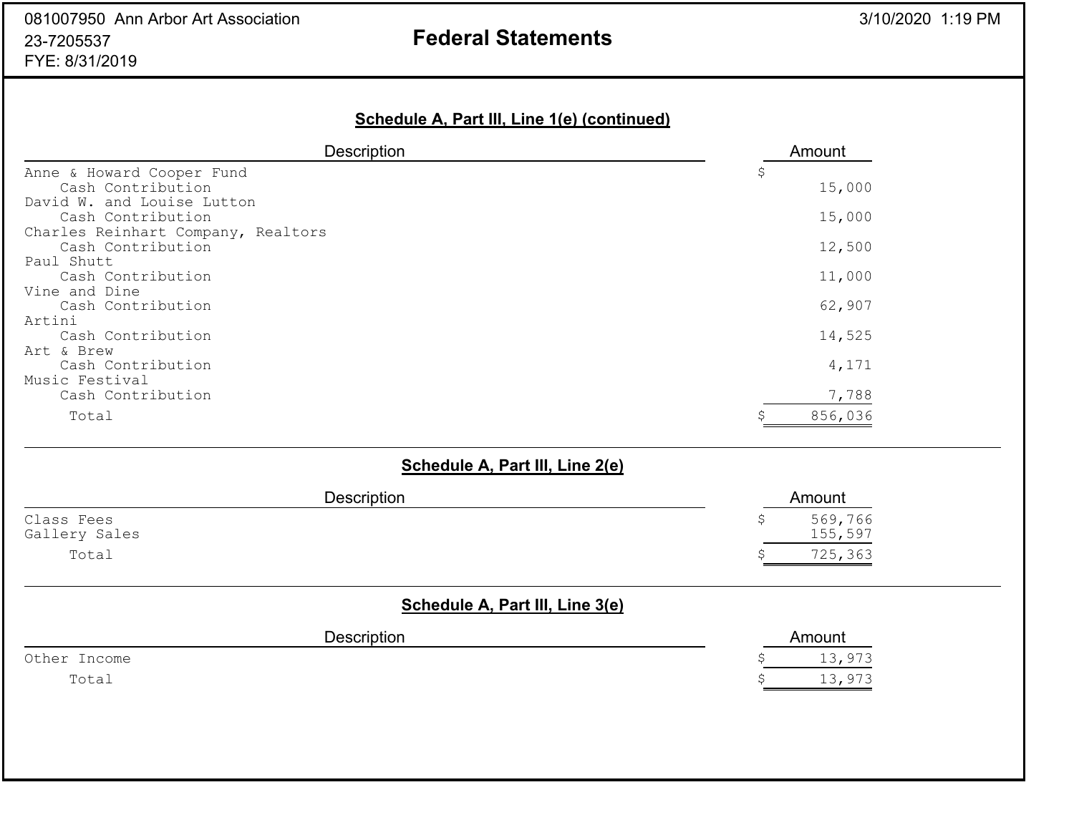### 081007950 Ann Arbor Art Association23-7205537FYE: 8/31/2019

# **Federal Statements**

# **Schedule A, Part III, Line 1(e) (continued)**

| <b>Description</b>                 | Amount  |
|------------------------------------|---------|
| Anne & Howard Cooper Fund          | \$      |
| Cash Contribution                  | 15,000  |
| David W. and Louise Lutton         |         |
| Cash Contribution                  | 15,000  |
| Charles Reinhart Company, Realtors |         |
| Cash Contribution                  | 12,500  |
| Paul Shutt                         |         |
| Cash Contribution                  | 11,000  |
| Vine and Dine                      |         |
| Cash Contribution                  | 62,907  |
| Artini                             |         |
| Cash Contribution                  | 14,525  |
| Art & Brew                         |         |
| Cash Contribution                  | 4,171   |
| Music Festival                     |         |
| Cash Contribution                  | 7,788   |
| Total                              | 856,036 |

|                             | <b>Description</b>              | Amount                   |
|-----------------------------|---------------------------------|--------------------------|
| Class Fees<br>Gallery Sales |                                 | 569,766<br>Ş.<br>155,597 |
| Total                       |                                 | 725,363                  |
|                             | Schedule A, Part III, Line 3(e) |                          |
|                             |                                 |                          |
|                             | Description                     | Amount                   |
| Other Income                |                                 | 13,973                   |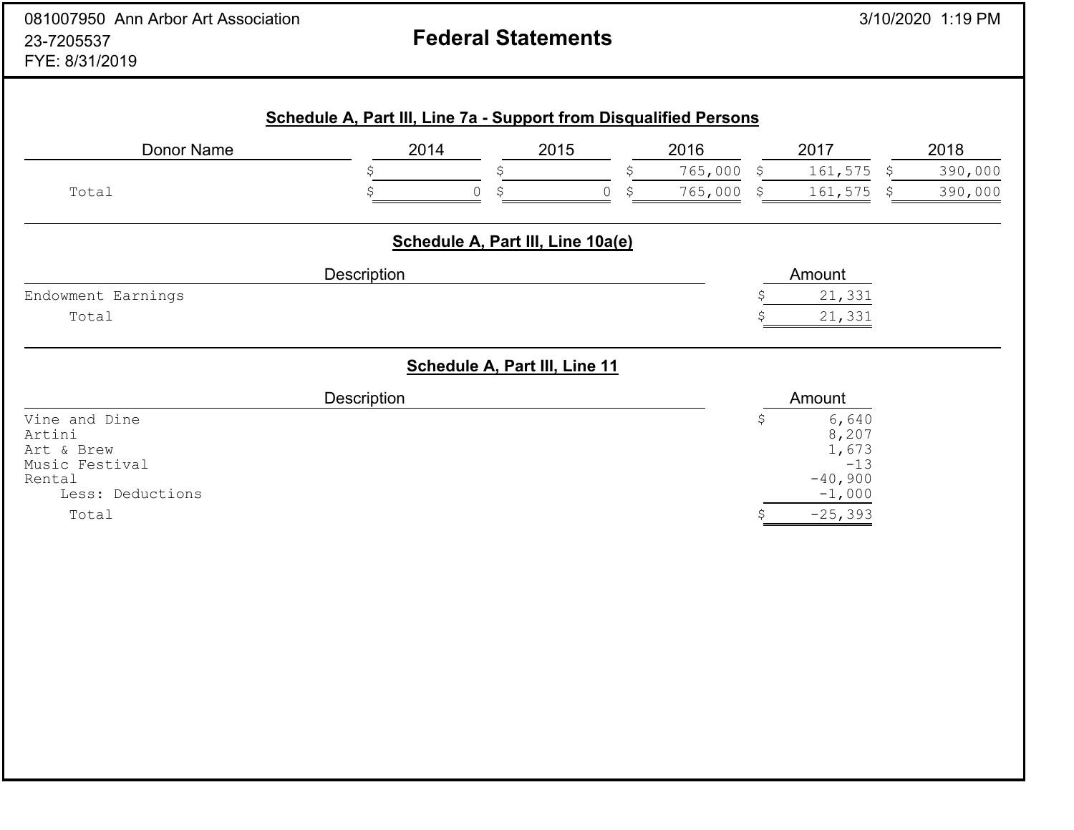# **Federal Statements**

| Donor Name                 | 2014               |                                      | 2015 |   | 2016          |    | 2017                  |    | 2018    |
|----------------------------|--------------------|--------------------------------------|------|---|---------------|----|-----------------------|----|---------|
|                            | \$                 | \$                                   |      |   | \$<br>765,000 | \$ | 161,575               | \$ | 390,000 |
| Total                      | \$                 | \$<br>$\circ$                        |      | 0 | \$<br>765,000 | \$ | 161,575               | -S | 390,000 |
|                            |                    | Schedule A, Part III, Line 10a(e)    |      |   |               |    |                       |    |         |
|                            | <b>Description</b> |                                      |      |   |               |    | Amount                |    |         |
| Endowment Earnings         |                    |                                      |      |   |               | S  | 21,331                |    |         |
| Total                      |                    |                                      |      |   |               | Ś  | 21,331                |    |         |
|                            |                    | <b>Schedule A, Part III, Line 11</b> |      |   |               |    |                       |    |         |
|                            | <b>Description</b> |                                      |      |   |               |    | Amount                |    |         |
| Vine and Dine              |                    |                                      |      |   |               | \$ | 6,640                 |    |         |
| Artini<br>Art & Brew       |                    |                                      |      |   |               |    | 8,207<br>1,673        |    |         |
| Music Festival             |                    |                                      |      |   |               |    | $-13$                 |    |         |
| Rental<br>Less: Deductions |                    |                                      |      |   |               |    | $-40,900$             |    |         |
| Total                      |                    |                                      |      |   |               |    | $-1,000$<br>$-25,393$ |    |         |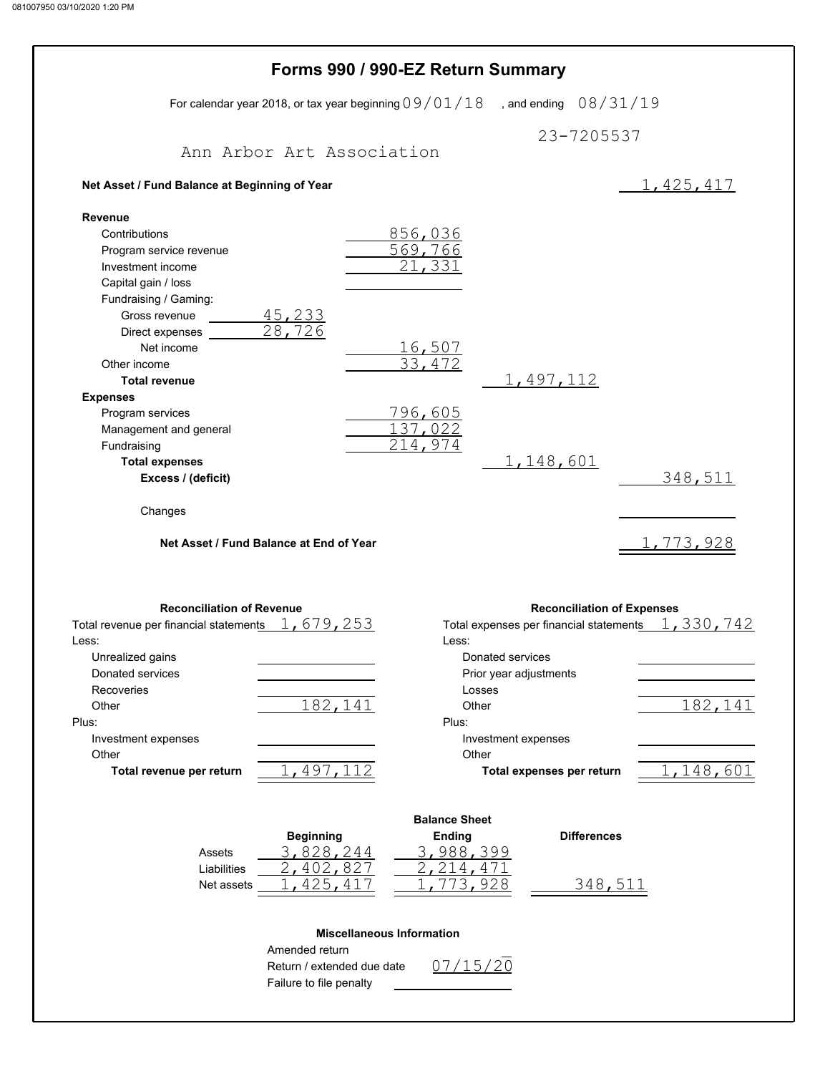|                                                                                  | Forms 990 / 990-EZ Return Summary |                        |                                   |                                                                                          |
|----------------------------------------------------------------------------------|-----------------------------------|------------------------|-----------------------------------|------------------------------------------------------------------------------------------|
| For calendar year 2018, or tax year beginning $09/01/18$ , and ending $08/31/19$ |                                   |                        |                                   |                                                                                          |
|                                                                                  |                                   |                        | 23-7205537                        |                                                                                          |
| Ann Arbor Art Association                                                        |                                   |                        |                                   |                                                                                          |
| Net Asset / Fund Balance at Beginning of Year                                    |                                   |                        |                                   | 1,425,417                                                                                |
| <b>Revenue</b>                                                                   |                                   |                        |                                   |                                                                                          |
| Contributions                                                                    | 856,036                           |                        |                                   |                                                                                          |
| Program service revenue                                                          | 569,766                           |                        |                                   |                                                                                          |
| Investment income                                                                | 21,331                            |                        |                                   |                                                                                          |
| Capital gain / loss                                                              |                                   |                        |                                   |                                                                                          |
| Fundraising / Gaming:                                                            |                                   |                        |                                   |                                                                                          |
| <u>45,233</u><br>Gross revenue                                                   |                                   |                        |                                   |                                                                                          |
| 28, 726<br>Direct expenses                                                       |                                   |                        |                                   |                                                                                          |
| Net income                                                                       | 16,507                            |                        |                                   |                                                                                          |
| Other income                                                                     | 33, 472                           |                        |                                   |                                                                                          |
| <b>Total revenue</b>                                                             |                                   |                        | 1,497,112                         |                                                                                          |
| <b>Expenses</b>                                                                  |                                   |                        |                                   |                                                                                          |
| Program services                                                                 | 796,605                           |                        |                                   |                                                                                          |
| Management and general                                                           | 137,022                           |                        |                                   |                                                                                          |
| Fundraising                                                                      | 214,974                           |                        |                                   |                                                                                          |
| <b>Total expenses</b><br>Excess / (deficit)                                      |                                   |                        | 1,148,601                         | 348,511                                                                                  |
|                                                                                  |                                   |                        |                                   |                                                                                          |
| Changes<br>Net Asset / Fund Balance at End of Year                               |                                   |                        |                                   |                                                                                          |
| <b>Reconciliation of Revenue</b>                                                 |                                   |                        | <b>Reconciliation of Expenses</b> |                                                                                          |
| Total revenue per financial statements $1,679,253$                               |                                   |                        |                                   |                                                                                          |
| Less:                                                                            |                                   | Less:                  |                                   |                                                                                          |
| Unrealized gains                                                                 |                                   | Donated services       |                                   |                                                                                          |
| Donated services                                                                 |                                   | Prior year adjustments |                                   |                                                                                          |
| Recoveries<br>Other                                                              |                                   | Losses<br>Other        |                                   |                                                                                          |
|                                                                                  | 182,141                           | Plus:                  |                                   |                                                                                          |
| Plus:<br>Investment expenses                                                     |                                   | Investment expenses    |                                   |                                                                                          |
| Other                                                                            |                                   | Other                  |                                   |                                                                                          |
| Total revenue per return                                                         | ,497,1                            |                        | Total expenses per return         |                                                                                          |
|                                                                                  | <b>Balance Sheet</b>              |                        |                                   |                                                                                          |
| <b>Beginning</b>                                                                 | Ending                            |                        | <b>Differences</b>                |                                                                                          |
| Assets                                                                           | 3,828,244                         | 3,988,399              |                                   |                                                                                          |
| Liabilities                                                                      | 2,402,827                         | 2, 214, 471            |                                   |                                                                                          |
| Net assets                                                                       | 425,41                            | 773,928                | <u>348,511</u>                    |                                                                                          |
|                                                                                  | <b>Miscellaneous Information</b>  |                        |                                   | 1,773,928<br>Total expenses per financial statements $1,330,742$<br>182,141<br>1,148,601 |
| Amended return                                                                   |                                   | 07/15/20               |                                   |                                                                                          |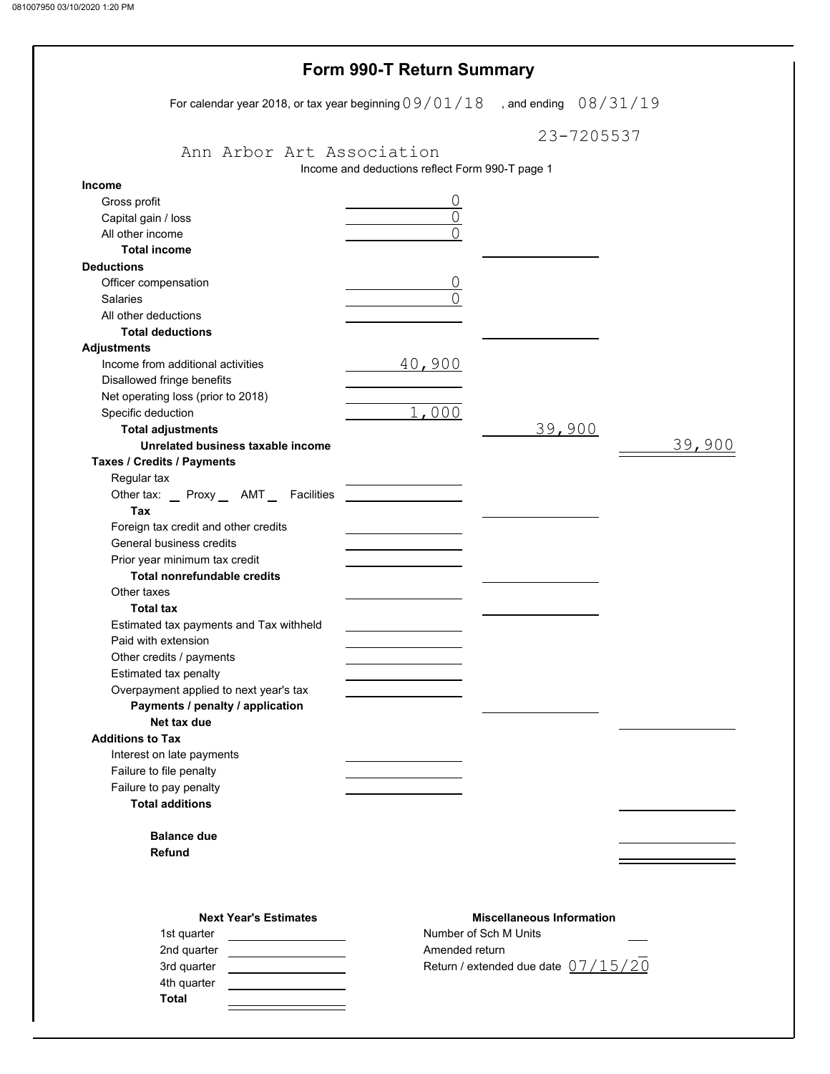| For calendar year 2018, or tax year beginning $09/01/18$ , and ending $08/31/19$ | Form 990-T Return Summary                       |                                     |        |
|----------------------------------------------------------------------------------|-------------------------------------------------|-------------------------------------|--------|
|                                                                                  |                                                 |                                     |        |
|                                                                                  |                                                 | 23-7205537                          |        |
| Ann Arbor Art Association                                                        | Income and deductions reflect Form 990-T page 1 |                                     |        |
| <b>Income</b>                                                                    |                                                 |                                     |        |
| Gross profit                                                                     |                                                 |                                     |        |
| Capital gain / loss                                                              | 0                                               |                                     |        |
| All other income                                                                 |                                                 |                                     |        |
| <b>Total income</b>                                                              |                                                 |                                     |        |
| <b>Deductions</b>                                                                |                                                 |                                     |        |
| Officer compensation                                                             |                                                 |                                     |        |
| Salaries                                                                         | 0                                               |                                     |        |
| All other deductions                                                             |                                                 |                                     |        |
| <b>Total deductions</b>                                                          |                                                 |                                     |        |
| <b>Adjustments</b>                                                               |                                                 |                                     |        |
| Income from additional activities                                                | 40,900                                          |                                     |        |
| Disallowed fringe benefits                                                       |                                                 |                                     |        |
| Net operating loss (prior to 2018)                                               |                                                 |                                     |        |
| Specific deduction                                                               | 1,000                                           |                                     |        |
| <b>Total adjustments</b>                                                         |                                                 | 39,900                              |        |
| Unrelated business taxable income                                                |                                                 |                                     | 39,900 |
| Taxes / Credits / Payments                                                       |                                                 |                                     |        |
| Regular tax                                                                      |                                                 |                                     |        |
| Other tax: Proxy AMT Facilities                                                  |                                                 |                                     |        |
| Tax                                                                              |                                                 |                                     |        |
| Foreign tax credit and other credits                                             |                                                 |                                     |        |
| General business credits                                                         |                                                 |                                     |        |
| Prior year minimum tax credit                                                    |                                                 |                                     |        |
| <b>Total nonrefundable credits</b>                                               |                                                 |                                     |        |
| Other taxes                                                                      |                                                 |                                     |        |
| <b>Total tax</b>                                                                 |                                                 |                                     |        |
| Estimated tax payments and Tax withheld                                          |                                                 |                                     |        |
| Paid with extension                                                              |                                                 |                                     |        |
| Other credits / payments                                                         |                                                 |                                     |        |
| Estimated tax penalty                                                            |                                                 |                                     |        |
| Overpayment applied to next year's tax                                           |                                                 |                                     |        |
| Payments / penalty / application                                                 |                                                 |                                     |        |
| Net tax due                                                                      |                                                 |                                     |        |
| <b>Additions to Tax</b>                                                          |                                                 |                                     |        |
| Interest on late payments                                                        |                                                 |                                     |        |
|                                                                                  |                                                 |                                     |        |
| Failure to file penalty                                                          |                                                 |                                     |        |
| Failure to pay penalty                                                           |                                                 |                                     |        |
| <b>Total additions</b>                                                           |                                                 |                                     |        |
| <b>Balance due</b>                                                               |                                                 |                                     |        |
| Refund                                                                           |                                                 |                                     |        |
|                                                                                  |                                                 |                                     |        |
| <b>Next Year's Estimates</b>                                                     |                                                 | <b>Miscellaneous Information</b>    |        |
| 1st quarter                                                                      |                                                 | Number of Sch M Units               |        |
| 2nd quarter<br>and the control of the control of the control of                  | Amended return                                  |                                     |        |
| 3rd quarter                                                                      |                                                 | Return / extended due date 07/15/20 |        |
| and the control of the control of the<br>4th quarter                             |                                                 |                                     |        |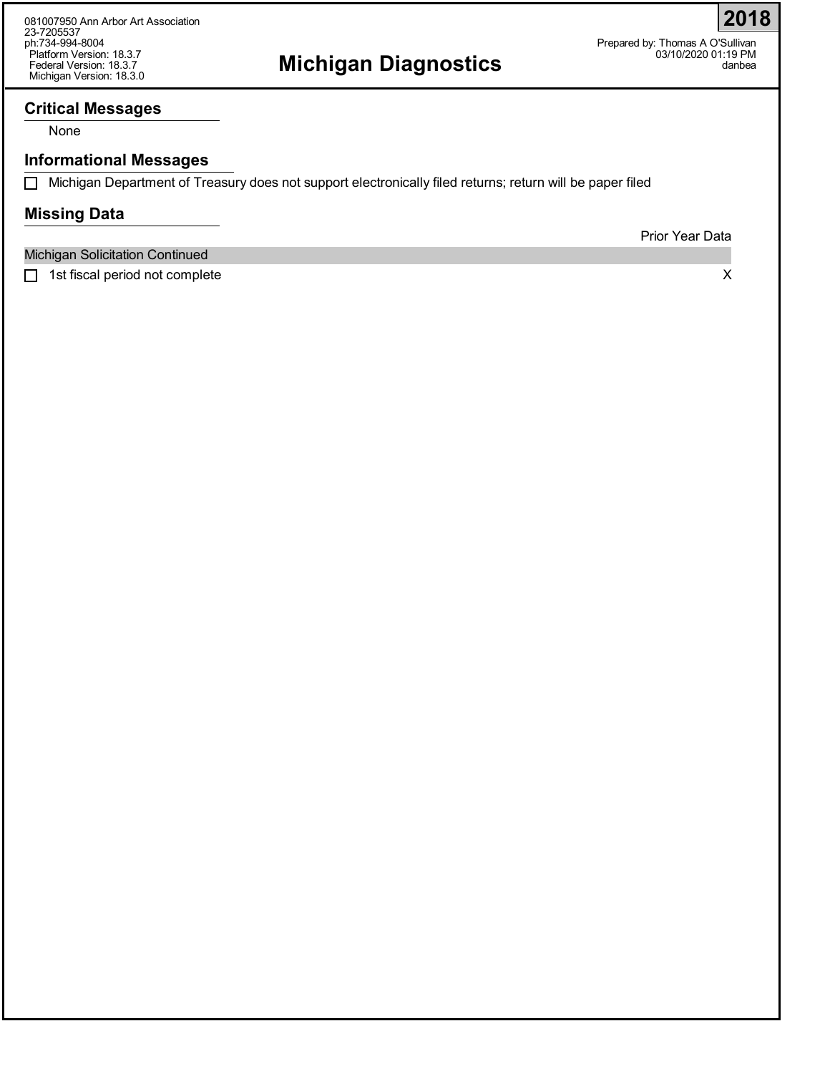# Platform Version: 18.3.7<br>Federal Version: 18.3.7 **Michigan Diagnostics**<br>Michigan Version: 18.3.0 danbea

Prior Year Data

#### **Critical Messages**

None

#### **Informational Messages**

Michigan Department of Treasury does not support electronically filed returns; return will be paper filed  $\Box$ 

#### **Missing Data**

Michigan Solicitation Continued

□ 1st fiscal period not complete X

**2018**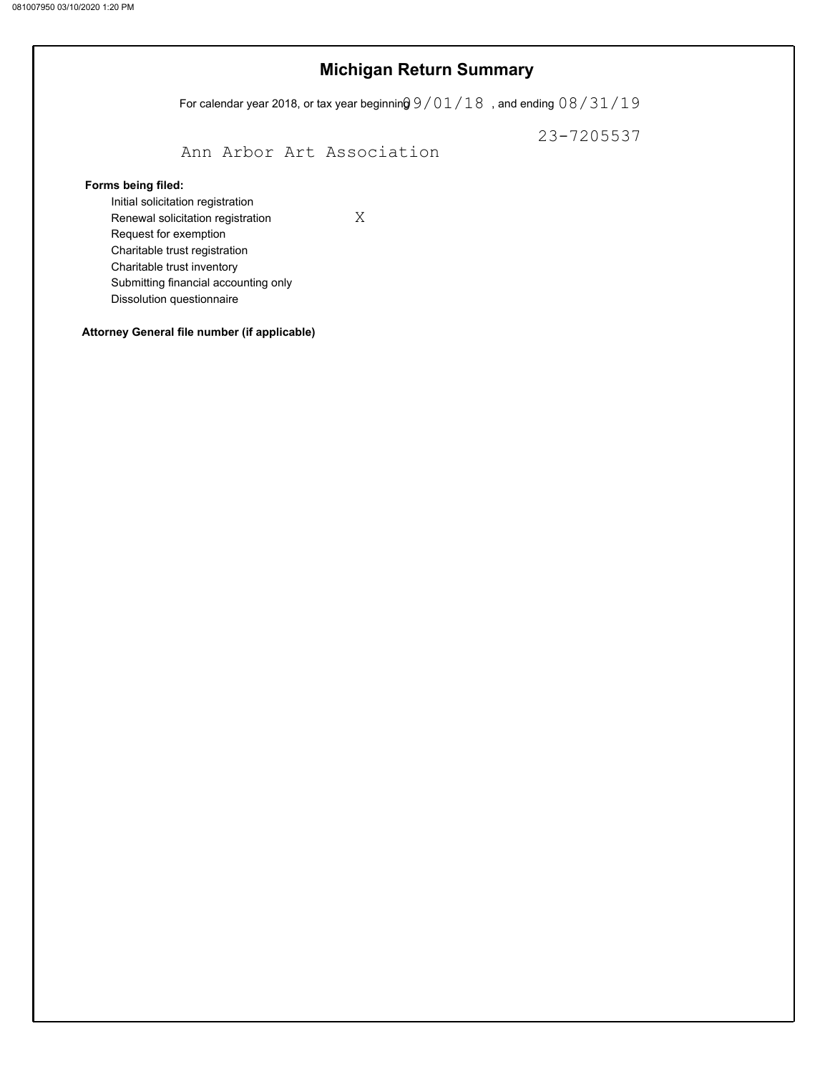# For calendar year 2018, or tax year beginnin $\textsf{g}\,9$  /  $01$  /  $18\,$  , and ending  $\textsf{0}\,8$  /  $\textsf{3}\,1$  /  $1$   $\textsf{9}$ **Michigan Return Summary** Initial solicitation registration Renewal solicitation registration  **Forms being filed:** Request for exemption Charitable trust registration Charitable trust inventory Dissolution questionnaire Submitting financial accounting only **Attorney General file number (if applicable)** Ann Arbor Art Association 23-7205537 X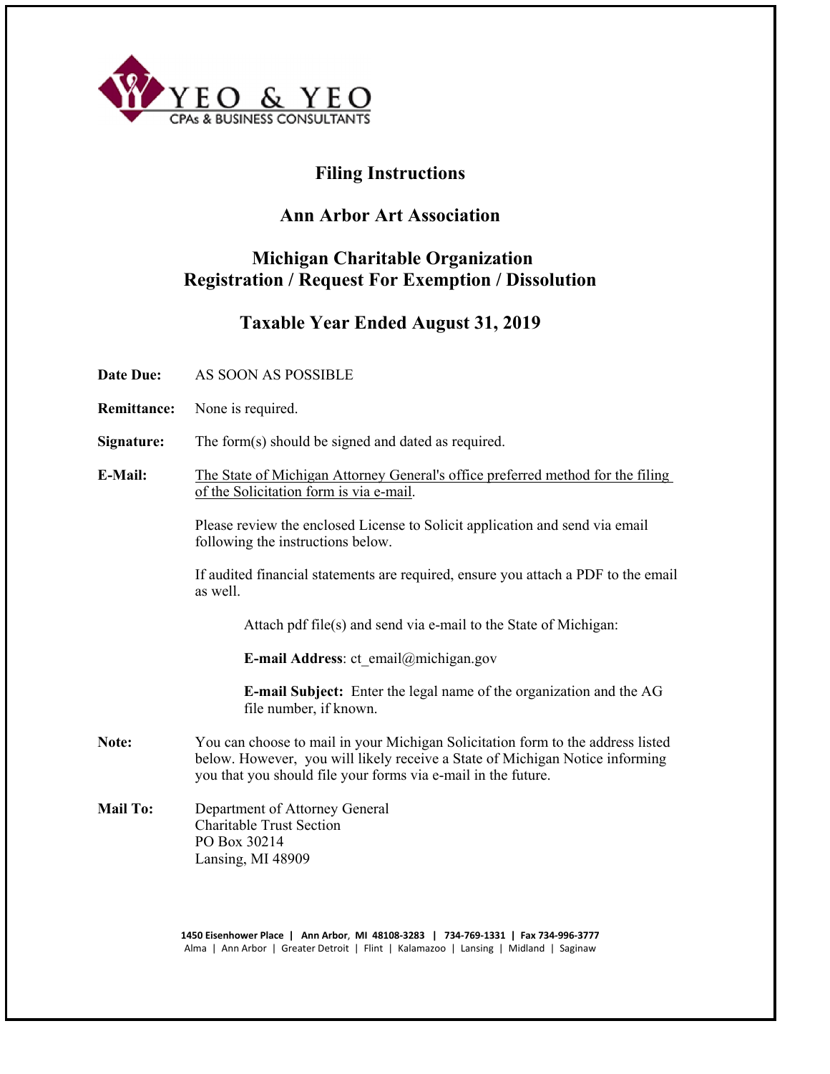

### **Filing Instructions**

### **Ann Arbor Art Association**

# **Michigan Charitable Organization Registration / Request For Exemption / Dissolution**

# **Taxable Year Ended August 31, 2019**

**Date Due:** AS SOON AS POSSIBLE

- **Remittance:** None is required.
- **Signature:** The form(s) should be signed and dated as required.
- **E-Mail:** The State of Michigan Attorney General's office preferred method for the filing of the Solicitation form is via e-mail.

Please review the enclosed License to Solicit application and send via email following the instructions below.

If audited financial statements are required, ensure you attach a PDF to the email as well.

Attach pdf file(s) and send via e-mail to the State of Michigan:

**E-mail Address**: ct\_email@michigan.gov

**E-mail Subject:** Enter the legal name of the organization and the AG file number, if known.

- **Note:** You can choose to mail in your Michigan Solicitation form to the address listed below. However, you will likely receive a State of Michigan Notice informing you that you should file your forms via e-mail in the future.
- **Mail To:** Department of Attorney General Charitable Trust Section PO Box 30214 Lansing, MI 48909

1450 Eisenhower Place | Ann Arbor, MI 48108-3283 | 734-769-1331 | Fax 734-996-3777 Alma | Ann Arbor | Greater Detroit | Flint | Kalamazoo | Lansing | Midland | Saginaw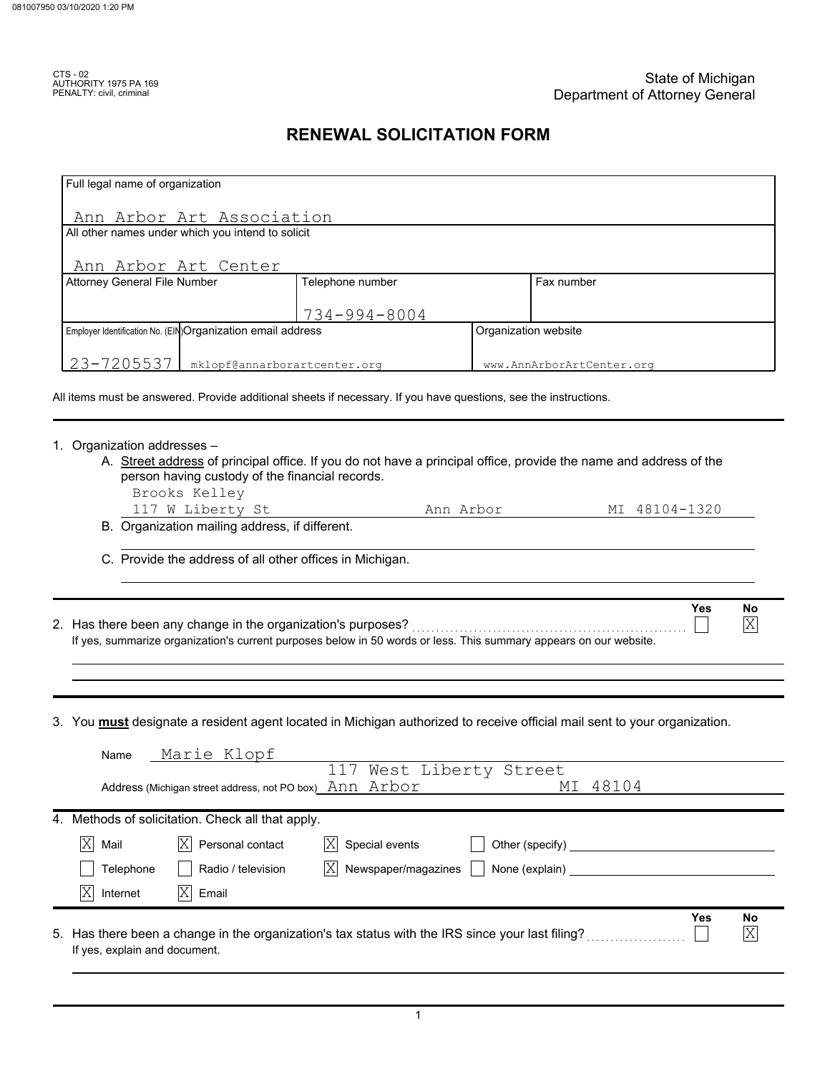CTS - 02<br>AUTHORITY 1975 PA 169<br>PENALTY: civil, criminal

# **RENEWAL SOLICITATION FORM**

| Ann Arbor Art Association                                                                                                                                                         |                              |                      |                                                                                                                                                                                                                                |                 |  |
|-----------------------------------------------------------------------------------------------------------------------------------------------------------------------------------|------------------------------|----------------------|--------------------------------------------------------------------------------------------------------------------------------------------------------------------------------------------------------------------------------|-----------------|--|
| All other names under which you intend to solicit                                                                                                                                 |                              |                      |                                                                                                                                                                                                                                |                 |  |
|                                                                                                                                                                                   |                              |                      |                                                                                                                                                                                                                                |                 |  |
| Ann Arbor Art Center<br><b>Attorney General File Number</b>                                                                                                                       | Telephone number             |                      | Fax number                                                                                                                                                                                                                     |                 |  |
|                                                                                                                                                                                   |                              |                      |                                                                                                                                                                                                                                |                 |  |
|                                                                                                                                                                                   | 734-994-8004                 |                      |                                                                                                                                                                                                                                |                 |  |
| Employer Identification No. (EIN)Organization email address                                                                                                                       |                              | Organization website |                                                                                                                                                                                                                                |                 |  |
| 23-7205537                                                                                                                                                                        | mklopf@annarborartcenter.org |                      | www.AnnArborArtCenter.org                                                                                                                                                                                                      |                 |  |
|                                                                                                                                                                                   |                              |                      |                                                                                                                                                                                                                                |                 |  |
| All items must be answered. Provide additional sheets if necessary. If you have questions, see the instructions.                                                                  |                              |                      |                                                                                                                                                                                                                                |                 |  |
|                                                                                                                                                                                   |                              |                      |                                                                                                                                                                                                                                |                 |  |
| 1. Organization addresses -                                                                                                                                                       |                              |                      |                                                                                                                                                                                                                                |                 |  |
| A. Street address of principal office. If you do not have a principal office, provide the name and address of the<br>person having custody of the financial records.              |                              |                      |                                                                                                                                                                                                                                |                 |  |
| Brooks Kelley                                                                                                                                                                     |                              |                      |                                                                                                                                                                                                                                |                 |  |
| 117 W Liberty St                                                                                                                                                                  |                              | Ann Arbor            | MI 48104-1320                                                                                                                                                                                                                  |                 |  |
| B. Organization mailing address, if different.                                                                                                                                    |                              |                      |                                                                                                                                                                                                                                |                 |  |
| C. Provide the address of all other offices in Michigan.                                                                                                                          |                              |                      |                                                                                                                                                                                                                                |                 |  |
|                                                                                                                                                                                   |                              |                      |                                                                                                                                                                                                                                |                 |  |
|                                                                                                                                                                                   |                              |                      |                                                                                                                                                                                                                                |                 |  |
|                                                                                                                                                                                   |                              |                      |                                                                                                                                                                                                                                |                 |  |
|                                                                                                                                                                                   |                              |                      | <b>Yes</b>                                                                                                                                                                                                                     | No              |  |
| 2. Has there been any change in the organization's purposes?<br>If yes, summarize organization's current purposes below in 50 words or less. This summary appears on our website. |                              |                      |                                                                                                                                                                                                                                | X               |  |
|                                                                                                                                                                                   |                              |                      |                                                                                                                                                                                                                                |                 |  |
|                                                                                                                                                                                   |                              |                      |                                                                                                                                                                                                                                |                 |  |
|                                                                                                                                                                                   |                              |                      |                                                                                                                                                                                                                                |                 |  |
| 3. You must designate a resident agent located in Michigan authorized to receive official mail sent to your organization.                                                         |                              |                      |                                                                                                                                                                                                                                |                 |  |
|                                                                                                                                                                                   |                              |                      |                                                                                                                                                                                                                                |                 |  |
| Marie Klopf<br>Name                                                                                                                                                               | 117                          | West Liberty Street  |                                                                                                                                                                                                                                |                 |  |
| Address (Michigan street address, not PO box) Ann Arbor                                                                                                                           |                              |                      | 48104<br>MΙ                                                                                                                                                                                                                    |                 |  |
|                                                                                                                                                                                   |                              |                      |                                                                                                                                                                                                                                |                 |  |
| 4. Methods of solicitation. Check all that apply.                                                                                                                                 |                              |                      |                                                                                                                                                                                                                                |                 |  |
| X<br> X <br>Mail<br>Personal contact                                                                                                                                              | ΙXΙ<br>Special events        |                      | Other (specify) and the state of the state of the state of the state of the state of the state of the state of the state of the state of the state of the state of the state of the state of the state of the state of the sta |                 |  |
| Telephone<br>Radio / television                                                                                                                                                   | Newspaper/magazines<br>ΙXΙ   |                      | None (explain) and the control of the control of the control of the control of the control of the control of the control of the control of the control of the control of the control of the control of the control of the cont |                 |  |
| X<br> X<br>Internet<br>Email                                                                                                                                                      |                              |                      |                                                                                                                                                                                                                                |                 |  |
|                                                                                                                                                                                   |                              |                      | <b>Yes</b>                                                                                                                                                                                                                     | No              |  |
| 5. Has there been a change in the organization's tax status with the IRS since your last filing?<br>If yes, explain and document.                                                 |                              |                      |                                                                                                                                                                                                                                | $\vert X \vert$ |  |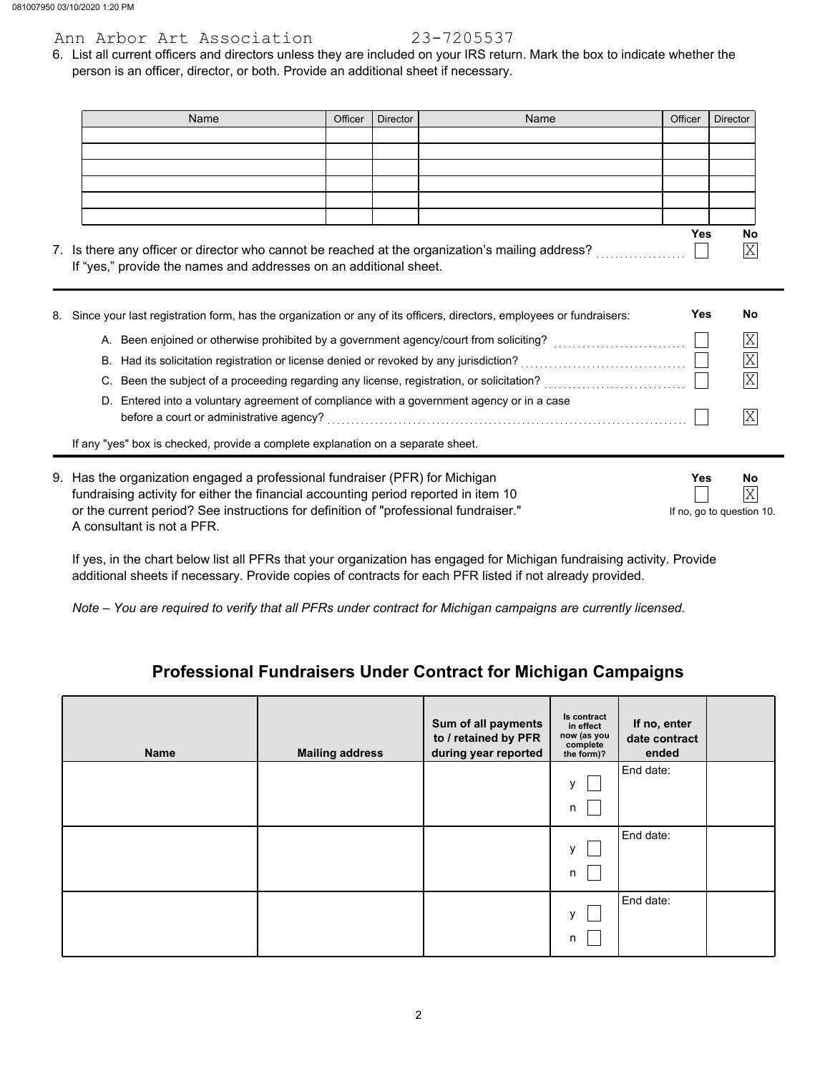## Ann Arbor Art Association 23-7205537

person is an officer, director, or both. Provide an additional sheet if necessary. 6. List all current officers and directors unless they are included on your IRS return. Mark the box to indicate whether the

| Name                                                                                                                                                                        | Officer | <b>Director</b> | Name                                                                                                           | Officer    | <b>Director</b>                      |
|-----------------------------------------------------------------------------------------------------------------------------------------------------------------------------|---------|-----------------|----------------------------------------------------------------------------------------------------------------|------------|--------------------------------------|
|                                                                                                                                                                             |         |                 |                                                                                                                |            |                                      |
|                                                                                                                                                                             |         |                 |                                                                                                                |            |                                      |
|                                                                                                                                                                             |         |                 |                                                                                                                |            |                                      |
|                                                                                                                                                                             |         |                 |                                                                                                                |            |                                      |
|                                                                                                                                                                             |         |                 |                                                                                                                |            |                                      |
| 7. Is there any officer or director who cannot be reached at the organization's mailing address?                                                                            |         |                 |                                                                                                                | <b>Yes</b> | <b>No</b><br>$\overline{\mathrm{X}}$ |
| If "yes," provide the names and addresses on an additional sheet.                                                                                                           |         |                 |                                                                                                                |            |                                      |
|                                                                                                                                                                             |         |                 |                                                                                                                |            |                                      |
| 8. Since your last registration form, has the organization or any of its officers, directors, employees or fundraisers:                                                     |         |                 |                                                                                                                | Yes        | No                                   |
|                                                                                                                                                                             |         |                 |                                                                                                                |            |                                      |
|                                                                                                                                                                             |         |                 | A. Been enjoined or otherwise prohibited by a government agency/court from soliciting? [[[[[[[[[[[[[[[[[[[[[[[ |            | $\overline{\text{X}}$                |
|                                                                                                                                                                             |         |                 |                                                                                                                |            | $\overline{\mathrm{X}}$              |
| Been the subject of a proceeding regarding any license, registration, or solicitation?                                                                                      |         |                 |                                                                                                                |            | $\overline{\mathrm{X}}$              |
| D. Entered into a voluntary agreement of compliance with a government agency or in a case                                                                                   |         |                 |                                                                                                                |            |                                      |
| before a court or administrative agency?                                                                                                                                    |         |                 |                                                                                                                |            | $\overline{\mathrm{X}}$              |
| If any "yes" box is checked, provide a complete explanation on a separate sheet.                                                                                            |         |                 |                                                                                                                |            |                                      |
|                                                                                                                                                                             |         |                 |                                                                                                                |            |                                      |
| 9. Has the organization engaged a professional fundraiser (PFR) for Michigan                                                                                                |         |                 |                                                                                                                | Yes        | No                                   |
| fundraising activity for either the financial accounting period reported in item 10<br>or the current period? See instructions for definition of "professional fundraiser." |         |                 |                                                                                                                |            | ΙX<br>If no, go to question 10.      |
| A consultant is not a PFR.                                                                                                                                                  |         |                 |                                                                                                                |            |                                      |

If yes, in the chart below list all PFRs that your organization has engaged for Michigan fundraising activity. Provide additional sheets if necessary. Provide copies of contracts for each PFR listed if not already provided.

*Note – You are required to verify that all PFRs under contract for Michigan campaigns are currently licensed.*

## **Professional Fundraisers Under Contract for Michigan Campaigns**

| <b>Name</b> | <b>Mailing address</b> | Sum of all payments<br>to / retained by PFR<br>during year reported | Is contract<br>in effect<br>now (as you<br>complete<br>the form)? | If no, enter<br>date contract<br>ended |  |
|-------------|------------------------|---------------------------------------------------------------------|-------------------------------------------------------------------|----------------------------------------|--|
|             |                        |                                                                     | v<br>n                                                            | End date:                              |  |
|             |                        |                                                                     | v<br>n                                                            | End date:                              |  |
|             |                        |                                                                     | v<br>n                                                            | End date:                              |  |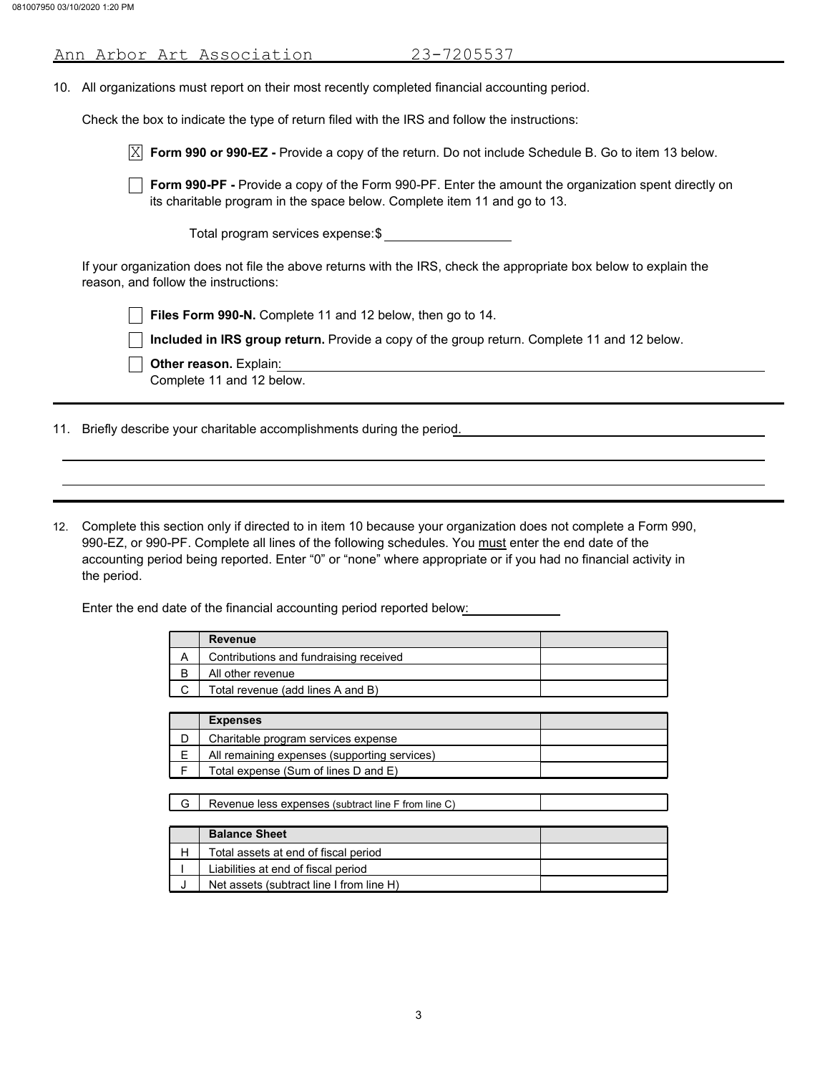|  | Ann Arbor Art Association                                                                       | 23-7205537                                                                                               |
|--|-------------------------------------------------------------------------------------------------|----------------------------------------------------------------------------------------------------------|
|  | 10. All organizations must report on their most recently completed financial accounting period. |                                                                                                          |
|  | Check the box to indicate the type of return filed with the IRS and follow the instructions:    |                                                                                                          |
|  |                                                                                                 | $ X $ Form 990 or 990-EZ - Provide a copy of the return. Do not include Schedule B. Go to item 13 below. |
|  | its charitable program in the space below. Complete item 11 and go to 13.                       | Form 990-PF - Provide a copy of the Form 990-PF. Enter the amount the organization spent directly on     |
|  |                                                                                                 |                                                                                                          |

Total program services expense:\$

If your organization does not file the above returns with the IRS, check the appropriate box below to explain the reason, and follow the instructions:

**Files Form 990-N.** Complete 11 and 12 below, then go to 14.

**I Included in IRS group return.** Provide a copy of the group return. Complete 11 and 12 below.

**Other reason.** Explain:

Complete 11 and 12 below.

11. Briefly describe your charitable accomplishments during the period.

12. Complete this section only if directed to in item 10 because your organization does not complete a Form 990, 990-EZ, or 990-PF. Complete all lines of the following schedules. You must enter the end date of the the period. accounting period being reported. Enter "0" or "none" where appropriate or if you had no financial activity in

Enter the end date of the financial accounting period reported below:

| Revenue                                |  |
|----------------------------------------|--|
| Contributions and fundraising received |  |
| All other revenue                      |  |
| Total revenue (add lines A and B)      |  |

| <b>Expenses</b>                              |  |
|----------------------------------------------|--|
| Charitable program services expense          |  |
| All remaining expenses (supporting services) |  |
| Total expense (Sum of lines D and E)         |  |

 $G$  Revenue less expenses (subtract line F from line C)

| <b>Balance Sheet</b>                     |  |
|------------------------------------------|--|
| Total assets at end of fiscal period     |  |
| Liabilities at end of fiscal period      |  |
| Net assets (subtract line I from line H) |  |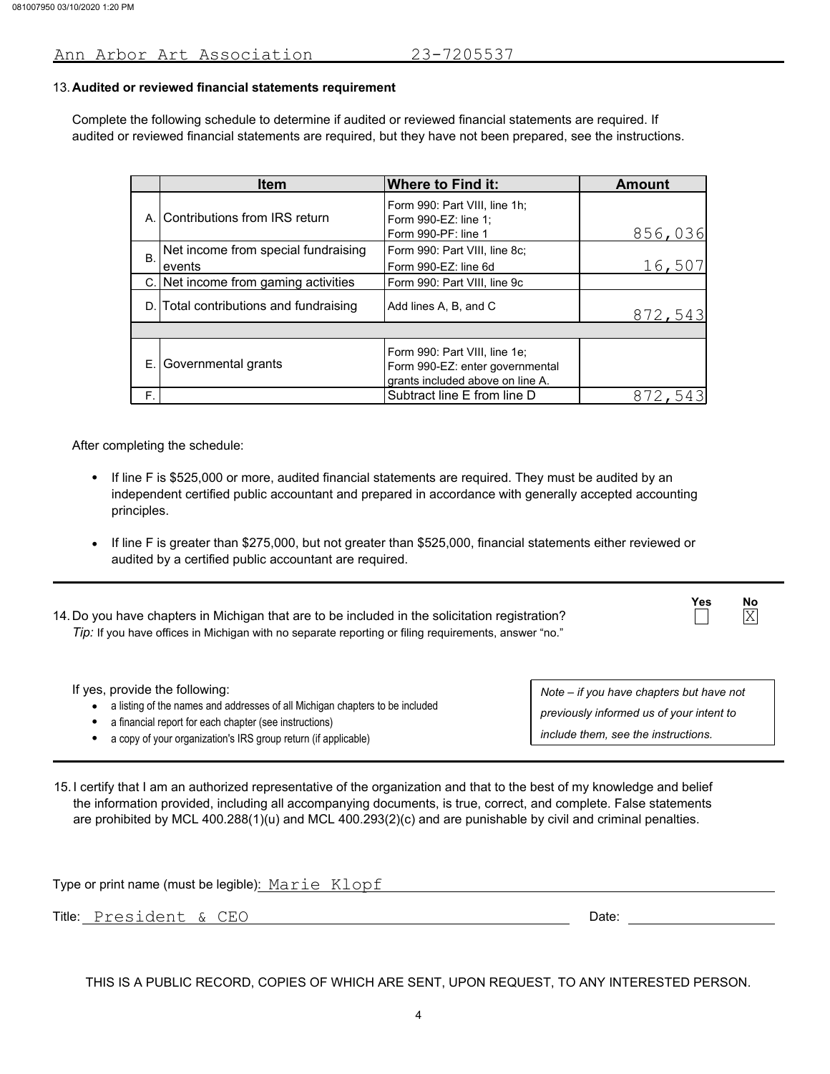## **Audited or reviewed financial statements requirement** 13.

Complete the following schedule to determine if audited or reviewed financial statements are required. If audited or reviewed financial statements are required, but they have not been prepared, see the instructions.

|           | <b>Item</b>                            | <b>Where to Find it:</b>                                                                             | Amount  |  |  |
|-----------|----------------------------------------|------------------------------------------------------------------------------------------------------|---------|--|--|
|           | Contributions from IRS return          | Form 990: Part VIII, line 1h;<br>Form 990-EZ: line 1;<br>Form 990-PF: line 1                         | 856,036 |  |  |
| <b>B.</b> | Net income from special fundraising    | Form 990: Part VIII, line 8c;                                                                        |         |  |  |
|           | events                                 | Form 990-EZ: line 6d                                                                                 | 16,507  |  |  |
|           | C. Net income from gaming activities   | Form 990: Part VIII, line 9c                                                                         |         |  |  |
|           | D. Total contributions and fundraising | Add lines A, B, and C                                                                                | 872,543 |  |  |
|           |                                        |                                                                                                      |         |  |  |
| E.I       | Governmental grants                    | Form 990: Part VIII, line 1e;<br>Form 990-EZ: enter governmental<br>grants included above on line A. |         |  |  |
| F.        |                                        | Subtract line E from line D                                                                          | 872,543 |  |  |

After completing the schedule:

- If line F is \$525,000 or more, audited financial statements are required. They must be audited by an independent certified public accountant and prepared in accordance with generally accepted accounting principles.
- If line F is greater than \$275,000, but not greater than \$525,000, financial statements either reviewed or audited by a certified public accountant are required.

| 14. Do you have chapters in Michigan that are to be included in the solicitation registration?       |  |
|------------------------------------------------------------------------------------------------------|--|
| Tip: If you have offices in Michigan with no separate reporting or filing requirements, answer "no." |  |

If yes, provide the following:

- a listing of the names and addresses of all Michigan chapters to be included
- a financial report for each chapter (see instructions)
- a copy of your organization's IRS group return (if applicable)

*include them, see the instructions. previously informed us of your intent to Note – if you have chapters but have not*

**Yes No**

 $\frac{\textsf{No}}{[\textsf{X}]}$ 

15. I certify that I am an authorized representative of the organization and that to the best of my knowledge and belief the information provided, including all accompanying documents, is true, correct, and complete. False statements are prohibited by MCL 400.288(1)(u) and MCL 400.293(2)(c) and are punishable by civil and criminal penalties.

| Type or print name (must be legible): Marie Klopf |                        |       |  |
|---------------------------------------------------|------------------------|-------|--|
|                                                   | Title: President & CEO | Date: |  |

THIS IS A PUBLIC RECORD, COPIES OF WHICH ARE SENT, UPON REQUEST, TO ANY INTERESTED PERSON.